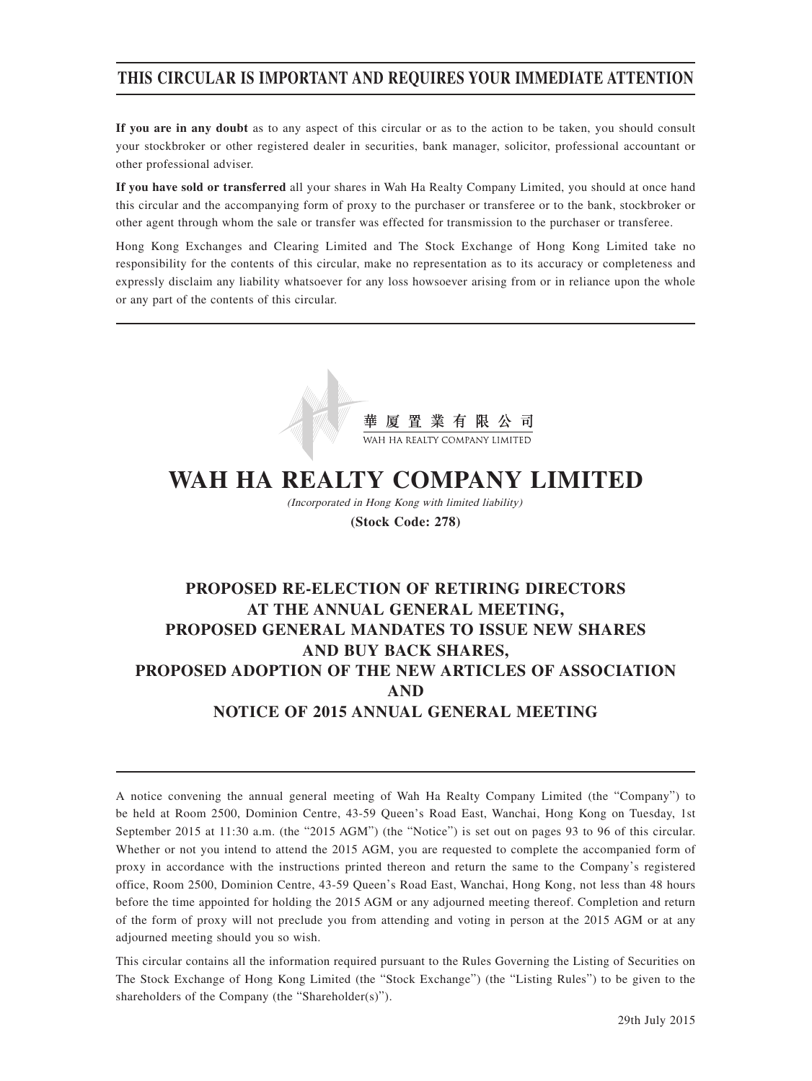# **THIS CIRCULAR IS IMPORTANT AND REQUIRES YOUR IMMEDIATE ATTENTION**

**If you are in any doubt** as to any aspect of this circular or as to the action to be taken, you should consult your stockbroker or other registered dealer in securities, bank manager, solicitor, professional accountant or other professional adviser.

**If you have sold or transferred** all your shares in Wah Ha Realty Company Limited, you should at once hand this circular and the accompanying form of proxy to the purchaser or transferee or to the bank, stockbroker or other agent through whom the sale or transfer was effected for transmission to the purchaser or transferee.

Hong Kong Exchanges and Clearing Limited and The Stock Exchange of Hong Kong Limited take no responsibility for the contents of this circular, make no representation as to its accuracy or completeness and expressly disclaim any liability whatsoever for any loss howsoever arising from or in reliance upon the whole or any part of the contents of this circular.



# **WAH HA REALTY COMPANY LIMITED**

(Incorporated in Hong Kong with limited liability) **(Stock Code: 278)**

# **PROPOSED RE-ELECTION OF RETIRING DIRECTORS AT THE ANNUAL GENERAL MEETING, PROPOSED GENERAL MANDATES TO ISSUE NEW SHARES AND BUY BACK SHARES, PROPOSED ADOPTION OF THE NEW ARTICLES OF ASSOCIATION AND NOTICE OF 2015 ANNUAL GENERAL MEETING**

A notice convening the annual general meeting of Wah Ha Realty Company Limited (the "Company") to be held at Room 2500, Dominion Centre, 43-59 Queen's Road East, Wanchai, Hong Kong on Tuesday, 1st September 2015 at 11:30 a.m. (the "2015 AGM") (the "Notice") is set out on pages 93 to 96 of this circular. Whether or not you intend to attend the 2015 AGM, you are requested to complete the accompanied form of proxy in accordance with the instructions printed thereon and return the same to the Company's registered office, Room 2500, Dominion Centre, 43-59 Queen's Road East, Wanchai, Hong Kong, not less than 48 hours before the time appointed for holding the 2015 AGM or any adjourned meeting thereof. Completion and return of the form of proxy will not preclude you from attending and voting in person at the 2015 AGM or at any adjourned meeting should you so wish.

This circular contains all the information required pursuant to the Rules Governing the Listing of Securities on The Stock Exchange of Hong Kong Limited (the "Stock Exchange") (the "Listing Rules") to be given to the shareholders of the Company (the "Shareholder(s)").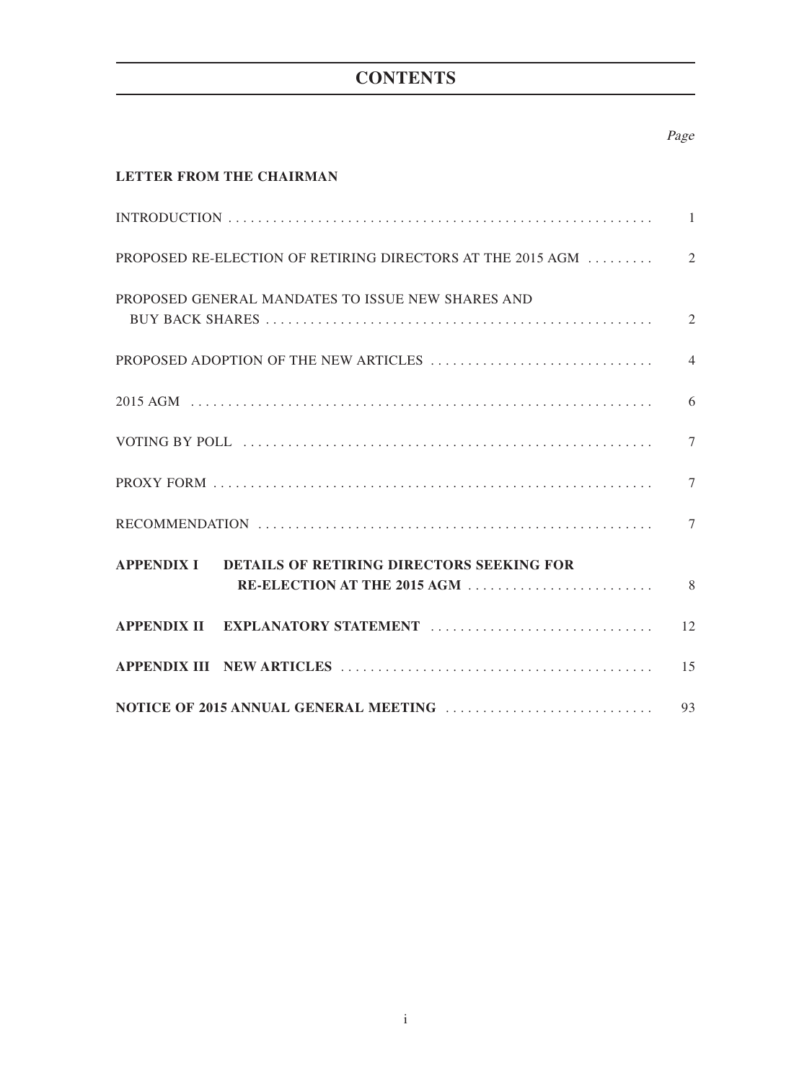# **CONTENTS**

# Page

# **LETTER FROM THE CHAIRMAN**

| PROPOSED GENERAL MANDATES TO ISSUE NEW SHARES AND    |                |
|------------------------------------------------------|----------------|
|                                                      | $\overline{4}$ |
|                                                      | 6              |
|                                                      | 7              |
|                                                      | 7              |
|                                                      | $\tau$         |
| APPENDIX I DETAILS OF RETIRING DIRECTORS SEEKING FOR |                |
|                                                      | 8              |
|                                                      | 12             |
|                                                      |                |
|                                                      | 93             |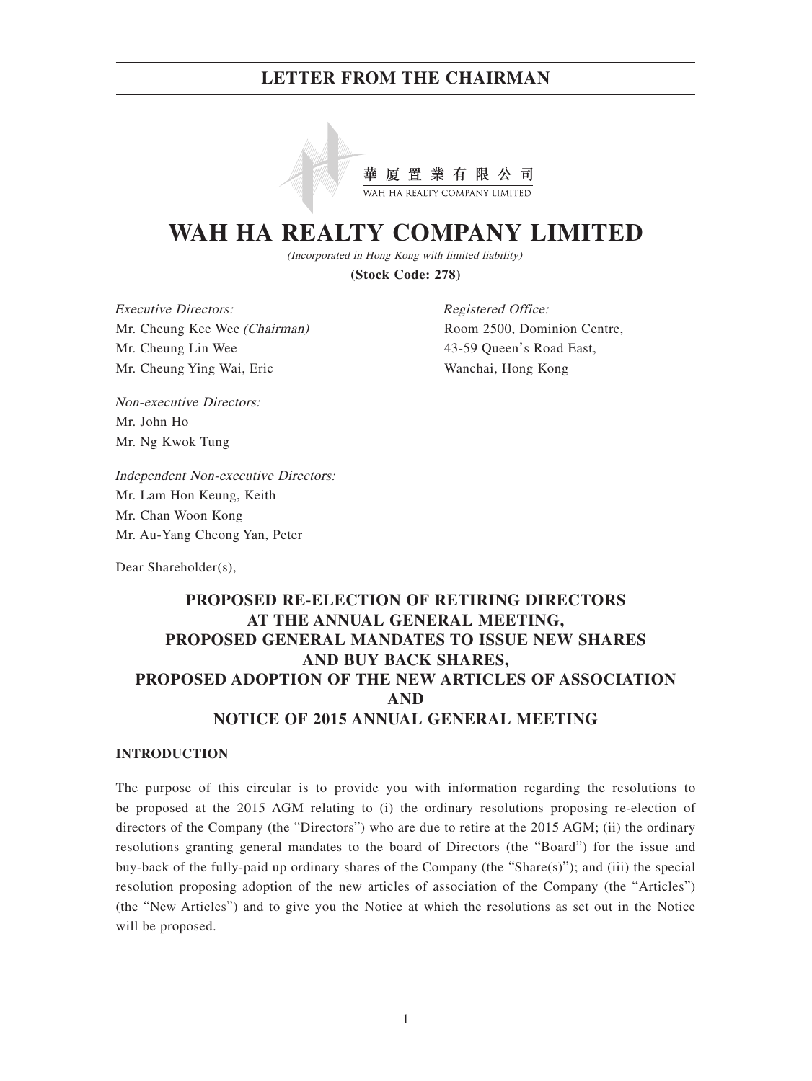

# **WAH HA REALTY COMPANY LIMITED**

(Incorporated in Hong Kong with limited liability)

**(Stock Code: 278)**

Executive Directors: Mr. Cheung Kee Wee (Chairman) Mr. Cheung Lin Wee Mr. Cheung Ying Wai, Eric

Registered Office: Room 2500, Dominion Centre, 43-59 Queen's Road East, Wanchai, Hong Kong

Non-executive Directors: Mr. John Ho Mr. Ng Kwok Tung

Independent Non-executive Directors: Mr. Lam Hon Keung, Keith Mr. Chan Woon Kong Mr. Au-Yang Cheong Yan, Peter

Dear Shareholder(s),

# **PROPOSED RE-ELECTION OF RETIRING DIRECTORS AT THE ANNUAL GENERAL MEETING, PROPOSED GENERAL MANDATES TO ISSUE NEW SHARES AND BUY BACK SHARES, PROPOSED ADOPTION OF THE NEW ARTICLES OF ASSOCIATION AND NOTICE OF 2015 ANNUAL GENERAL MEETING**

### **INTRODUCTION**

The purpose of this circular is to provide you with information regarding the resolutions to be proposed at the 2015 AGM relating to (i) the ordinary resolutions proposing re-election of directors of the Company (the "Directors") who are due to retire at the 2015 AGM; (ii) the ordinary resolutions granting general mandates to the board of Directors (the "Board") for the issue and buy-back of the fully-paid up ordinary shares of the Company (the "Share(s)"); and (iii) the special resolution proposing adoption of the new articles of association of the Company (the "Articles") (the "New Articles") and to give you the Notice at which the resolutions as set out in the Notice will be proposed.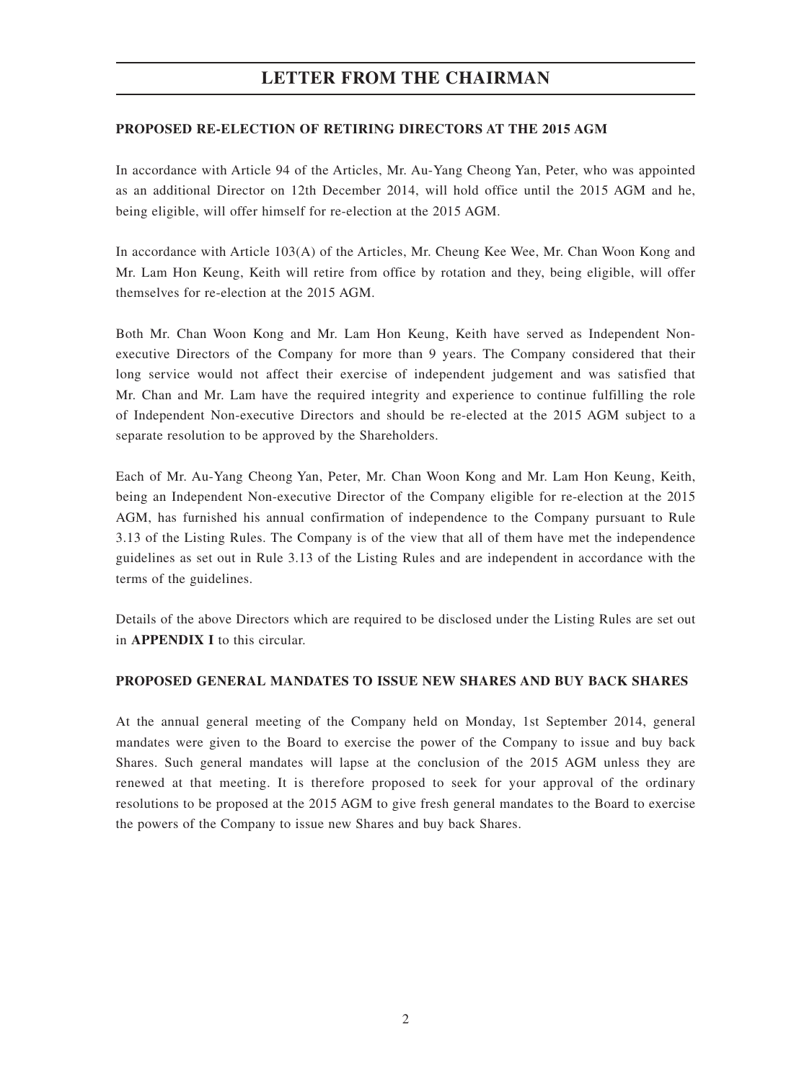## **PROPOSED RE-ELECTION OF RETIRING DIRECTORS AT THE 2015 AGM**

In accordance with Article 94 of the Articles, Mr. Au-Yang Cheong Yan, Peter, who was appointed as an additional Director on 12th December 2014, will hold office until the 2015 AGM and he, being eligible, will offer himself for re-election at the 2015 AGM.

In accordance with Article 103(A) of the Articles, Mr. Cheung Kee Wee, Mr. Chan Woon Kong and Mr. Lam Hon Keung, Keith will retire from office by rotation and they, being eligible, will offer themselves for re-election at the 2015 AGM.

Both Mr. Chan Woon Kong and Mr. Lam Hon Keung, Keith have served as Independent Nonexecutive Directors of the Company for more than 9 years. The Company considered that their long service would not affect their exercise of independent judgement and was satisfied that Mr. Chan and Mr. Lam have the required integrity and experience to continue fulfilling the role of Independent Non-executive Directors and should be re-elected at the 2015 AGM subject to a separate resolution to be approved by the Shareholders.

Each of Mr. Au-Yang Cheong Yan, Peter, Mr. Chan Woon Kong and Mr. Lam Hon Keung, Keith, being an Independent Non-executive Director of the Company eligible for re-election at the 2015 AGM, has furnished his annual confirmation of independence to the Company pursuant to Rule 3.13 of the Listing Rules. The Company is of the view that all of them have met the independence guidelines as set out in Rule 3.13 of the Listing Rules and are independent in accordance with the terms of the guidelines.

Details of the above Directors which are required to be disclosed under the Listing Rules are set out in **APPENDIX I** to this circular.

## **PROPOSED GENERAL MANDATES TO ISSUE NEW SHARES AND BUY BACK SHARES**

At the annual general meeting of the Company held on Monday, 1st September 2014, general mandates were given to the Board to exercise the power of the Company to issue and buy back Shares. Such general mandates will lapse at the conclusion of the 2015 AGM unless they are renewed at that meeting. It is therefore proposed to seek for your approval of the ordinary resolutions to be proposed at the 2015 AGM to give fresh general mandates to the Board to exercise the powers of the Company to issue new Shares and buy back Shares.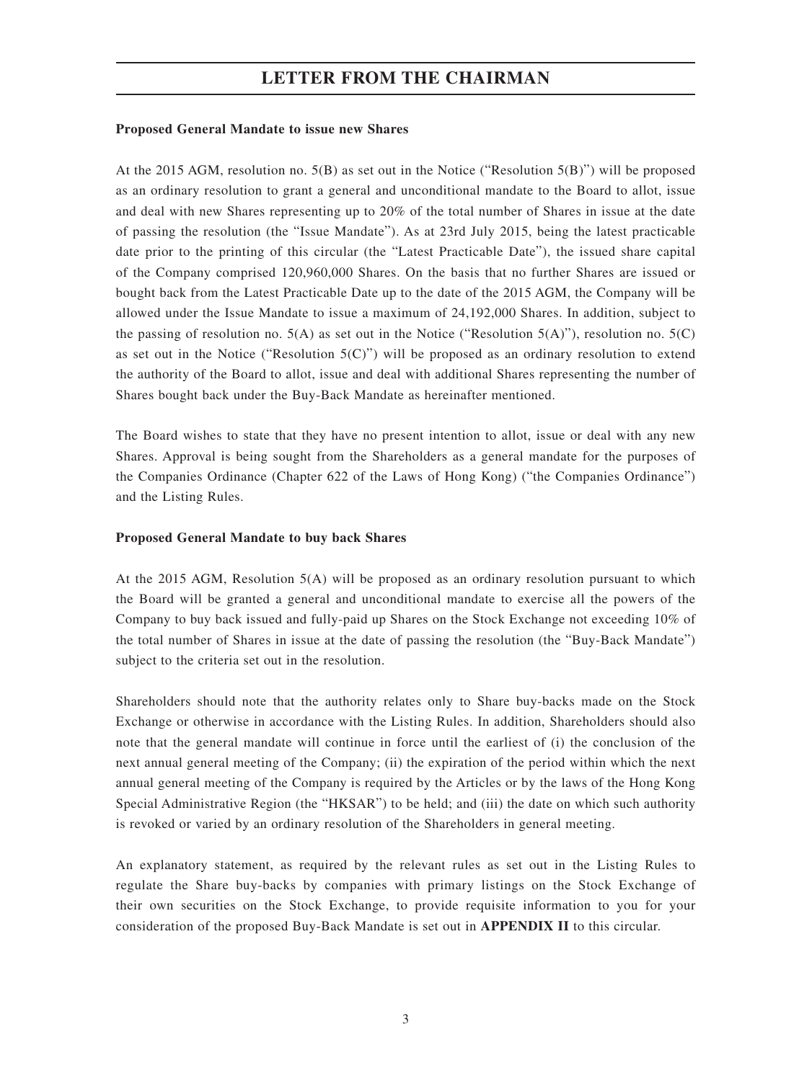### **Proposed General Mandate to issue new Shares**

At the 2015 AGM, resolution no. 5(B) as set out in the Notice ("Resolution 5(B)") will be proposed as an ordinary resolution to grant a general and unconditional mandate to the Board to allot, issue and deal with new Shares representing up to 20% of the total number of Shares in issue at the date of passing the resolution (the "Issue Mandate"). As at 23rd July 2015, being the latest practicable date prior to the printing of this circular (the "Latest Practicable Date"), the issued share capital of the Company comprised 120,960,000 Shares. On the basis that no further Shares are issued or bought back from the Latest Practicable Date up to the date of the 2015 AGM, the Company will be allowed under the Issue Mandate to issue a maximum of 24,192,000 Shares. In addition, subject to the passing of resolution no.  $5(A)$  as set out in the Notice ("Resolution  $5(A)$ "), resolution no.  $5(C)$ as set out in the Notice ("Resolution  $5(C)$ ") will be proposed as an ordinary resolution to extend the authority of the Board to allot, issue and deal with additional Shares representing the number of Shares bought back under the Buy-Back Mandate as hereinafter mentioned.

The Board wishes to state that they have no present intention to allot, issue or deal with any new Shares. Approval is being sought from the Shareholders as a general mandate for the purposes of the Companies Ordinance (Chapter 622 of the Laws of Hong Kong) ("the Companies Ordinance") and the Listing Rules.

### **Proposed General Mandate to buy back Shares**

At the 2015 AGM, Resolution 5(A) will be proposed as an ordinary resolution pursuant to which the Board will be granted a general and unconditional mandate to exercise all the powers of the Company to buy back issued and fully-paid up Shares on the Stock Exchange not exceeding 10% of the total number of Shares in issue at the date of passing the resolution (the "Buy-Back Mandate") subject to the criteria set out in the resolution.

Shareholders should note that the authority relates only to Share buy-backs made on the Stock Exchange or otherwise in accordance with the Listing Rules. In addition, Shareholders should also note that the general mandate will continue in force until the earliest of (i) the conclusion of the next annual general meeting of the Company; (ii) the expiration of the period within which the next annual general meeting of the Company is required by the Articles or by the laws of the Hong Kong Special Administrative Region (the "HKSAR") to be held; and (iii) the date on which such authority is revoked or varied by an ordinary resolution of the Shareholders in general meeting.

An explanatory statement, as required by the relevant rules as set out in the Listing Rules to regulate the Share buy-backs by companies with primary listings on the Stock Exchange of their own securities on the Stock Exchange, to provide requisite information to you for your consideration of the proposed Buy-Back Mandate is set out in **APPENDIX II** to this circular.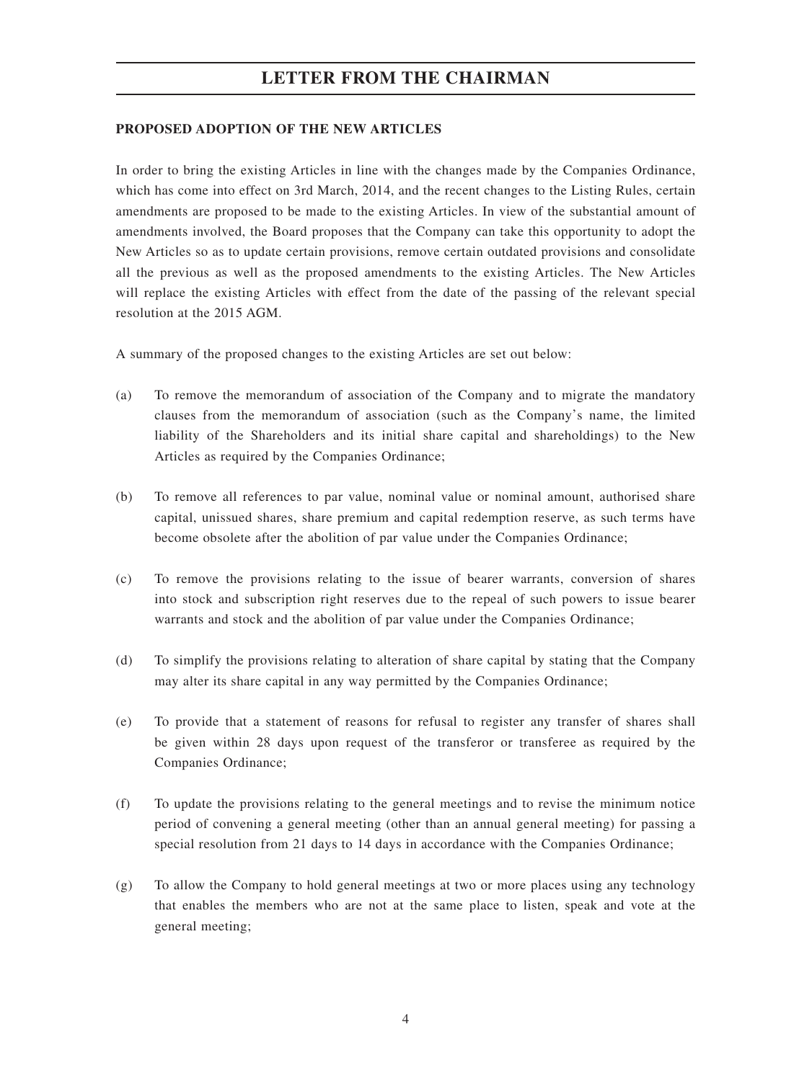## **PROPOSED ADOPTION OF THE NEW ARTICLES**

In order to bring the existing Articles in line with the changes made by the Companies Ordinance, which has come into effect on 3rd March, 2014, and the recent changes to the Listing Rules, certain amendments are proposed to be made to the existing Articles. In view of the substantial amount of amendments involved, the Board proposes that the Company can take this opportunity to adopt the New Articles so as to update certain provisions, remove certain outdated provisions and consolidate all the previous as well as the proposed amendments to the existing Articles. The New Articles will replace the existing Articles with effect from the date of the passing of the relevant special resolution at the 2015 AGM.

A summary of the proposed changes to the existing Articles are set out below:

- (a) To remove the memorandum of association of the Company and to migrate the mandatory clauses from the memorandum of association (such as the Company's name, the limited liability of the Shareholders and its initial share capital and shareholdings) to the New Articles as required by the Companies Ordinance;
- (b) To remove all references to par value, nominal value or nominal amount, authorised share capital, unissued shares, share premium and capital redemption reserve, as such terms have become obsolete after the abolition of par value under the Companies Ordinance;
- (c) To remove the provisions relating to the issue of bearer warrants, conversion of shares into stock and subscription right reserves due to the repeal of such powers to issue bearer warrants and stock and the abolition of par value under the Companies Ordinance;
- (d) To simplify the provisions relating to alteration of share capital by stating that the Company may alter its share capital in any way permitted by the Companies Ordinance;
- (e) To provide that a statement of reasons for refusal to register any transfer of shares shall be given within 28 days upon request of the transferor or transferee as required by the Companies Ordinance;
- (f) To update the provisions relating to the general meetings and to revise the minimum notice period of convening a general meeting (other than an annual general meeting) for passing a special resolution from 21 days to 14 days in accordance with the Companies Ordinance;
- (g) To allow the Company to hold general meetings at two or more places using any technology that enables the members who are not at the same place to listen, speak and vote at the general meeting;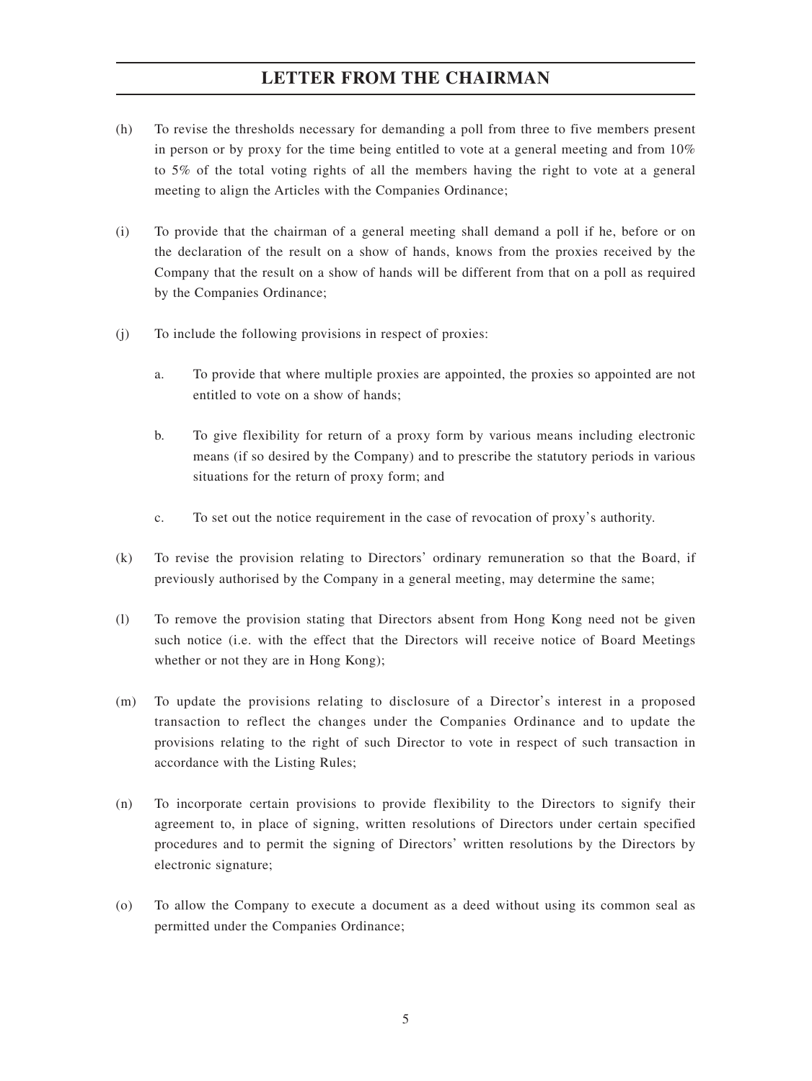- (h) To revise the thresholds necessary for demanding a poll from three to five members present in person or by proxy for the time being entitled to vote at a general meeting and from  $10\%$ to 5% of the total voting rights of all the members having the right to vote at a general meeting to align the Articles with the Companies Ordinance;
- (i) To provide that the chairman of a general meeting shall demand a poll if he, before or on the declaration of the result on a show of hands, knows from the proxies received by the Company that the result on a show of hands will be different from that on a poll as required by the Companies Ordinance;
- (j) To include the following provisions in respect of proxies:
	- a. To provide that where multiple proxies are appointed, the proxies so appointed are not entitled to vote on a show of hands;
	- b. To give flexibility for return of a proxy form by various means including electronic means (if so desired by the Company) and to prescribe the statutory periods in various situations for the return of proxy form; and
	- c. To set out the notice requirement in the case of revocation of proxy's authority.
- (k) To revise the provision relating to Directors' ordinary remuneration so that the Board, if previously authorised by the Company in a general meeting, may determine the same;
- (l) To remove the provision stating that Directors absent from Hong Kong need not be given such notice (i.e. with the effect that the Directors will receive notice of Board Meetings whether or not they are in Hong Kong);
- (m) To update the provisions relating to disclosure of a Director's interest in a proposed transaction to reflect the changes under the Companies Ordinance and to update the provisions relating to the right of such Director to vote in respect of such transaction in accordance with the Listing Rules;
- (n) To incorporate certain provisions to provide flexibility to the Directors to signify their agreement to, in place of signing, written resolutions of Directors under certain specified procedures and to permit the signing of Directors' written resolutions by the Directors by electronic signature;
- (o) To allow the Company to execute a document as a deed without using its common seal as permitted under the Companies Ordinance;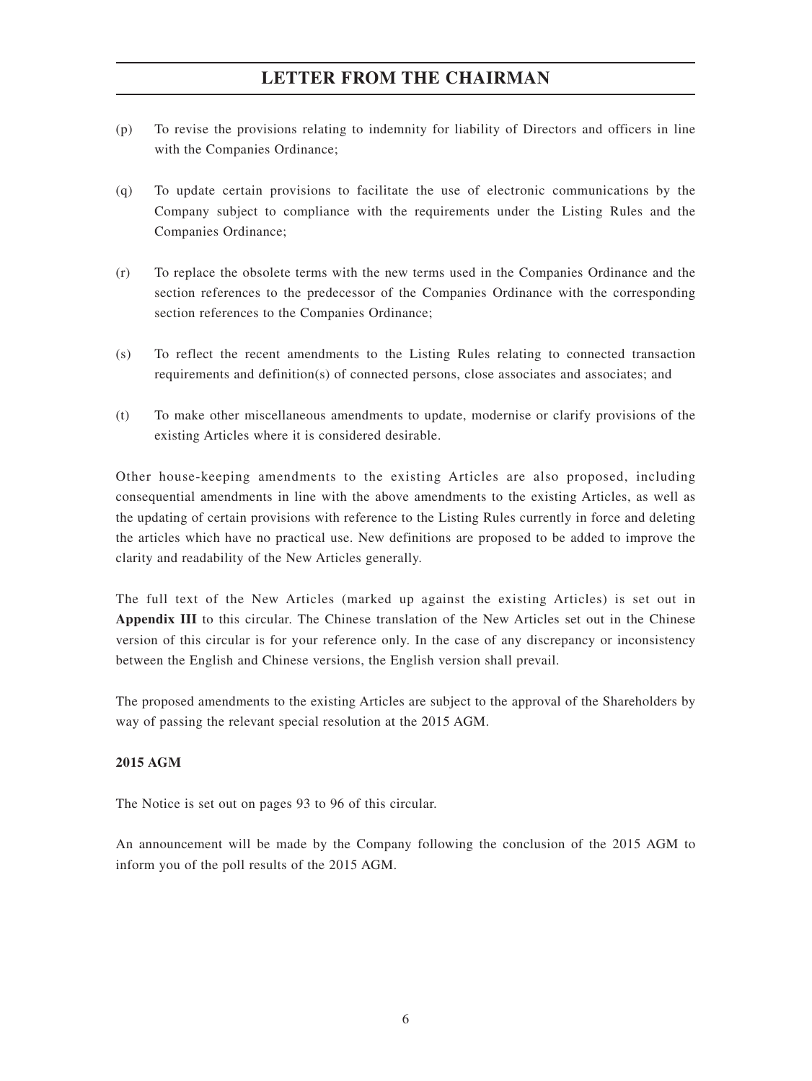- (p) To revise the provisions relating to indemnity for liability of Directors and officers in line with the Companies Ordinance;
- (q) To update certain provisions to facilitate the use of electronic communications by the Company subject to compliance with the requirements under the Listing Rules and the Companies Ordinance;
- (r) To replace the obsolete terms with the new terms used in the Companies Ordinance and the section references to the predecessor of the Companies Ordinance with the corresponding section references to the Companies Ordinance;
- (s) To reflect the recent amendments to the Listing Rules relating to connected transaction requirements and definition(s) of connected persons, close associates and associates; and
- (t) To make other miscellaneous amendments to update, modernise or clarify provisions of the existing Articles where it is considered desirable.

Other house-keeping amendments to the existing Articles are also proposed, including consequential amendments in line with the above amendments to the existing Articles, as well as the updating of certain provisions with reference to the Listing Rules currently in force and deleting the articles which have no practical use. New definitions are proposed to be added to improve the clarity and readability of the New Articles generally.

The full text of the New Articles (marked up against the existing Articles) is set out in **Appendix III** to this circular. The Chinese translation of the New Articles set out in the Chinese version of this circular is for your reference only. In the case of any discrepancy or inconsistency between the English and Chinese versions, the English version shall prevail.

The proposed amendments to the existing Articles are subject to the approval of the Shareholders by way of passing the relevant special resolution at the 2015 AGM.

## **2015 AGM**

The Notice is set out on pages 93 to 96 of this circular.

An announcement will be made by the Company following the conclusion of the 2015 AGM to inform you of the poll results of the 2015 AGM.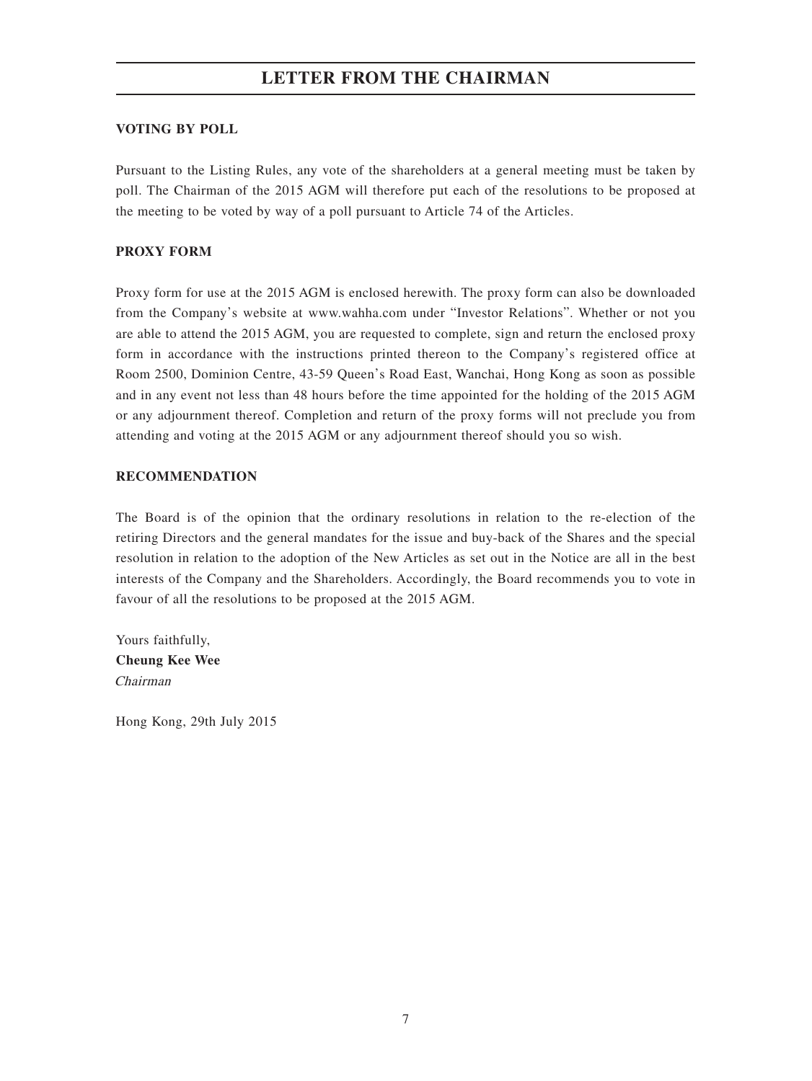## **VOTING BY POLL**

Pursuant to the Listing Rules, any vote of the shareholders at a general meeting must be taken by poll. The Chairman of the 2015 AGM will therefore put each of the resolutions to be proposed at the meeting to be voted by way of a poll pursuant to Article 74 of the Articles.

# **PROXY FORM**

Proxy form for use at the 2015 AGM is enclosed herewith. The proxy form can also be downloaded from the Company's website at www.wahha.com under "Investor Relations". Whether or not you are able to attend the 2015 AGM, you are requested to complete, sign and return the enclosed proxy form in accordance with the instructions printed thereon to the Company's registered office at Room 2500, Dominion Centre, 43-59 Queen's Road East, Wanchai, Hong Kong as soon as possible and in any event not less than 48 hours before the time appointed for the holding of the 2015 AGM or any adjournment thereof. Completion and return of the proxy forms will not preclude you from attending and voting at the 2015 AGM or any adjournment thereof should you so wish.

# **RECOMMENDATION**

The Board is of the opinion that the ordinary resolutions in relation to the re-election of the retiring Directors and the general mandates for the issue and buy-back of the Shares and the special resolution in relation to the adoption of the New Articles as set out in the Notice are all in the best interests of the Company and the Shareholders. Accordingly, the Board recommends you to vote in favour of all the resolutions to be proposed at the 2015 AGM.

Yours faithfully, **Cheung Kee Wee** Chairman

Hong Kong, 29th July 2015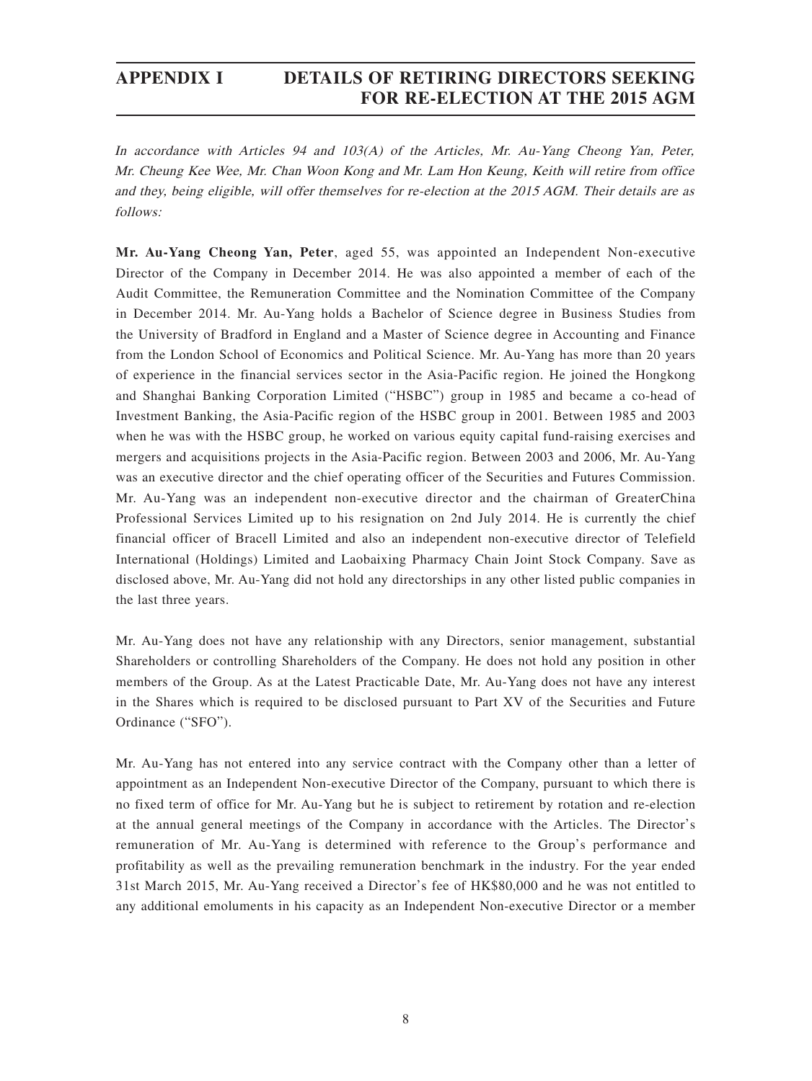In accordance with Articles 94 and 103(A) of the Articles, Mr. Au-Yang Cheong Yan, Peter, Mr. Cheung Kee Wee, Mr. Chan Woon Kong and Mr. Lam Hon Keung, Keith will retire from office and they, being eligible, will offer themselves for re-election at the 2015 AGM. Their details are as follows:

**Mr. Au-Yang Cheong Yan, Peter**, aged 55, was appointed an Independent Non-executive Director of the Company in December 2014. He was also appointed a member of each of the Audit Committee, the Remuneration Committee and the Nomination Committee of the Company in December 2014. Mr. Au-Yang holds a Bachelor of Science degree in Business Studies from the University of Bradford in England and a Master of Science degree in Accounting and Finance from the London School of Economics and Political Science. Mr. Au-Yang has more than 20 years of experience in the financial services sector in the Asia-Pacific region. He joined the Hongkong and Shanghai Banking Corporation Limited ("HSBC") group in 1985 and became a co-head of Investment Banking, the Asia-Pacific region of the HSBC group in 2001. Between 1985 and 2003 when he was with the HSBC group, he worked on various equity capital fund-raising exercises and mergers and acquisitions projects in the Asia-Pacific region. Between 2003 and 2006, Mr. Au-Yang was an executive director and the chief operating officer of the Securities and Futures Commission. Mr. Au-Yang was an independent non-executive director and the chairman of GreaterChina Professional Services Limited up to his resignation on 2nd July 2014. He is currently the chief financial officer of Bracell Limited and also an independent non-executive director of Telefield International (Holdings) Limited and Laobaixing Pharmacy Chain Joint Stock Company. Save as disclosed above, Mr. Au-Yang did not hold any directorships in any other listed public companies in the last three years.

Mr. Au-Yang does not have any relationship with any Directors, senior management, substantial Shareholders or controlling Shareholders of the Company. He does not hold any position in other members of the Group. As at the Latest Practicable Date, Mr. Au-Yang does not have any interest in the Shares which is required to be disclosed pursuant to Part XV of the Securities and Future Ordinance ("SFO").

Mr. Au-Yang has not entered into any service contract with the Company other than a letter of appointment as an Independent Non-executive Director of the Company, pursuant to which there is no fixed term of office for Mr. Au-Yang but he is subject to retirement by rotation and re-election at the annual general meetings of the Company in accordance with the Articles. The Director's remuneration of Mr. Au-Yang is determined with reference to the Group's performance and profitability as well as the prevailing remuneration benchmark in the industry. For the year ended 31st March 2015, Mr. Au-Yang received a Director's fee of HK\$80,000 and he was not entitled to any additional emoluments in his capacity as an Independent Non-executive Director or a member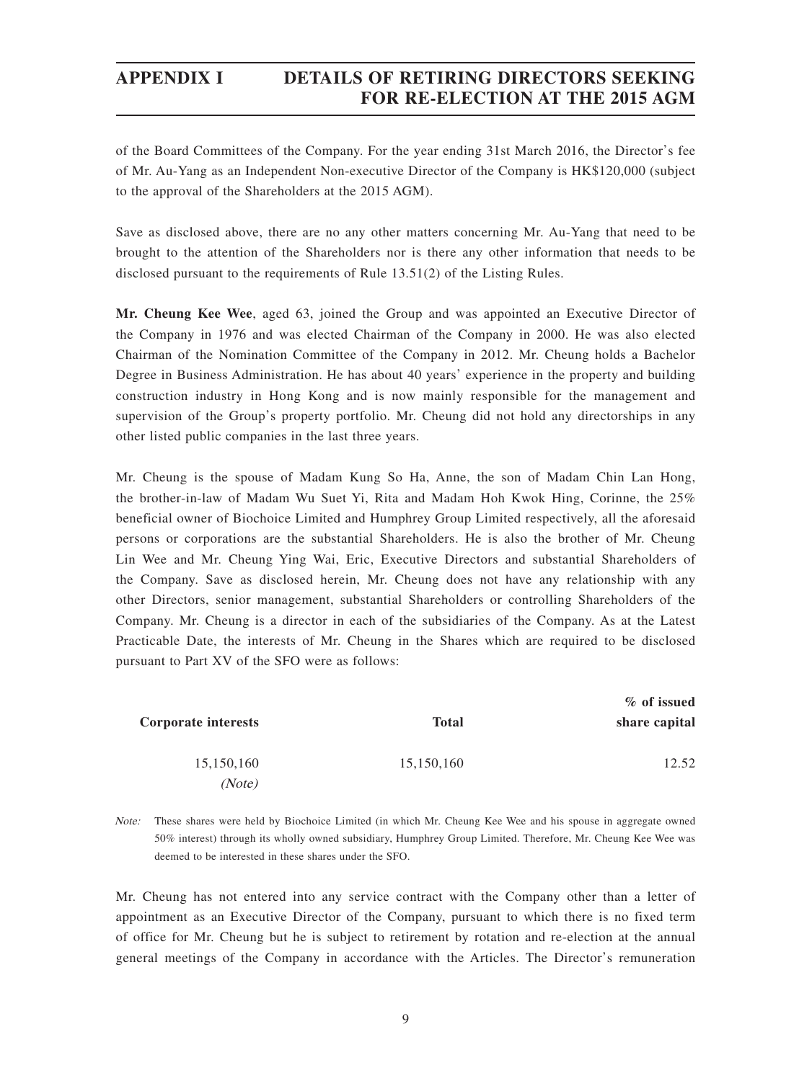of the Board Committees of the Company. For the year ending 31st March 2016, the Director's fee of Mr. Au-Yang as an Independent Non-executive Director of the Company is HK\$120,000 (subject to the approval of the Shareholders at the 2015 AGM).

Save as disclosed above, there are no any other matters concerning Mr. Au-Yang that need to be brought to the attention of the Shareholders nor is there any other information that needs to be disclosed pursuant to the requirements of Rule 13.51(2) of the Listing Rules.

**Mr. Cheung Kee Wee**, aged 63, joined the Group and was appointed an Executive Director of the Company in 1976 and was elected Chairman of the Company in 2000. He was also elected Chairman of the Nomination Committee of the Company in 2012. Mr. Cheung holds a Bachelor Degree in Business Administration. He has about 40 years' experience in the property and building construction industry in Hong Kong and is now mainly responsible for the management and supervision of the Group's property portfolio. Mr. Cheung did not hold any directorships in any other listed public companies in the last three years.

Mr. Cheung is the spouse of Madam Kung So Ha, Anne, the son of Madam Chin Lan Hong, the brother-in-law of Madam Wu Suet Yi, Rita and Madam Hoh Kwok Hing, Corinne, the 25% beneficial owner of Biochoice Limited and Humphrey Group Limited respectively, all the aforesaid persons or corporations are the substantial Shareholders. He is also the brother of Mr. Cheung Lin Wee and Mr. Cheung Ying Wai, Eric, Executive Directors and substantial Shareholders of the Company. Save as disclosed herein, Mr. Cheung does not have any relationship with any other Directors, senior management, substantial Shareholders or controlling Shareholders of the Company. Mr. Cheung is a director in each of the subsidiaries of the Company. As at the Latest Practicable Date, the interests of Mr. Cheung in the Shares which are required to be disclosed pursuant to Part XV of the SFO were as follows:

| % of issued   |              |                     |  |
|---------------|--------------|---------------------|--|
| share capital | <b>Total</b> | Corporate interests |  |
| 12.52         | 15,150,160   | 15,150,160          |  |
|               |              | (Note)              |  |

Note: These shares were held by Biochoice Limited (in which Mr. Cheung Kee Wee and his spouse in aggregate owned 50% interest) through its wholly owned subsidiary, Humphrey Group Limited. Therefore, Mr. Cheung Kee Wee was deemed to be interested in these shares under the SFO.

Mr. Cheung has not entered into any service contract with the Company other than a letter of appointment as an Executive Director of the Company, pursuant to which there is no fixed term of office for Mr. Cheung but he is subject to retirement by rotation and re-election at the annual general meetings of the Company in accordance with the Articles. The Director's remuneration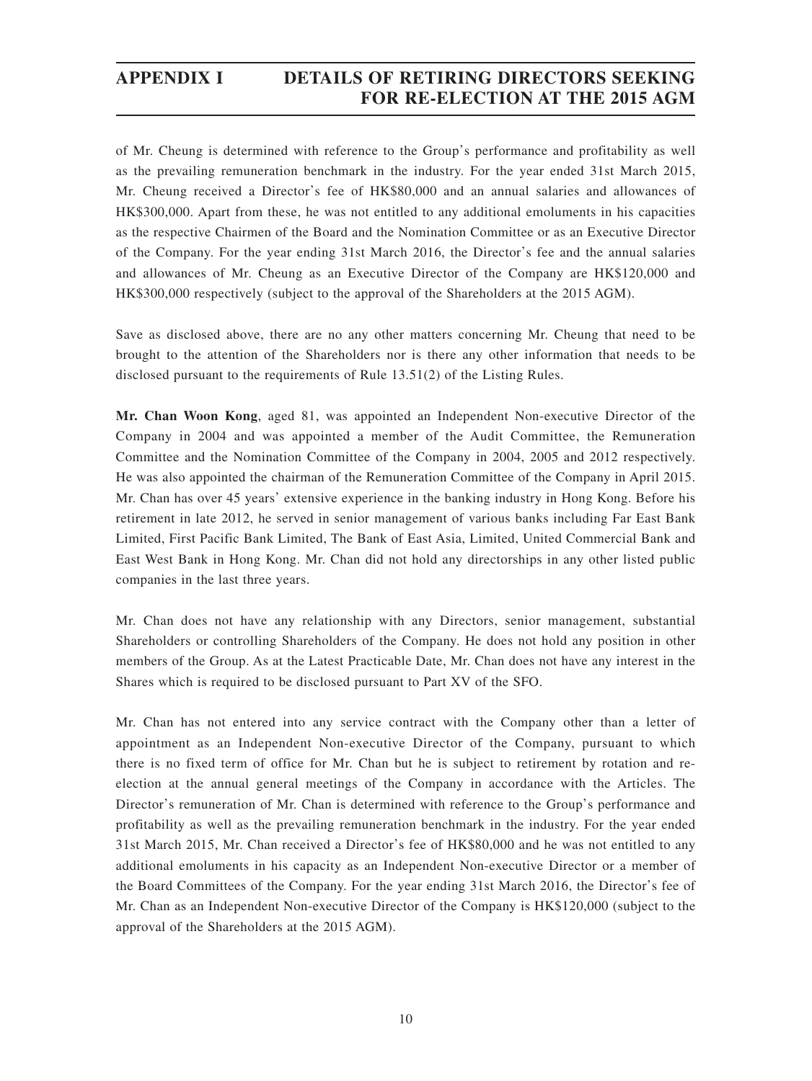of Mr. Cheung is determined with reference to the Group's performance and profitability as well as the prevailing remuneration benchmark in the industry. For the year ended 31st March 2015, Mr. Cheung received a Director's fee of HK\$80,000 and an annual salaries and allowances of HK\$300,000. Apart from these, he was not entitled to any additional emoluments in his capacities as the respective Chairmen of the Board and the Nomination Committee or as an Executive Director of the Company. For the year ending 31st March 2016, the Director's fee and the annual salaries and allowances of Mr. Cheung as an Executive Director of the Company are HK\$120,000 and HK\$300,000 respectively (subject to the approval of the Shareholders at the 2015 AGM).

Save as disclosed above, there are no any other matters concerning Mr. Cheung that need to be brought to the attention of the Shareholders nor is there any other information that needs to be disclosed pursuant to the requirements of Rule 13.51(2) of the Listing Rules.

**Mr. Chan Woon Kong**, aged 81, was appointed an Independent Non-executive Director of the Company in 2004 and was appointed a member of the Audit Committee, the Remuneration Committee and the Nomination Committee of the Company in 2004, 2005 and 2012 respectively. He was also appointed the chairman of the Remuneration Committee of the Company in April 2015. Mr. Chan has over 45 years' extensive experience in the banking industry in Hong Kong. Before his retirement in late 2012, he served in senior management of various banks including Far East Bank Limited, First Pacific Bank Limited, The Bank of East Asia, Limited, United Commercial Bank and East West Bank in Hong Kong. Mr. Chan did not hold any directorships in any other listed public companies in the last three years.

Mr. Chan does not have any relationship with any Directors, senior management, substantial Shareholders or controlling Shareholders of the Company. He does not hold any position in other members of the Group. As at the Latest Practicable Date, Mr. Chan does not have any interest in the Shares which is required to be disclosed pursuant to Part XV of the SFO.

Mr. Chan has not entered into any service contract with the Company other than a letter of appointment as an Independent Non-executive Director of the Company, pursuant to which there is no fixed term of office for Mr. Chan but he is subject to retirement by rotation and reelection at the annual general meetings of the Company in accordance with the Articles. The Director's remuneration of Mr. Chan is determined with reference to the Group's performance and profitability as well as the prevailing remuneration benchmark in the industry. For the year ended 31st March 2015, Mr. Chan received a Director's fee of HK\$80,000 and he was not entitled to any additional emoluments in his capacity as an Independent Non-executive Director or a member of the Board Committees of the Company. For the year ending 31st March 2016, the Director's fee of Mr. Chan as an Independent Non-executive Director of the Company is HK\$120,000 (subject to the approval of the Shareholders at the 2015 AGM).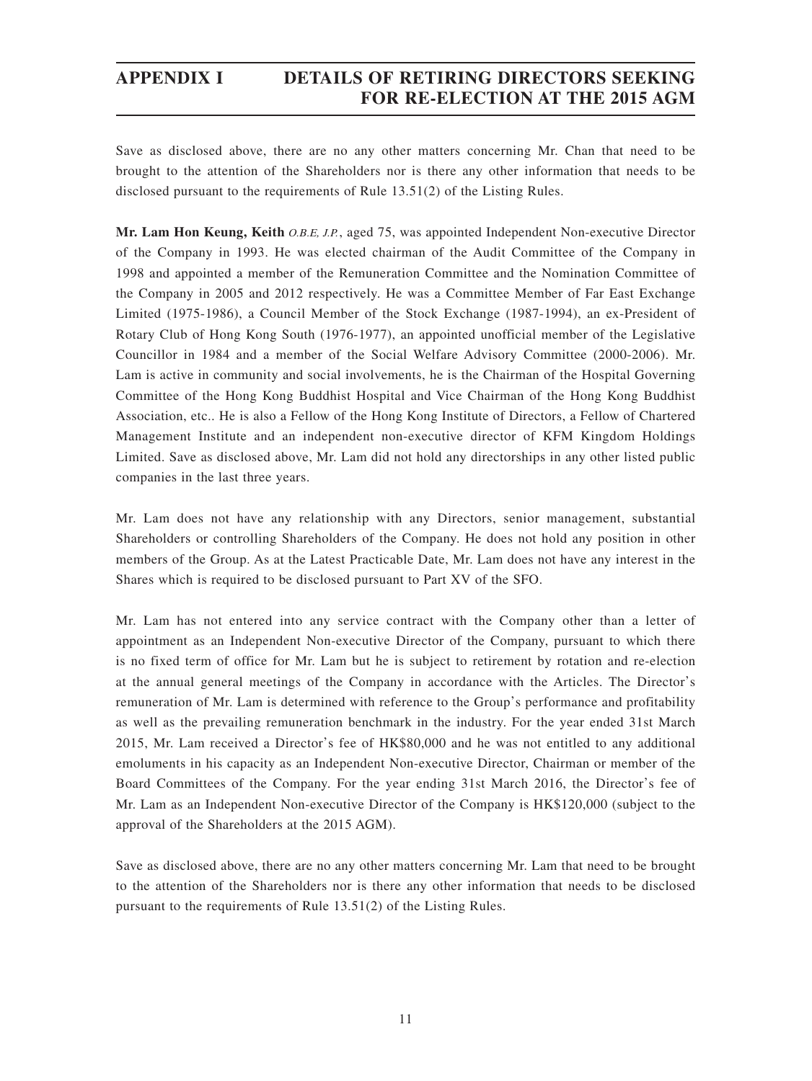Save as disclosed above, there are no any other matters concerning Mr. Chan that need to be brought to the attention of the Shareholders nor is there any other information that needs to be disclosed pursuant to the requirements of Rule 13.51(2) of the Listing Rules.

**Mr. Lam Hon Keung, Keith** O.B.E, J.P., aged 75, was appointed Independent Non-executive Director of the Company in 1993. He was elected chairman of the Audit Committee of the Company in 1998 and appointed a member of the Remuneration Committee and the Nomination Committee of the Company in 2005 and 2012 respectively. He was a Committee Member of Far East Exchange Limited (1975-1986), a Council Member of the Stock Exchange (1987-1994), an ex-President of Rotary Club of Hong Kong South (1976-1977), an appointed unofficial member of the Legislative Councillor in 1984 and a member of the Social Welfare Advisory Committee (2000-2006). Mr. Lam is active in community and social involvements, he is the Chairman of the Hospital Governing Committee of the Hong Kong Buddhist Hospital and Vice Chairman of the Hong Kong Buddhist Association, etc.. He is also a Fellow of the Hong Kong Institute of Directors, a Fellow of Chartered Management Institute and an independent non-executive director of KFM Kingdom Holdings Limited. Save as disclosed above, Mr. Lam did not hold any directorships in any other listed public companies in the last three years.

Mr. Lam does not have any relationship with any Directors, senior management, substantial Shareholders or controlling Shareholders of the Company. He does not hold any position in other members of the Group. As at the Latest Practicable Date, Mr. Lam does not have any interest in the Shares which is required to be disclosed pursuant to Part XV of the SFO.

Mr. Lam has not entered into any service contract with the Company other than a letter of appointment as an Independent Non-executive Director of the Company, pursuant to which there is no fixed term of office for Mr. Lam but he is subject to retirement by rotation and re-election at the annual general meetings of the Company in accordance with the Articles. The Director's remuneration of Mr. Lam is determined with reference to the Group's performance and profitability as well as the prevailing remuneration benchmark in the industry. For the year ended 31st March 2015, Mr. Lam received a Director's fee of HK\$80,000 and he was not entitled to any additional emoluments in his capacity as an Independent Non-executive Director, Chairman or member of the Board Committees of the Company. For the year ending 31st March 2016, the Director's fee of Mr. Lam as an Independent Non-executive Director of the Company is HK\$120,000 (subject to the approval of the Shareholders at the 2015 AGM).

Save as disclosed above, there are no any other matters concerning Mr. Lam that need to be brought to the attention of the Shareholders nor is there any other information that needs to be disclosed pursuant to the requirements of Rule 13.51(2) of the Listing Rules.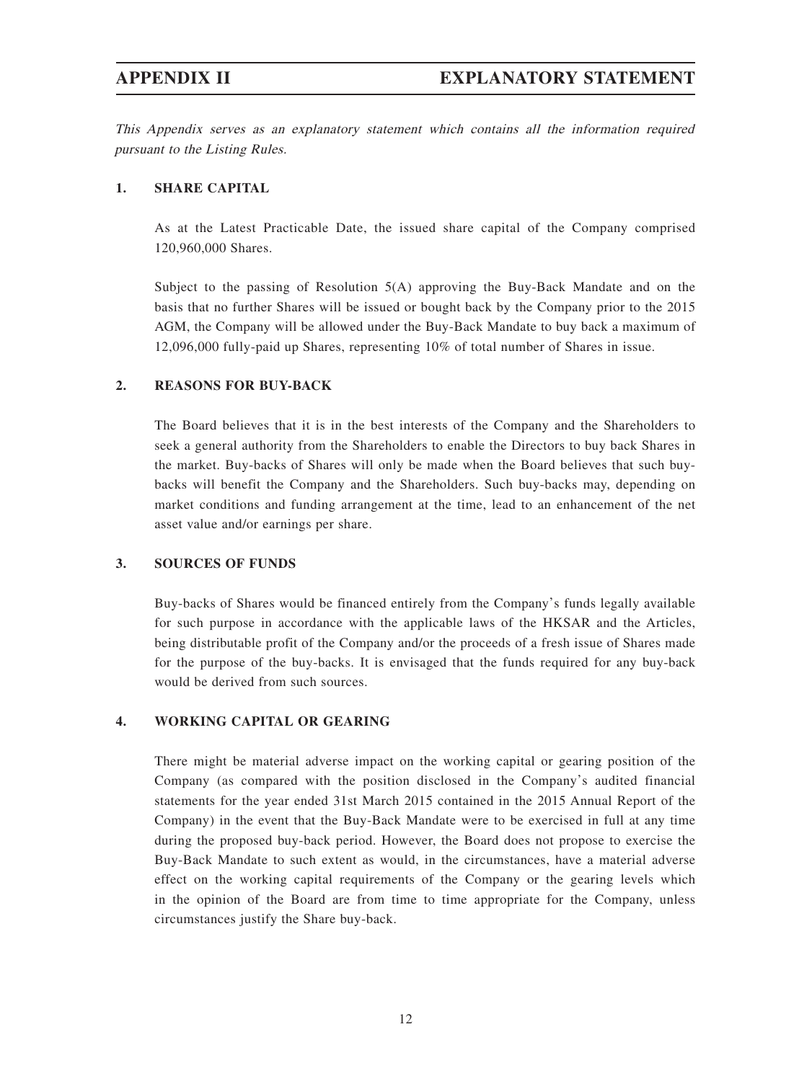This Appendix serves as an explanatory statement which contains all the information required pursuant to the Listing Rules.

## **1. SHARE CAPITAL**

As at the Latest Practicable Date, the issued share capital of the Company comprised 120,960,000 Shares.

Subject to the passing of Resolution 5(A) approving the Buy-Back Mandate and on the basis that no further Shares will be issued or bought back by the Company prior to the 2015 AGM, the Company will be allowed under the Buy-Back Mandate to buy back a maximum of 12,096,000 fully-paid up Shares, representing 10% of total number of Shares in issue.

## **2. REASONS FOR BUY-BACK**

The Board believes that it is in the best interests of the Company and the Shareholders to seek a general authority from the Shareholders to enable the Directors to buy back Shares in the market. Buy-backs of Shares will only be made when the Board believes that such buybacks will benefit the Company and the Shareholders. Such buy-backs may, depending on market conditions and funding arrangement at the time, lead to an enhancement of the net asset value and/or earnings per share.

### **3. SOURCES OF FUNDS**

Buy-backs of Shares would be financed entirely from the Company's funds legally available for such purpose in accordance with the applicable laws of the HKSAR and the Articles, being distributable profit of the Company and/or the proceeds of a fresh issue of Shares made for the purpose of the buy-backs. It is envisaged that the funds required for any buy-back would be derived from such sources.

## **4. WORKING CAPITAL OR GEARING**

There might be material adverse impact on the working capital or gearing position of the Company (as compared with the position disclosed in the Company's audited financial statements for the year ended 31st March 2015 contained in the 2015 Annual Report of the Company) in the event that the Buy-Back Mandate were to be exercised in full at any time during the proposed buy-back period. However, the Board does not propose to exercise the Buy-Back Mandate to such extent as would, in the circumstances, have a material adverse effect on the working capital requirements of the Company or the gearing levels which in the opinion of the Board are from time to time appropriate for the Company, unless circumstances justify the Share buy-back.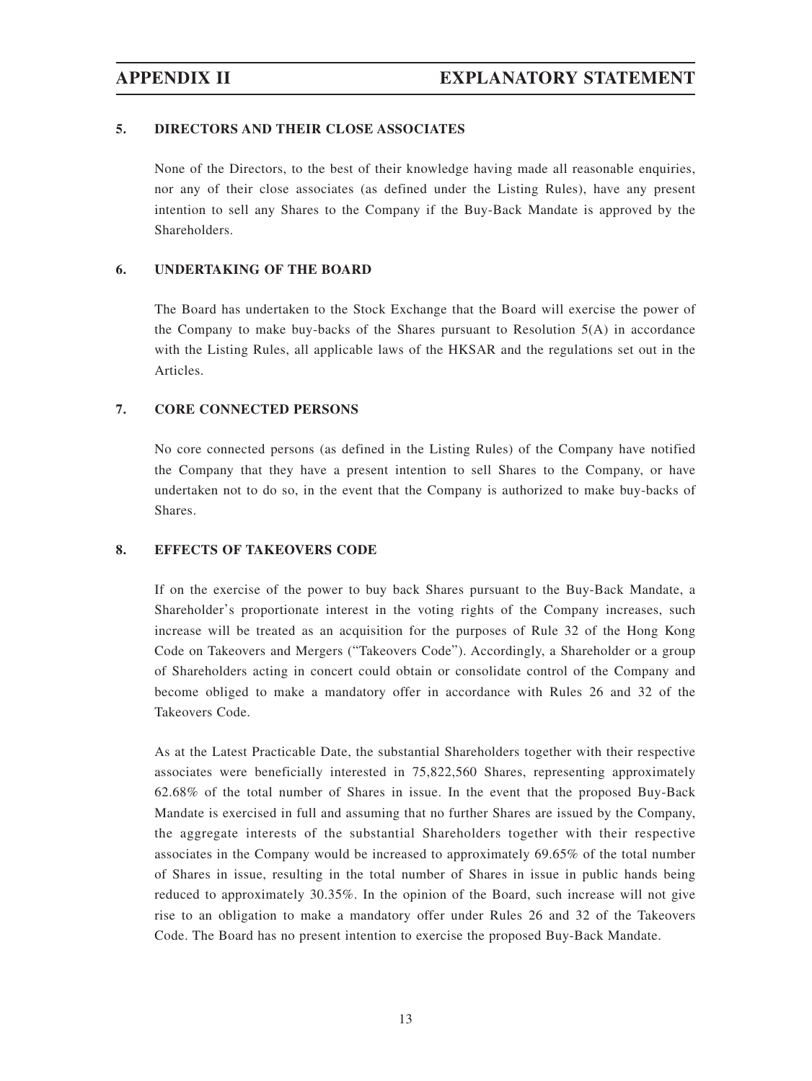## **5. DIRECTORS AND THEIR CLOSE ASSOCIATES**

None of the Directors, to the best of their knowledge having made all reasonable enquiries, nor any of their close associates (as defined under the Listing Rules), have any present intention to sell any Shares to the Company if the Buy-Back Mandate is approved by the Shareholders.

## **6. UNDERTAKING OF THE BOARD**

The Board has undertaken to the Stock Exchange that the Board will exercise the power of the Company to make buy-backs of the Shares pursuant to Resolution  $5(A)$  in accordance with the Listing Rules, all applicable laws of the HKSAR and the regulations set out in the Articles.

## **7. CORE CONNECTED PERSONS**

No core connected persons (as defined in the Listing Rules) of the Company have notified the Company that they have a present intention to sell Shares to the Company, or have undertaken not to do so, in the event that the Company is authorized to make buy-backs of Shares.

## **8. EFFECTS OF TAKEOVERS CODE**

If on the exercise of the power to buy back Shares pursuant to the Buy-Back Mandate, a Shareholder's proportionate interest in the voting rights of the Company increases, such increase will be treated as an acquisition for the purposes of Rule 32 of the Hong Kong Code on Takeovers and Mergers ("Takeovers Code"). Accordingly, a Shareholder or a group of Shareholders acting in concert could obtain or consolidate control of the Company and become obliged to make a mandatory offer in accordance with Rules 26 and 32 of the Takeovers Code.

As at the Latest Practicable Date, the substantial Shareholders together with their respective associates were beneficially interested in 75,822,560 Shares, representing approximately 62.68% of the total number of Shares in issue. In the event that the proposed Buy-Back Mandate is exercised in full and assuming that no further Shares are issued by the Company, the aggregate interests of the substantial Shareholders together with their respective associates in the Company would be increased to approximately 69.65% of the total number of Shares in issue, resulting in the total number of Shares in issue in public hands being reduced to approximately 30.35%. In the opinion of the Board, such increase will not give rise to an obligation to make a mandatory offer under Rules 26 and 32 of the Takeovers Code. The Board has no present intention to exercise the proposed Buy-Back Mandate.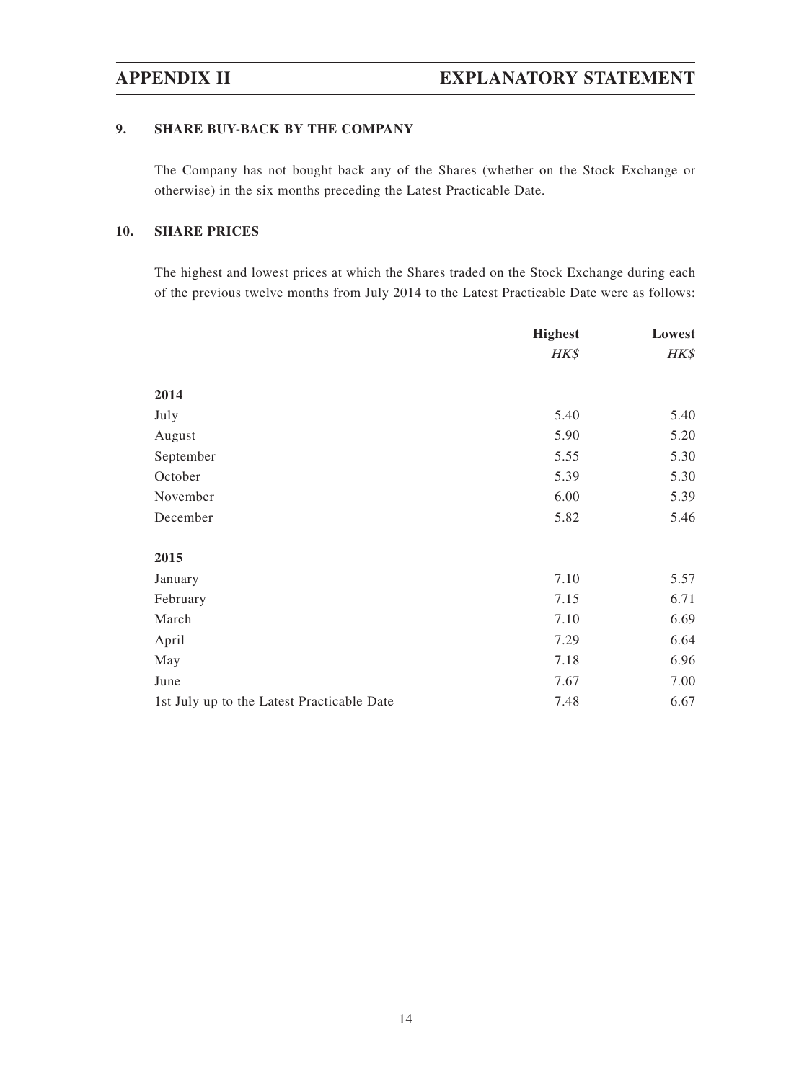# **9. SHARE BUY-BACK BY THE COMPANY**

The Company has not bought back any of the Shares (whether on the Stock Exchange or otherwise) in the six months preceding the Latest Practicable Date.

# **10. SHARE PRICES**

The highest and lowest prices at which the Shares traded on the Stock Exchange during each of the previous twelve months from July 2014 to the Latest Practicable Date were as follows:

|                                            | <b>Highest</b> | Lowest |
|--------------------------------------------|----------------|--------|
|                                            | HK\$           | HK\$   |
| 2014                                       |                |        |
| July                                       | 5.40           | 5.40   |
| August                                     | 5.90           | 5.20   |
| September                                  | 5.55           | 5.30   |
| October                                    | 5.39           | 5.30   |
| November                                   | 6.00           | 5.39   |
| December                                   | 5.82           | 5.46   |
| 2015                                       |                |        |
| January                                    | 7.10           | 5.57   |
| February                                   | 7.15           | 6.71   |
| March                                      | 7.10           | 6.69   |
| April                                      | 7.29           | 6.64   |
| May                                        | 7.18           | 6.96   |
| June                                       | 7.67           | 7.00   |
| 1st July up to the Latest Practicable Date | 7.48           | 6.67   |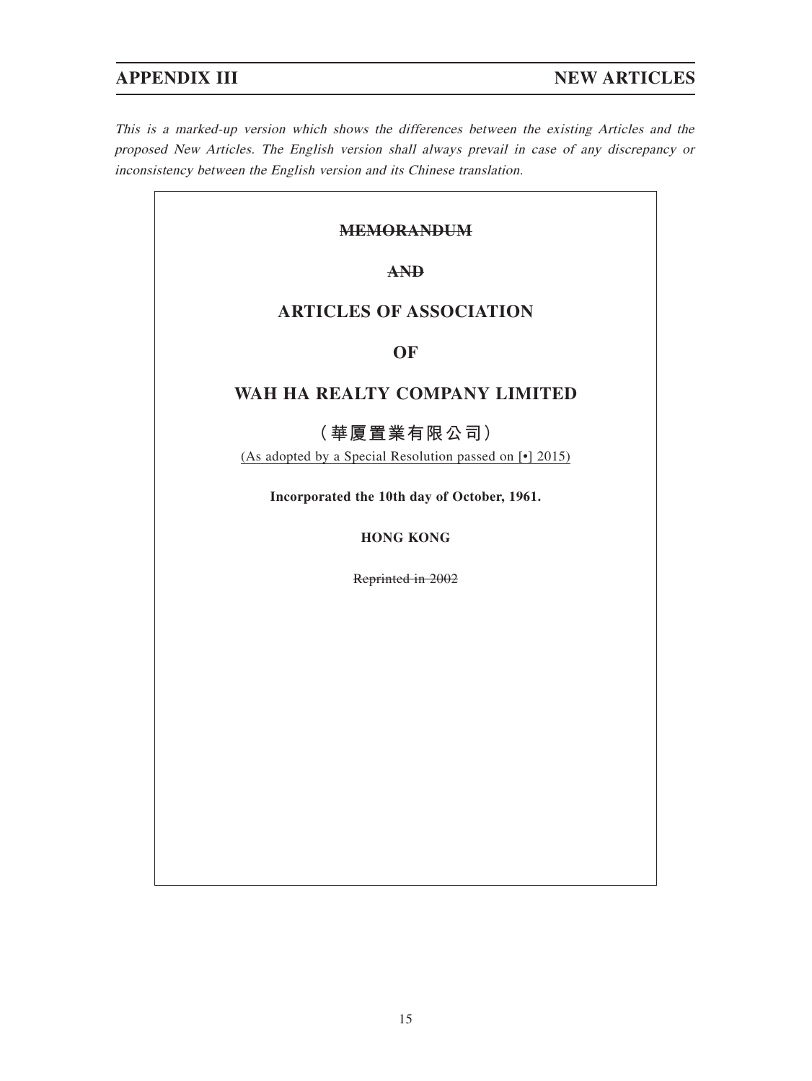$\overline{\phantom{a}}$ 

This is a marked-up version which shows the differences between the existing Articles and the proposed New Articles. The English version shall always prevail in case of any discrepancy or inconsistency between the English version and its Chinese translation.

| <b>MEMORANDUM</b>                                                               |  |  |
|---------------------------------------------------------------------------------|--|--|
| <b>AND</b>                                                                      |  |  |
| <b>ARTICLES OF ASSOCIATION</b>                                                  |  |  |
| <b>OF</b>                                                                       |  |  |
| WAH HA REALTY COMPANY LIMITED                                                   |  |  |
| (華厦置業有限公司)<br>(As adopted by a Special Resolution passed on [ $\bullet$ ] 2015) |  |  |
| Incorporated the 10th day of October, 1961.                                     |  |  |
| <b>HONG KONG</b>                                                                |  |  |
| Reprinted in 2002                                                               |  |  |
|                                                                                 |  |  |
|                                                                                 |  |  |
|                                                                                 |  |  |
|                                                                                 |  |  |
|                                                                                 |  |  |
|                                                                                 |  |  |
|                                                                                 |  |  |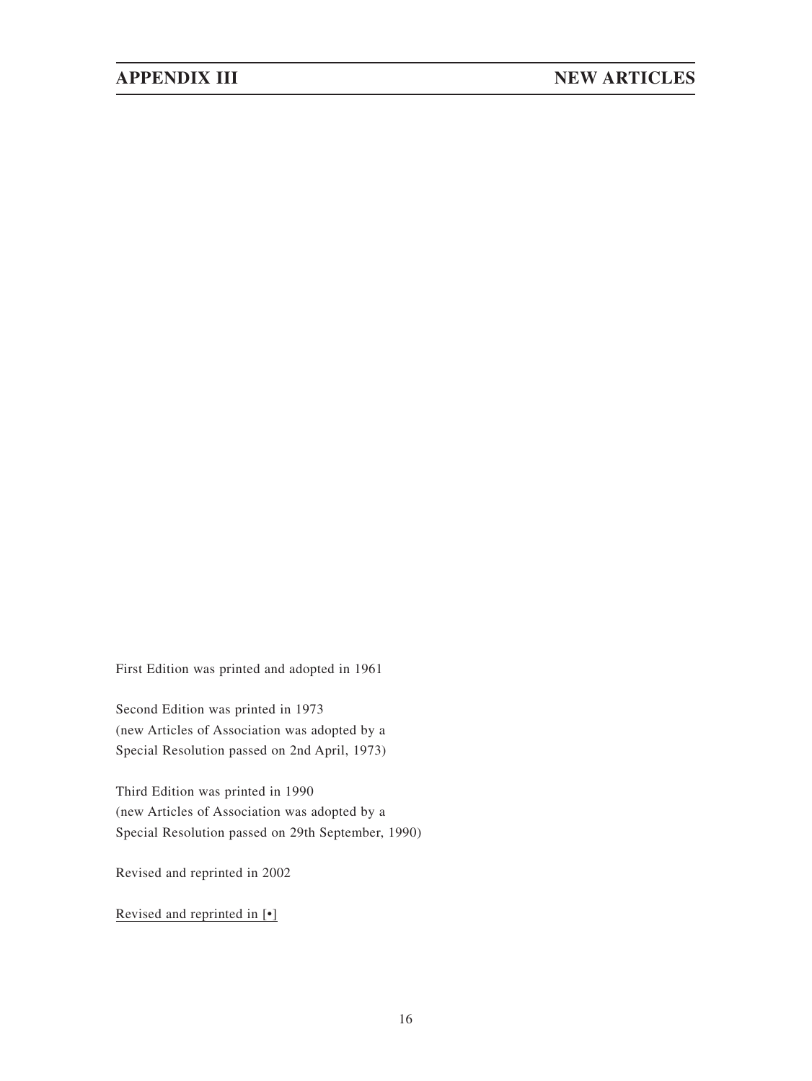First Edition was printed and adopted in 1961

Second Edition was printed in 1973 (new Articles of Association was adopted by a Special Resolution passed on 2nd April, 1973)

Third Edition was printed in 1990 (new Articles of Association was adopted by a Special Resolution passed on 29th September, 1990)

Revised and reprinted in 2002

Revised and reprinted in [•]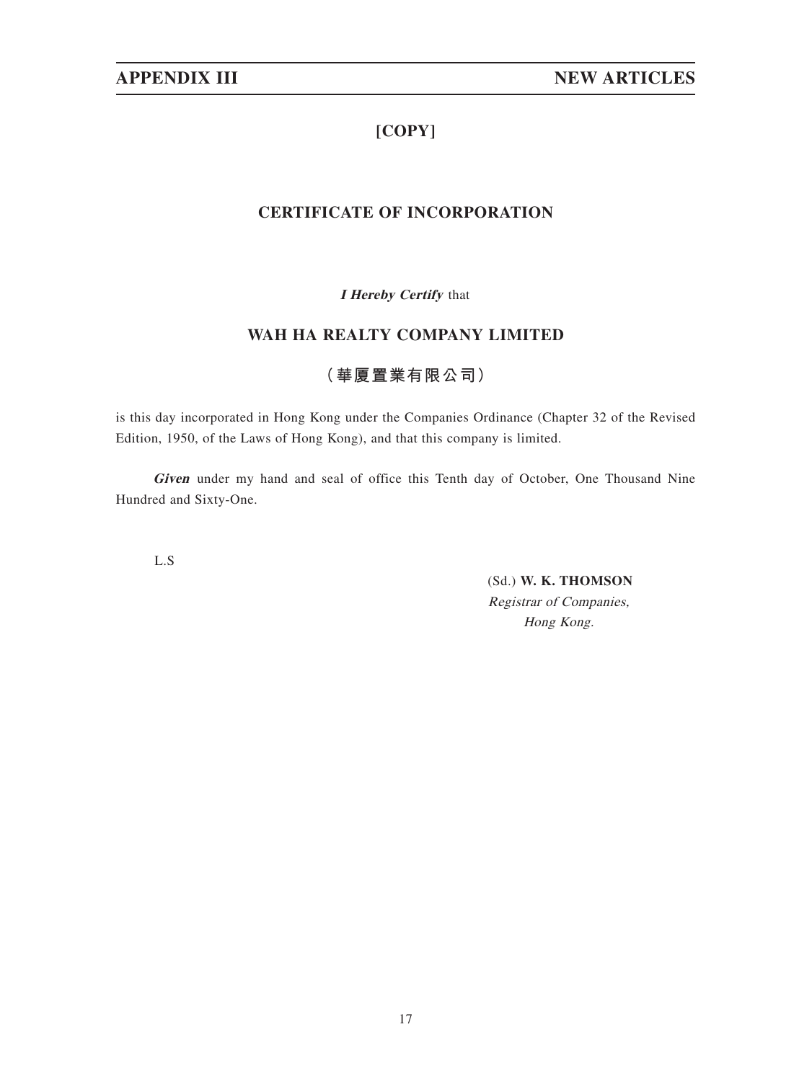# **[COPY]**

# **CERTIFICATE OF INCORPORATION**

**I Hereby Certify** that

# **WAH HA REALTY COMPANY LIMITED**

# **(華厦置業有限公司)**

is this day incorporated in Hong Kong under the Companies Ordinance (Chapter 32 of the Revised Edition, 1950, of the Laws of Hong Kong), and that this company is limited.

**Given** under my hand and seal of office this Tenth day of October, One Thousand Nine Hundred and Sixty-One.

L.S

(Sd.) **W. K. THOMSON** Registrar of Companies, Hong Kong.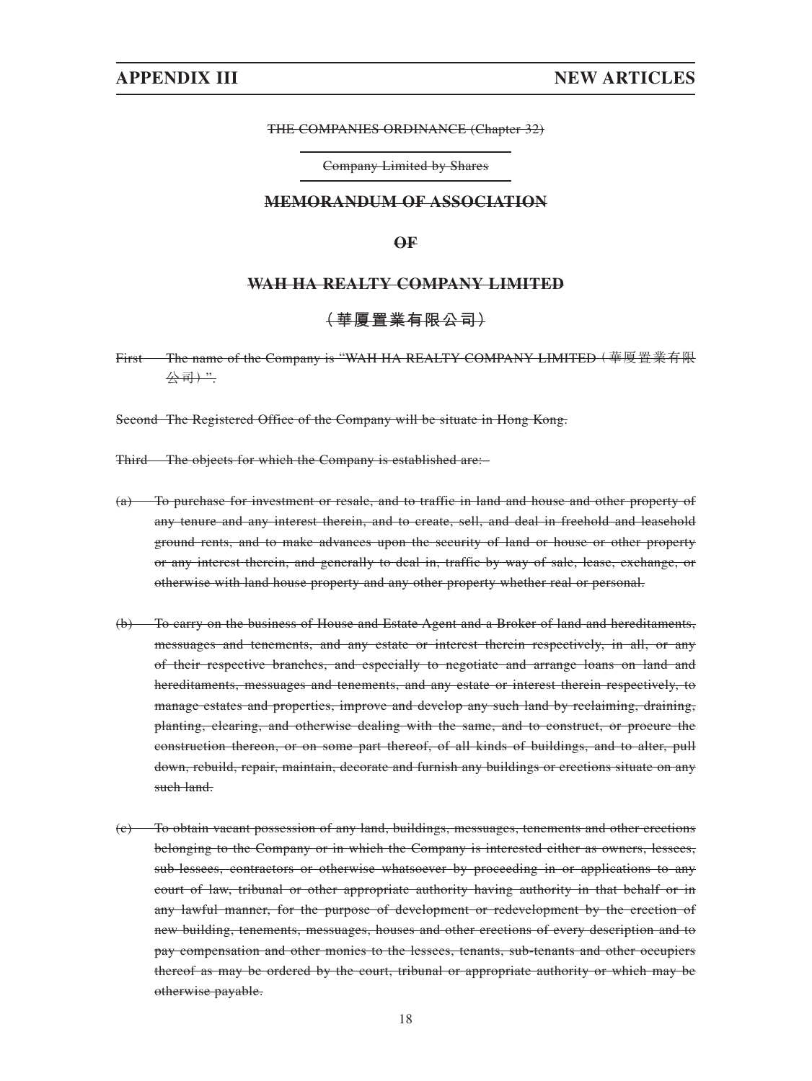### THE COMPANIES ORDINANCE (Chapter 32)

Company Limited by Shares

## **MEMORANDUM OF ASSOCIATION**

### **OF**

## **WAH HA REALTY COMPANY LIMITED**

## **(華厦置業有限公司)**

First The name of the Company is "WAH HA REALTY COMPANY LIMITED(華厦置業有限 公司)".

Second The Registered Office of the Company will be situate in Hong Kong.

Third The objects for which the Company is established are:–

- (a) To purchase for investment or resale, and to traffic in land and house and other property of any tenure and any interest therein, and to create, sell, and deal in freehold and leasehold ground rents, and to make advances upon the security of land or house or other property or any interest therein, and generally to deal in, traffic by way of sale, lease, exchange, or otherwise with land house property and any other property whether real or personal.
- (b) To carry on the business of House and Estate Agent and a Broker of land and hereditaments, messuages and tenements, and any estate or interest therein respectively, in all, or any of their respective branches, and especially to negotiate and arrange loans on land and hereditaments, messuages and tenements, and any estate or interest therein respectively, to manage estates and properties, improve and develop any such land by reclaiming, draining, planting, clearing, and otherwise dealing with the same, and to construct, or procure the construction thereon, or on some part thereof, of all kinds of buildings, and to alter, pull down, rebuild, repair, maintain, decorate and furnish any buildings or erections situate on any such land.
- (c) To obtain vacant possession of any land, buildings, messuages, tenements and other erections belonging to the Company or in which the Company is interested either as owners, lessees, sub-lessees, contractors or otherwise whatsoever by proceeding in or applications to any court of law, tribunal or other appropriate authority having authority in that behalf or in any lawful manner, for the purpose of development or redevelopment by the erection of new building, tenements, messuages, houses and other erections of every description and to pay compensation and other monies to the lessees, tenants, sub-tenants and other occupiers thereof as may be ordered by the court, tribunal or appropriate authority or which may be otherwise payable.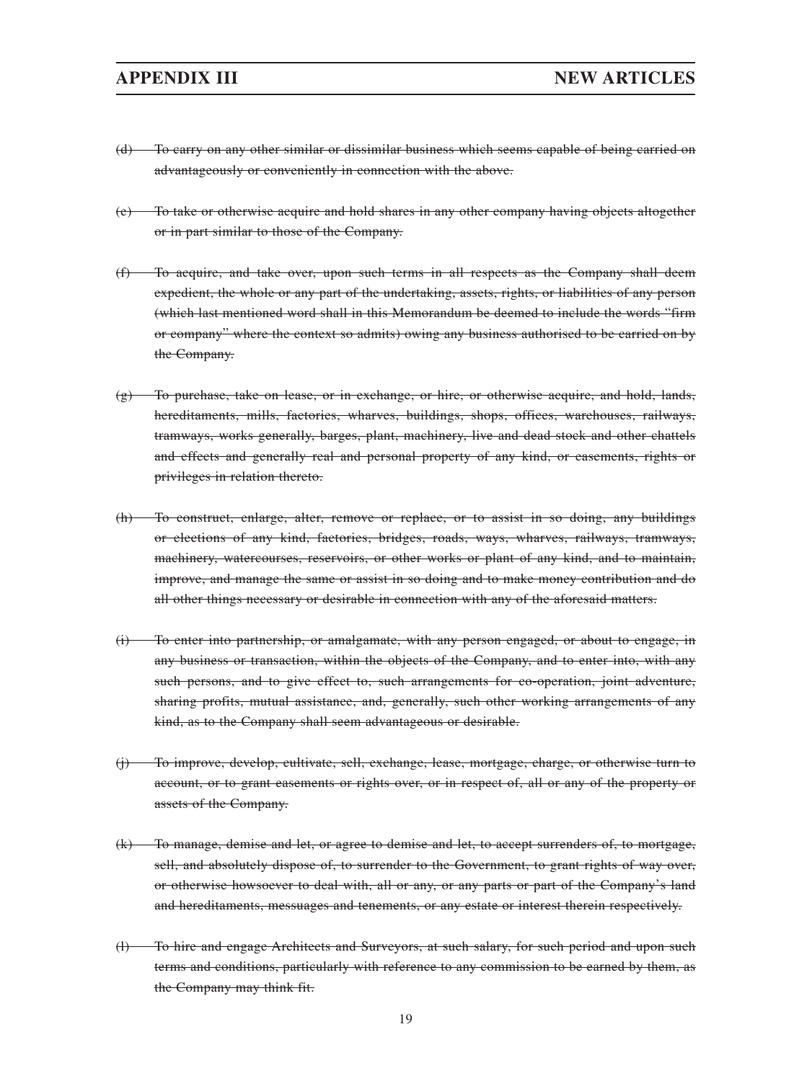- (d) To carry on any other similar or dissimilar business which seems capable of being carried on advantageously or conveniently in connection with the above.
- (e) To take or otherwise acquire and hold shares in any other company having objects altogether or in part similar to those of the Company.
- (f) To acquire, and take over, upon such terms in all respects as the Company shall deem expedient, the whole or any part of the undertaking, assets, rights, or liabilities of any person (which last mentioned word shall in this Memorandum be deemed to include the words "firm or company" where the context so admits) owing any business authorised to be carried on by the Company.
- $(g)$  To purchase, take on lease, or in exchange, or hire, or otherwise acquire, and hold, lands, hereditaments, mills, factories, wharves, buildings, shops, offices, warehouses, railways, tramways, works generally, barges, plant, machinery, live and dead stock and other chattels and effects and generally real and personal property of any kind, or easements, rights or privileges in relation thereto.
- (h) To construct, enlarge, alter, remove or replace, or to assist in so doing, any buildings or elections of any kind, factories, bridges, roads, ways, wharves, railways, tramways, machinery, watercourses, reservoirs, or other works or plant of any kind, and to maintain, improve, and manage the same or assist in so doing and to make money contribution and do all other things necessary or desirable in connection with any of the aforesaid matters.
- (i) To enter into partnership, or amalgamate, with any person engaged, or about to engage, in any business or transaction, within the objects of the Company, and to enter into, with any such persons, and to give effect to, such arrangements for co-operation, joint adventure, sharing profits, mutual assistance, and, generally, such other working arrangements of any kind, as to the Company shall seem advantageous or desirable.
- (j) To improve, develop, cultivate, sell, exchange, lease, mortgage, charge, or otherwise turn to account, or to grant easements or rights over, or in respect of, all or any of the property or assets of the Company.
- (k) To manage, demise and let, or agree to demise and let, to accept surrenders of, to mortgage, sell, and absolutely dispose of, to surrender to the Government, to grant rights of way over, or otherwise howsoever to deal with, all or any, or any parts or part of the Company's land and hereditaments, messuages and tenements, or any estate or interest therein respectively.
- (l) To hire and engage Architects and Surveyors, at such salary, for such period and upon such terms and conditions, particularly with reference to any commission to be earned by them, as the Company may think fit.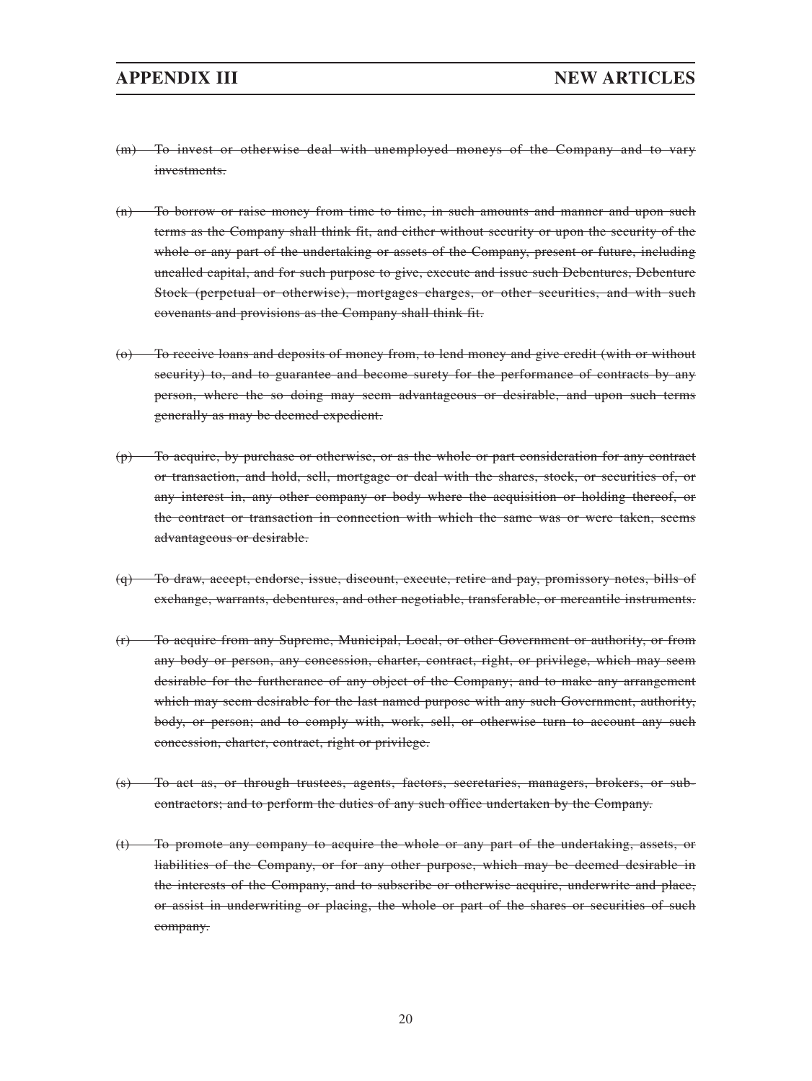- (m) To invest or otherwise deal with unemployed moneys of the Company and to vary investments.
- (n) To borrow or raise money from time to time, in such amounts and manner and upon such terms as the Company shall think fit, and either without security or upon the security of the whole or any part of the undertaking or assets of the Company, present or future, including uncalled capital, and for such purpose to give, execute and issue such Debentures, Debenture Stock (perpetual or otherwise), mortgages charges, or other securities, and with such covenants and provisions as the Company shall think fit.
- (o) To receive loans and deposits of money from, to lend money and give credit (with or without security) to, and to guarantee and become surety for the performance of contracts by any person, where the so doing may seem advantageous or desirable, and upon such terms generally as may be deemed expedient.
- (p) To acquire, by purchase or otherwise, or as the whole or part consideration for any contract or transaction, and hold, sell, mortgage or deal with the shares, stock, or securities of, or any interest in, any other company or body where the acquisition or holding thereof, or the contract or transaction in connection with which the same was or were taken, seems advantageous or desirable.
- (q) To draw, accept, endorse, issue, discount, execute, retire and pay, promissory notes, bills of exchange, warrants, debentures, and other negotiable, transferable, or mercantile instruments.
- (r) To acquire from any Supreme, Municipal, Local, or other Government or authority, or from any body or person, any concession, charter, contract, right, or privilege, which may seem desirable for the furtherance of any object of the Company; and to make any arrangement which may seem desirable for the last named purpose with any such Government, authority, body, or person; and to comply with, work, sell, or otherwise turn to account any such concession, charter, contract, right or privilege.
- (s) To act as, or through trustees, agents, factors, secretaries, managers, brokers, or subcontractors; and to perform the duties of any such office undertaken by the Company.
- (t) To promote any company to acquire the whole or any part of the undertaking, assets, or liabilities of the Company, or for any other purpose, which may be deemed desirable in the interests of the Company, and to subscribe or otherwise acquire, underwrite and place, or assist in underwriting or placing, the whole or part of the shares or securities of such company.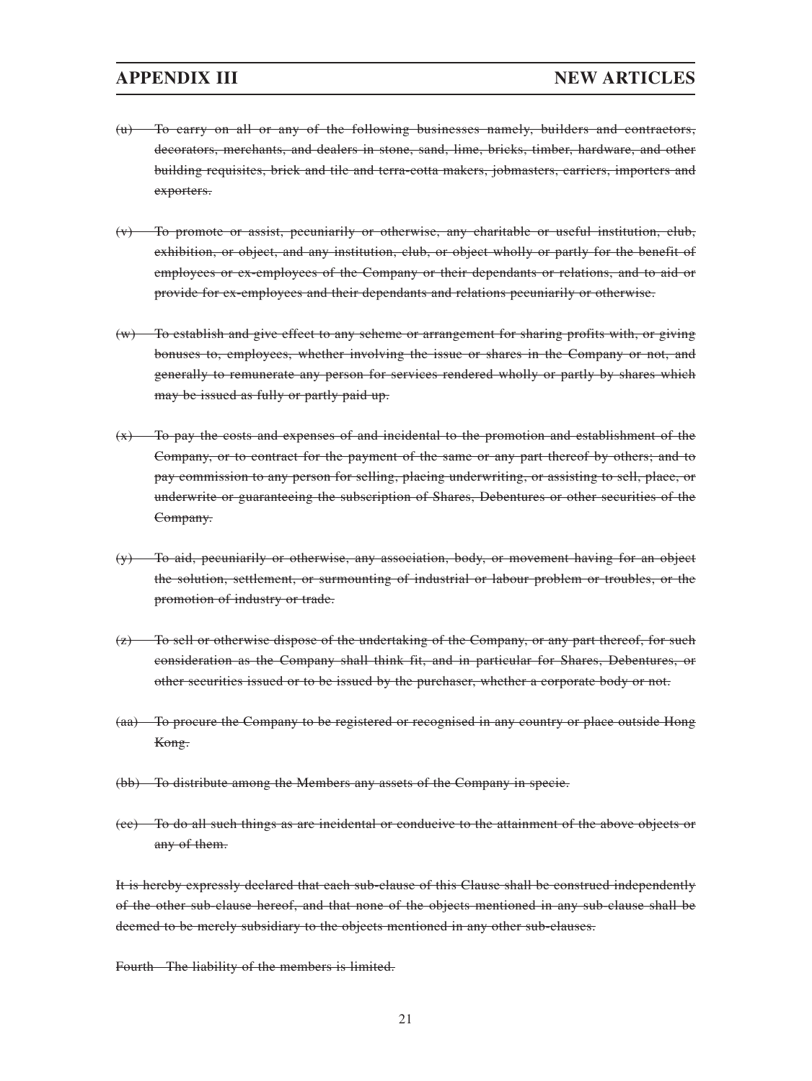- (u) To carry on all or any of the following businesses namely, builders and contractors, decorators, merchants, and dealers in stone, sand, lime, bricks, timber, hardware, and other building requisites, brick and tile and terra-cotta makers, jobmasters, carriers, importers and exporters.
- (v) To promote or assist, pecuniarily or otherwise, any charitable or useful institution, club, exhibition, or object, and any institution, club, or object wholly or partly for the benefit of employees or ex-employees of the Company or their dependants or relations, and to aid or provide for ex-employees and their dependants and relations pecuniarily or otherwise.
- (w) To establish and give effect to any scheme or arrangement for sharing profits with, or giving bonuses to, employees, whether involving the issue or shares in the Company or not, and generally to remunerate any person for services rendered wholly or partly by shares which may be issued as fully or partly paid up.
- $(x)$  To pay the costs and expenses of and incidental to the promotion and establishment of the Company, or to contract for the payment of the same or any part thereof by others; and to pay commission to any person for selling, placing underwriting, or assisting to sell, place, or underwrite or guaranteeing the subscription of Shares, Debentures or other securities of the Company.
- (y) To aid, pecuniarily or otherwise, any association, body, or movement having for an object the solution, settlement, or surmounting of industrial or labour problem or troubles, or the promotion of industry or trade.
- $(z)$  To sell or otherwise dispose of the undertaking of the Company, or any part thereof, for such consideration as the Company shall think fit, and in particular for Shares, Debentures, or other securities issued or to be issued by the purchaser, whether a corporate body or not.
- (aa) To procure the Company to be registered or recognised in any country or place outside Hong Kong.
- (bb) To distribute among the Members any assets of the Company in specie.
- (cc) To do all such things as are incidental or conducive to the attainment of the above objects or any of them.

It is hereby expressly declared that each sub-clause of this Clause shall be construed independently of the other sub-clause hereof, and that none of the objects mentioned in any sub-clause shall be deemed to be merely subsidiary to the objects mentioned in any other sub-clauses.

Fourth The liability of the members is limited.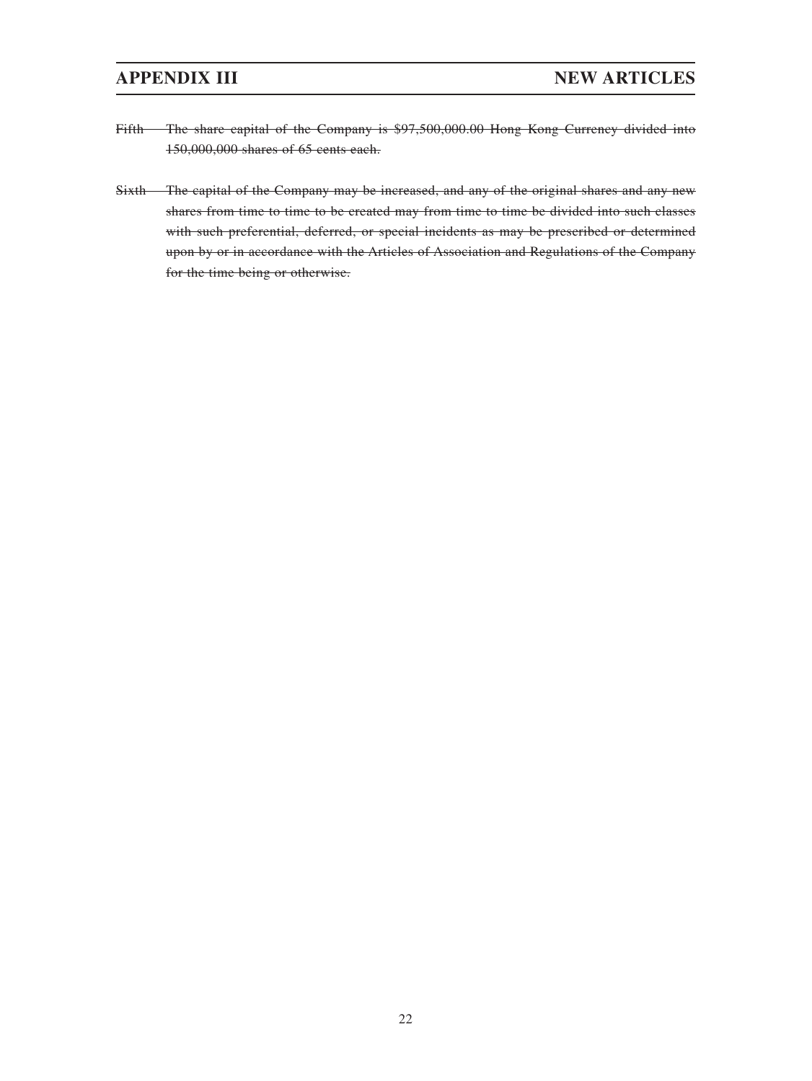- Fifth The share capital of the Company is \$97,500,000.00 Hong Kong Currency divided into 150,000,000 shares of 65 cents each.
- Sixth The capital of the Company may be increased, and any of the original shares and any new shares from time to time to be created may from time to time be divided into such classes with such preferential, deferred, or special incidents as may be prescribed or determined upon by or in accordance with the Articles of Association and Regulations of the Company for the time being or otherwise.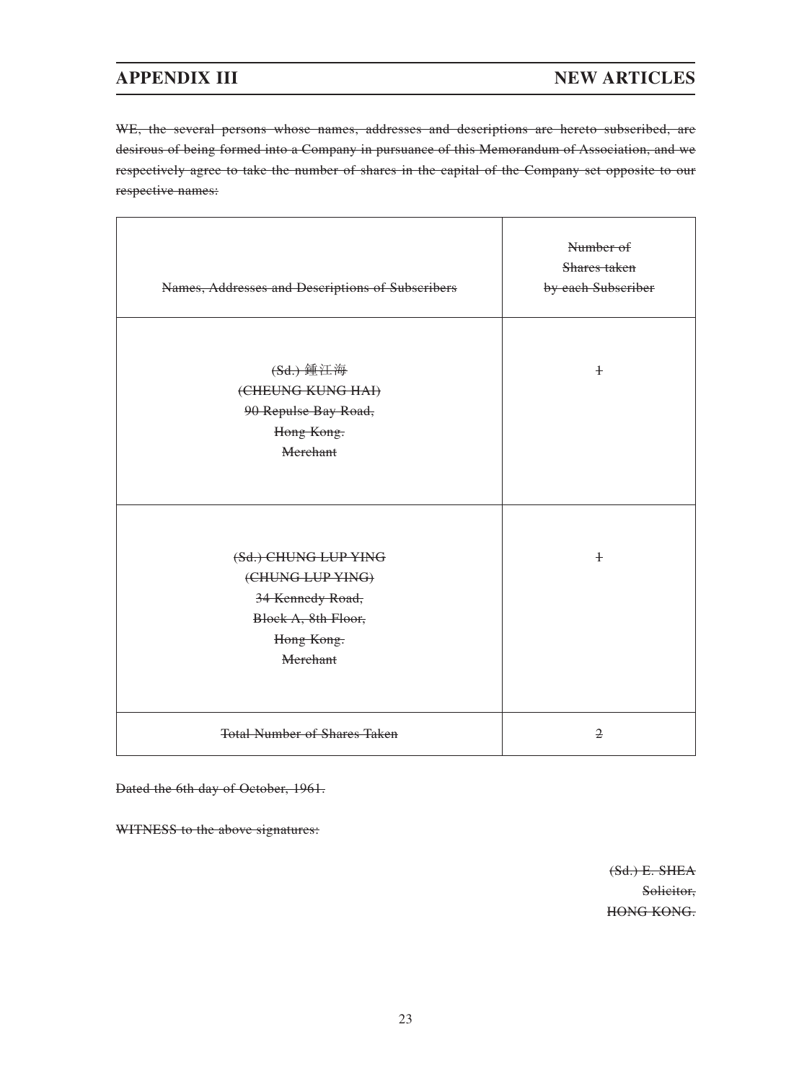# **APPENDIX III NEW ARTICLES**

WE, the several persons whose names, addresses and descriptions are hereto subscribed, are desirous of being formed into a Company in pursuance of this Memorandum of Association, and we respectively agree to take the number of shares in the capital of the Company set opposite to our respective names:

| Names, Addresses and Descriptions of Subscribers                                     | Number of<br>Shares taken<br>by each Subscriber |
|--------------------------------------------------------------------------------------|-------------------------------------------------|
| (Sd.) 鍾江海<br>(CHEUNG KUNG HAI)<br>90 Repulse Bay Road,<br>Hong Kong.<br>Merchant     | $\pm$                                           |
| (Sd.) CHUNG LUP YING<br>(CHUNG LUP YING)<br>34 Kennedy Road,                         | $\ddagger$                                      |
| Block A, 8th Floor,<br>Hong Kong.<br>Merchant<br><b>Total Number of Shares Taken</b> | $\mathfrak{D}$                                  |

Dated the 6th day of October, 1961.

WITNESS to the above signatures:

(Sd.) E. SHEA Solicitor, HONG KONG.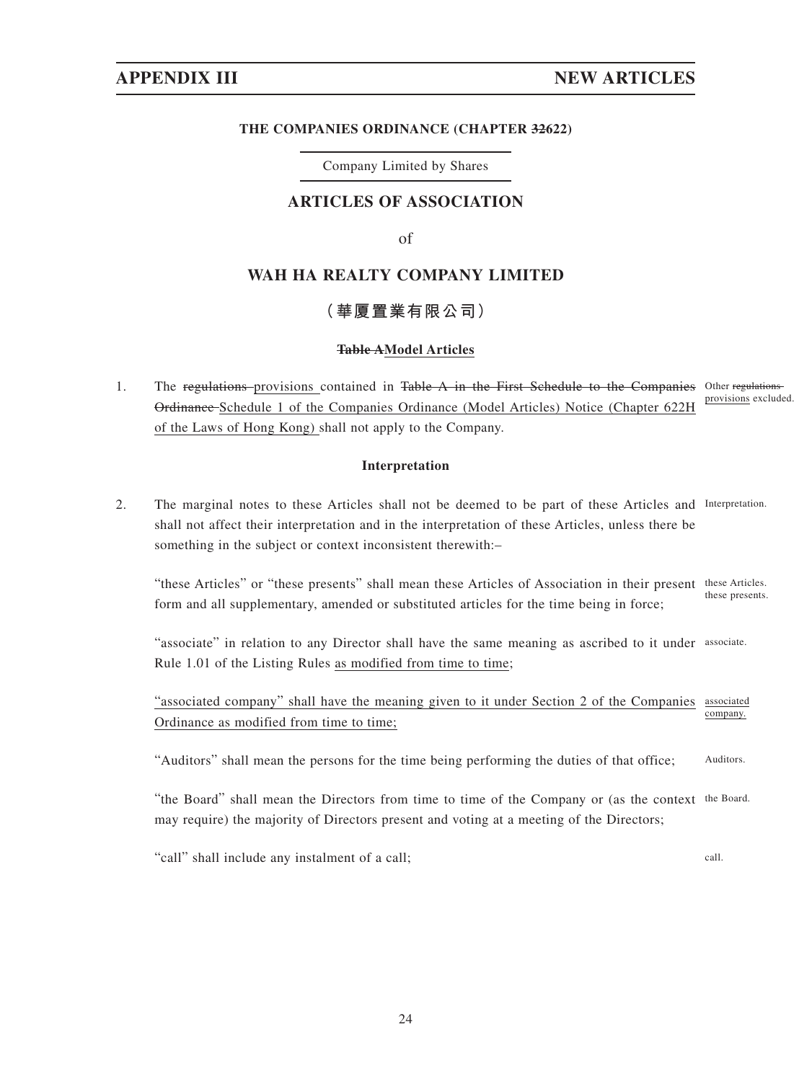### **THE COMPANIES ORDINANCE (CHAPTER 32622)**

Company Limited by Shares

## **ARTICLES OF ASSOCIATION**

of

# **WAH HA REALTY COMPANY LIMITED**

# **(華厦置業有限公司)**

### **Table AModel Articles**

1. The regulations-provisions contained in Table A in the First Schedule to the Companies Other regulations Ordinance Schedule 1 of the Companies Ordinance (Model Articles) Notice (Chapter 622H of the Laws of Hong Kong) shall not apply to the Company. provisions excluded.

## **Interpretation**

2. The marginal notes to these Articles shall not be deemed to be part of these Articles and Interpretation. shall not affect their interpretation and in the interpretation of these Articles, unless there be something in the subject or context inconsistent therewith:–

"these Articles" or "these presents" shall mean these Articles of Association in their present these Articles. form and all supplementary, amended or substituted articles for the time being in force; these presents.

"associate" in relation to any Director shall have the same meaning as ascribed to it under associate. Rule 1.01 of the Listing Rules as modified from time to time;

"associated company" shall have the meaning given to it under Section 2 of the Companies associated Ordinance as modified from time to time; company.

"Auditors" shall mean the persons for the time being performing the duties of that office; Auditors.

"the Board" shall mean the Directors from time to time of the Company or (as the context the Board. may require) the majority of Directors present and voting at a meeting of the Directors;

"call" shall include any instalment of a call; call.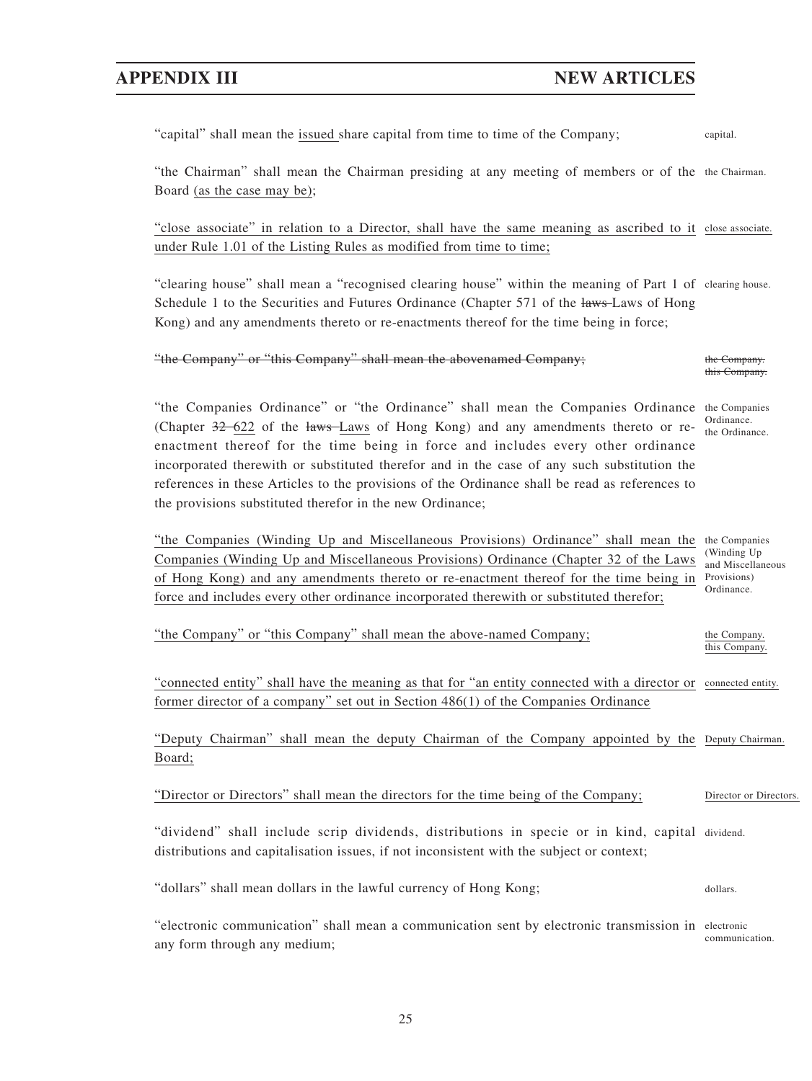# **APPENDIX III NEW ARTICLES**

| "capital" shall mean the issued share capital from time to time of the Company;                                                                                                                                                                                                                                                                                                                                                                                                                                                     | capital.                                                                        |
|-------------------------------------------------------------------------------------------------------------------------------------------------------------------------------------------------------------------------------------------------------------------------------------------------------------------------------------------------------------------------------------------------------------------------------------------------------------------------------------------------------------------------------------|---------------------------------------------------------------------------------|
| "the Chairman" shall mean the Chairman presiding at any meeting of members or of the the Chairman.<br>Board (as the case may be);                                                                                                                                                                                                                                                                                                                                                                                                   |                                                                                 |
| "close associate" in relation to a Director, shall have the same meaning as ascribed to it close associate.<br>under Rule 1.01 of the Listing Rules as modified from time to time;                                                                                                                                                                                                                                                                                                                                                  |                                                                                 |
| "clearing house" shall mean a "recognised clearing house" within the meaning of Part 1 of clearing house.<br>Schedule 1 to the Securities and Futures Ordinance (Chapter 571 of the laws-Laws of Hong<br>Kong) and any amendments thereto or re-enactments thereof for the time being in force;                                                                                                                                                                                                                                     |                                                                                 |
| "the Company" or "this Company" shall mean the abovenamed Company;                                                                                                                                                                                                                                                                                                                                                                                                                                                                  | the Company.<br>this Company.                                                   |
| "the Companies Ordinance" or "the Ordinance" shall mean the Companies Ordinance the Companies<br>(Chapter 32-622 of the laws-Laws of Hong Kong) and any amendments thereto or re-<br>enactment thereof for the time being in force and includes every other ordinance<br>incorporated therewith or substituted therefor and in the case of any such substitution the<br>references in these Articles to the provisions of the Ordinance shall be read as references to<br>the provisions substituted therefor in the new Ordinance; | Ordinance.<br>the Ordinance.                                                    |
| "the Companies (Winding Up and Miscellaneous Provisions) Ordinance" shall mean the<br>Companies (Winding Up and Miscellaneous Provisions) Ordinance (Chapter 32 of the Laws<br>of Hong Kong) and any amendments thereto or re-enactment thereof for the time being in<br>force and includes every other ordinance incorporated therewith or substituted therefor;                                                                                                                                                                   | the Companies<br>(Winding Up)<br>and Miscellaneous<br>Provisions)<br>Ordinance. |
| "the Company" or "this Company" shall mean the above-named Company;                                                                                                                                                                                                                                                                                                                                                                                                                                                                 | the Company.<br>this Company.                                                   |
| "connected entity" shall have the meaning as that for "an entity connected with a director or connected entity.<br>former director of a company" set out in Section 486(1) of the Companies Ordinance                                                                                                                                                                                                                                                                                                                               |                                                                                 |
| "Deputy Chairman" shall mean the deputy Chairman of the Company appointed by the Deputy Chairman.<br>Board;                                                                                                                                                                                                                                                                                                                                                                                                                         |                                                                                 |
| "Director or Directors" shall mean the directors for the time being of the Company;                                                                                                                                                                                                                                                                                                                                                                                                                                                 | Director or Directors                                                           |
| "dividend" shall include scrip dividends, distributions in specie or in kind, capital dividend.<br>distributions and capitalisation issues, if not inconsistent with the subject or context;                                                                                                                                                                                                                                                                                                                                        |                                                                                 |
| "dollars" shall mean dollars in the lawful currency of Hong Kong;                                                                                                                                                                                                                                                                                                                                                                                                                                                                   | dollars.                                                                        |
| "electronic communication" shall mean a communication sent by electronic transmission in electronic<br>any form through any medium;                                                                                                                                                                                                                                                                                                                                                                                                 | communication.                                                                  |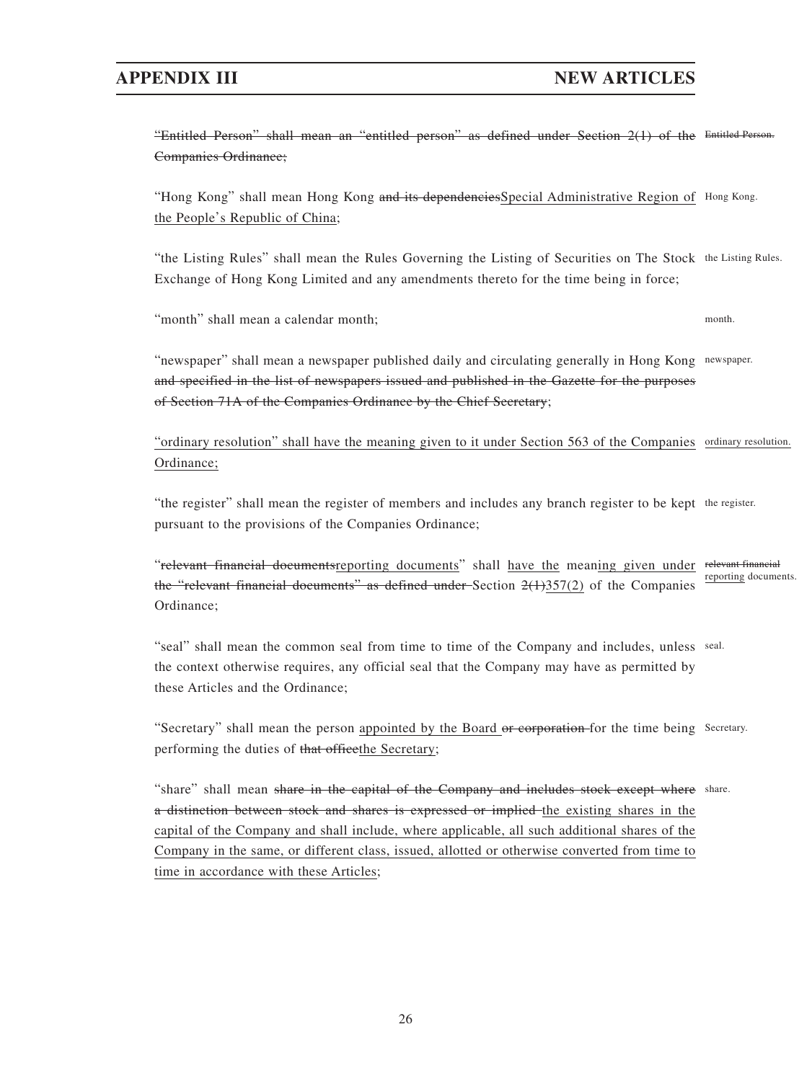# **APPENDIX III NEW ARTICLES**

"Entitled Person" shall mean an "entitled person" as defined under Section 2(1) of the Entitled Person. Companies Ordinance;

"Hong Kong" shall mean Hong Kong and its dependencies Special Administrative Region of Hong Kong. the People's Republic of China;

"the Listing Rules" shall mean the Rules Governing the Listing of Securities on The Stock the Listing Rules. Exchange of Hong Kong Limited and any amendments thereto for the time being in force;

"month" shall mean a calendar month; month which is a set of the set of the set of the set of the set of the set of the set of the set of the set of the set of the set of the set of the set of the set of the set of the set

"newspaper" shall mean a newspaper published daily and circulating generally in Hong Kong newspaper. and specified in the list of newspapers issued and published in the Gazette for the purposes of Section 71A of the Companies Ordinance by the Chief Secretary;

"ordinary resolution" shall have the meaning given to it under Section 563 of the Companies ordinary resolution. Ordinance;

"the register" shall mean the register of members and includes any branch register to be kept the register. pursuant to the provisions of the Companies Ordinance;

"relevant financial documentsreporting documents" shall have the meaning given under relevant financial the "relevant financial documents" as defined under Section  $2(1)357(2)$  of the Companies Ordinance; reporting documents.

"seal" shall mean the common seal from time to time of the Company and includes, unless seal. the context otherwise requires, any official seal that the Company may have as permitted by these Articles and the Ordinance;

"Secretary" shall mean the person appointed by the Board or corporation for the time being Secretary. performing the duties of that office the Secretary;

"share" shall mean share in the capital of the Company and includes stock except where share. a distinction between stock and shares is expressed or implied the existing shares in the capital of the Company and shall include, where applicable, all such additional shares of the Company in the same, or different class, issued, allotted or otherwise converted from time to time in accordance with these Articles;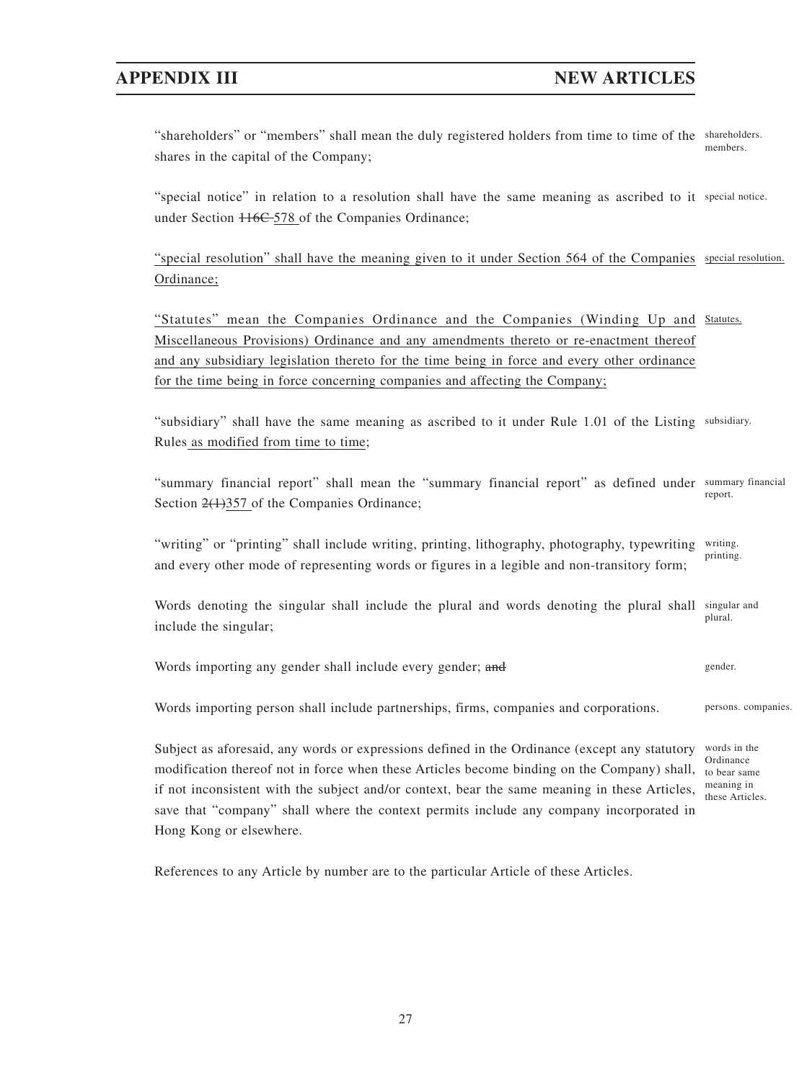"shareholders" or "members" shall mean the duly registered holders from time to time of the shareholders. shares in the capital of the Company; members.

"special notice" in relation to a resolution shall have the same meaning as ascribed to it special notice. under Section  $116C - 578$  of the Companies Ordinance;

"special resolution" shall have the meaning given to it under Section 564 of the Companies special resolution. Ordinance;

"Statutes" mean the Companies Ordinance and the Companies (Winding Up and Statutes. Miscellaneous Provisions) Ordinance and any amendments thereto or re-enactment thereof and any subsidiary legislation thereto for the time being in force and every other ordinance for the time being in force concerning companies and affecting the Company;

"subsidiary" shall have the same meaning as ascribed to it under Rule 1.01 of the Listing subsidiary. Rules as modified from time to time;

"summary financial report" shall mean the "summary financial report" as defined under summary financial Section  $2(1)357$  of the Companies Ordinance; report.

"writing" or "printing" shall include writing, printing, lithography, photography, typewriting and every other mode of representing words or figures in a legible and non-transitory form; writing. printing.

Words denoting the singular shall include the plural and words denoting the plural shall include the singular; singular and plural.

Words importing any gender shall include every gender; and gender gender.

Words importing person shall include partnerships, firms, companies and corporations. persons. companies.

Subject as aforesaid, any words or expressions defined in the Ordinance (except any statutory modification thereof not in force when these Articles become binding on the Company) shall, if not inconsistent with the subject and/or context, bear the same meaning in these Articles, save that "company" shall where the context permits include any company incorporated in Hong Kong or elsewhere.

References to any Article by number are to the particular Article of these Articles.

words in the Ordinance to bear same meaning in these Articles.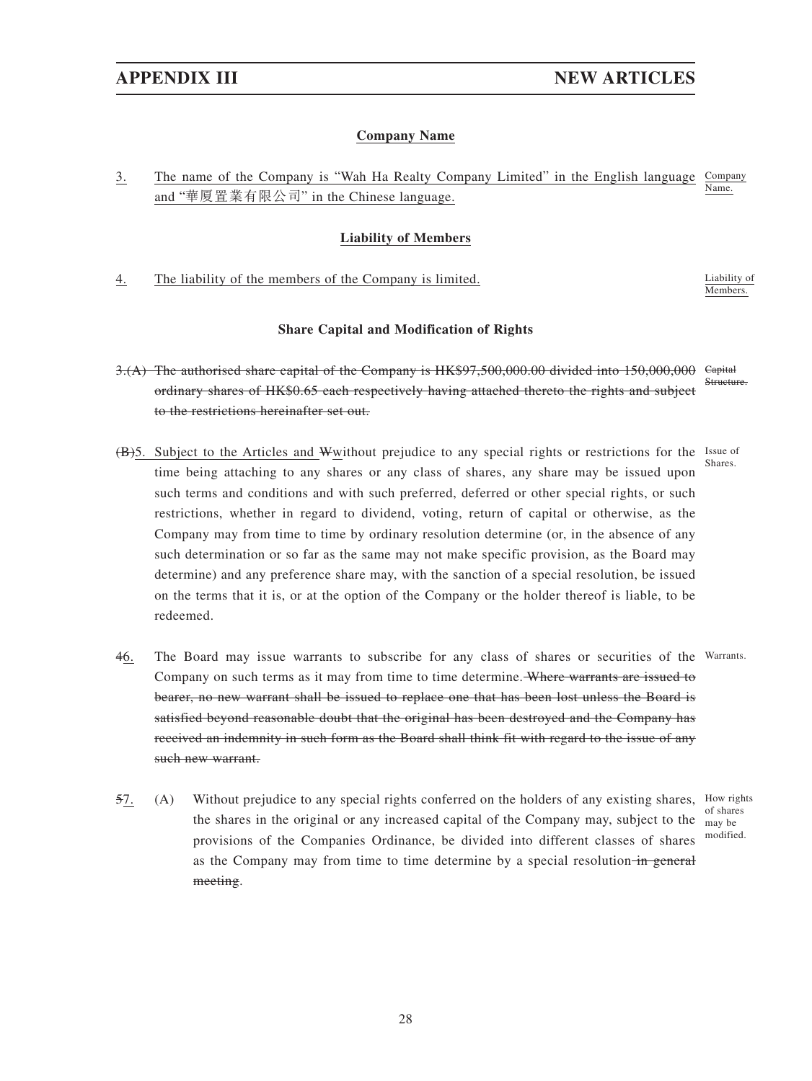## **Company Name**

3. The name of the Company is "Wah Ha Realty Company Limited" in the English language Company and "華厦置業有限公司" in the Chinese language. Name.

## **Liability of Members**

4. The liability of the members of the Company is limited. Liability of Liability of

Members.

## **Share Capital and Modification of Rights**

- 3.(A) The authorised share capital of the Company is HK\$97,500,000.00 divided into 150,000,000 ordinary shares of HK\$0.65 each respectively having attached thereto the rights and subject to the restrictions hereinafter set out. **Capital** Structure.
- (B)5. Subject to the Articles and Wwithout prejudice to any special rights or restrictions for the Issue of time being attaching to any shares or any class of shares, any share may be issued upon such terms and conditions and with such preferred, deferred or other special rights, or such restrictions, whether in regard to dividend, voting, return of capital or otherwise, as the Company may from time to time by ordinary resolution determine (or, in the absence of any such determination or so far as the same may not make specific provision, as the Board may determine) and any preference share may, with the sanction of a special resolution, be issued on the terms that it is, or at the option of the Company or the holder thereof is liable, to be redeemed. Shares.
- 46. The Board may issue warrants to subscribe for any class of shares or securities of the Warrants. Company on such terms as it may from time to time determine. Where warrants are issued to bearer, no new warrant shall be issued to replace one that has been lost unless the Board is satisfied beyond reasonable doubt that the original has been destroyed and the Company has received an indemnity in such form as the Board shall think fit with regard to the issue of any such new warrant.
- 57. (A) Without prejudice to any special rights conferred on the holders of any existing shares, How rights the shares in the original or any increased capital of the Company may, subject to the  $\frac{1}{\text{may be}}$ provisions of the Companies Ordinance, be divided into different classes of shares as the Company may from time to time determine by a special resolution in general meeting. of shares modified.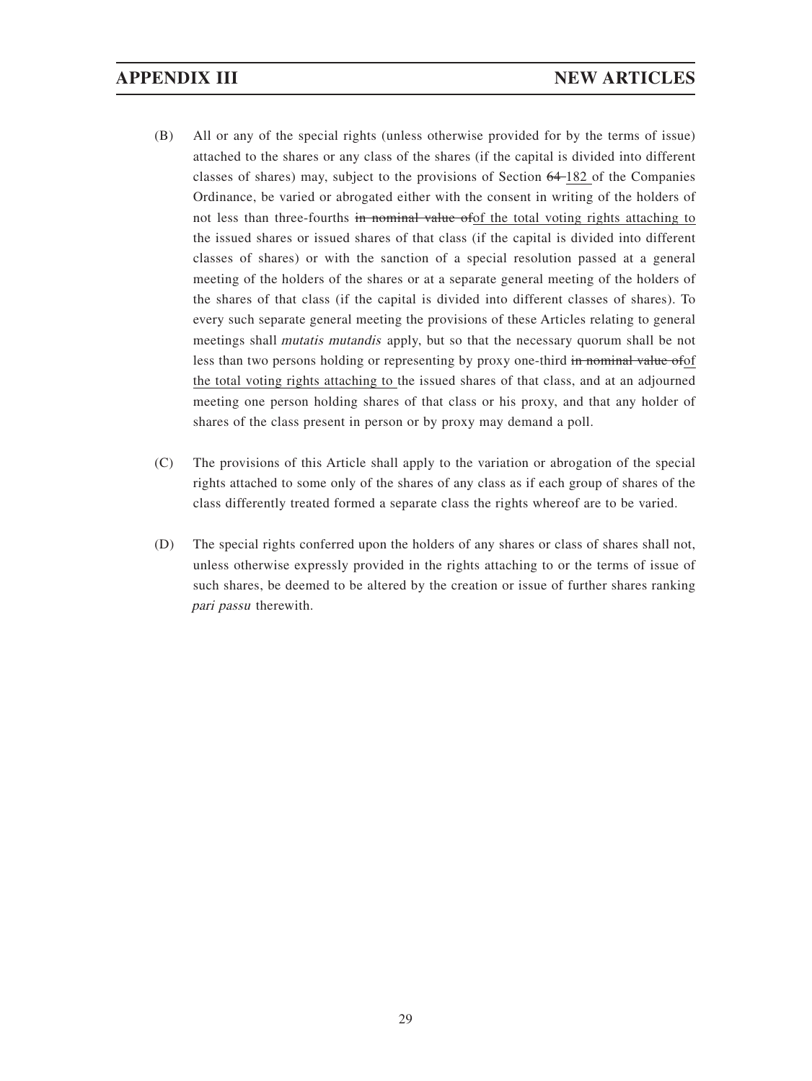- (B) All or any of the special rights (unless otherwise provided for by the terms of issue) attached to the shares or any class of the shares (if the capital is divided into different classes of shares) may, subject to the provisions of Section 64 182 of the Companies Ordinance, be varied or abrogated either with the consent in writing of the holders of not less than three-fourths in nominal value of of the total voting rights attaching to the issued shares or issued shares of that class (if the capital is divided into different classes of shares) or with the sanction of a special resolution passed at a general meeting of the holders of the shares or at a separate general meeting of the holders of the shares of that class (if the capital is divided into different classes of shares). To every such separate general meeting the provisions of these Articles relating to general meetings shall mutatis mutandis apply, but so that the necessary quorum shall be not less than two persons holding or representing by proxy one-third in nominal value ofof the total voting rights attaching to the issued shares of that class, and at an adjourned meeting one person holding shares of that class or his proxy, and that any holder of shares of the class present in person or by proxy may demand a poll.
- (C) The provisions of this Article shall apply to the variation or abrogation of the special rights attached to some only of the shares of any class as if each group of shares of the class differently treated formed a separate class the rights whereof are to be varied.
- (D) The special rights conferred upon the holders of any shares or class of shares shall not, unless otherwise expressly provided in the rights attaching to or the terms of issue of such shares, be deemed to be altered by the creation or issue of further shares ranking pari passu therewith.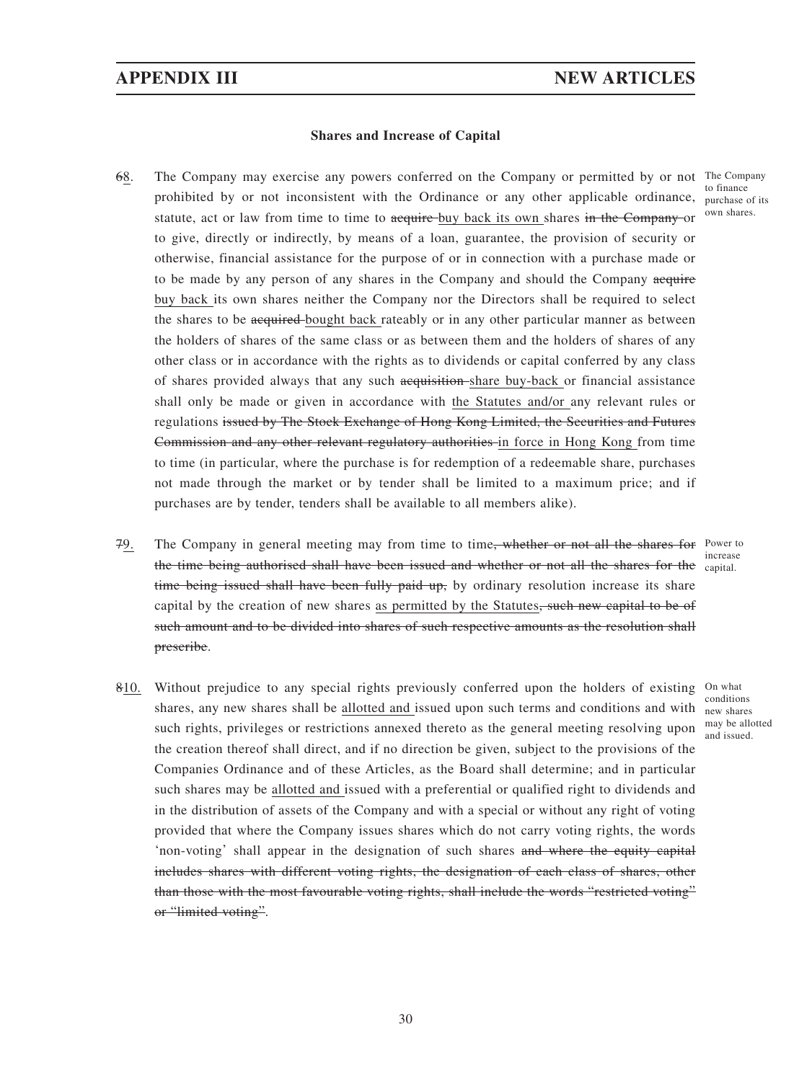### **Shares and Increase of Capital**

- 68. The Company may exercise any powers conferred on the Company or permitted by or not The Company prohibited by or not inconsistent with the Ordinance or any other applicable ordinance, purchase of its statute, act or law from time to time to acquire buy back its own shares in the Company or to give, directly or indirectly, by means of a loan, guarantee, the provision of security or otherwise, financial assistance for the purpose of or in connection with a purchase made or to be made by any person of any shares in the Company and should the Company acquire buy back its own shares neither the Company nor the Directors shall be required to select the shares to be acquired bought back rateably or in any other particular manner as between the holders of shares of the same class or as between them and the holders of shares of any other class or in accordance with the rights as to dividends or capital conferred by any class of shares provided always that any such acquisition share buy-back or financial assistance shall only be made or given in accordance with the Statutes and/or any relevant rules or regulations issued by The Stock Exchange of Hong Kong Limited, the Securities and Futures Commission and any other relevant regulatory authorities in force in Hong Kong from time to time (in particular, where the purchase is for redemption of a redeemable share, purchases not made through the market or by tender shall be limited to a maximum price; and if purchases are by tender, tenders shall be available to all members alike).
- 79. The Company in general meeting may from time to time<del>, whether or not all the shares for</del> Power to the time being authorised shall have been issued and whether or not all the shares for the capital. time being issued shall have been fully paid up, by ordinary resolution increase its share capital by the creation of new shares as permitted by the Statutes<del>, such new capital to be of</del> such amount and to be divided into shares of such respective amounts as the resolution shall prescribe. increase
- 810. Without prejudice to any special rights previously conferred upon the holders of existing On what shares, any new shares shall be allotted and issued upon such terms and conditions and with new shares such rights, privileges or restrictions annexed thereto as the general meeting resolving upon the creation thereof shall direct, and if no direction be given, subject to the provisions of the Companies Ordinance and of these Articles, as the Board shall determine; and in particular such shares may be allotted and issued with a preferential or qualified right to dividends and in the distribution of assets of the Company and with a special or without any right of voting provided that where the Company issues shares which do not carry voting rights, the words 'non-voting' shall appear in the designation of such shares and where the equity capital includes shares with different voting rights, the designation of each class of shares, other than those with the most favourable voting rights, shall include the words "restricted voting" or "limited voting". conditions may be allotted and issued.

to finance own shares.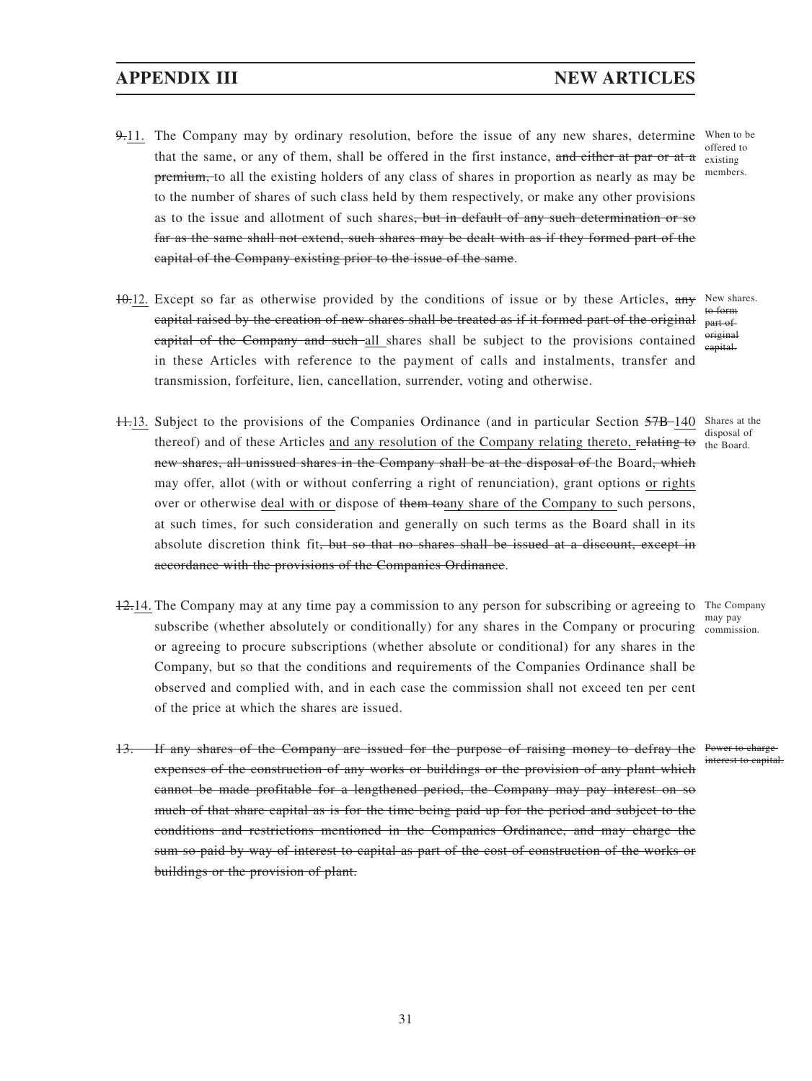# **APPENDIX III** NEW ARTICLES

- 9.11. The Company may by ordinary resolution, before the issue of any new shares, determine When to be that the same, or any of them, shall be offered in the first instance, and either at par or at a premium, to all the existing holders of any class of shares in proportion as nearly as may be to the number of shares of such class held by them respectively, or make any other provisions as to the issue and allotment of such shares<del>, but in default of any such determination or so</del> far as the same shall not extend, such shares may be dealt with as if they formed part of the capital of the Company existing prior to the issue of the same.
- $10.12$ . Except so far as otherwise provided by the conditions of issue or by these Articles, any capital raised by the creation of new shares shall be treated as if it formed part of the original eapital of the Company and such all shares shall be subject to the provisions contained in these Articles with reference to the payment of calls and instalments, transfer and transmission, forfeiture, lien, cancellation, surrender, voting and otherwise.
- 11.13. Subject to the provisions of the Companies Ordinance (and in particular Section 57B-140 Shares at the thereof) and of these Articles and any resolution of the Company relating thereto, relating to the Board. new shares, all unissued shares in the Company shall be at the disposal of the Board, which may offer, allot (with or without conferring a right of renunciation), grant options or rights over or otherwise deal with or dispose of them toany share of the Company to such persons, at such times, for such consideration and generally on such terms as the Board shall in its absolute discretion think fit, but so that no shares shall be issued at a discount, except in accordance with the provisions of the Companies Ordinance.
- 12.14. The Company may at any time pay a commission to any person for subscribing or agreeing to The Company subscribe (whether absolutely or conditionally) for any shares in the Company or procuring commission. or agreeing to procure subscriptions (whether absolute or conditional) for any shares in the Company, but so that the conditions and requirements of the Companies Ordinance shall be observed and complied with, and in each case the commission shall not exceed ten per cent of the price at which the shares are issued.
- 13. If any shares of the Company are issued for the purpose of raising money to defray the Power to charge expenses of the construction of any works or buildings or the provision of any plant which cannot be made profitable for a lengthened period, the Company may pay interest on so much of that share capital as is for the time being paid up for the period and subject to the conditions and restrictions mentioned in the Companies Ordinance, and may charge the sum so paid by way of interest to capital as part of the cost of construction of the works or buildings or the provision of plant.

offered to existing members.

New shares. to form part of original capital.

disposal of

may pay

interest to capital.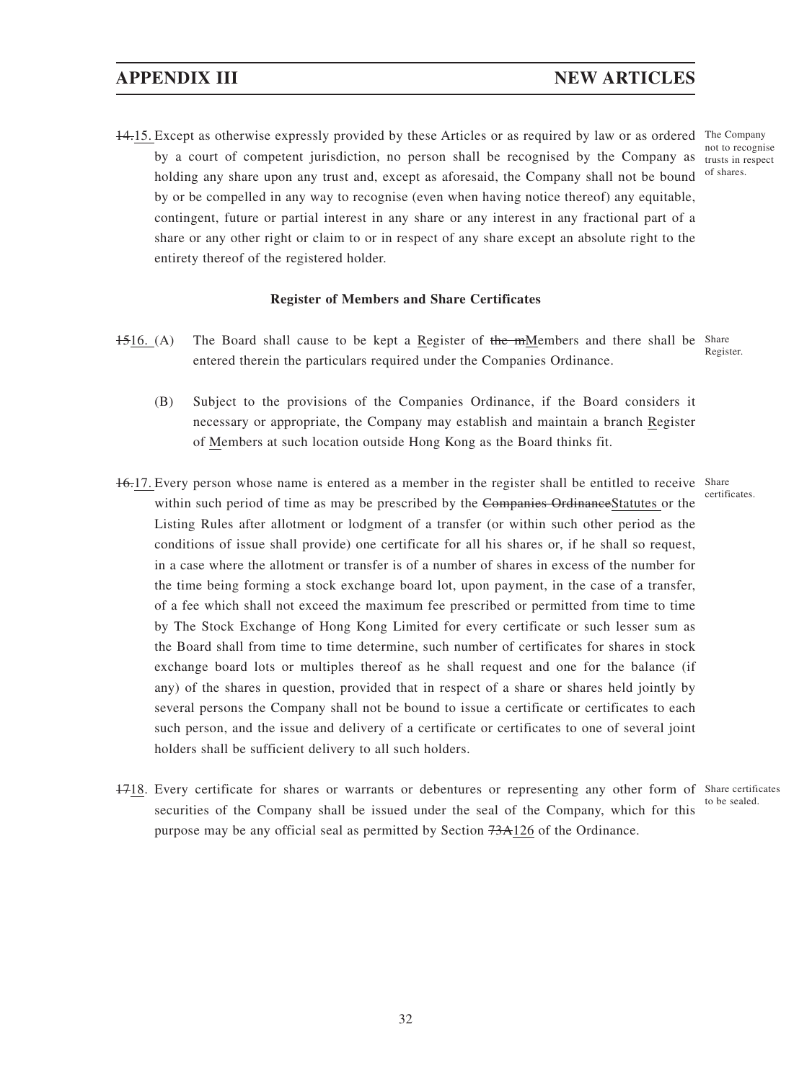14.15. Except as otherwise expressly provided by these Articles or as required by law or as ordered The Company by a court of competent jurisdiction, no person shall be recognised by the Company as trusts in respect holding any share upon any trust and, except as aforesaid, the Company shall not be bound of shares. by or be compelled in any way to recognise (even when having notice thereof) any equitable, contingent, future or partial interest in any share or any interest in any fractional part of a share or any other right or claim to or in respect of any share except an absolute right to the entirety thereof of the registered holder.

### **Register of Members and Share Certificates**

- 1516. (A) The Board shall cause to be kept a Register of the mMembers and there shall be Share entered therein the particulars required under the Companies Ordinance. Register.
	- (B) Subject to the provisions of the Companies Ordinance, if the Board considers it necessary or appropriate, the Company may establish and maintain a branch Register of Members at such location outside Hong Kong as the Board thinks fit.
- 16.17. Every person whose name is entered as a member in the register shall be entitled to receive Share within such period of time as may be prescribed by the Companies OrdinanceStatutes or the Listing Rules after allotment or lodgment of a transfer (or within such other period as the conditions of issue shall provide) one certificate for all his shares or, if he shall so request, in a case where the allotment or transfer is of a number of shares in excess of the number for the time being forming a stock exchange board lot, upon payment, in the case of a transfer, of a fee which shall not exceed the maximum fee prescribed or permitted from time to time by The Stock Exchange of Hong Kong Limited for every certificate or such lesser sum as the Board shall from time to time determine, such number of certificates for shares in stock exchange board lots or multiples thereof as he shall request and one for the balance (if any) of the shares in question, provided that in respect of a share or shares held jointly by several persons the Company shall not be bound to issue a certificate or certificates to each such person, and the issue and delivery of a certificate or certificates to one of several joint holders shall be sufficient delivery to all such holders.
- 1718. Every certificate for shares or warrants or debentures or representing any other form of Share certificates securities of the Company shall be issued under the seal of the Company, which for this purpose may be any official seal as permitted by Section 73A126 of the Ordinance. to be sealed.

not to recognise

certificates.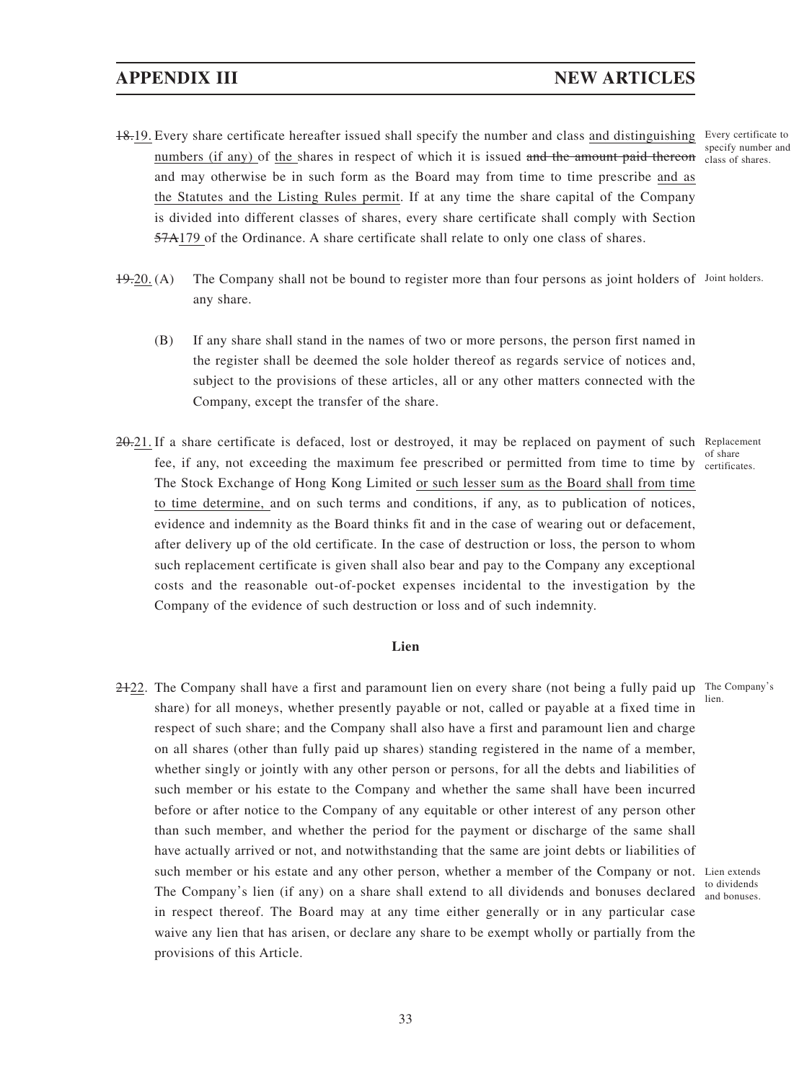# **APPENDIX III NEW ARTICLES**

- 18.19. Every share certificate hereafter issued shall specify the number and class and distinguishing Every certificate to numbers (if any) of the shares in respect of which it is issued and the amount paid thereon class of shares. and may otherwise be in such form as the Board may from time to time prescribe and as the Statutes and the Listing Rules permit. If at any time the share capital of the Company is divided into different classes of shares, every share certificate shall comply with Section 57A179 of the Ordinance. A share certificate shall relate to only one class of shares.
- $19-20$ . (A) The Company shall not be bound to register more than four persons as joint holders of Joint holders. any share.
	- (B) If any share shall stand in the names of two or more persons, the person first named in the register shall be deemed the sole holder thereof as regards service of notices and, subject to the provisions of these articles, all or any other matters connected with the Company, except the transfer of the share.
- 20.21. If a share certificate is defaced, lost or destroyed, it may be replaced on payment of such Replacement fee, if any, not exceeding the maximum fee prescribed or permitted from time to time by certificates. The Stock Exchange of Hong Kong Limited or such lesser sum as the Board shall from time to time determine, and on such terms and conditions, if any, as to publication of notices, evidence and indemnity as the Board thinks fit and in the case of wearing out or defacement, after delivery up of the old certificate. In the case of destruction or loss, the person to whom such replacement certificate is given shall also bear and pay to the Company any exceptional costs and the reasonable out-of-pocket expenses incidental to the investigation by the Company of the evidence of such destruction or loss and of such indemnity.

### **Lien**

2+22. The Company shall have a first and paramount lien on every share (not being a fully paid up The Company's share) for all moneys, whether presently payable or not, called or payable at a fixed time in respect of such share; and the Company shall also have a first and paramount lien and charge on all shares (other than fully paid up shares) standing registered in the name of a member, whether singly or jointly with any other person or persons, for all the debts and liabilities of such member or his estate to the Company and whether the same shall have been incurred before or after notice to the Company of any equitable or other interest of any person other than such member, and whether the period for the payment or discharge of the same shall have actually arrived or not, and notwithstanding that the same are joint debts or liabilities of such member or his estate and any other person, whether a member of the Company or not. Lien extends The Company's lien (if any) on a share shall extend to all dividends and bonuses declared in respect thereof. The Board may at any time either generally or in any particular case waive any lien that has arisen, or declare any share to be exempt wholly or partially from the provisions of this Article. lien.

specify number and

of share

to dividends and bonuses.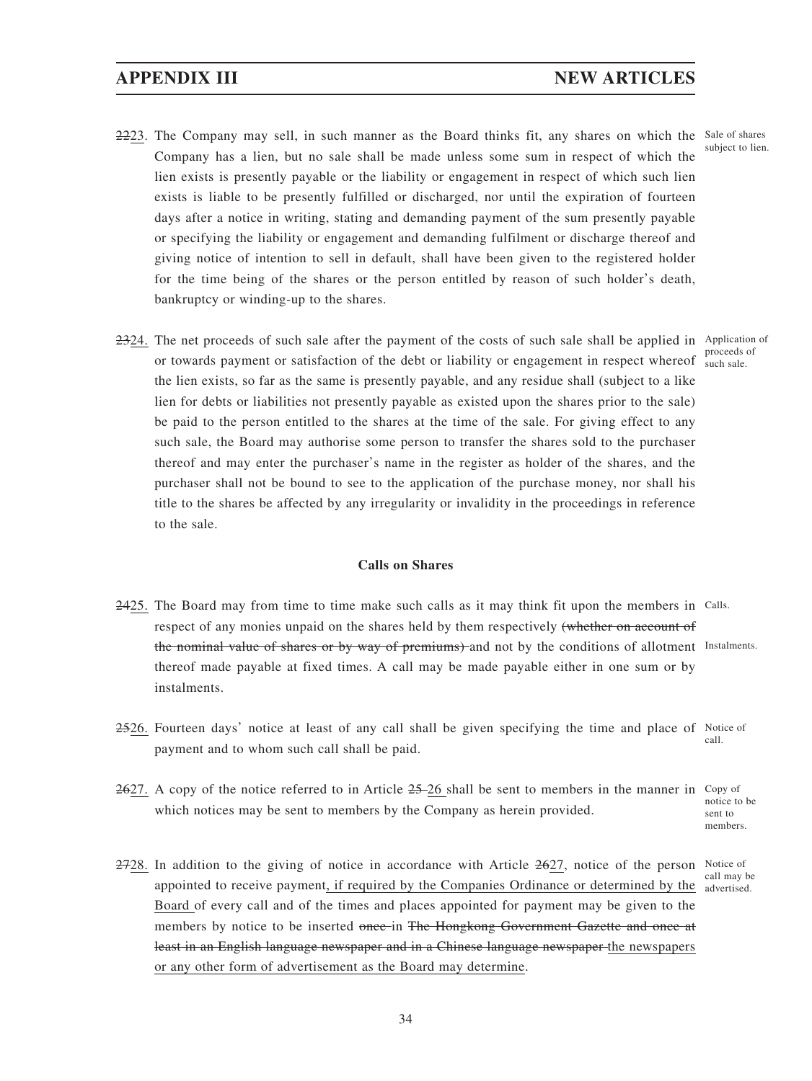# **APPENDIX III NEW ARTICLES**

- 2223. The Company may sell, in such manner as the Board thinks fit, any shares on which the Sale of shares Company has a lien, but no sale shall be made unless some sum in respect of which the lien exists is presently payable or the liability or engagement in respect of which such lien exists is liable to be presently fulfilled or discharged, nor until the expiration of fourteen days after a notice in writing, stating and demanding payment of the sum presently payable or specifying the liability or engagement and demanding fulfilment or discharge thereof and giving notice of intention to sell in default, shall have been given to the registered holder for the time being of the shares or the person entitled by reason of such holder's death, bankruptcy or winding-up to the shares.
- 2324. The net proceeds of such sale after the payment of the costs of such sale shall be applied in Application of or towards payment or satisfaction of the debt or liability or engagement in respect whereof such sale. the lien exists, so far as the same is presently payable, and any residue shall (subject to a like lien for debts or liabilities not presently payable as existed upon the shares prior to the sale) be paid to the person entitled to the shares at the time of the sale. For giving effect to any such sale, the Board may authorise some person to transfer the shares sold to the purchaser thereof and may enter the purchaser's name in the register as holder of the shares, and the purchaser shall not be bound to see to the application of the purchase money, nor shall his title to the shares be affected by any irregularity or invalidity in the proceedings in reference to the sale.

### **Calls on Shares**

- 2425. The Board may from time to time make such calls as it may think fit upon the members in Calls. respect of any monies unpaid on the shares held by them respectively (whether on account of the nominal value of shares or by way of premiums) and not by the conditions of allotment Instalments. thereof made payable at fixed times. A call may be made payable either in one sum or by instalments.
- 2526. Fourteen days' notice at least of any call shall be given specifying the time and place of Notice of payment and to whom such call shall be paid. call.
- $2627$ . A copy of the notice referred to in Article  $25-26$  shall be sent to members in the manner in Copy of which notices may be sent to members by the Company as herein provided. notice to be sent to members.
- 2728. In addition to the giving of notice in accordance with Article 2627, notice of the person Notice of appointed to receive payment, if required by the Companies Ordinance or determined by the advertised. Board of every call and of the times and places appointed for payment may be given to the members by notice to be inserted once in The Hongkong Government Gazette and once at least in an English language newspaper and in a Chinese language newspaper the newspapers or any other form of advertisement as the Board may determine. call may be

proceeds of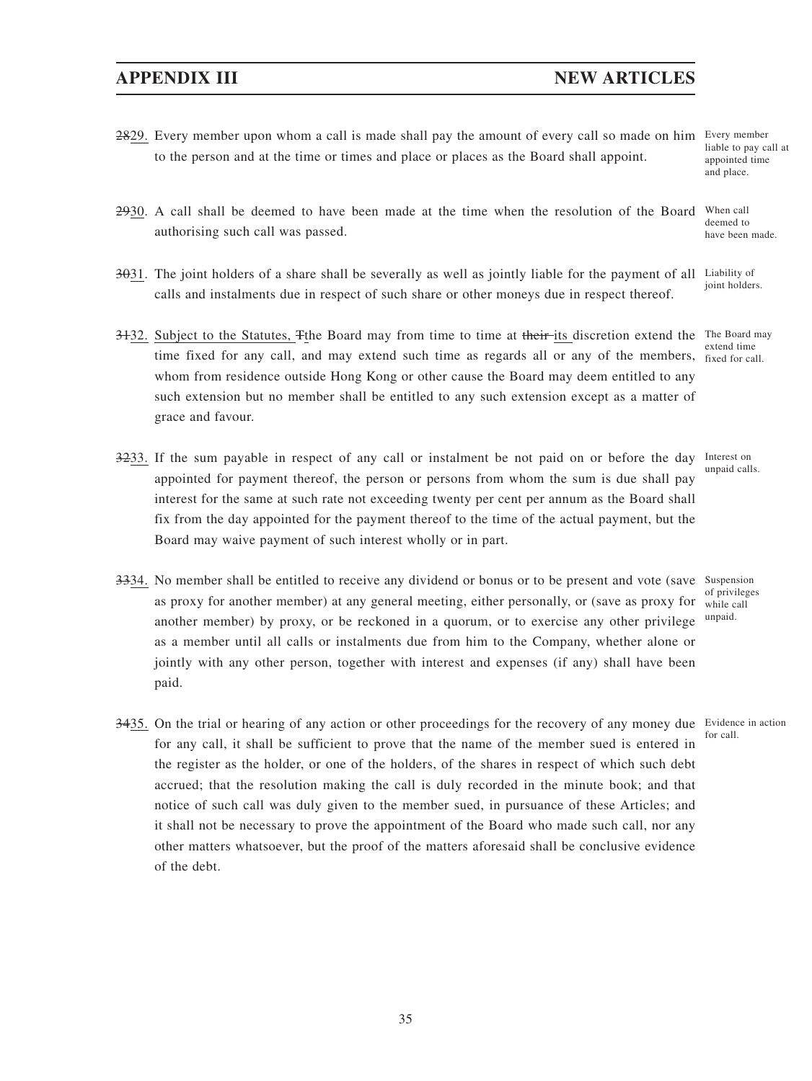35

# **APPENDIX III NEW ARTICLES**

- 2829. Every member upon whom a call is made shall pay the amount of every call so made on him Every member to the person and at the time or times and place or places as the Board shall appoint.
- 2930. A call shall be deemed to have been made at the time when the resolution of the Board authorising such call was passed.
- $3031$ . The joint holders of a share shall be severally as well as jointly liable for the payment of all Liability of calls and instalments due in respect of such share or other moneys due in respect thereof.
- 3+32. Subject to the Statutes, The Board may from time to time at their its discretion extend the The Board may time fixed for any call, and may extend such time as regards all or any of the members, fixed for call. whom from residence outside Hong Kong or other cause the Board may deem entitled to any such extension but no member shall be entitled to any such extension except as a matter of grace and favour.
- 3233. If the sum payable in respect of any call or instalment be not paid on or before the day Interest on appointed for payment thereof, the person or persons from whom the sum is due shall pay interest for the same at such rate not exceeding twenty per cent per annum as the Board shall fix from the day appointed for the payment thereof to the time of the actual payment, but the Board may waive payment of such interest wholly or in part.
- 3334. No member shall be entitled to receive any dividend or bonus or to be present and vote (save Suspension as proxy for another member) at any general meeting, either personally, or (save as proxy for while call another member) by proxy, or be reckoned in a quorum, or to exercise any other privilege as a member until all calls or instalments due from him to the Company, whether alone or jointly with any other person, together with interest and expenses (if any) shall have been paid. of privileges unpaid.
- 3435. On the trial or hearing of any action or other proceedings for the recovery of any money due Evidence in action for any call, it shall be sufficient to prove that the name of the member sued is entered in the register as the holder, or one of the holders, of the shares in respect of which such debt accrued; that the resolution making the call is duly recorded in the minute book; and that notice of such call was duly given to the member sued, in pursuance of these Articles; and it shall not be necessary to prove the appointment of the Board who made such call, nor any other matters whatsoever, but the proof of the matters aforesaid shall be conclusive evidence of the debt. for call.

liable to pay call at appointed time and place.

When call deemed to have been made.

joint holders.

extend time

unpaid calls.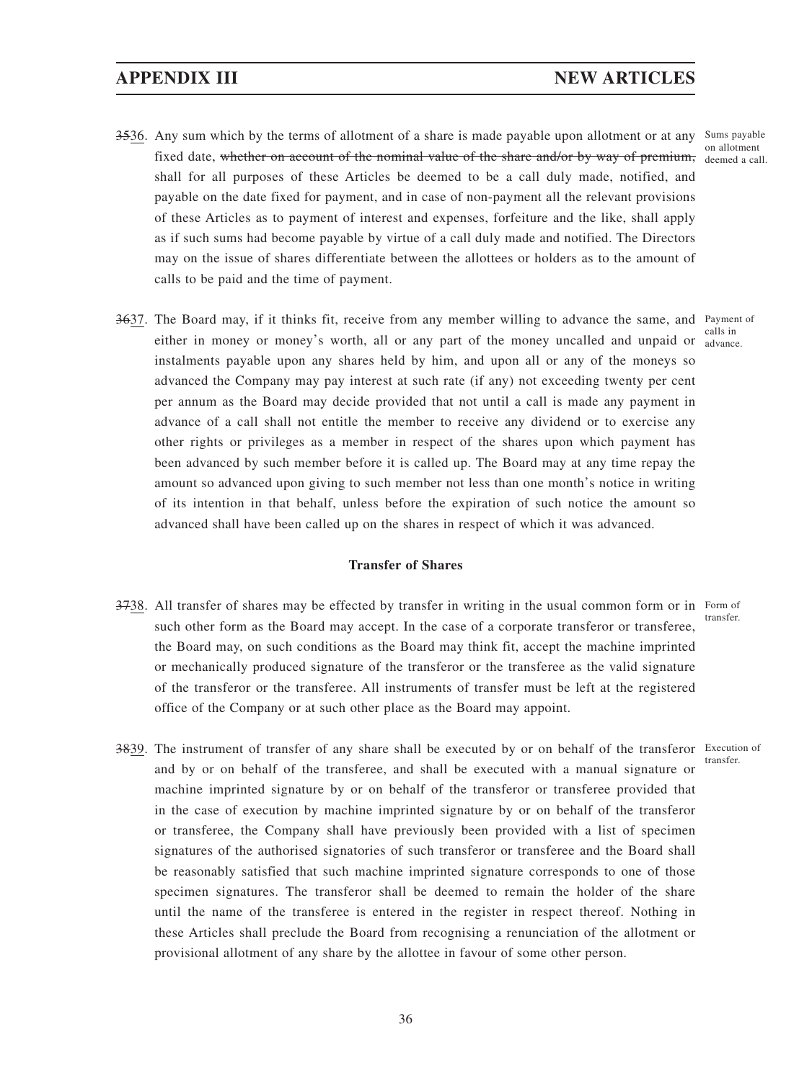- 3536. Any sum which by the terms of allotment of a share is made payable upon allotment or at any Sums payable fixed date, whether on account of the nominal value of the share and/or by way of premium, deemed a call. shall for all purposes of these Articles be deemed to be a call duly made, notified, and payable on the date fixed for payment, and in case of non-payment all the relevant provisions of these Articles as to payment of interest and expenses, forfeiture and the like, shall apply as if such sums had become payable by virtue of a call duly made and notified. The Directors may on the issue of shares differentiate between the allottees or holders as to the amount of calls to be paid and the time of payment.
- 3637. The Board may, if it thinks fit, receive from any member willing to advance the same, and Payment of either in money or money's worth, all or any part of the money uncalled and unpaid or calls in instalments payable upon any shares held by him, and upon all or any of the moneys so advanced the Company may pay interest at such rate (if any) not exceeding twenty per cent per annum as the Board may decide provided that not until a call is made any payment in advance of a call shall not entitle the member to receive any dividend or to exercise any other rights or privileges as a member in respect of the shares upon which payment has been advanced by such member before it is called up. The Board may at any time repay the amount so advanced upon giving to such member not less than one month's notice in writing of its intention in that behalf, unless before the expiration of such notice the amount so advanced shall have been called up on the shares in respect of which it was advanced.

### **Transfer of Shares**

- 3738. All transfer of shares may be effected by transfer in writing in the usual common form or in Form of such other form as the Board may accept. In the case of a corporate transferor or transferee, the Board may, on such conditions as the Board may think fit, accept the machine imprinted or mechanically produced signature of the transferor or the transferee as the valid signature of the transferor or the transferee. All instruments of transfer must be left at the registered office of the Company or at such other place as the Board may appoint. transfer.
- 3839. The instrument of transfer of any share shall be executed by or on behalf of the transferor Execution of and by or on behalf of the transferee, and shall be executed with a manual signature or machine imprinted signature by or on behalf of the transferor or transferee provided that in the case of execution by machine imprinted signature by or on behalf of the transferor or transferee, the Company shall have previously been provided with a list of specimen signatures of the authorised signatories of such transferor or transferee and the Board shall be reasonably satisfied that such machine imprinted signature corresponds to one of those specimen signatures. The transferor shall be deemed to remain the holder of the share until the name of the transferee is entered in the register in respect thereof. Nothing in these Articles shall preclude the Board from recognising a renunciation of the allotment or provisional allotment of any share by the allottee in favour of some other person. transfer.

advance.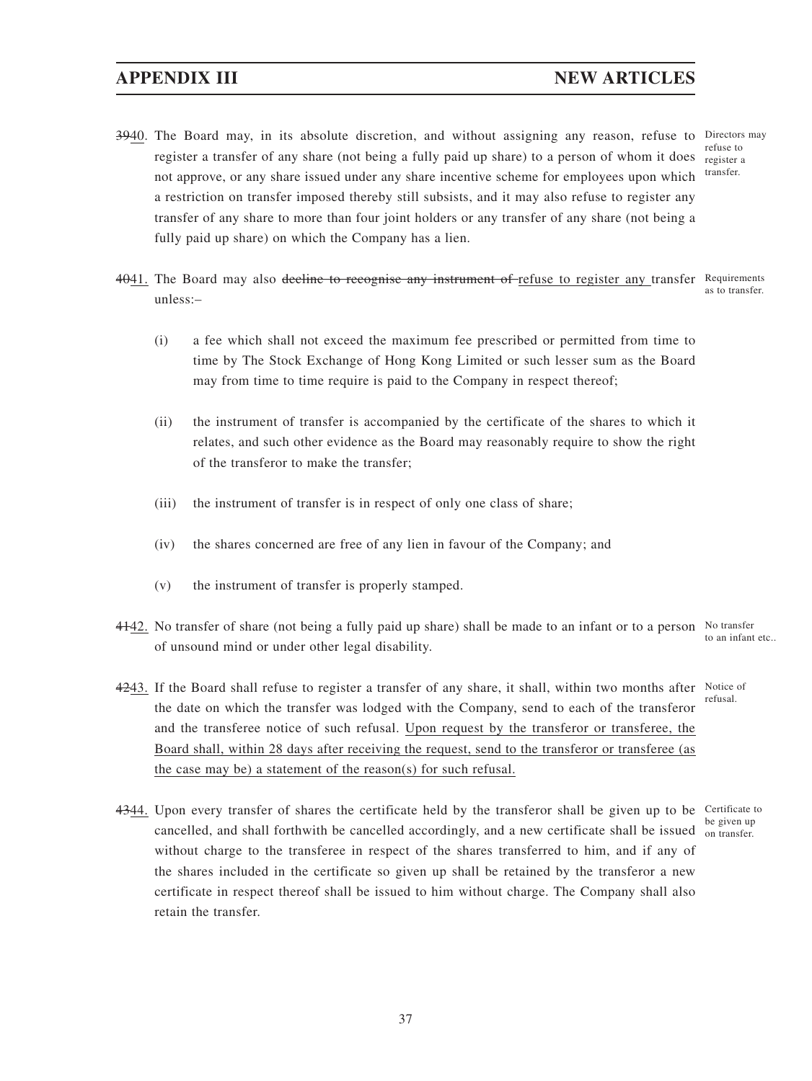- 3940. The Board may, in its absolute discretion, and without assigning any reason, refuse to Directors may register a transfer of any share (not being a fully paid up share) to a person of whom it does register a not approve, or any share issued under any share incentive scheme for employees upon which a restriction on transfer imposed thereby still subsists, and it may also refuse to register any transfer of any share to more than four joint holders or any transfer of any share (not being a fully paid up share) on which the Company has a lien. refuse to transfer.
- 4041. The Board may also deeline to recognise any instrument of refuse to register any transfer Requirements unless:– as to transfer.
	- (i) a fee which shall not exceed the maximum fee prescribed or permitted from time to time by The Stock Exchange of Hong Kong Limited or such lesser sum as the Board may from time to time require is paid to the Company in respect thereof;
	- (ii) the instrument of transfer is accompanied by the certificate of the shares to which it relates, and such other evidence as the Board may reasonably require to show the right of the transferor to make the transfer;
	- (iii) the instrument of transfer is in respect of only one class of share;
	- (iv) the shares concerned are free of any lien in favour of the Company; and
	- (v) the instrument of transfer is properly stamped.
- $4142$ . No transfer of share (not being a fully paid up share) shall be made to an infant or to a person No transfer of unsound mind or under other legal disability. to an infant etc..
- 4243. If the Board shall refuse to register a transfer of any share, it shall, within two months after Notice of the date on which the transfer was lodged with the Company, send to each of the transferor and the transferee notice of such refusal. Upon request by the transferor or transferee, the Board shall, within 28 days after receiving the request, send to the transferor or transferee (as the case may be) a statement of the reason(s) for such refusal. refusal.
- 4344. Upon every transfer of shares the certificate held by the transferor shall be given up to be Certificate to cancelled, and shall forthwith be cancelled accordingly, and a new certificate shall be issued on transfer. without charge to the transferee in respect of the shares transferred to him, and if any of the shares included in the certificate so given up shall be retained by the transferor a new certificate in respect thereof shall be issued to him without charge. The Company shall also retain the transfer. be given up

37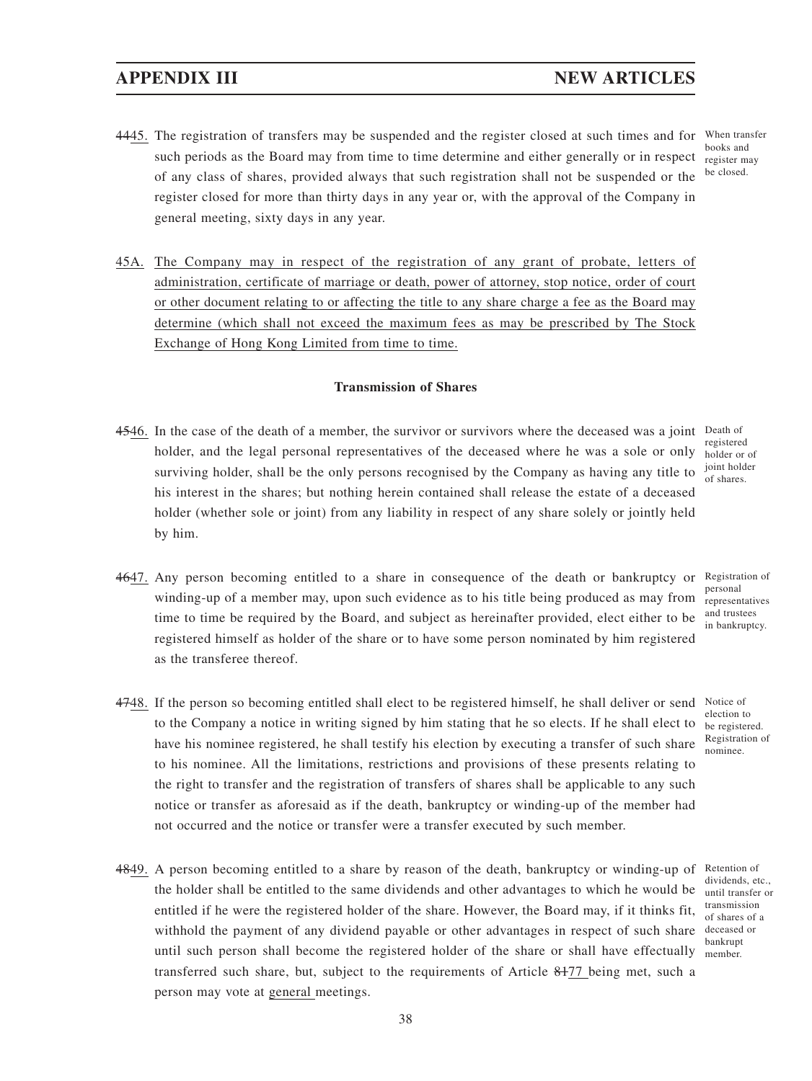- **APPENDIX III NEW ARTICLES**
- 4445. The registration of transfers may be suspended and the register closed at such times and for When transfer such periods as the Board may from time to time determine and either generally or in respect of any class of shares, provided always that such registration shall not be suspended or the register closed for more than thirty days in any year or, with the approval of the Company in general meeting, sixty days in any year.
- 45A. The Company may in respect of the registration of any grant of probate, letters of administration, certificate of marriage or death, power of attorney, stop notice, order of court or other document relating to or affecting the title to any share charge a fee as the Board may determine (which shall not exceed the maximum fees as may be prescribed by The Stock Exchange of Hong Kong Limited from time to time.

## **Transmission of Shares**

- 4546. In the case of the death of a member, the survivor or survivors where the deceased was a joint Death of holder, and the legal personal representatives of the deceased where he was a sole or only surviving holder, shall be the only persons recognised by the Company as having any title to his interest in the shares; but nothing herein contained shall release the estate of a deceased holder (whether sole or joint) from any liability in respect of any share solely or jointly held by him.
	- registered holder or of joint holder of shares.
- 4647. Any person becoming entitled to a share in consequence of the death or bankruptcy or winding-up of a member may, upon such evidence as to his title being produced as may from time to time be required by the Board, and subject as hereinafter provided, elect either to be registered himself as holder of the share or to have some person nominated by him registered as the transferee thereof. Registration of personal representatives and trustees in bankruptcy.
	- Notice of election to be registered. Registration of nominee.
	- dividends, etc., until transfer or transmission of shares of a deceased or bankrupt member.

4748. If the person so becoming entitled shall elect to be registered himself, he shall deliver or send to the Company a notice in writing signed by him stating that he so elects. If he shall elect to have his nominee registered, he shall testify his election by executing a transfer of such share to his nominee. All the limitations, restrictions and provisions of these presents relating to the right to transfer and the registration of transfers of shares shall be applicable to any such notice or transfer as aforesaid as if the death, bankruptcy or winding-up of the member had not occurred and the notice or transfer were a transfer executed by such member.

4849. A person becoming entitled to a share by reason of the death, bankruptcy or winding-up of Retention of the holder shall be entitled to the same dividends and other advantages to which he would be entitled if he were the registered holder of the share. However, the Board may, if it thinks fit, withhold the payment of any dividend payable or other advantages in respect of such share until such person shall become the registered holder of the share or shall have effectually transferred such share, but, subject to the requirements of Article 8177 being met, such a person may vote at general meetings.

books and register may be closed.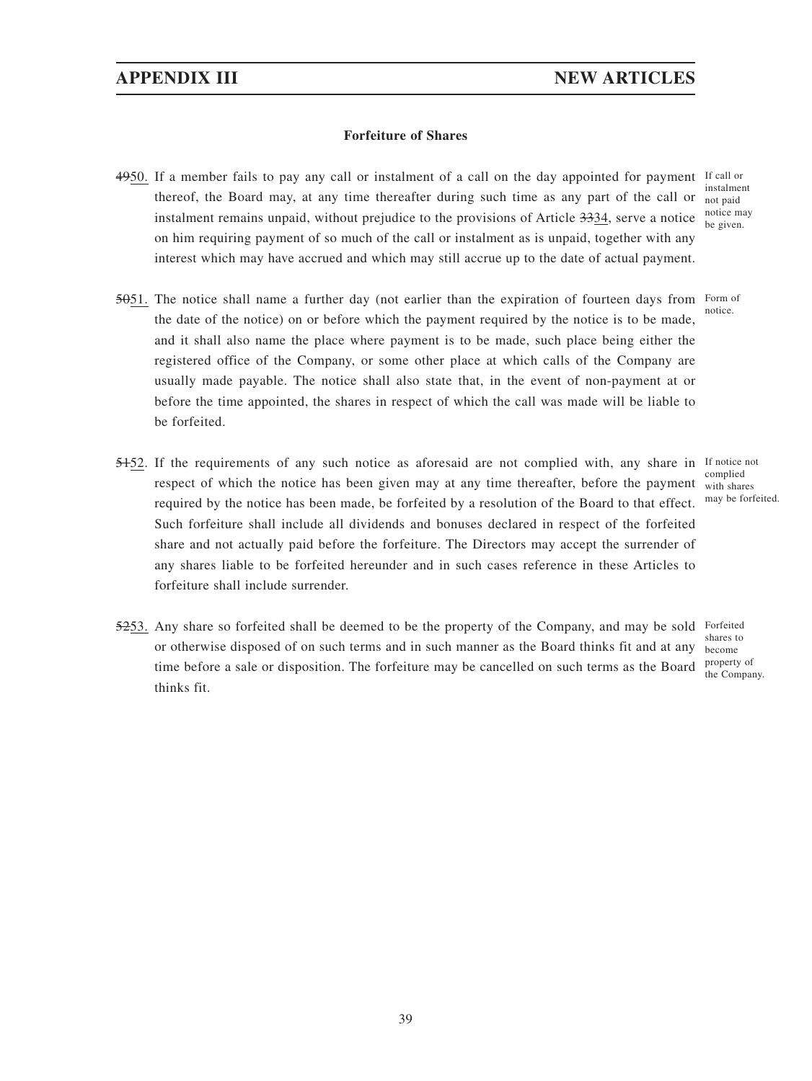## **Forfeiture of Shares**

- 4950. If a member fails to pay any call or instalment of a call on the day appointed for payment If call or thereof, the Board may, at any time thereafter during such time as any part of the call or instalment remains unpaid, without prejudice to the provisions of Article 3334, serve a notice on him requiring payment of so much of the call or instalment as is unpaid, together with any interest which may have accrued and which may still accrue up to the date of actual payment. instalment not paid notice may be given.
- $5051$ . The notice shall name a further day (not earlier than the expiration of fourteen days from Form of the date of the notice) on or before which the payment required by the notice is to be made, and it shall also name the place where payment is to be made, such place being either the registered office of the Company, or some other place at which calls of the Company are usually made payable. The notice shall also state that, in the event of non-payment at or before the time appointed, the shares in respect of which the call was made will be liable to be forfeited. notice.
- 5152. If the requirements of any such notice as aforesaid are not complied with, any share in If notice not respect of which the notice has been given may at any time thereafter, before the payment with shares required by the notice has been made, be forfeited by a resolution of the Board to that effect. Such forfeiture shall include all dividends and bonuses declared in respect of the forfeited share and not actually paid before the forfeiture. The Directors may accept the surrender of any shares liable to be forfeited hereunder and in such cases reference in these Articles to forfeiture shall include surrender.
- 5253. Any share so forfeited shall be deemed to be the property of the Company, and may be sold Forfeited or otherwise disposed of on such terms and in such manner as the Board thinks fit and at any time before a sale or disposition. The forfeiture may be cancelled on such terms as the Board  $\frac{property}{the Comne}$ thinks fit.

complied may be forfeited.

shares to become the Company.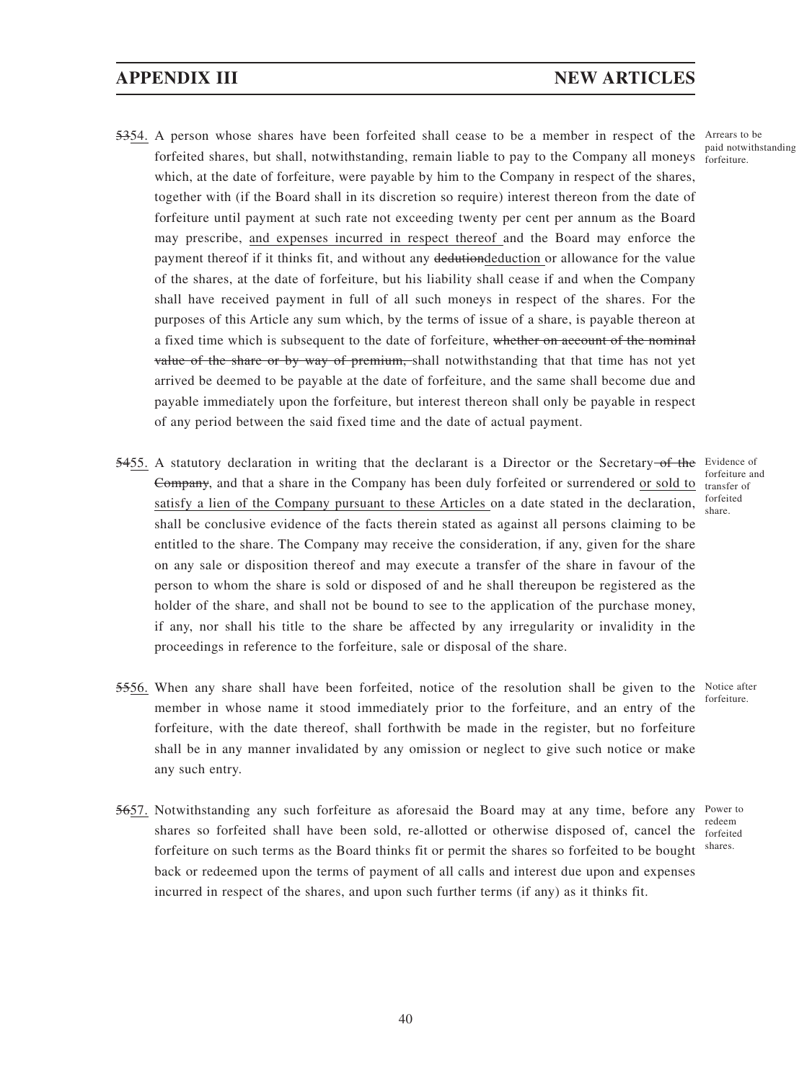- 5354. A person whose shares have been forfeited shall cease to be a member in respect of the Arrears to be forfeited shares, but shall, notwithstanding, remain liable to pay to the Company all moneys forfeiture. which, at the date of forfeiture, were payable by him to the Company in respect of the shares, together with (if the Board shall in its discretion so require) interest thereon from the date of forfeiture until payment at such rate not exceeding twenty per cent per annum as the Board may prescribe, and expenses incurred in respect thereof and the Board may enforce the payment thereof if it thinks fit, and without any dedutiondeduction or allowance for the value of the shares, at the date of forfeiture, but his liability shall cease if and when the Company shall have received payment in full of all such moneys in respect of the shares. For the purposes of this Article any sum which, by the terms of issue of a share, is payable thereon at a fixed time which is subsequent to the date of forfeiture, whether on account of the nominal value of the share or by way of premium, shall notwithstanding that that time has not yet arrived be deemed to be payable at the date of forfeiture, and the same shall become due and payable immediately upon the forfeiture, but interest thereon shall only be payable in respect of any period between the said fixed time and the date of actual payment.
- 5455. A statutory declaration in writing that the declarant is a Director or the Secretary-of the Evidence of Company, and that a share in the Company has been duly forfeited or surrendered or sold to transfer of satisfy a lien of the Company pursuant to these Articles on a date stated in the declaration, shall be conclusive evidence of the facts therein stated as against all persons claiming to be entitled to the share. The Company may receive the consideration, if any, given for the share on any sale or disposition thereof and may execute a transfer of the share in favour of the person to whom the share is sold or disposed of and he shall thereupon be registered as the holder of the share, and shall not be bound to see to the application of the purchase money, if any, nor shall his title to the share be affected by any irregularity or invalidity in the proceedings in reference to the forfeiture, sale or disposal of the share.
- 5556. When any share shall have been forfeited, notice of the resolution shall be given to the Notice after member in whose name it stood immediately prior to the forfeiture, and an entry of the forfeiture, with the date thereof, shall forthwith be made in the register, but no forfeiture shall be in any manner invalidated by any omission or neglect to give such notice or make any such entry.
- 5657. Notwithstanding any such forfeiture as aforesaid the Board may at any time, before any shares so forfeited shall have been sold, re-allotted or otherwise disposed of, cancel the forfeited forfeiture on such terms as the Board thinks fit or permit the shares so forfeited to be bought back or redeemed upon the terms of payment of all calls and interest due upon and expenses incurred in respect of the shares, and upon such further terms (if any) as it thinks fit.

forfeiture and forfeited share.

paid notwithstanding

forfeiture.

Power to redeem shares.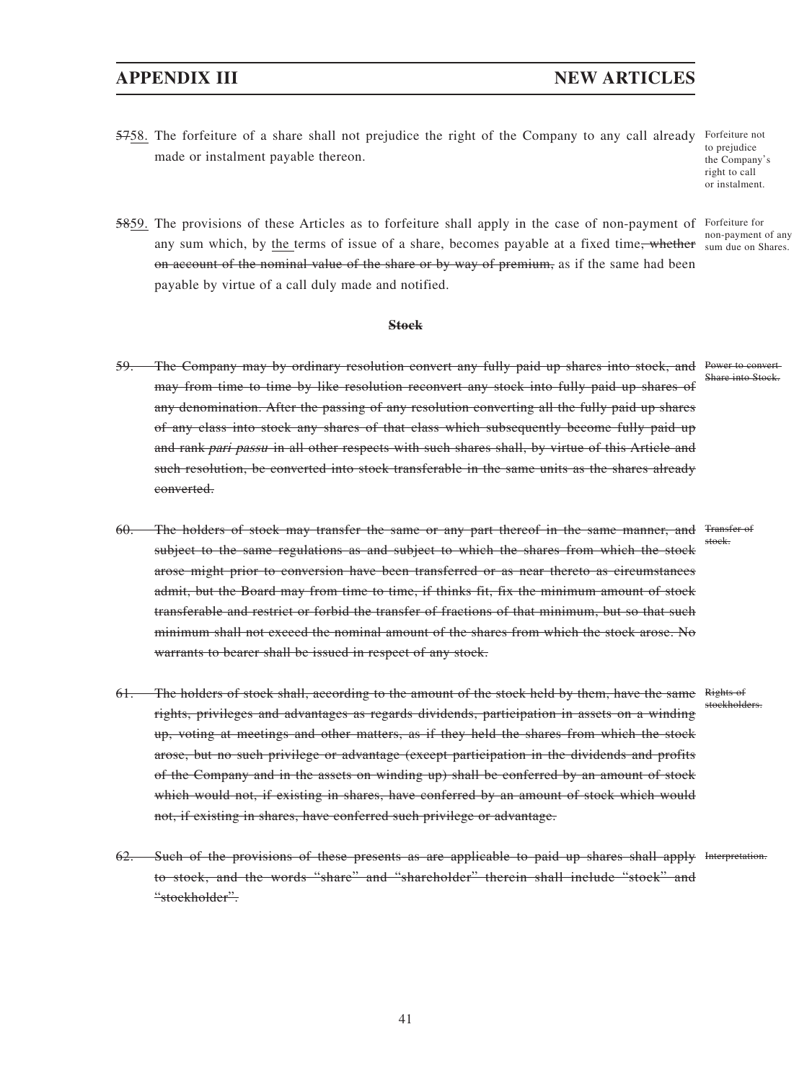5758. The forfeiture of a share shall not prejudice the right of the Company to any call already Forfeiture not made or instalment payable thereon.

to prejudice the Company's right to call or instalment.

5859. The provisions of these Articles as to forfeiture shall apply in the case of non-payment of Forfeiture for any sum which, by the terms of issue of a share, becomes payable at a fixed time<del>, whether</del> sum due on Shares. on account of the nominal value of the share or by way of premium, as if the same had been payable by virtue of a call duly made and notified. non-payment of any

**Stock**

- 59. The Company may by ordinary resolution convert any fully paid up shares into stock, and Power to convert may from time to time by like resolution reconvert any stock into fully paid up shares of any denomination. After the passing of any resolution converting all the fully paid up shares of any class into stock any shares of that class which subsequently become fully paid up and rank pari passu in all other respects with such shares shall, by virtue of this Article and such resolution, be converted into stock transferable in the same units as the shares already converted.
- 60. The holders of stock may transfer the same or any part thereof in the same manner, and Transfer of subject to the same regulations as and subject to which the shares from which the stock arose might prior to conversion have been transferred or as near thereto as circumstances admit, but the Board may from time to time, if thinks fit, fix the minimum amount of stock transferable and restrict or forbid the transfer of fractions of that minimum, but so that such minimum shall not exceed the nominal amount of the shares from which the stock arose. No warrants to bearer shall be issued in respect of any stock. stock.
- 61. The holders of stock shall, according to the amount of the stock held by them, have the same Rights of rights, privileges and advantages as regards dividends, participation in assets on a winding up, voting at meetings and other matters, as if they held the shares from which the stock arose, but no such privilege or advantage (except participation in the dividends and profits of the Company and in the assets on winding up) shall be conferred by an amount of stock which would not, if existing in shares, have conferred by an amount of stock which would not, if existing in shares, have conferred such privilege or advantage.
- 62. Such of the provisions of these presents as are applicable to paid up shares shall apply Interpretation.to stock, and the words "share" and "shareholder" therein shall include "stock" and "stockholder".

41

Share into Stock

stockholders.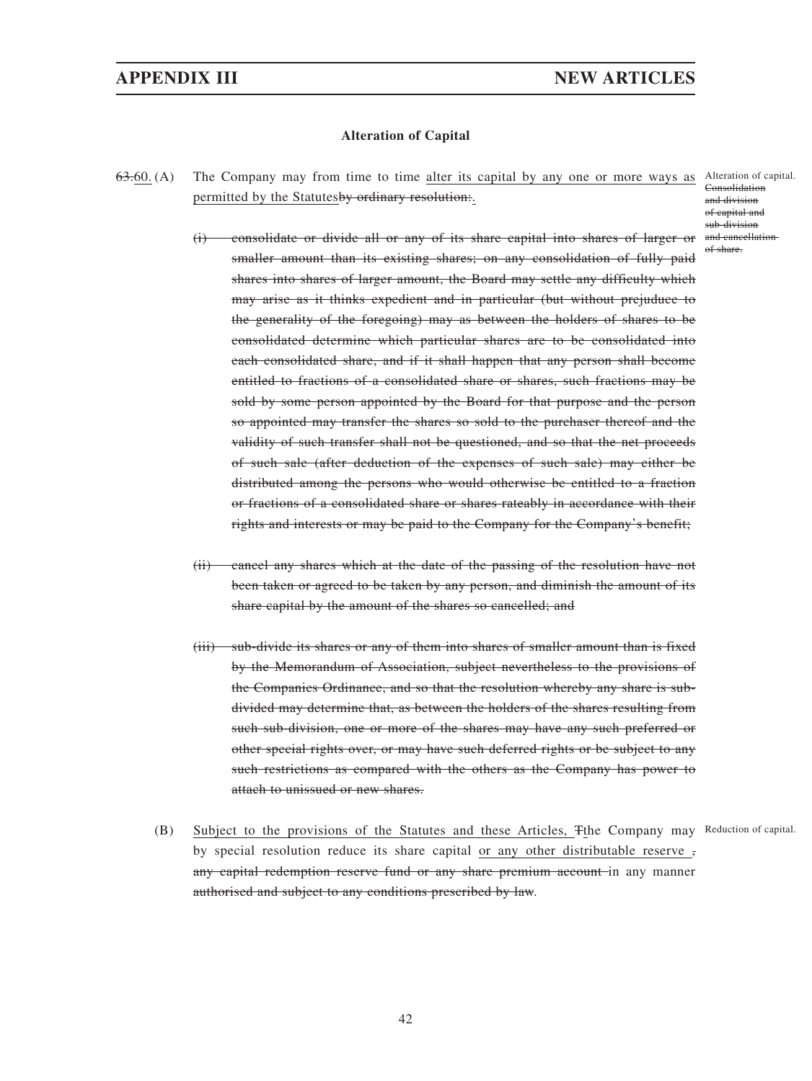## **Alteration of Capital**

63.60. (A) The Company may from time to time alter its capital by any one or more ways as Alteration of capital. permitted by the Statutesby ordinary resolution:.

Consolidation and division of capital and sub-division of share.

- (i) consolidate or divide all or any of its share capital into shares of larger or and cancellation smaller amount than its existing shares; on any consolidation of fully paid shares into shares of larger amount, the Board may settle any difficulty which may arise as it thinks expedient and in particular (but without prejuduce to the generality of the foregoing) may as between the holders of shares to be consolidated determine which particular shares are to be consolidated into each consolidated share, and if it shall happen that any person shall become entitled to fractions of a consolidated share or shares, such fractions may be sold by some person appointed by the Board for that purpose and the person so appointed may transfer the shares so sold to the purchaser thereof and the validity of such transfer shall not be questioned, and so that the net proceeds of such sale (after deduction of the expenses of such sale) may either be distributed among the persons who would otherwise be entitled to a fraction or fractions of a consolidated share or shares rateably in accordance with their rights and interests or may be paid to the Company for the Company's benefit;
- (ii) cancel any shares which at the date of the passing of the resolution have not been taken or agreed to be taken by any person, and diminish the amount of its share capital by the amount of the shares so cancelled; and
- (iii) sub-divide its shares or any of them into shares of smaller amount than is fixed by the Memorandum of Association, subject nevertheless to the provisions of the Companies Ordinance, and so that the resolution whereby any share is subdivided may determine that, as between the holders of the shares resulting from such sub-division, one or more of the shares may have any such preferred or other special rights over, or may have such deferred rights or be subject to any such restrictions as compared with the others as the Company has power to attach to unissued or new shares.
- (B) Subject to the provisions of the Statutes and these Articles, Tthe Company may Reduction of capital. by special resolution reduce its share capital or any other distributable reserve , any capital redemption reserve fund or any share premium account in any manner authorised and subject to any conditions prescribed by law.

42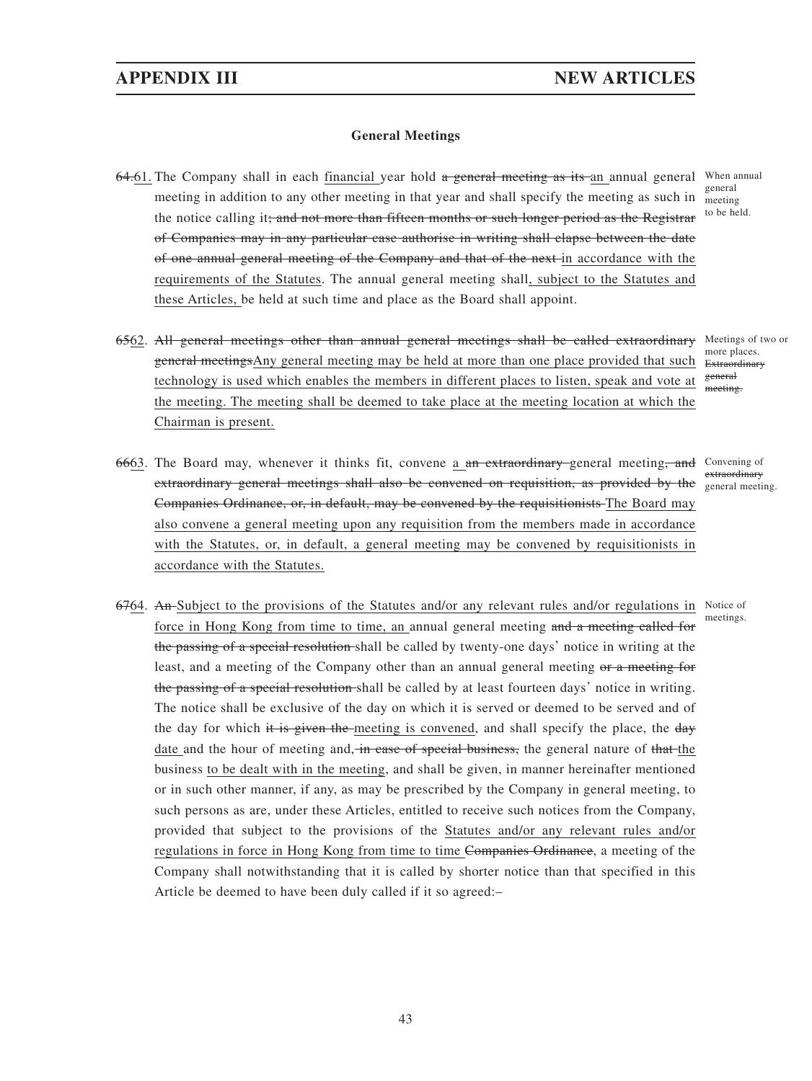Chairman is present.

## **General Meetings**

64<del>.</del>61. The Company shall in each <u>financial y</u>ear hold <del>a general meeting as its a</del>n annual general When annual meeting in addition to any other meeting in that year and shall specify the meeting as such in meeting the notice calling it; and not more than fifteen months or such longer period as the Registrar of Companies may in any particular case authorise in writing shall elapse between the date of one annual general meeting of the Company and that of the next in accordance with the requirements of the Statutes. The annual general meeting shall, subject to the Statutes and these Articles, be held at such time and place as the Board shall appoint.

meeting to be held.

6562. All general meetings other than annual general meetings shall be called extraordinary Meetings of two or general meetings Any general meeting may be held at more than one place provided that such Extraordinary more places. general meeting.

6663. The Board may, whenever it thinks fit, convene a an extraordinary-general meeting, and Convening of extraordinary general meetings shall also be convened on requisition, as provided by the general meeting. Companies Ordinance, or, in default, may be convened by the requisitionists The Board may also convene a general meeting upon any requisition from the members made in accordance with the Statutes, or, in default, a general meeting may be convened by requisitionists in accordance with the Statutes. extraordinary

technology is used which enables the members in different places to listen, speak and vote at the meeting. The meeting shall be deemed to take place at the meeting location at which the

meetings.

6764. An Subject to the provisions of the Statutes and/or any relevant rules and/or regulations in Notice of force in Hong Kong from time to time, an annual general meeting and a meeting called for the passing of a special resolution shall be called by twenty-one days' notice in writing at the least, and a meeting of the Company other than an annual general meeting or a meeting for the passing of a special resolution shall be called by at least fourteen days' notice in writing. The notice shall be exclusive of the day on which it is served or deemed to be served and of the day for which it is given the meeting is convened, and shall specify the place, the day date and the hour of meeting and, in case of special business, the general nature of that the business to be dealt with in the meeting, and shall be given, in manner hereinafter mentioned or in such other manner, if any, as may be prescribed by the Company in general meeting, to such persons as are, under these Articles, entitled to receive such notices from the Company, provided that subject to the provisions of the Statutes and/or any relevant rules and/or regulations in force in Hong Kong from time to time Companies Ordinance, a meeting of the Company shall notwithstanding that it is called by shorter notice than that specified in this Article be deemed to have been duly called if it so agreed:–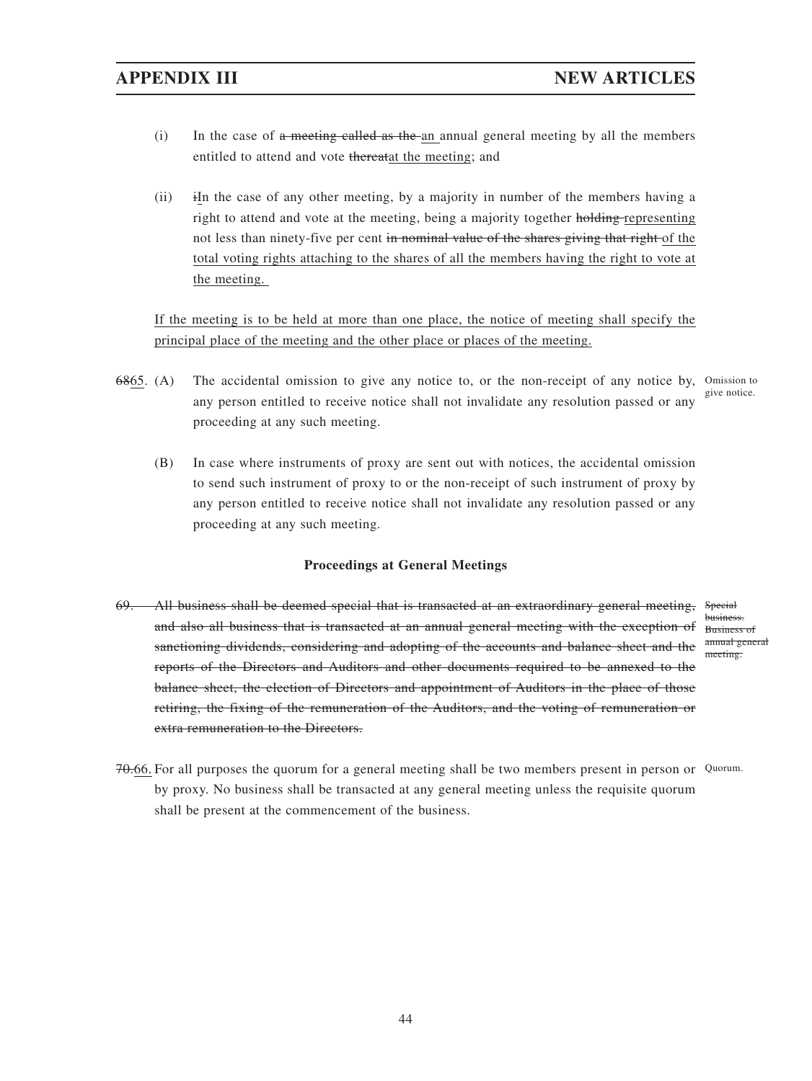- $(i)$  In the case of a meeting called as the an annual general meeting by all the members entitled to attend and vote thereatat the meeting; and
- (ii) iIn the case of any other meeting, by a majority in number of the members having a right to attend and vote at the meeting, being a majority together holding representing not less than ninety-five per cent in nominal value of the shares giving that right of the total voting rights attaching to the shares of all the members having the right to vote at the meeting.

If the meeting is to be held at more than one place, the notice of meeting shall specify the principal place of the meeting and the other place or places of the meeting.

- 6865. (A) The accidental omission to give any notice to, or the non-receipt of any notice by, Omission to any person entitled to receive notice shall not invalidate any resolution passed or any proceeding at any such meeting. give notice.
	- (B) In case where instruments of proxy are sent out with notices, the accidental omission to send such instrument of proxy to or the non-receipt of such instrument of proxy by any person entitled to receive notice shall not invalidate any resolution passed or any proceeding at any such meeting.

## **Proceedings at General Meetings**

- 69. All business shall be deemed special that is transacted at an extraordinary general meeting, and also all business that is transacted at an annual general meeting with the exception of Business of sanctioning dividends, considering and adopting of the accounts and balance sheet and the reports of the Directors and Auditors and other documents required to be annexed to the balance sheet, the election of Directors and appointment of Auditors in the place of those retiring, the fixing of the remuneration of the Auditors, and the voting of remuneration or extra remuneration to the Directors. Special business. annual general meeting.
- 70.66. For all purposes the quorum for a general meeting shall be two members present in person or Quorum. by proxy. No business shall be transacted at any general meeting unless the requisite quorum shall be present at the commencement of the business.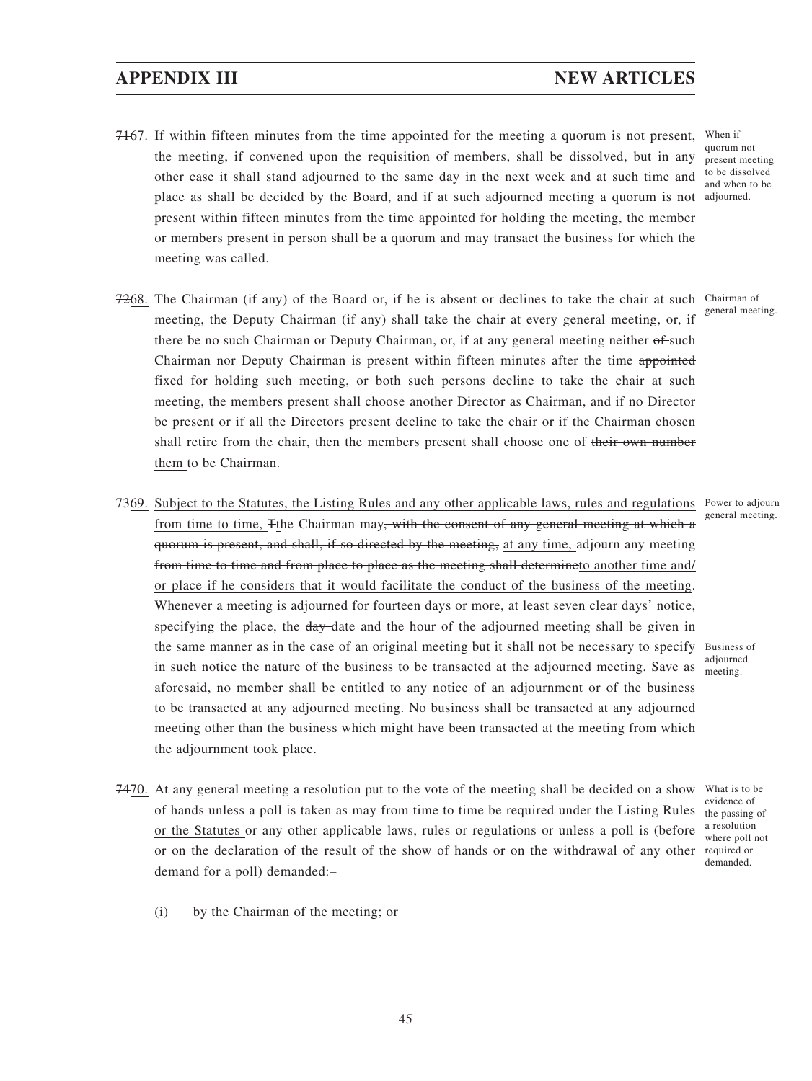- 7167. If within fifteen minutes from the time appointed for the meeting a quorum is not present, When if the meeting, if convened upon the requisition of members, shall be dissolved, but in any other case it shall stand adjourned to the same day in the next week and at such time and place as shall be decided by the Board, and if at such adjourned meeting a quorum is not adjourned. present within fifteen minutes from the time appointed for holding the meeting, the member or members present in person shall be a quorum and may transact the business for which the meeting was called. quorum not present meeting
- 7268. The Chairman (if any) of the Board or, if he is absent or declines to take the chair at such Chairman of meeting, the Deputy Chairman (if any) shall take the chair at every general meeting, or, if there be no such Chairman or Deputy Chairman, or, if at any general meeting neither of such Chairman nor Deputy Chairman is present within fifteen minutes after the time appointed fixed for holding such meeting, or both such persons decline to take the chair at such meeting, the members present shall choose another Director as Chairman, and if no Director be present or if all the Directors present decline to take the chair or if the Chairman chosen shall retire from the chair, then the members present shall choose one of their own number them to be Chairman.
- 7369. Subject to the Statutes, the Listing Rules and any other applicable laws, rules and regulations Power to adjourn from time to time, The Chairman may, with the consent of any general meeting at which a quorum is present, and shall, if so directed by the meeting, at any time, adjourn any meeting from time to time and from place to place as the meeting shall determineto another time and/ or place if he considers that it would facilitate the conduct of the business of the meeting. Whenever a meeting is adjourned for fourteen days or more, at least seven clear days' notice, specifying the place, the day date and the hour of the adjourned meeting shall be given in the same manner as in the case of an original meeting but it shall not be necessary to specify Business of in such notice the nature of the business to be transacted at the adjourned meeting. Save as  $\frac{a_{\text{cylou}}}{\text{meeting}}$ aforesaid, no member shall be entitled to any notice of an adjournment or of the business to be transacted at any adjourned meeting. No business shall be transacted at any adjourned meeting other than the business which might have been transacted at the meeting from which the adjournment took place.
- 7470. At any general meeting a resolution put to the vote of the meeting shall be decided on a show of hands unless a poll is taken as may from time to time be required under the Listing Rules the passing of or the Statutes or any other applicable laws, rules or regulations or unless a poll is (before or on the declaration of the result of the show of hands or on the withdrawal of any other required or demand for a poll) demanded:–

to be dissolved and when to be

general meeting.

general meeting.

adjourned

What is to be evidence of a resolution where poll not demanded.

(i) by the Chairman of the meeting; or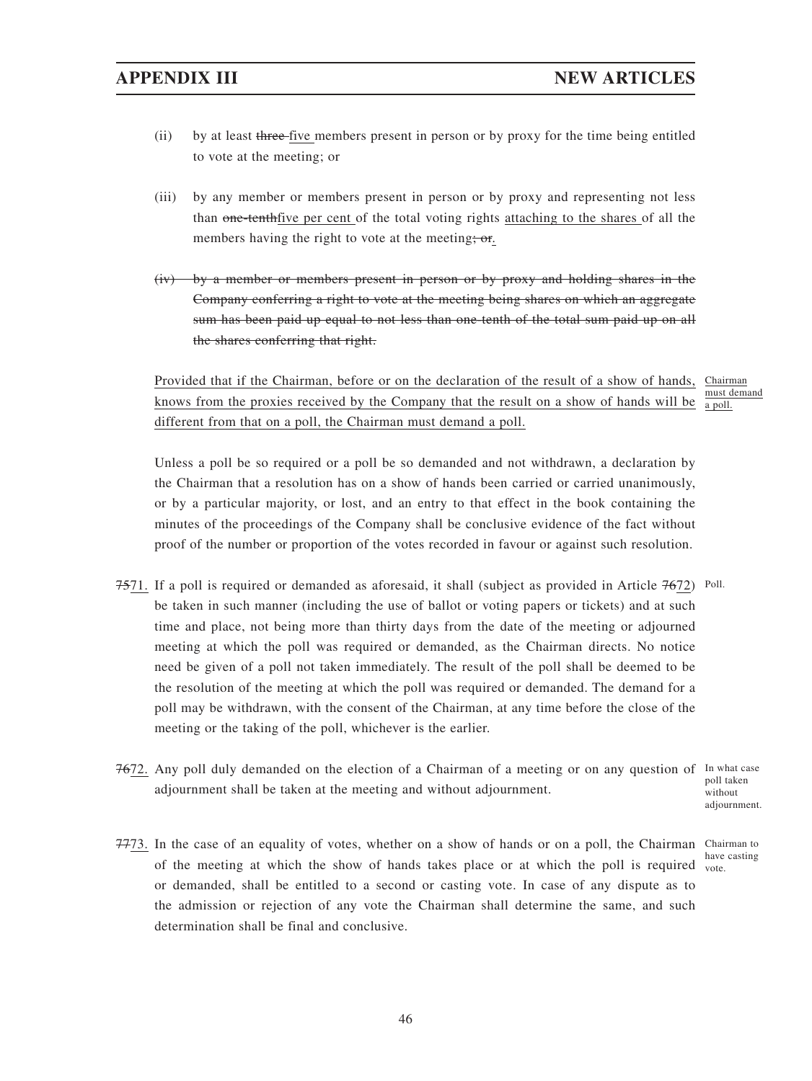- (ii) by at least three five members present in person or by proxy for the time being entitled to vote at the meeting; or
- (iii) by any member or members present in person or by proxy and representing not less than one-tenthfive per cent of the total voting rights attaching to the shares of all the members having the right to vote at the meeting; or.
- (iv) by a member or members present in person or by proxy and holding shares in the Company conferring a right to vote at the meeting being shares on which an aggregate sum has been paid up equal to not less than one-tenth of the total sum paid up on all the shares conferring that right.

Provided that if the Chairman, before or on the declaration of the result of a show of hands, Chairman knows from the proxies received by the Company that the result on a show of hands will be different from that on a poll, the Chairman must demand a poll. must demand a poll.

Unless a poll be so required or a poll be so demanded and not withdrawn, a declaration by the Chairman that a resolution has on a show of hands been carried or carried unanimously, or by a particular majority, or lost, and an entry to that effect in the book containing the minutes of the proceedings of the Company shall be conclusive evidence of the fact without proof of the number or proportion of the votes recorded in favour or against such resolution.

- 7571. If a poll is required or demanded as aforesaid, it shall (subject as provided in Article 7672) Poll. be taken in such manner (including the use of ballot or voting papers or tickets) and at such time and place, not being more than thirty days from the date of the meeting or adjourned meeting at which the poll was required or demanded, as the Chairman directs. No notice need be given of a poll not taken immediately. The result of the poll shall be deemed to be the resolution of the meeting at which the poll was required or demanded. The demand for a poll may be withdrawn, with the consent of the Chairman, at any time before the close of the meeting or the taking of the poll, whichever is the earlier.
- 7672. Any poll duly demanded on the election of a Chairman of a meeting or on any question of In what case adjournment shall be taken at the meeting and without adjournment. without

poll taken adjournment.

7773. In the case of an equality of votes, whether on a show of hands or on a poll, the Chairman Chairman to of the meeting at which the show of hands takes place or at which the poll is required  $\frac{1}{\text{vote}}$ or demanded, shall be entitled to a second or casting vote. In case of any dispute as to the admission or rejection of any vote the Chairman shall determine the same, and such determination shall be final and conclusive.

have casting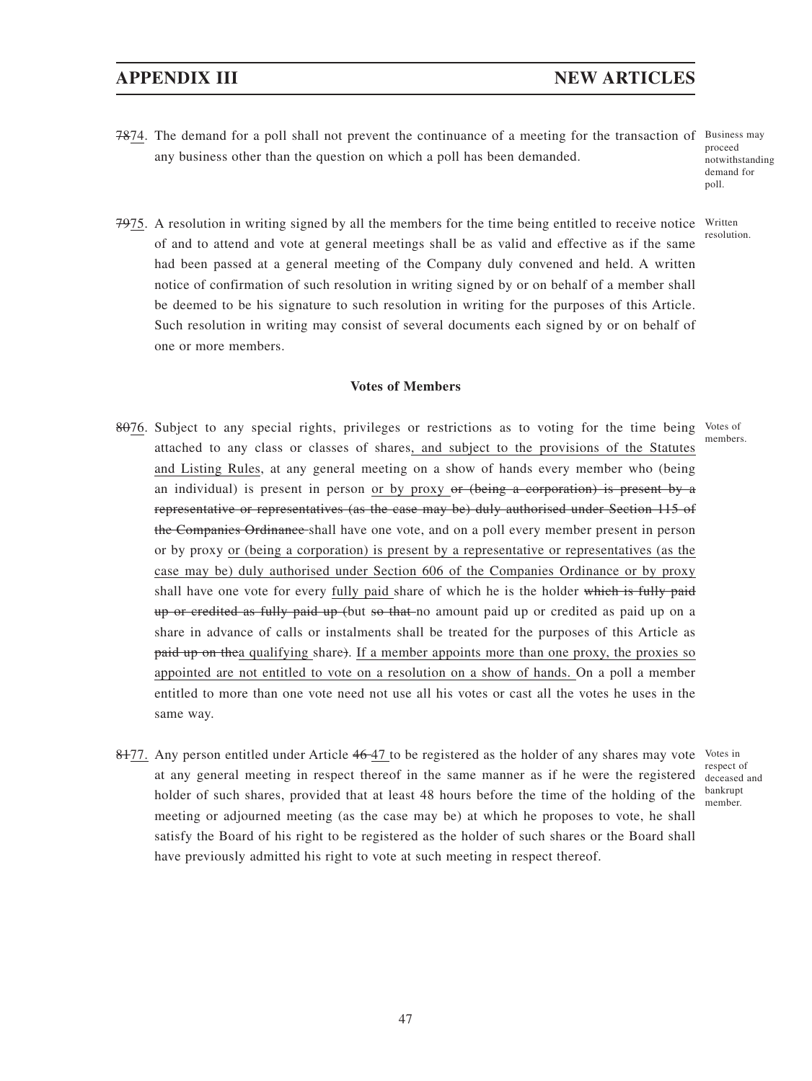7874. The demand for a poll shall not prevent the continuance of a meeting for the transaction of Business may any business other than the question on which a poll has been demanded.

proceed notwithstanding demand for poll.

resolution.

7975. A resolution in writing signed by all the members for the time being entitled to receive notice Written of and to attend and vote at general meetings shall be as valid and effective as if the same had been passed at a general meeting of the Company duly convened and held. A written notice of confirmation of such resolution in writing signed by or on behalf of a member shall be deemed to be his signature to such resolution in writing for the purposes of this Article. Such resolution in writing may consist of several documents each signed by or on behalf of one or more members.

### **Votes of Members**

- 8076. Subject to any special rights, privileges or restrictions as to voting for the time being Votes of attached to any class or classes of shares, and subject to the provisions of the Statutes and Listing Rules, at any general meeting on a show of hands every member who (being an individual) is present in person or by proxy or  $(being a$  corporation) is present by a representative or representatives (as the case may be) duly authorised under Section 115 of the Companies Ordinance shall have one vote, and on a poll every member present in person or by proxy or (being a corporation) is present by a representative or representatives (as the case may be) duly authorised under Section 606 of the Companies Ordinance or by proxy shall have one vote for every fully paid share of which he is the holder which is fully paid up or credited as fully paid up (but so that no amount paid up or credited as paid up on a share in advance of calls or instalments shall be treated for the purposes of this Article as paid up on thea qualifying share). If a member appoints more than one proxy, the proxies so appointed are not entitled to vote on a resolution on a show of hands. On a poll a member entitled to more than one vote need not use all his votes or cast all the votes he uses in the same way. members.
- 8477. Any person entitled under Article 46-47 to be registered as the holder of any shares may vote Votes in at any general meeting in respect thereof in the same manner as if he were the registered holder of such shares, provided that at least 48 hours before the time of the holding of the meeting or adjourned meeting (as the case may be) at which he proposes to vote, he shall satisfy the Board of his right to be registered as the holder of such shares or the Board shall have previously admitted his right to vote at such meeting in respect thereof.

respect of deceased and bankrupt member.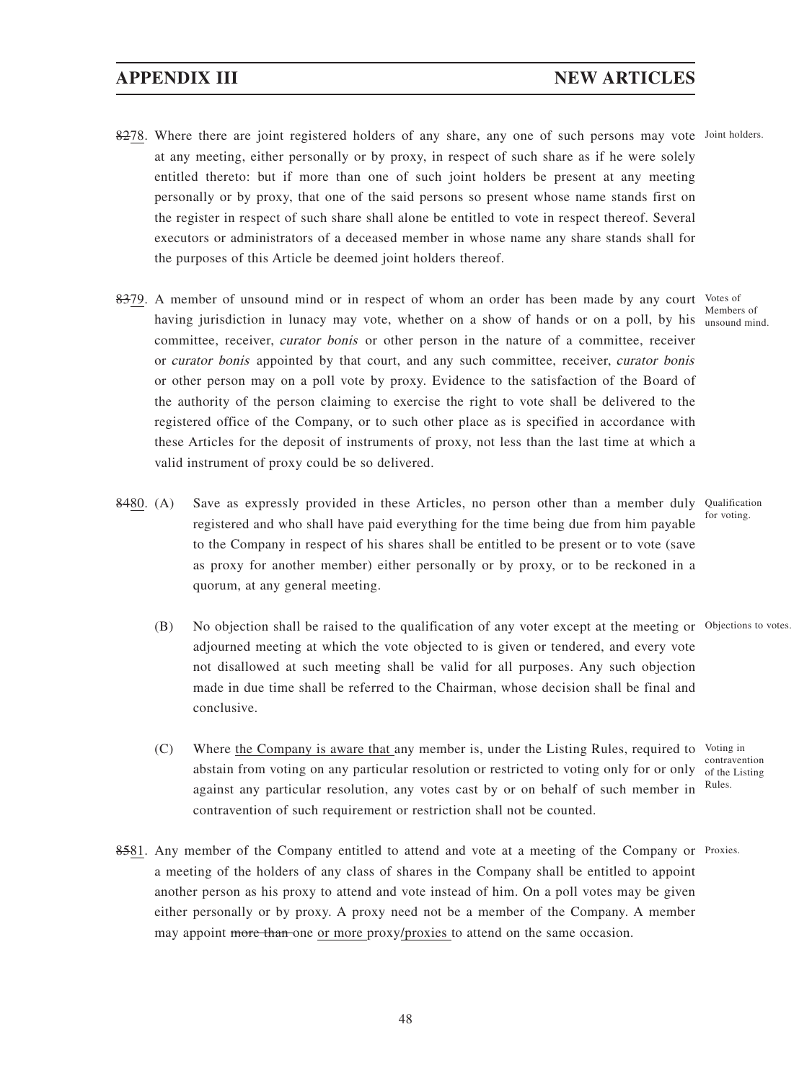- 8278. Where there are joint registered holders of any share, any one of such persons may vote Joint holders. at any meeting, either personally or by proxy, in respect of such share as if he were solely entitled thereto: but if more than one of such joint holders be present at any meeting personally or by proxy, that one of the said persons so present whose name stands first on the register in respect of such share shall alone be entitled to vote in respect thereof. Several executors or administrators of a deceased member in whose name any share stands shall for the purposes of this Article be deemed joint holders thereof.
- 8379. A member of unsound mind or in respect of whom an order has been made by any court Votes of having jurisdiction in lunacy may vote, whether on a show of hands or on a poll, by his unsound mind. committee, receiver, curator bonis or other person in the nature of a committee, receiver or curator bonis appointed by that court, and any such committee, receiver, curator bonis or other person may on a poll vote by proxy. Evidence to the satisfaction of the Board of the authority of the person claiming to exercise the right to vote shall be delivered to the registered office of the Company, or to such other place as is specified in accordance with these Articles for the deposit of instruments of proxy, not less than the last time at which a valid instrument of proxy could be so delivered.
- 8480. (A) Save as expressly provided in these Articles, no person other than a member duly Qualification registered and who shall have paid everything for the time being due from him payable to the Company in respect of his shares shall be entitled to be present or to vote (save as proxy for another member) either personally or by proxy, or to be reckoned in a quorum, at any general meeting.
	- (B) No objection shall be raised to the qualification of any voter except at the meeting or Objections to votes. adjourned meeting at which the vote objected to is given or tendered, and every vote not disallowed at such meeting shall be valid for all purposes. Any such objection made in due time shall be referred to the Chairman, whose decision shall be final and conclusive.
	- (C) Where the Company is aware that any member is, under the Listing Rules, required to Voting in abstain from voting on any particular resolution or restricted to voting only for or only against any particular resolution, any votes cast by or on behalf of such member in contravention of such requirement or restriction shall not be counted.
- 8581. Any member of the Company entitled to attend and vote at a meeting of the Company or Proxies. a meeting of the holders of any class of shares in the Company shall be entitled to appoint another person as his proxy to attend and vote instead of him. On a poll votes may be given either personally or by proxy. A proxy need not be a member of the Company. A member may appoint more than one or more proxy/proxies to attend on the same occasion.

Members of

for voting.

contravention of the Listing Rules.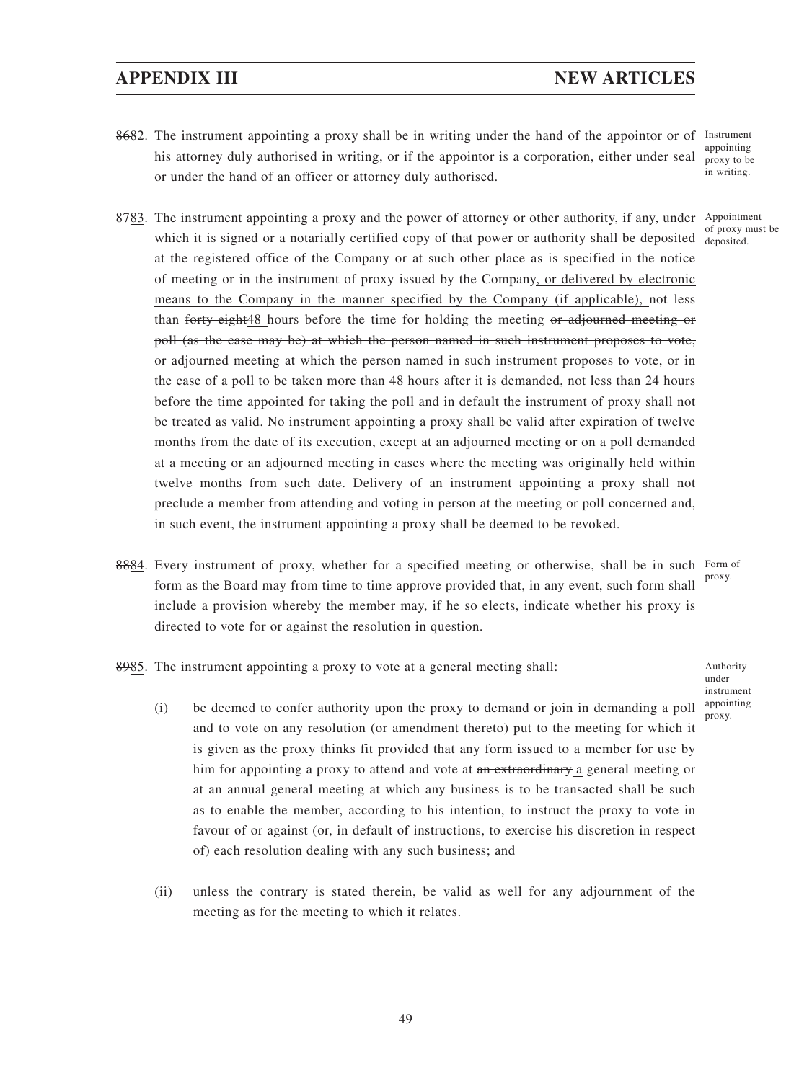- 8682. The instrument appointing a proxy shall be in writing under the hand of the appointor or of Instrument his attorney duly authorised in writing, or if the appointor is a corporation, either under seal or under the hand of an officer or attorney duly authorised. appointing proxy to be in writing.
- 8783. The instrument appointing a proxy and the power of attorney or other authority, if any, under Appointment which it is signed or a notarially certified copy of that power or authority shall be deposited  $\frac{1}{\text{deposited}}$ at the registered office of the Company or at such other place as is specified in the notice of meeting or in the instrument of proxy issued by the Company, or delivered by electronic means to the Company in the manner specified by the Company (if applicable), not less than forty-eight48 hours before the time for holding the meeting or adjourned meeting or poll (as the case may be) at which the person named in such instrument proposes to vote, or adjourned meeting at which the person named in such instrument proposes to vote, or in the case of a poll to be taken more than 48 hours after it is demanded, not less than 24 hours before the time appointed for taking the poll and in default the instrument of proxy shall not be treated as valid. No instrument appointing a proxy shall be valid after expiration of twelve months from the date of its execution, except at an adjourned meeting or on a poll demanded at a meeting or an adjourned meeting in cases where the meeting was originally held within twelve months from such date. Delivery of an instrument appointing a proxy shall not preclude a member from attending and voting in person at the meeting or poll concerned and, in such event, the instrument appointing a proxy shall be deemed to be revoked.
- 8884. Every instrument of proxy, whether for a specified meeting or otherwise, shall be in such Form of form as the Board may from time to time approve provided that, in any event, such form shall include a provision whereby the member may, if he so elects, indicate whether his proxy is directed to vote for or against the resolution in question. proxy.
	- under instrument appointing
- 8985. The instrument appointing a proxy to vote at a general meeting shall: Authority
	- (i) be deemed to confer authority upon the proxy to demand or join in demanding a poll  $_{\text{prox}$ , and to vote on any resolution (or amendment thereto) put to the meeting for which it is given as the proxy thinks fit provided that any form issued to a member for use by him for appointing a proxy to attend and vote at an extraordinary a general meeting or at an annual general meeting at which any business is to be transacted shall be such as to enable the member, according to his intention, to instruct the proxy to vote in favour of or against (or, in default of instructions, to exercise his discretion in respect of) each resolution dealing with any such business; and
	- (ii) unless the contrary is stated therein, be valid as well for any adjournment of the meeting as for the meeting to which it relates.

of proxy must be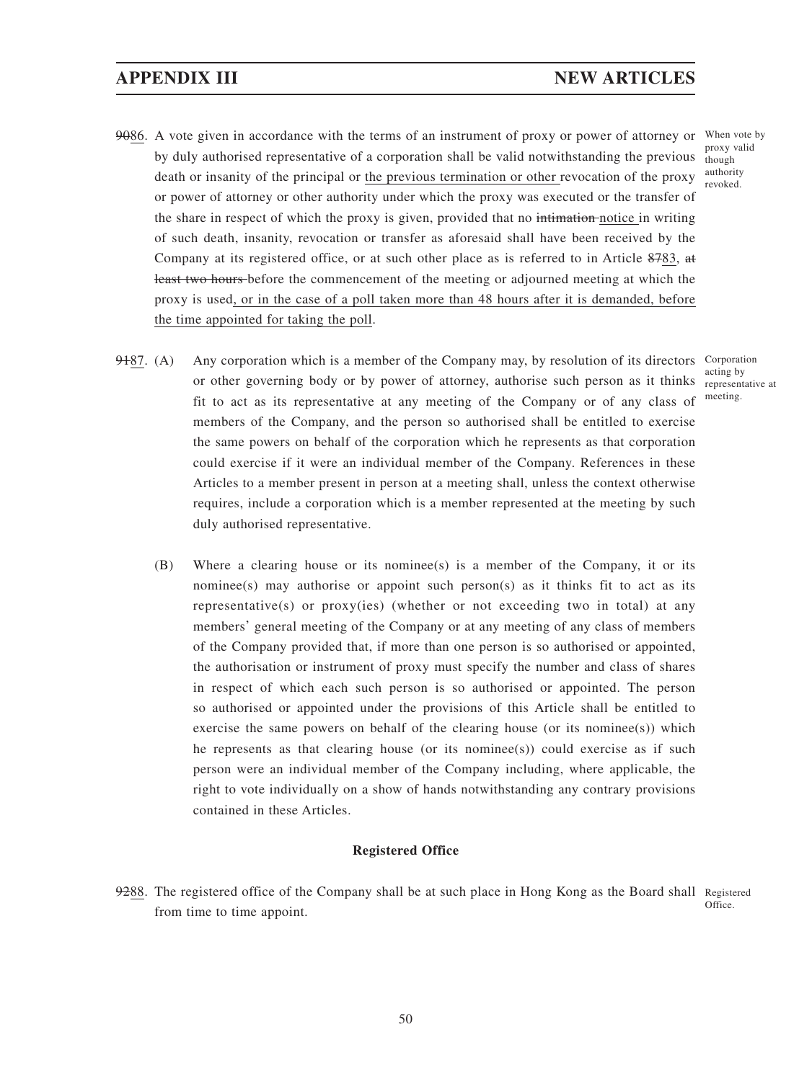- 9086. A vote given in accordance with the terms of an instrument of proxy or power of attorney or When vote by by duly authorised representative of a corporation shall be valid notwithstanding the previous death or insanity of the principal or the previous termination or other revocation of the proxy or power of attorney or other authority under which the proxy was executed or the transfer of the share in respect of which the proxy is given, provided that no intimation notice in writing of such death, insanity, revocation or transfer as aforesaid shall have been received by the Company at its registered office, or at such other place as is referred to in Article 8783, at least two hours before the commencement of the meeting or adjourned meeting at which the proxy is used, or in the case of a poll taken more than 48 hours after it is demanded, before the time appointed for taking the poll. proxy valid though authority revoked.
- 9487. (A) Any corporation which is a member of the Company may, by resolution of its directors Corporation or other governing body or by power of attorney, authorise such person as it thinks representative at fit to act as its representative at any meeting of the Company or of any class of members of the Company, and the person so authorised shall be entitled to exercise the same powers on behalf of the corporation which he represents as that corporation could exercise if it were an individual member of the Company. References in these Articles to a member present in person at a meeting shall, unless the context otherwise requires, include a corporation which is a member represented at the meeting by such duly authorised representative.
	- (B) Where a clearing house or its nominee(s) is a member of the Company, it or its nominee(s) may authorise or appoint such person(s) as it thinks fit to act as its representative(s) or proxy(ies) (whether or not exceeding two in total) at any members' general meeting of the Company or at any meeting of any class of members of the Company provided that, if more than one person is so authorised or appointed, the authorisation or instrument of proxy must specify the number and class of shares in respect of which each such person is so authorised or appointed. The person so authorised or appointed under the provisions of this Article shall be entitled to exercise the same powers on behalf of the clearing house (or its nominee(s)) which he represents as that clearing house (or its nominee(s)) could exercise as if such person were an individual member of the Company including, where applicable, the right to vote individually on a show of hands notwithstanding any contrary provisions contained in these Articles.

## **Registered Office**

9288. The registered office of the Company shall be at such place in Hong Kong as the Board shall Registered Office. from time to time appoint.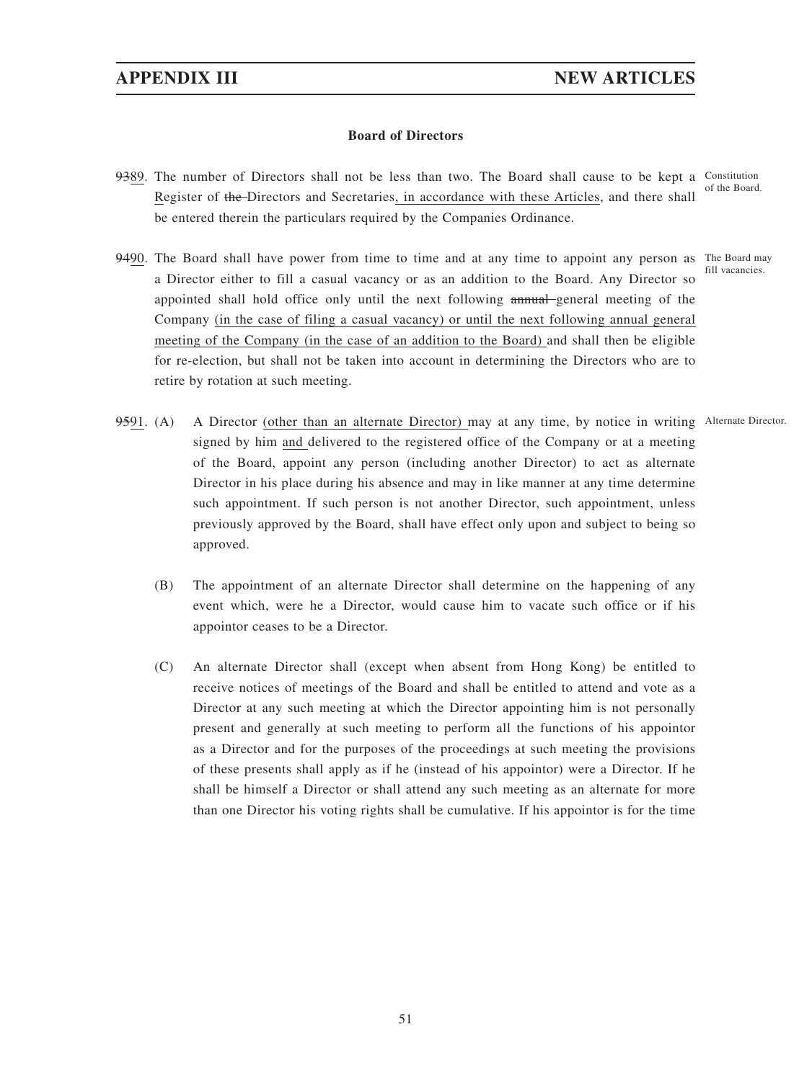## **Board of Directors**

- 9389. The number of Directors shall not be less than two. The Board shall cause to be kept a Constitution Register of the Directors and Secretaries, in accordance with these Articles, and there shall be entered therein the particulars required by the Companies Ordinance. of the Board.
- 9490. The Board shall have power from time to time and at any time to appoint any person as The Board may a Director either to fill a casual vacancy or as an addition to the Board. Any Director so appointed shall hold office only until the next following annual general meeting of the Company (in the case of filing a casual vacancy) or until the next following annual general meeting of the Company (in the case of an addition to the Board) and shall then be eligible for re-election, but shall not be taken into account in determining the Directors who are to retire by rotation at such meeting.

fill vacancies.

- 9591. (A) A Director (other than an alternate Director) may at any time, by notice in writing Alternate Director. signed by him and delivered to the registered office of the Company or at a meeting of the Board, appoint any person (including another Director) to act as alternate Director in his place during his absence and may in like manner at any time determine such appointment. If such person is not another Director, such appointment, unless previously approved by the Board, shall have effect only upon and subject to being so approved.
	- (B) The appointment of an alternate Director shall determine on the happening of any event which, were he a Director, would cause him to vacate such office or if his appointor ceases to be a Director.
	- (C) An alternate Director shall (except when absent from Hong Kong) be entitled to receive notices of meetings of the Board and shall be entitled to attend and vote as a Director at any such meeting at which the Director appointing him is not personally present and generally at such meeting to perform all the functions of his appointor as a Director and for the purposes of the proceedings at such meeting the provisions of these presents shall apply as if he (instead of his appointor) were a Director. If he shall be himself a Director or shall attend any such meeting as an alternate for more than one Director his voting rights shall be cumulative. If his appointor is for the time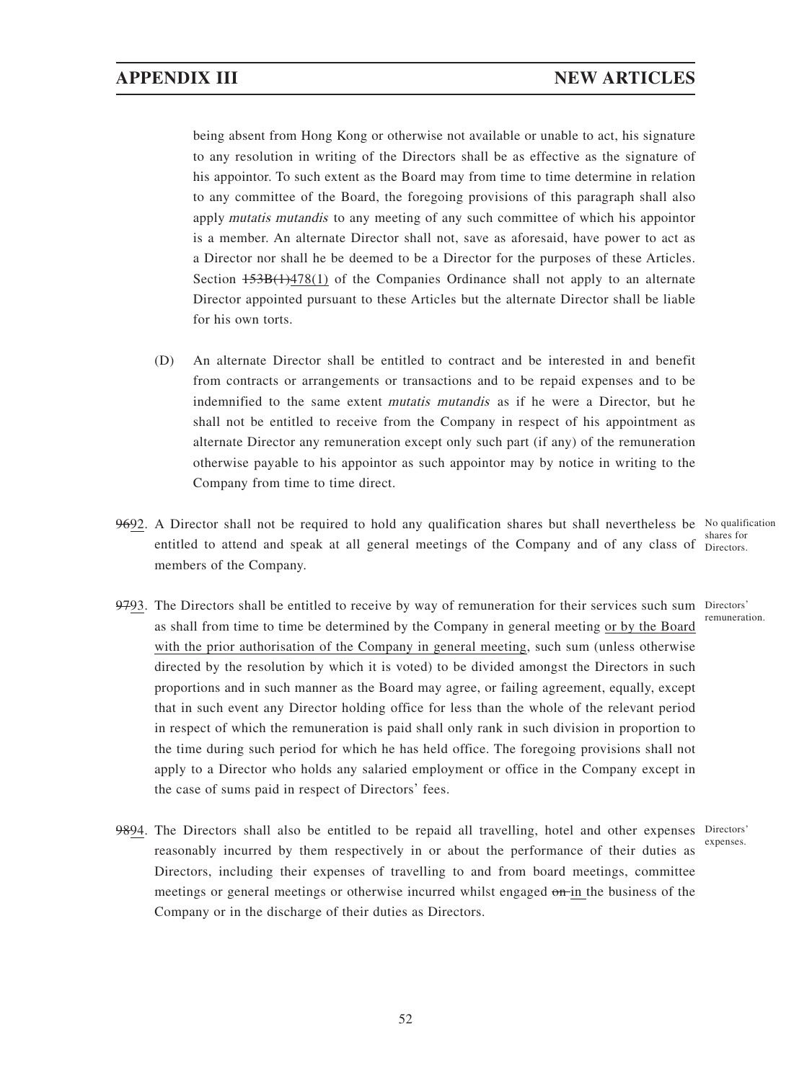being absent from Hong Kong or otherwise not available or unable to act, his signature to any resolution in writing of the Directors shall be as effective as the signature of his appointor. To such extent as the Board may from time to time determine in relation to any committee of the Board, the foregoing provisions of this paragraph shall also apply mutatis mutandis to any meeting of any such committee of which his appointor is a member. An alternate Director shall not, save as aforesaid, have power to act as a Director nor shall he be deemed to be a Director for the purposes of these Articles. Section  $153B(1)478(1)$  of the Companies Ordinance shall not apply to an alternate Director appointed pursuant to these Articles but the alternate Director shall be liable for his own torts.

- (D) An alternate Director shall be entitled to contract and be interested in and benefit from contracts or arrangements or transactions and to be repaid expenses and to be indemnified to the same extent mutatis mutandis as if he were a Director, but he shall not be entitled to receive from the Company in respect of his appointment as alternate Director any remuneration except only such part (if any) of the remuneration otherwise payable to his appointor as such appointor may by notice in writing to the Company from time to time direct.
- 9692. A Director shall not be required to hold any qualification shares but shall nevertheless be No qualification entitled to attend and speak at all general meetings of the Company and of any class of Directors. members of the Company.
- 9793. The Directors shall be entitled to receive by way of remuneration for their services such sum Directors' as shall from time to time be determined by the Company in general meeting or by the Board with the prior authorisation of the Company in general meeting, such sum (unless otherwise directed by the resolution by which it is voted) to be divided amongst the Directors in such proportions and in such manner as the Board may agree, or failing agreement, equally, except that in such event any Director holding office for less than the whole of the relevant period in respect of which the remuneration is paid shall only rank in such division in proportion to the time during such period for which he has held office. The foregoing provisions shall not apply to a Director who holds any salaried employment or office in the Company except in the case of sums paid in respect of Directors' fees.
- 9894. The Directors shall also be entitled to be repaid all travelling, hotel and other expenses Directors' reasonably incurred by them respectively in or about the performance of their duties as Directors, including their expenses of travelling to and from board meetings, committee meetings or general meetings or otherwise incurred whilst engaged on in the business of the Company or in the discharge of their duties as Directors.

shares for

remuneration.

expenses.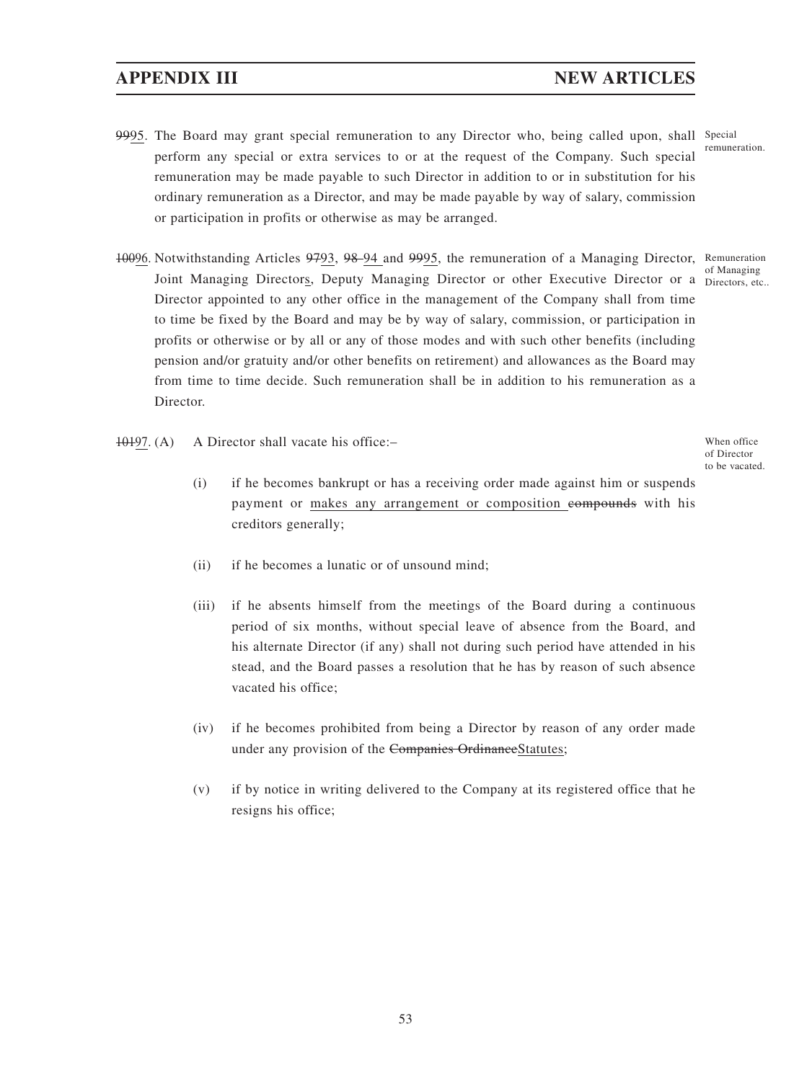- 9995. The Board may grant special remuneration to any Director who, being called upon, shall Special perform any special or extra services to or at the request of the Company. Such special remuneration may be made payable to such Director in addition to or in substitution for his ordinary remuneration as a Director, and may be made payable by way of salary, commission or participation in profits or otherwise as may be arranged. remuneration.
- 10096. Notwithstanding Articles 9793, 98-94 and 9995, the remuneration of a Managing Director, Remuneration Joint Managing Directors, Deputy Managing Director or other Executive Director or a Directors, etc.. Director appointed to any other office in the management of the Company shall from time to time be fixed by the Board and may be by way of salary, commission, or participation in profits or otherwise or by all or any of those modes and with such other benefits (including pension and/or gratuity and/or other benefits on retirement) and allowances as the Board may from time to time decide. Such remuneration shall be in addition to his remuneration as a Director. of Managing
- 10197. (A) A Director shall vacate his office:– When office
	- (i) if he becomes bankrupt or has a receiving order made against him or suspends payment or makes any arrangement or composition compounds with his creditors generally;
	- (ii) if he becomes a lunatic or of unsound mind;
	- (iii) if he absents himself from the meetings of the Board during a continuous period of six months, without special leave of absence from the Board, and his alternate Director (if any) shall not during such period have attended in his stead, and the Board passes a resolution that he has by reason of such absence vacated his office;
	- (iv) if he becomes prohibited from being a Director by reason of any order made under any provision of the Companies OrdinanceStatutes;
	- (v) if by notice in writing delivered to the Company at its registered office that he resigns his office;

of Director to be vacated.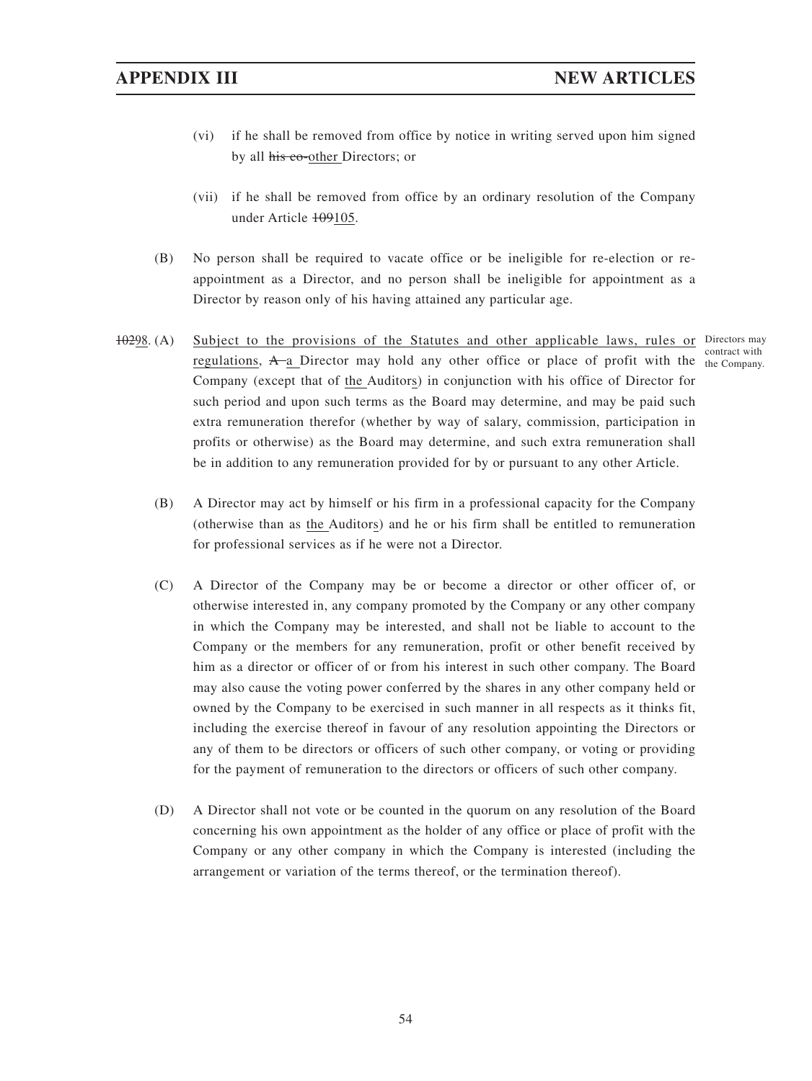- (vi) if he shall be removed from office by notice in writing served upon him signed by all his co-other Directors; or
- (vii) if he shall be removed from office by an ordinary resolution of the Company under Article 109105.
- (B) No person shall be required to vacate office or be ineligible for re-election or reappointment as a Director, and no person shall be ineligible for appointment as a Director by reason only of his having attained any particular age.
- 10298. (A) Subject to the provisions of the Statutes and other applicable laws, rules or Directors may regulations,  $A$ <sup> $\alpha$ </sup> Director may hold any other office or place of profit with the  $_{\text{the Company}}$ Company (except that of the Auditors) in conjunction with his office of Director for such period and upon such terms as the Board may determine, and may be paid such extra remuneration therefor (whether by way of salary, commission, participation in profits or otherwise) as the Board may determine, and such extra remuneration shall be in addition to any remuneration provided for by or pursuant to any other Article.

contract with

- (B) A Director may act by himself or his firm in a professional capacity for the Company (otherwise than as the Auditors) and he or his firm shall be entitled to remuneration for professional services as if he were not a Director.
- (C) A Director of the Company may be or become a director or other officer of, or otherwise interested in, any company promoted by the Company or any other company in which the Company may be interested, and shall not be liable to account to the Company or the members for any remuneration, profit or other benefit received by him as a director or officer of or from his interest in such other company. The Board may also cause the voting power conferred by the shares in any other company held or owned by the Company to be exercised in such manner in all respects as it thinks fit, including the exercise thereof in favour of any resolution appointing the Directors or any of them to be directors or officers of such other company, or voting or providing for the payment of remuneration to the directors or officers of such other company.
- (D) A Director shall not vote or be counted in the quorum on any resolution of the Board concerning his own appointment as the holder of any office or place of profit with the Company or any other company in which the Company is interested (including the arrangement or variation of the terms thereof, or the termination thereof).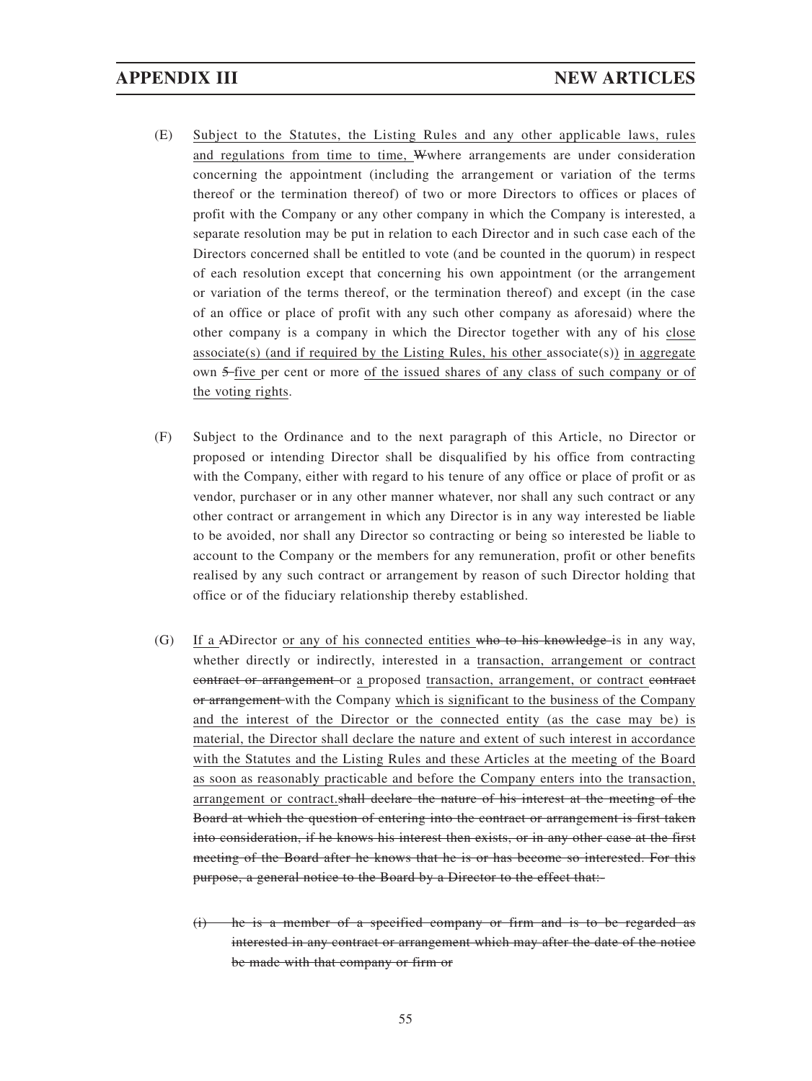- (E) Subject to the Statutes, the Listing Rules and any other applicable laws, rules and regulations from time to time, Wwhere arrangements are under consideration concerning the appointment (including the arrangement or variation of the terms thereof or the termination thereof) of two or more Directors to offices or places of profit with the Company or any other company in which the Company is interested, a separate resolution may be put in relation to each Director and in such case each of the Directors concerned shall be entitled to vote (and be counted in the quorum) in respect of each resolution except that concerning his own appointment (or the arrangement or variation of the terms thereof, or the termination thereof) and except (in the case of an office or place of profit with any such other company as aforesaid) where the other company is a company in which the Director together with any of his close associate(s) (and if required by the Listing Rules, his other associate(s)) in aggregate own 5 five per cent or more of the issued shares of any class of such company or of the voting rights.
- (F) Subject to the Ordinance and to the next paragraph of this Article, no Director or proposed or intending Director shall be disqualified by his office from contracting with the Company, either with regard to his tenure of any office or place of profit or as vendor, purchaser or in any other manner whatever, nor shall any such contract or any other contract or arrangement in which any Director is in any way interested be liable to be avoided, nor shall any Director so contracting or being so interested be liable to account to the Company or the members for any remuneration, profit or other benefits realised by any such contract or arrangement by reason of such Director holding that office or of the fiduciary relationship thereby established.
- (G) If a ADirector or any of his connected entities who to his knowledge is in any way, whether directly or indirectly, interested in a transaction, arrangement or contract contract or arrangement or a proposed transaction, arrangement, or contract contract or arrangement with the Company which is significant to the business of the Company and the interest of the Director or the connected entity (as the case may be) is material, the Director shall declare the nature and extent of such interest in accordance with the Statutes and the Listing Rules and these Articles at the meeting of the Board as soon as reasonably practicable and before the Company enters into the transaction, arrangement or contract.shall declare the nature of his interest at the meeting of the Board at which the question of entering into the contract or arrangement is first taken into consideration, if he knows his interest then exists, or in any other case at the first meeting of the Board after he knows that he is or has become so interested. For this purpose, a general notice to the Board by a Director to the effect that:
	- he is a member of a specified company or firm and is to be regarded as interested in any contract or arrangement which may after the date of the notice be made with that company or firm or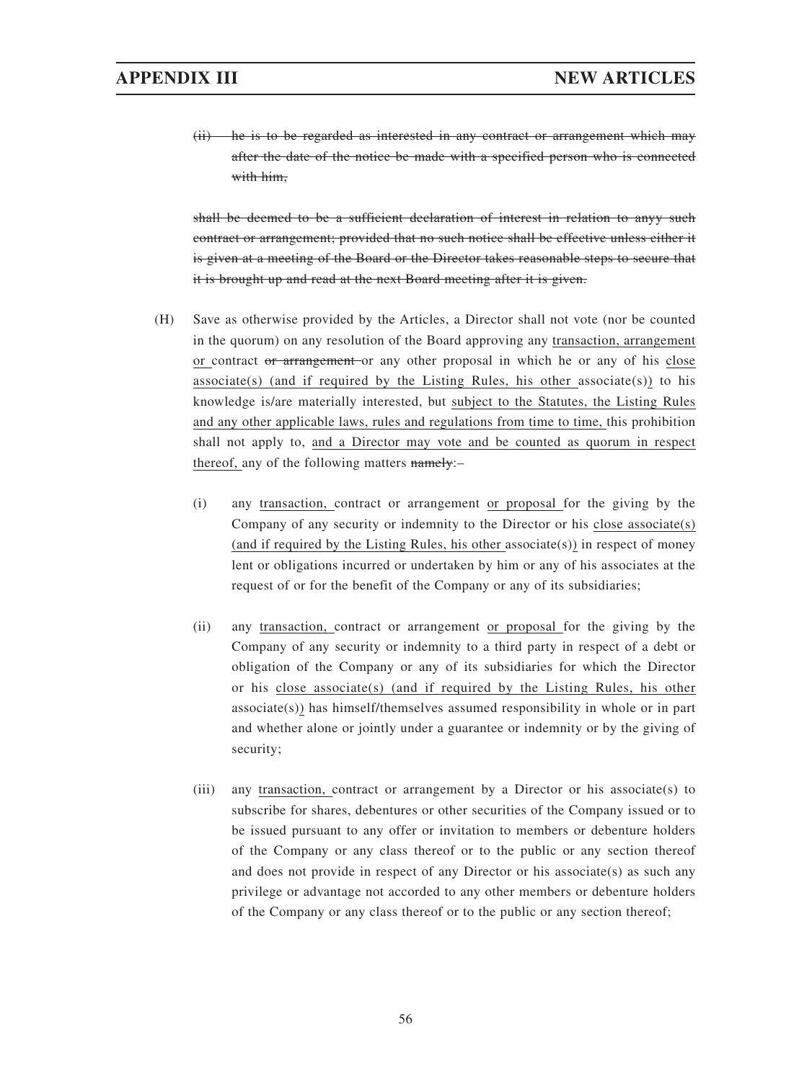(ii) he is to be regarded as interested in any contract or arrangement which may after the date of the notice be made with a specified person who is connected with him.

shall be deemed to be a sufficient declaration of interest in relation to anyy such contract or arrangement; provided that no such notice shall be effective unless either it is given at a meeting of the Board or the Director takes reasonable steps to secure that it is brought up and read at the next Board meeting after it is given.

- (H) Save as otherwise provided by the Articles, a Director shall not vote (nor be counted in the quorum) on any resolution of the Board approving any transaction, arrangement or contract or arrangement or any other proposal in which he or any of his close associate(s) (and if required by the Listing Rules, his other associate(s)) to his knowledge is/are materially interested, but subject to the Statutes, the Listing Rules and any other applicable laws, rules and regulations from time to time, this prohibition shall not apply to, and a Director may vote and be counted as quorum in respect thereof, any of the following matters namely:–
	- (i) any transaction, contract or arrangement or proposal for the giving by the Company of any security or indemnity to the Director or his close associate(s) (and if required by the Listing Rules, his other associate(s)) in respect of money lent or obligations incurred or undertaken by him or any of his associates at the request of or for the benefit of the Company or any of its subsidiaries;
	- (ii) any transaction, contract or arrangement or proposal for the giving by the Company of any security or indemnity to a third party in respect of a debt or obligation of the Company or any of its subsidiaries for which the Director or his close associate(s) (and if required by the Listing Rules, his other associate(s)) has himself/themselves assumed responsibility in whole or in part and whether alone or jointly under a guarantee or indemnity or by the giving of security;
	- (iii) any transaction, contract or arrangement by a Director or his associate(s) to subscribe for shares, debentures or other securities of the Company issued or to be issued pursuant to any offer or invitation to members or debenture holders of the Company or any class thereof or to the public or any section thereof and does not provide in respect of any Director or his associate(s) as such any privilege or advantage not accorded to any other members or debenture holders of the Company or any class thereof or to the public or any section thereof;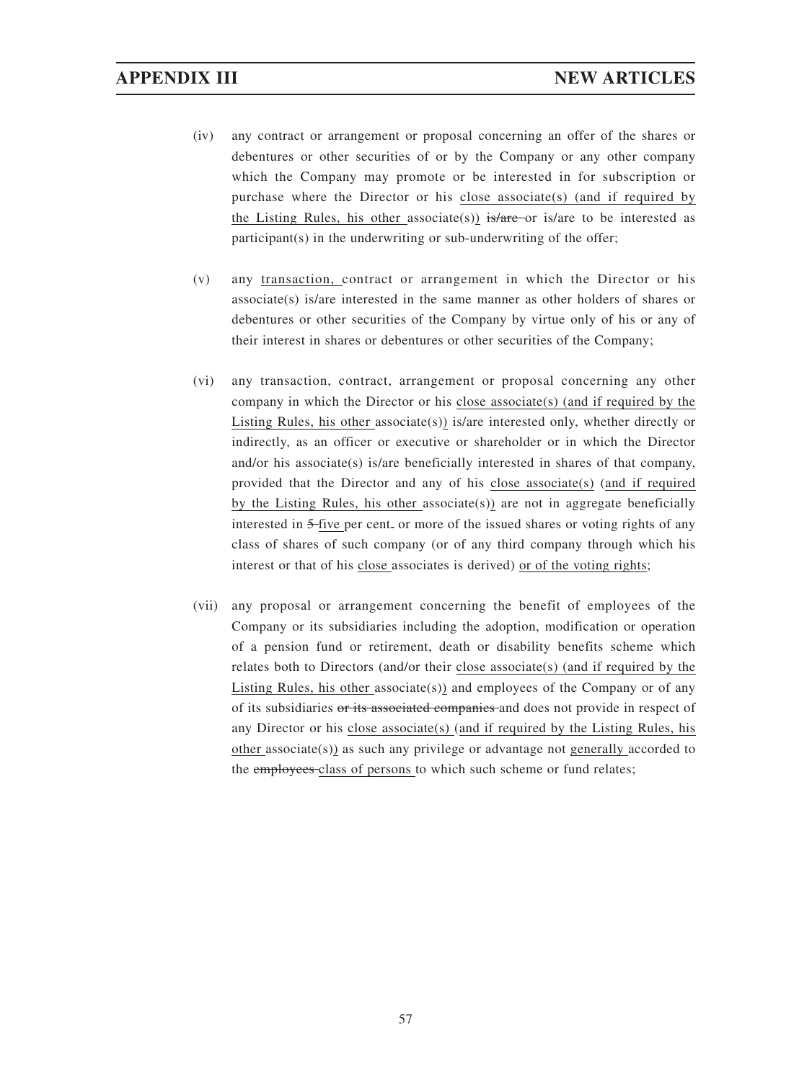- (iv) any contract or arrangement or proposal concerning an offer of the shares or debentures or other securities of or by the Company or any other company which the Company may promote or be interested in for subscription or purchase where the Director or his close associate(s) (and if required by the Listing Rules, his other associate(s)) is/are or is/are to be interested as participant(s) in the underwriting or sub-underwriting of the offer;
- (v) any transaction, contract or arrangement in which the Director or his associate(s) is/are interested in the same manner as other holders of shares or debentures or other securities of the Company by virtue only of his or any of their interest in shares or debentures or other securities of the Company;
- (vi) any transaction, contract, arrangement or proposal concerning any other company in which the Director or his close associate(s) (and if required by the Listing Rules, his other associate(s)) is/are interested only, whether directly or indirectly, as an officer or executive or shareholder or in which the Director and/or his associate(s) is/are beneficially interested in shares of that company, provided that the Director and any of his close associate(s) (and if required by the Listing Rules, his other associate(s)) are not in aggregate beneficially interested in 5-five per cent. or more of the issued shares or voting rights of any class of shares of such company (or of any third company through which his interest or that of his close associates is derived) or of the voting rights;
- (vii) any proposal or arrangement concerning the benefit of employees of the Company or its subsidiaries including the adoption, modification or operation of a pension fund or retirement, death or disability benefits scheme which relates both to Directors (and/or their close associate(s) (and if required by the Listing Rules, his other associate(s)) and employees of the Company or of any of its subsidiaries or its associated companies and does not provide in respect of any Director or his close associate(s) (and if required by the Listing Rules, his other associate(s)) as such any privilege or advantage not generally accorded to the employees class of persons to which such scheme or fund relates;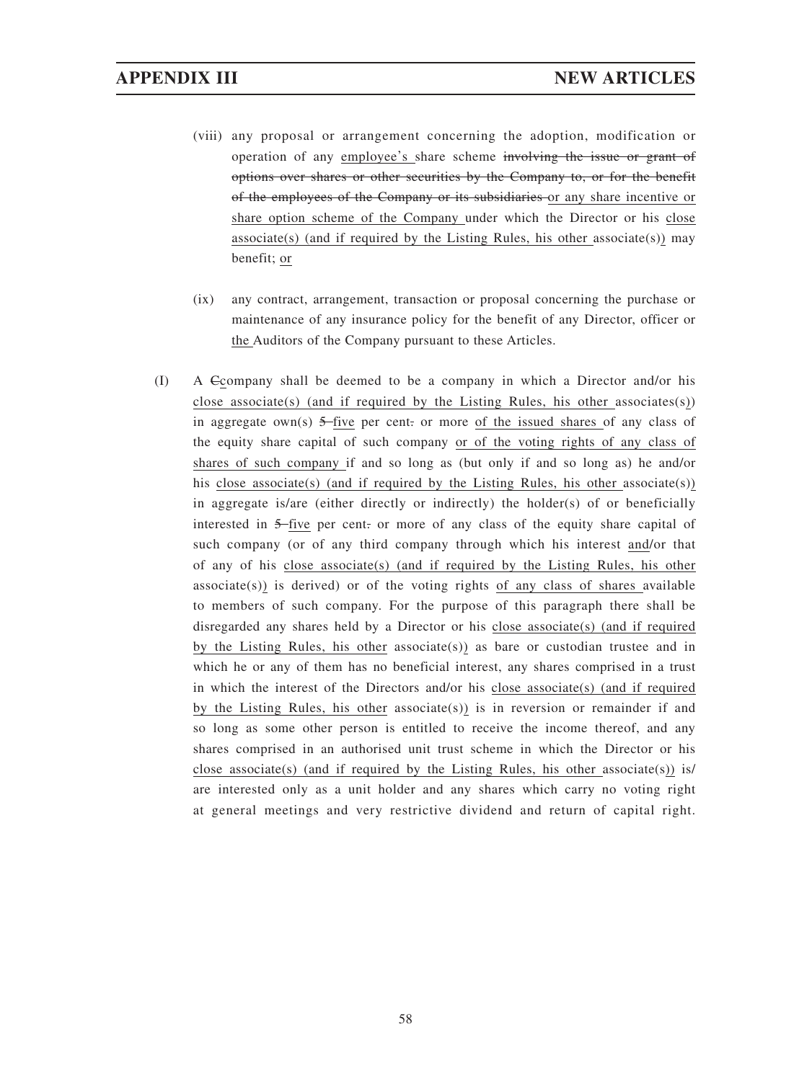- (viii) any proposal or arrangement concerning the adoption, modification or operation of any employee's share scheme involving the issue or grant of options over shares or other securities by the Company to, or for the benefit of the employees of the Company or its subsidiaries or any share incentive or share option scheme of the Company under which the Director or his close associate(s) (and if required by the Listing Rules, his other associate(s)) may benefit; or
- (ix) any contract, arrangement, transaction or proposal concerning the purchase or maintenance of any insurance policy for the benefit of any Director, officer or the Auditors of the Company pursuant to these Articles.
- (I) A Ccompany shall be deemed to be a company in which a Director and/or his close associate(s) (and if required by the Listing Rules, his other associates(s)) in aggregate own(s)  $5$ -five per cent. or more of the issued shares of any class of the equity share capital of such company or of the voting rights of any class of shares of such company if and so long as (but only if and so long as) he and/or his close associate(s) (and if required by the Listing Rules, his other associate(s)) in aggregate is/are (either directly or indirectly) the holder(s) of or beneficially interested in 5 five per cent. or more of any class of the equity share capital of such company (or of any third company through which his interest and/or that of any of his close associate(s) (and if required by the Listing Rules, his other  $associate(s)$ ) is derived) or of the voting rights of any class of shares available to members of such company. For the purpose of this paragraph there shall be disregarded any shares held by a Director or his close associate(s) (and if required by the Listing Rules, his other associate(s)) as bare or custodian trustee and in which he or any of them has no beneficial interest, any shares comprised in a trust in which the interest of the Directors and/or his close associate(s) (and if required by the Listing Rules, his other associate(s)) is in reversion or remainder if and so long as some other person is entitled to receive the income thereof, and any shares comprised in an authorised unit trust scheme in which the Director or his close associate(s) (and if required by the Listing Rules, his other associate(s)) is/ are interested only as a unit holder and any shares which carry no voting right at general meetings and very restrictive dividend and return of capital right.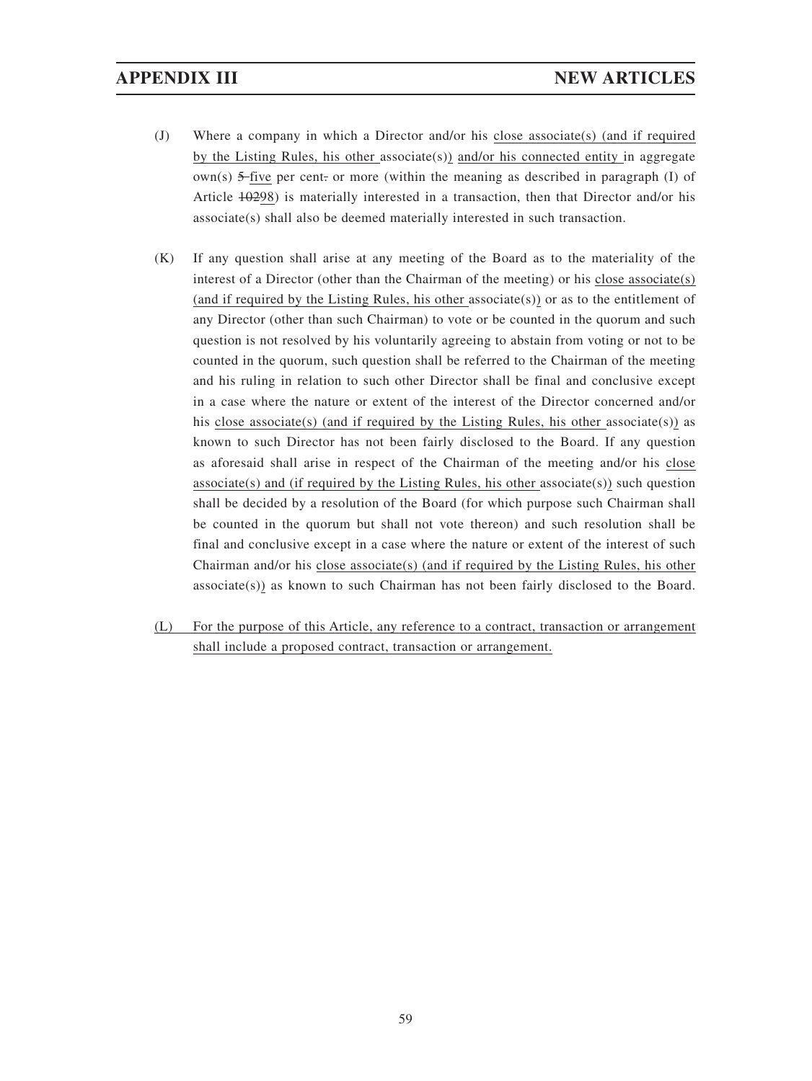- (J) Where a company in which a Director and/or his close associate(s) (and if required by the Listing Rules, his other associate(s)) and/or his connected entity in aggregate  $own(s)$  5-five per cent. or more (within the meaning as described in paragraph (I) of Article  $\pm 0.298$ ) is materially interested in a transaction, then that Director and/or his associate(s) shall also be deemed materially interested in such transaction.
- (K) If any question shall arise at any meeting of the Board as to the materiality of the interest of a Director (other than the Chairman of the meeting) or his close associate(s) (and if required by the Listing Rules, his other associate(s)) or as to the entitlement of any Director (other than such Chairman) to vote or be counted in the quorum and such question is not resolved by his voluntarily agreeing to abstain from voting or not to be counted in the quorum, such question shall be referred to the Chairman of the meeting and his ruling in relation to such other Director shall be final and conclusive except in a case where the nature or extent of the interest of the Director concerned and/or his close associate(s) (and if required by the Listing Rules, his other associate(s)) as known to such Director has not been fairly disclosed to the Board. If any question as aforesaid shall arise in respect of the Chairman of the meeting and/or his close associate(s) and (if required by the Listing Rules, his other associate(s)) such question shall be decided by a resolution of the Board (for which purpose such Chairman shall be counted in the quorum but shall not vote thereon) and such resolution shall be final and conclusive except in a case where the nature or extent of the interest of such Chairman and/or his close associate(s) (and if required by the Listing Rules, his other associate(s)) as known to such Chairman has not been fairly disclosed to the Board.
- (L) For the purpose of this Article, any reference to a contract, transaction or arrangement shall include a proposed contract, transaction or arrangement.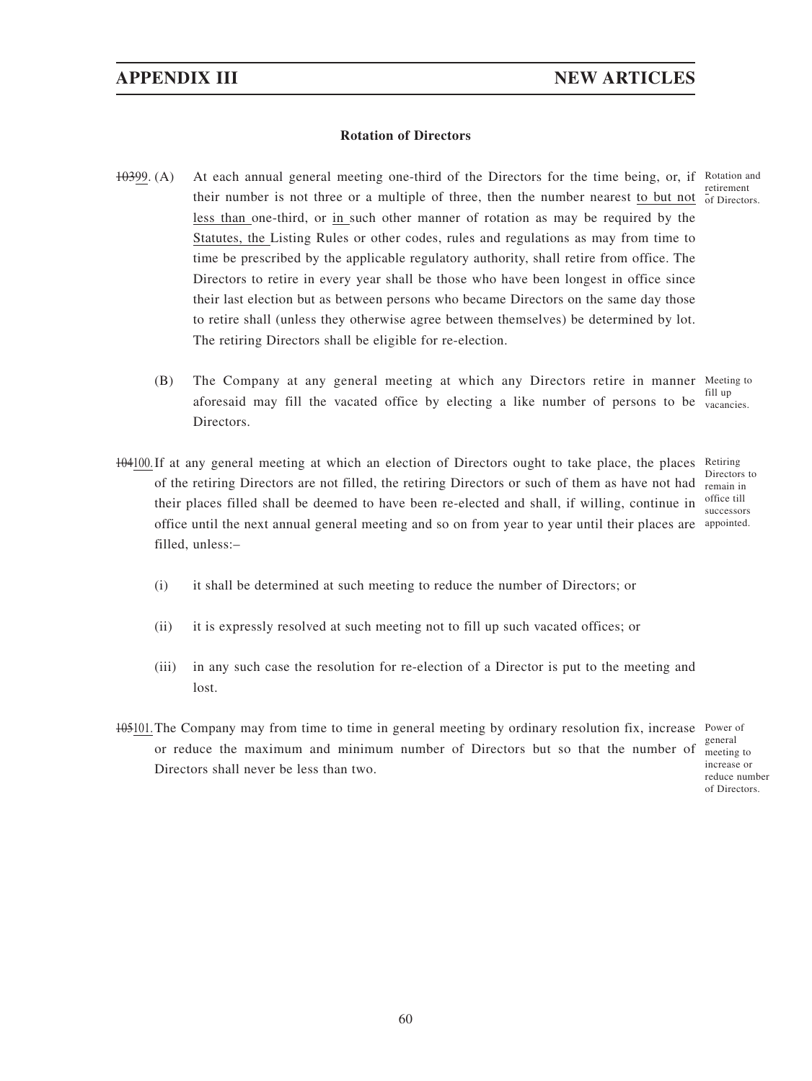## **Rotation of Directors**

- 10399. (A) At each annual general meeting one-third of the Directors for the time being, or, if Rotation and their number is not three or a multiple of three, then the number nearest to but not of Directors. less than one-third, or in such other manner of rotation as may be required by the Statutes, the Listing Rules or other codes, rules and regulations as may from time to time be prescribed by the applicable regulatory authority, shall retire from office. The Directors to retire in every year shall be those who have been longest in office since their last election but as between persons who became Directors on the same day those to retire shall (unless they otherwise agree between themselves) be determined by lot. The retiring Directors shall be eligible for re-election.
	- (B) The Company at any general meeting at which any Directors retire in manner Meeting to aforesaid may fill the vacated office by electing a like number of persons to be vacancies. Directors. fill up
- 104100. If at any general meeting at which an election of Directors ought to take place, the places Retiring of the retiring Directors are not filled, the retiring Directors or such of them as have not had their places filled shall be deemed to have been re-elected and shall, if willing, continue in office until the next annual general meeting and so on from year to year until their places are appointed. filled, unless:–

Directors to remain in office till successors

- (i) it shall be determined at such meeting to reduce the number of Directors; or
- (ii) it is expressly resolved at such meeting not to fill up such vacated offices; or
- (iii) in any such case the resolution for re-election of a Director is put to the meeting and lost.
- 105101. The Company may from time to time in general meeting by ordinary resolution fix, increase Power of or reduce the maximum and minimum number of Directors but so that the number of Directors shall never be less than two.

general meeting to increase or reduce number of Directors.

retirement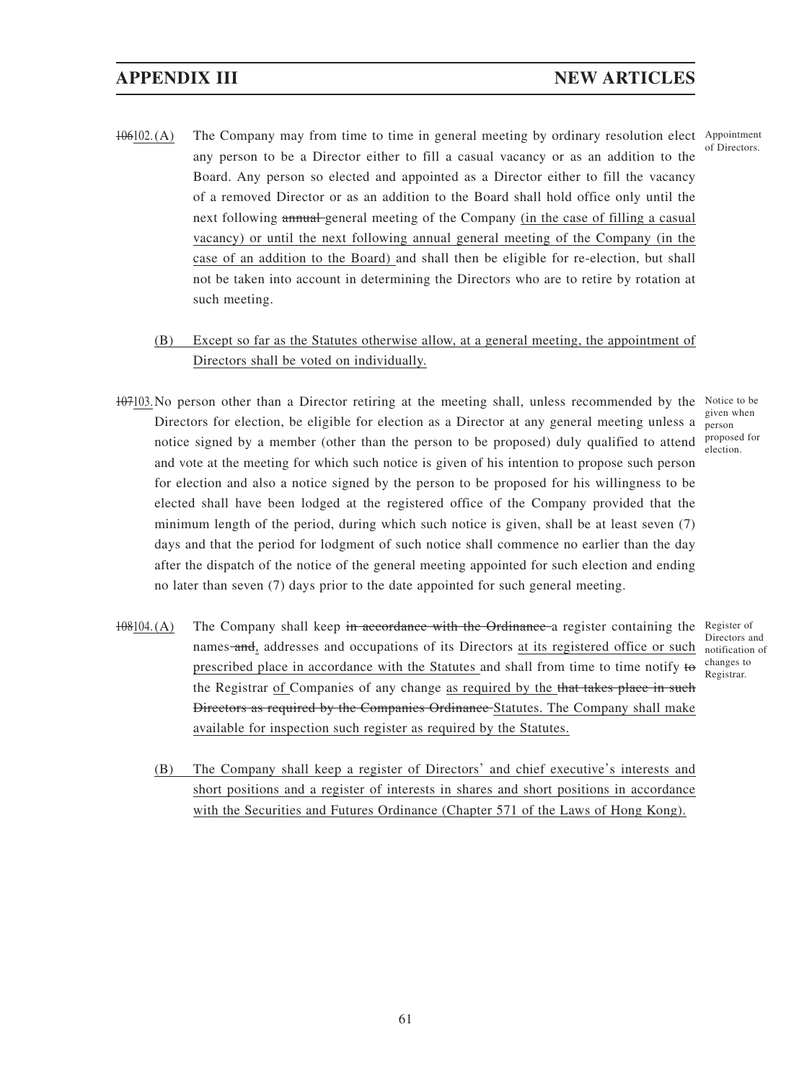- 106102.(A) The Company may from time to time in general meeting by ordinary resolution elect Appointment any person to be a Director either to fill a casual vacancy or as an addition to the Board. Any person so elected and appointed as a Director either to fill the vacancy of a removed Director or as an addition to the Board shall hold office only until the next following annual general meeting of the Company (in the case of filling a casual vacancy) or until the next following annual general meeting of the Company (in the case of an addition to the Board) and shall then be eligible for re-election, but shall not be taken into account in determining the Directors who are to retire by rotation at such meeting. of Directors.
	- (B) Except so far as the Statutes otherwise allow, at a general meeting, the appointment of Directors shall be voted on individually.
- 107103. No person other than a Director retiring at the meeting shall, unless recommended by the Notice to be Directors for election, be eligible for election as a Director at any general meeting unless a notice signed by a member (other than the person to be proposed) duly qualified to attend and vote at the meeting for which such notice is given of his intention to propose such person for election and also a notice signed by the person to be proposed for his willingness to be elected shall have been lodged at the registered office of the Company provided that the minimum length of the period, during which such notice is given, shall be at least seven (7) days and that the period for lodgment of such notice shall commence no earlier than the day after the dispatch of the notice of the general meeting appointed for such election and ending no later than seven (7) days prior to the date appointed for such general meeting. given when person proposed for
- 108104.(A) The Company shall keep in accordance with the Ordinance a register containing the Register of names and, addresses and occupations of its Directors at its registered office or such prescribed place in accordance with the Statutes and shall from time to time notify to the Registrar of Companies of any change as required by the that takes place in such Directors as required by the Companies Ordinance Statutes. The Company shall make available for inspection such register as required by the Statutes.
- Directors and notification of changes to Registrar.
	- (B) The Company shall keep a register of Directors' and chief executive's interests and short positions and a register of interests in shares and short positions in accordance with the Securities and Futures Ordinance (Chapter 571 of the Laws of Hong Kong).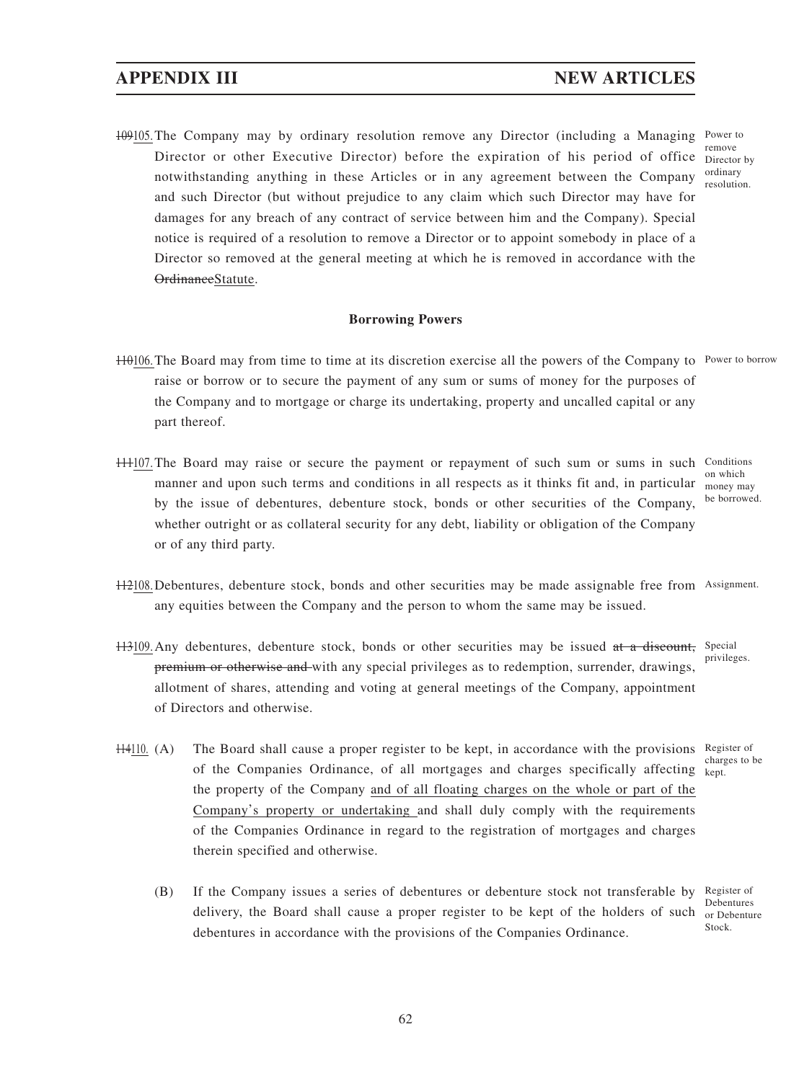109105. The Company may by ordinary resolution remove any Director (including a Managing Power to Director or other Executive Director) before the expiration of his period of office notwithstanding anything in these Articles or in any agreement between the Company and such Director (but without prejudice to any claim which such Director may have for damages for any breach of any contract of service between him and the Company). Special notice is required of a resolution to remove a Director or to appoint somebody in place of a Director so removed at the general meeting at which he is removed in accordance with the OrdinanceStatute. remove Director by ordinary resolution.

## **Borrowing Powers**

- H0106. The Board may from time to time at its discretion exercise all the powers of the Company to Power to borrow raise or borrow or to secure the payment of any sum or sums of money for the purposes of the Company and to mortgage or charge its undertaking, property and uncalled capital or any part thereof.
- 111107. The Board may raise or secure the payment or repayment of such sum or sums in such Conditions manner and upon such terms and conditions in all respects as it thinks fit and, in particular money may by the issue of debentures, debenture stock, bonds or other securities of the Company, whether outright or as collateral security for any debt, liability or obligation of the Company or of any third party.
	- on which be borrowed.
- 112108. Debentures, debenture stock, bonds and other securities may be made assignable free from Assignment. any equities between the Company and the person to whom the same may be issued.
- H3109. Any debentures, debenture stock, bonds or other securities may be issued at a discount, Special premium or otherwise and with any special privileges as to redemption, surrender, drawings, allotment of shares, attending and voting at general meetings of the Company, appointment of Directors and otherwise. privileges.
	- charges to be
- H410. (A) The Board shall cause a proper register to be kept, in accordance with the provisions Register of of the Companies Ordinance, of all mortgages and charges specifically affecting kept. the property of the Company and of all floating charges on the whole or part of the Company's property or undertaking and shall duly comply with the requirements of the Companies Ordinance in regard to the registration of mortgages and charges therein specified and otherwise.
	- (B) If the Company issues a series of debentures or debenture stock not transferable by delivery, the Board shall cause a proper register to be kept of the holders of such or Debenture debentures in accordance with the provisions of the Companies Ordinance. Register of Debentures Stock.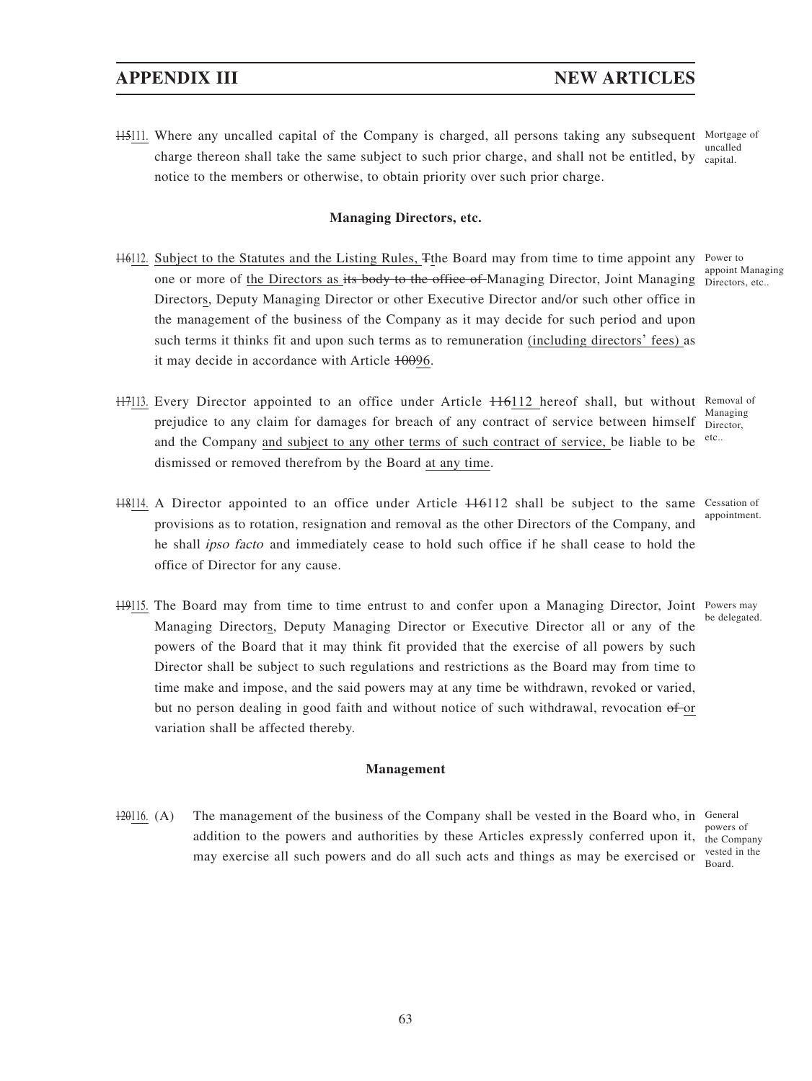H5<sup>111</sup>. Where any uncalled capital of the Company is charged, all persons taking any subsequent Mortgage of charge thereon shall take the same subject to such prior charge, and shall not be entitled, by notice to the members or otherwise, to obtain priority over such prior charge. uncalled capital.

## **Managing Directors, etc.**

- H6112. Subject to the Statutes and the Listing Rules, Tthe Board may from time to time appoint any Power to one or more of <u>the Directors as its body to the office of</u> Managing Director, Joint Managing Directors, etc.. Directors, Deputy Managing Director or other Executive Director and/or such other office in the management of the business of the Company as it may decide for such period and upon such terms it thinks fit and upon such terms as to remuneration (including directors' fees) as it may decide in accordance with Article 10096. appoint Managing
- H7113. Every Director appointed to an office under Article H6112 hereof shall, but without Removal of prejudice to any claim for damages for breach of any contract of service between himself Director, and the Company and subject to any other terms of such contract of service, be liable to be dismissed or removed therefrom by the Board at any time. Managing etc..
	- Cessation of
- 118114. A Director appointed to an office under Article 116112 shall be subject to the same appointment.

be delegated.

- provisions as to rotation, resignation and removal as the other Directors of the Company, and he shall ipso facto and immediately cease to hold such office if he shall cease to hold the office of Director for any cause.
- H9115. The Board may from time to time entrust to and confer upon a Managing Director, Joint Powers may Managing Directors, Deputy Managing Director or Executive Director all or any of the powers of the Board that it may think fit provided that the exercise of all powers by such Director shall be subject to such regulations and restrictions as the Board may from time to time make and impose, and the said powers may at any time be withdrawn, revoked or varied, but no person dealing in good faith and without notice of such withdrawal, revocation of or variation shall be affected thereby.

## **Management**

 $\frac{120116}{1201}$ . (A) The management of the business of the Company shall be vested in the Board who, in General addition to the powers and authorities by these Articles expressly conferred upon it, the Company may exercise all such powers and do all such acts and things as may be exercised or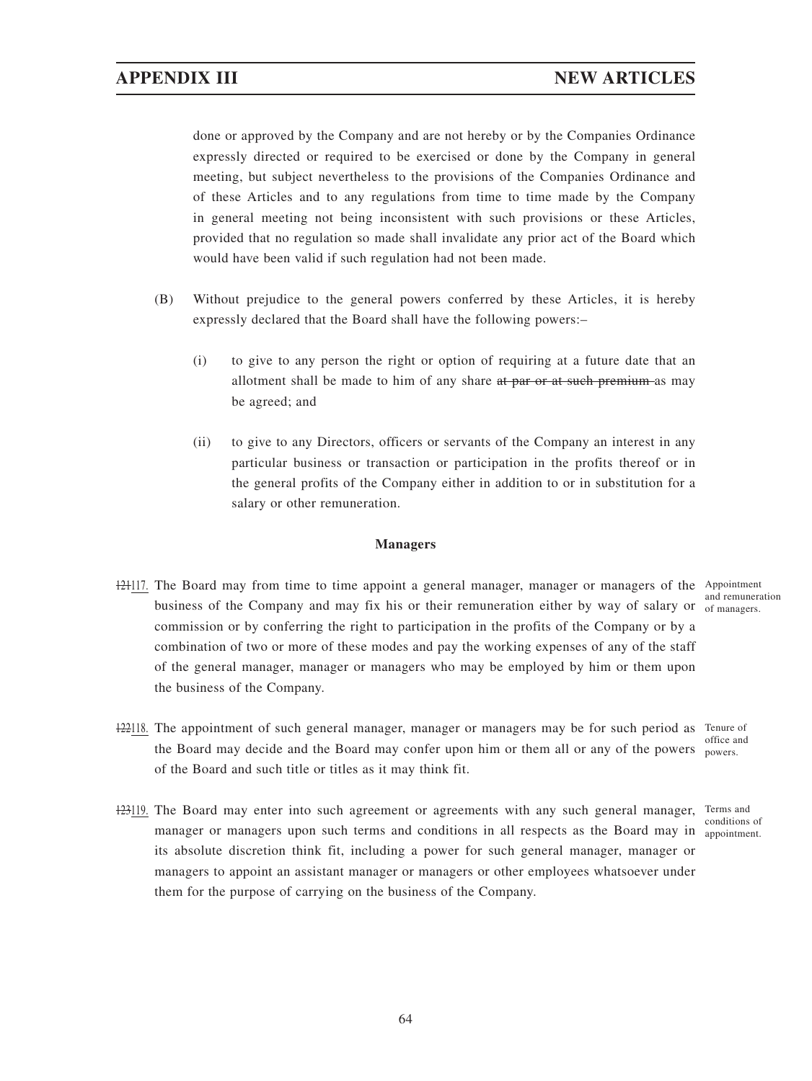done or approved by the Company and are not hereby or by the Companies Ordinance expressly directed or required to be exercised or done by the Company in general meeting, but subject nevertheless to the provisions of the Companies Ordinance and of these Articles and to any regulations from time to time made by the Company in general meeting not being inconsistent with such provisions or these Articles, provided that no regulation so made shall invalidate any prior act of the Board which would have been valid if such regulation had not been made.

- (B) Without prejudice to the general powers conferred by these Articles, it is hereby expressly declared that the Board shall have the following powers:–
	- (i) to give to any person the right or option of requiring at a future date that an allotment shall be made to him of any share at par or at such premium as may be agreed; and
	- (ii) to give to any Directors, officers or servants of the Company an interest in any particular business or transaction or participation in the profits thereof or in the general profits of the Company either in addition to or in substitution for a salary or other remuneration.

### **Managers**

- 12117. The Board may from time to time appoint a general manager, manager or managers of the Appointment business of the Company and may fix his or their remuneration either by way of salary or  $\frac{1}{100}$  of managers. commission or by conferring the right to participation in the profits of the Company or by a combination of two or more of these modes and pay the working expenses of any of the staff of the general manager, manager or managers who may be employed by him or them upon the business of the Company. and remuneration
- H22118. The appointment of such general manager, manager or managers may be for such period as Tenure of the Board may decide and the Board may confer upon him or them all or any of the powers. of the Board and such title or titles as it may think fit. office and
- 123119. The Board may enter into such agreement or agreements with any such general manager, Terms and manager or managers upon such terms and conditions in all respects as the Board may in appointment. its absolute discretion think fit, including a power for such general manager, manager or managers to appoint an assistant manager or managers or other employees whatsoever under them for the purpose of carrying on the business of the Company. conditions of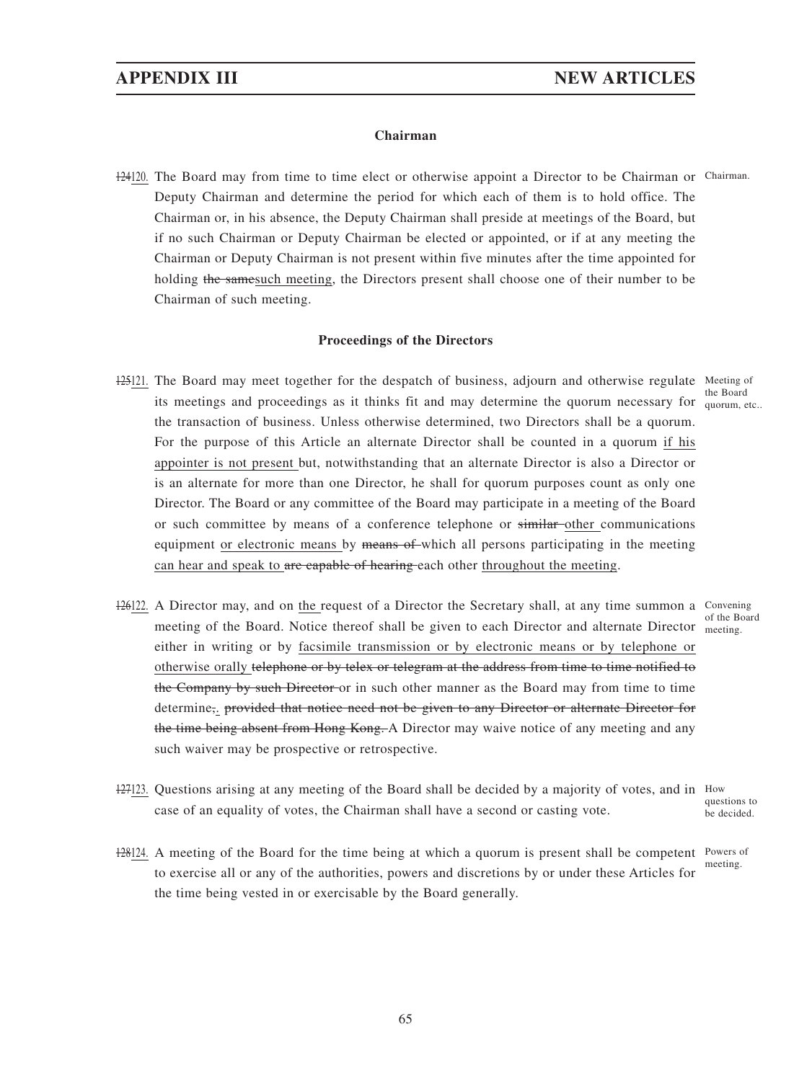### **Chairman**

124120. The Board may from time to time elect or otherwise appoint a Director to be Chairman or Chairman. Deputy Chairman and determine the period for which each of them is to hold office. The Chairman or, in his absence, the Deputy Chairman shall preside at meetings of the Board, but if no such Chairman or Deputy Chairman be elected or appointed, or if at any meeting the Chairman or Deputy Chairman is not present within five minutes after the time appointed for holding the samesuch meeting, the Directors present shall choose one of their number to be Chairman of such meeting.

## **Proceedings of the Directors**

- 125121. The Board may meet together for the despatch of business, adjourn and otherwise regulate Meeting of its meetings and proceedings as it thinks fit and may determine the quorum necessary for quorum, etc.. the transaction of business. Unless otherwise determined, two Directors shall be a quorum. For the purpose of this Article an alternate Director shall be counted in a quorum if his appointer is not present but, notwithstanding that an alternate Director is also a Director or is an alternate for more than one Director, he shall for quorum purposes count as only one Director. The Board or any committee of the Board may participate in a meeting of the Board or such committee by means of a conference telephone or similar other communications equipment or electronic means by means of which all persons participating in the meeting can hear and speak to are capable of hearing each other throughout the meeting.
- 126122. A Director may, and on the request of a Director the Secretary shall, at any time summon a Convening meeting of the Board. Notice thereof shall be given to each Director and alternate Director meeting. either in writing or by facsimile transmission or by electronic means or by telephone or otherwise orally telephone or by telex or telegram at the address from time to time notified to the Company by such Director or in such other manner as the Board may from time to time determine,. provided that notice need not be given to any Director or alternate Director for the time being absent from Hong Kong. A Director may waive notice of any meeting and any such waiver may be prospective or retrospective.
- 127123. Questions arising at any meeting of the Board shall be decided by a majority of votes, and in How case of an equality of votes, the Chairman shall have a second or casting vote. questions to
- 128124. A meeting of the Board for the time being at which a quorum is present shall be competent Powers of to exercise all or any of the authorities, powers and discretions by or under these Articles for the time being vested in or exercisable by the Board generally.

the Board

of the Board

be decided.

meeting.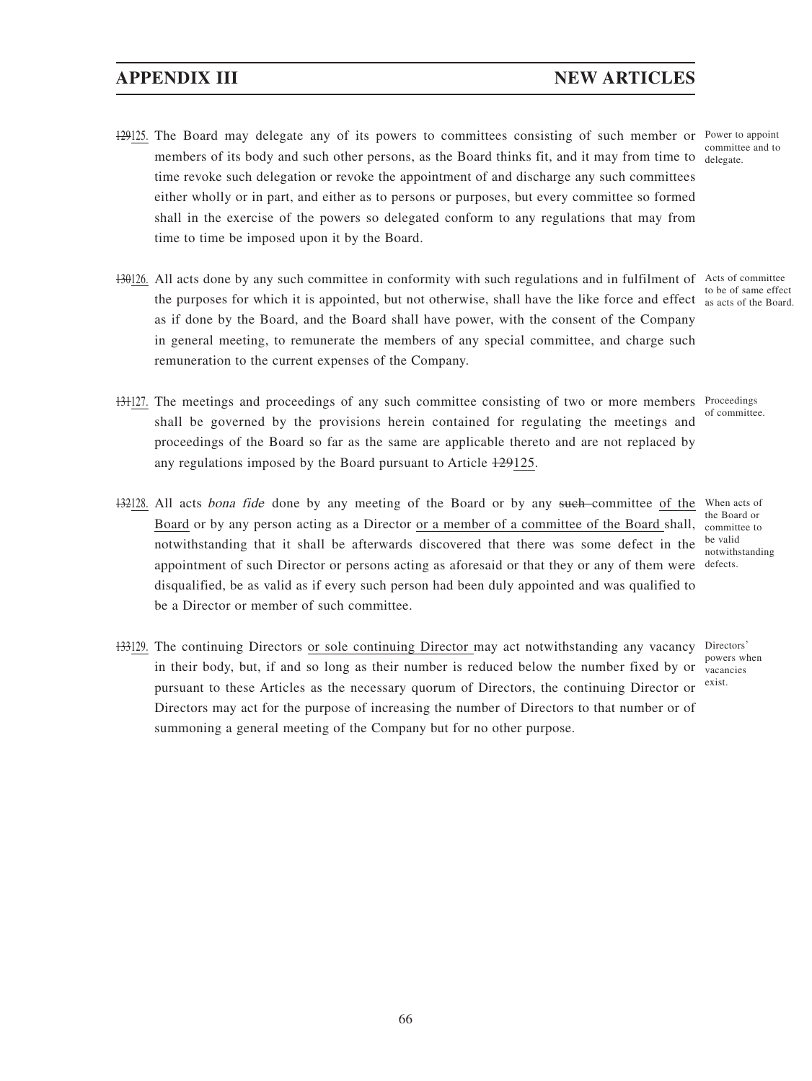- 129125. The Board may delegate any of its powers to committees consisting of such member or Power to appoint members of its body and such other persons, as the Board thinks fit, and it may from time to delegate. time revoke such delegation or revoke the appointment of and discharge any such committees either wholly or in part, and either as to persons or purposes, but every committee so formed shall in the exercise of the powers so delegated conform to any regulations that may from time to time be imposed upon it by the Board. committee and to
- 130126. All acts done by any such committee in conformity with such regulations and in fulfilment of Acts of committee the purposes for which it is appointed, but not otherwise, shall have the like force and effect  $\frac{1}{\text{as acts of the Board}}$ . as if done by the Board, and the Board shall have power, with the consent of the Company in general meeting, to remunerate the members of any special committee, and charge such remuneration to the current expenses of the Company. to be of same effect
- H3127. The meetings and proceedings of any such committee consisting of two or more members Proceedings shall be governed by the provisions herein contained for regulating the meetings and proceedings of the Board so far as the same are applicable thereto and are not replaced by any regulations imposed by the Board pursuant to Article 129125.
- 132128. All acts bona fide done by any meeting of the Board or by any such committee of the Board or by any person acting as a Director or a member of a committee of the Board shall, notwithstanding that it shall be afterwards discovered that there was some defect in the appointment of such Director or persons acting as aforesaid or that they or any of them were defects. disqualified, be as valid as if every such person had been duly appointed and was qualified to be a Director or member of such committee.
- 133129. The continuing Directors or sole continuing Director may act notwithstanding any vacancy Directors' in their body, but, if and so long as their number is reduced below the number fixed by or pursuant to these Articles as the necessary quorum of Directors, the continuing Director or Directors may act for the purpose of increasing the number of Directors to that number or of summoning a general meeting of the Company but for no other purpose.

of committee.

When acts of the Board or committee to be valid notwithstanding

powers when vacancies exist.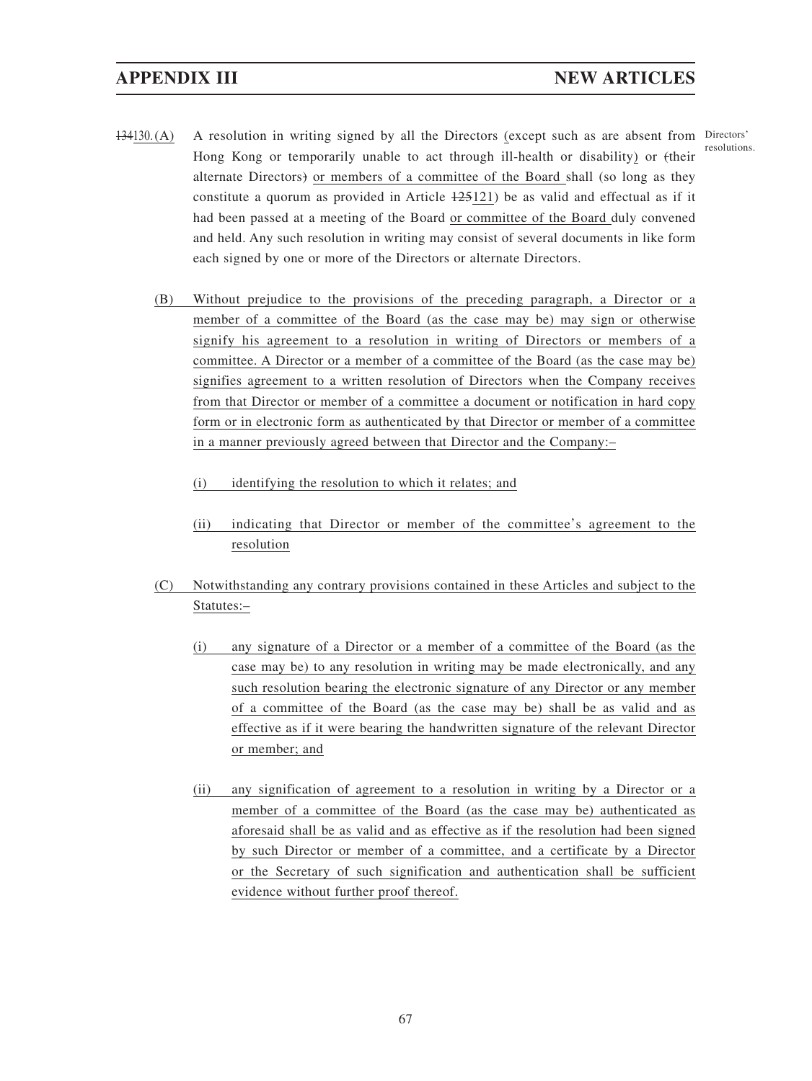- 134130. (A) A resolution in writing signed by all the Directors (except such as are absent from Directors' Hong Kong or temporarily unable to act through ill-health or disability) or (their alternate Directors) or members of a committee of the Board shall (so long as they constitute a quorum as provided in Article 125121) be as valid and effectual as if it had been passed at a meeting of the Board or committee of the Board duly convened and held. Any such resolution in writing may consist of several documents in like form each signed by one or more of the Directors or alternate Directors.
	- (B) Without prejudice to the provisions of the preceding paragraph, a Director or a member of a committee of the Board (as the case may be) may sign or otherwise signify his agreement to a resolution in writing of Directors or members of a committee. A Director or a member of a committee of the Board (as the case may be) signifies agreement to a written resolution of Directors when the Company receives from that Director or member of a committee a document or notification in hard copy form or in electronic form as authenticated by that Director or member of a committee in a manner previously agreed between that Director and the Company:–
		- (i) identifying the resolution to which it relates; and
		- (ii) indicating that Director or member of the committee's agreement to the resolution
	- (C) Notwithstanding any contrary provisions contained in these Articles and subject to the Statutes:–
		- (i) any signature of a Director or a member of a committee of the Board (as the case may be) to any resolution in writing may be made electronically, and any such resolution bearing the electronic signature of any Director or any member of a committee of the Board (as the case may be) shall be as valid and as effective as if it were bearing the handwritten signature of the relevant Director or member; and
		- (ii) any signification of agreement to a resolution in writing by a Director or a member of a committee of the Board (as the case may be) authenticated as aforesaid shall be as valid and as effective as if the resolution had been signed by such Director or member of a committee, and a certificate by a Director or the Secretary of such signification and authentication shall be sufficient evidence without further proof thereof.

resolutions.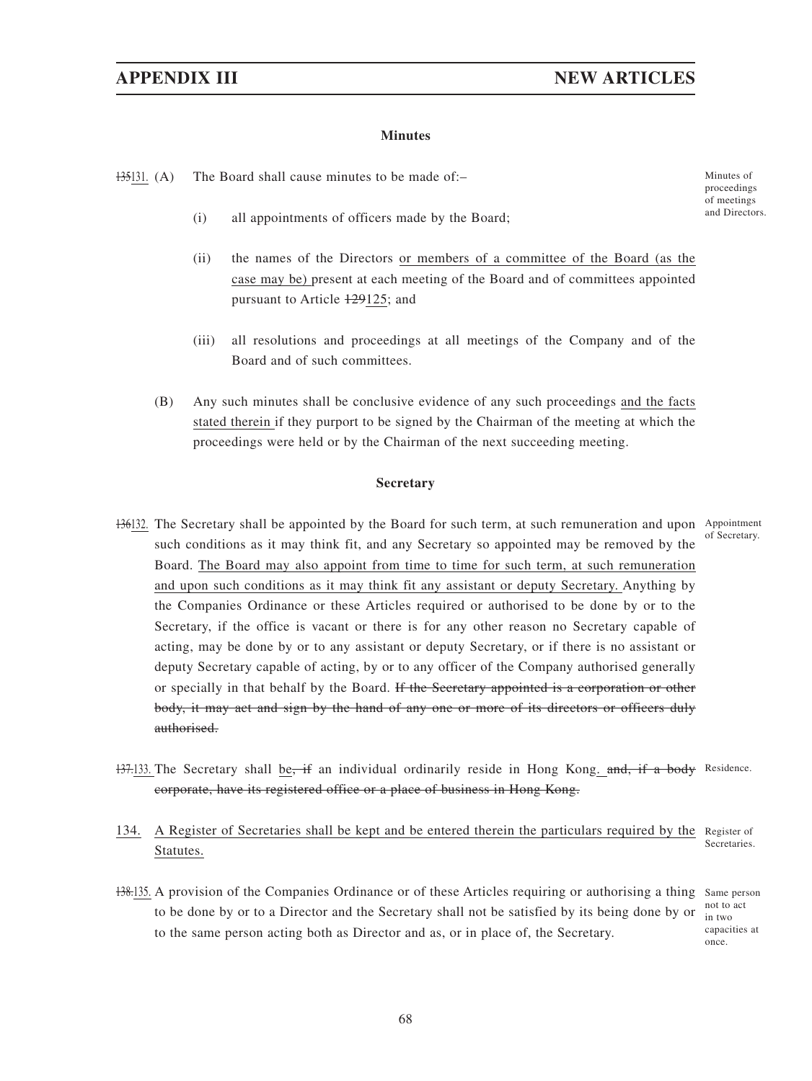## **Minutes**

135131. (A) The Board shall cause minutes to be made of:-

 $(i)$  all appointments of officers made by the Board;

- (ii) the names of the Directors or members of a committee of the Board (as the case may be) present at each meeting of the Board and of committees appointed pursuant to Article 129125; and
- (iii) all resolutions and proceedings at all meetings of the Company and of the Board and of such committees.
- (B) Any such minutes shall be conclusive evidence of any such proceedings and the facts stated therein if they purport to be signed by the Chairman of the meeting at which the proceedings were held or by the Chairman of the next succeeding meeting.

### **Secretary**

- 136132. The Secretary shall be appointed by the Board for such term, at such remuneration and upon Appointment such conditions as it may think fit, and any Secretary so appointed may be removed by the Board. The Board may also appoint from time to time for such term, at such remuneration and upon such conditions as it may think fit any assistant or deputy Secretary. Anything by the Companies Ordinance or these Articles required or authorised to be done by or to the Secretary, if the office is vacant or there is for any other reason no Secretary capable of acting, may be done by or to any assistant or deputy Secretary, or if there is no assistant or deputy Secretary capable of acting, by or to any officer of the Company authorised generally or specially in that behalf by the Board. If the Secretary appointed is a corporation or other body, it may act and sign by the hand of any one or more of its directors or officers duly authorised. of Secretary.
- 137.133. The Secretary shall be, if an individual ordinarily reside in Hong Kong. and, if a body Residence. corporate, have its registered office or a place of business in Hong Kong.
- 134. A Register of Secretaries shall be kept and be entered therein the particulars required by the Register of Statutes. Secretaries.
- 138.135. A provision of the Companies Ordinance or of these Articles requiring or authorising a thing Same person to be done by or to a Director and the Secretary shall not be satisfied by its being done by or to the same person acting both as Director and as, or in place of, the Secretary. not to act

proceedings of meetings<br>and Directors.

in two capacities at once.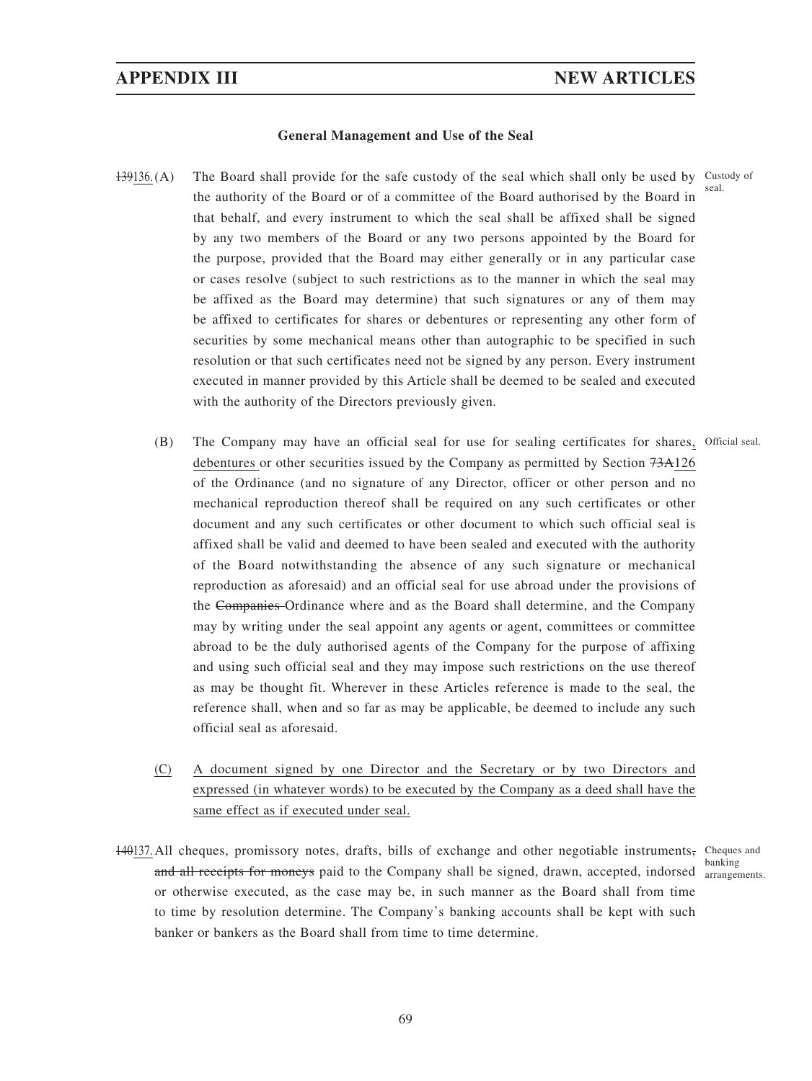### **General Management and Use of the Seal**

- $139136$ . (A) The Board shall provide for the safe custody of the seal which shall only be used by Custody of the authority of the Board or of a committee of the Board authorised by the Board in that behalf, and every instrument to which the seal shall be affixed shall be signed by any two members of the Board or any two persons appointed by the Board for the purpose, provided that the Board may either generally or in any particular case or cases resolve (subject to such restrictions as to the manner in which the seal may be affixed as the Board may determine) that such signatures or any of them may be affixed to certificates for shares or debentures or representing any other form of securities by some mechanical means other than autographic to be specified in such resolution or that such certificates need not be signed by any person. Every instrument executed in manner provided by this Article shall be deemed to be sealed and executed with the authority of the Directors previously given. seal.
	- (B) The Company may have an official seal for use for sealing certificates for shares, Official seal. debentures or other securities issued by the Company as permitted by Section 73A126 of the Ordinance (and no signature of any Director, officer or other person and no mechanical reproduction thereof shall be required on any such certificates or other document and any such certificates or other document to which such official seal is affixed shall be valid and deemed to have been sealed and executed with the authority of the Board notwithstanding the absence of any such signature or mechanical reproduction as aforesaid) and an official seal for use abroad under the provisions of the Companies Ordinance where and as the Board shall determine, and the Company may by writing under the seal appoint any agents or agent, committees or committee abroad to be the duly authorised agents of the Company for the purpose of affixing and using such official seal and they may impose such restrictions on the use thereof as may be thought fit. Wherever in these Articles reference is made to the seal, the reference shall, when and so far as may be applicable, be deemed to include any such official seal as aforesaid.
	- (C) A document signed by one Director and the Secretary or by two Directors and expressed (in whatever words) to be executed by the Company as a deed shall have the same effect as if executed under seal.
- 140137. All cheques, promissory notes, drafts, bills of exchange and other negotiable instruments, Cheques and and all receipts for moneys paid to the Company shall be signed, drawn, accepted, indorsed arrangements. or otherwise executed, as the case may be, in such manner as the Board shall from time to time by resolution determine. The Company's banking accounts shall be kept with such banker or bankers as the Board shall from time to time determine.

banking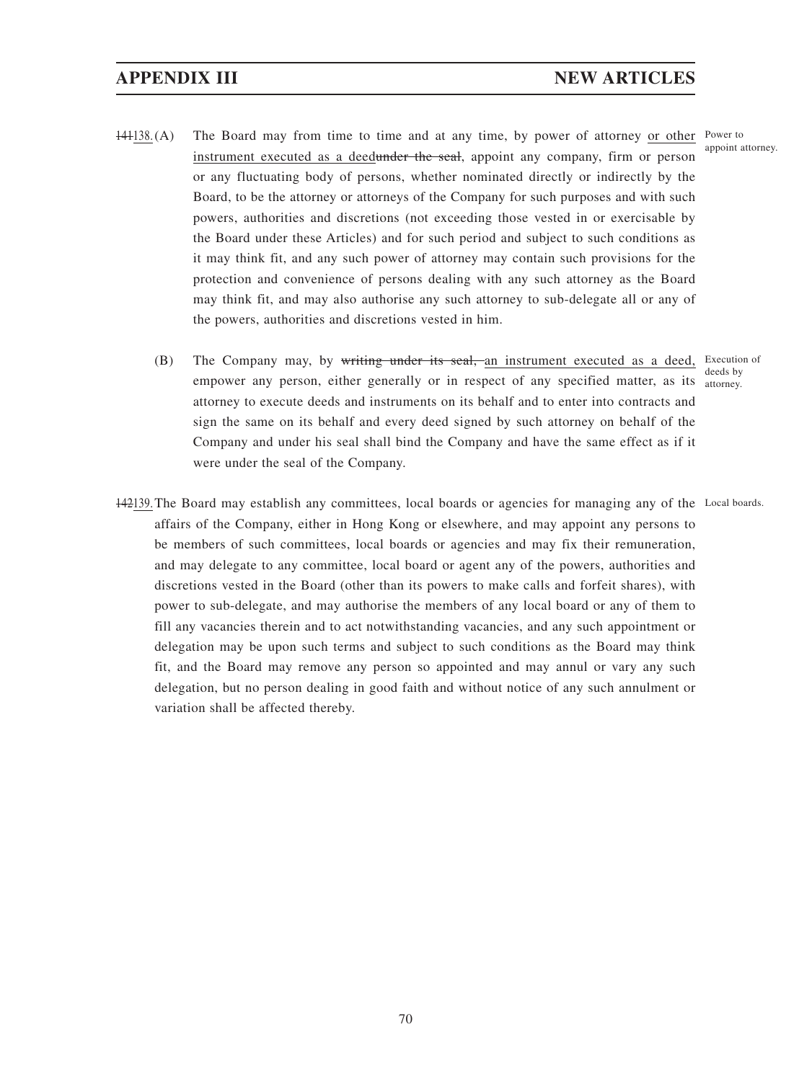- 141138. (A) The Board may from time to time and at any time, by power of attorney or other Power to instrument executed as a deedunder the seal, appoint any company, firm or person or any fluctuating body of persons, whether nominated directly or indirectly by the Board, to be the attorney or attorneys of the Company for such purposes and with such powers, authorities and discretions (not exceeding those vested in or exercisable by the Board under these Articles) and for such period and subject to such conditions as it may think fit, and any such power of attorney may contain such provisions for the protection and convenience of persons dealing with any such attorney as the Board may think fit, and may also authorise any such attorney to sub-delegate all or any of the powers, authorities and discretions vested in him.
	- (B) The Company may, by writing under its seal, an instrument executed as a deed, Execution of empower any person, either generally or in respect of any specified matter, as its attorney. attorney to execute deeds and instruments on its behalf and to enter into contracts and sign the same on its behalf and every deed signed by such attorney on behalf of the Company and under his seal shall bind the Company and have the same effect as if it were under the seal of the Company. deeds by
- 142139. The Board may establish any committees, local boards or agencies for managing any of the Local boards.affairs of the Company, either in Hong Kong or elsewhere, and may appoint any persons to be members of such committees, local boards or agencies and may fix their remuneration, and may delegate to any committee, local board or agent any of the powers, authorities and discretions vested in the Board (other than its powers to make calls and forfeit shares), with power to sub-delegate, and may authorise the members of any local board or any of them to fill any vacancies therein and to act notwithstanding vacancies, and any such appointment or delegation may be upon such terms and subject to such conditions as the Board may think fit, and the Board may remove any person so appointed and may annul or vary any such delegation, but no person dealing in good faith and without notice of any such annulment or variation shall be affected thereby.

appoint attorney.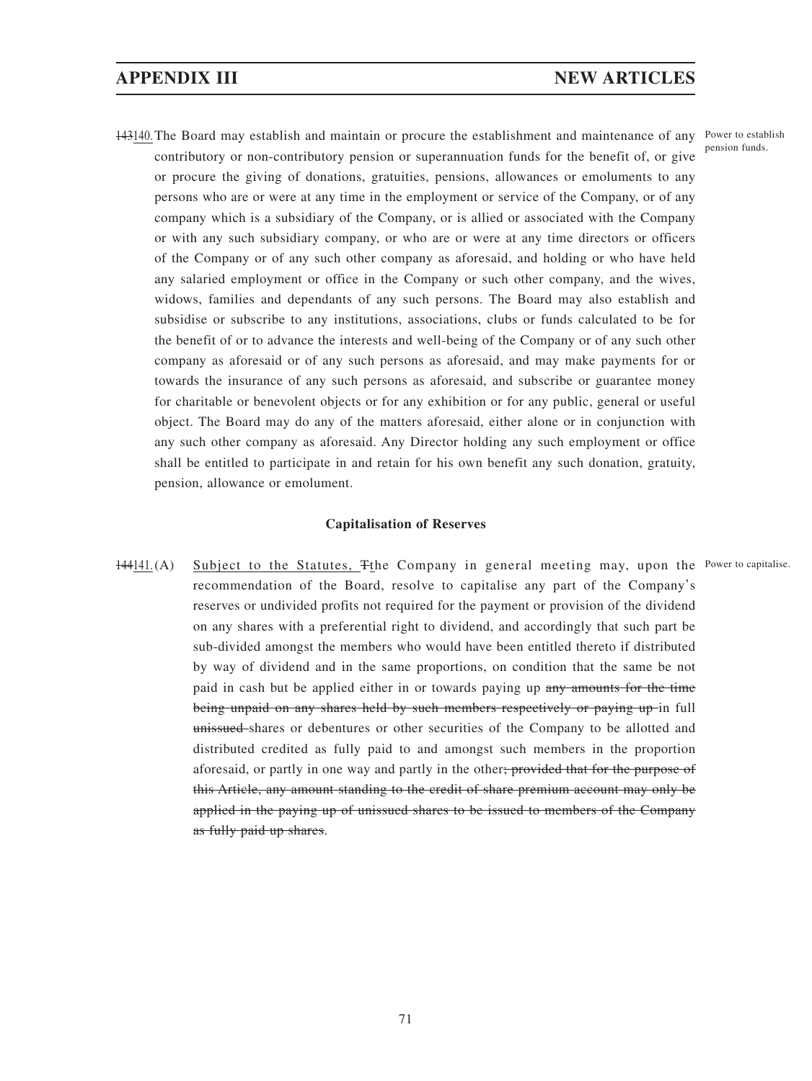# **APPENDIX III NEW ARTICLES**

143140. The Board may establish and maintain or procure the establishment and maintenance of any Power to establish contributory or non-contributory pension or superannuation funds for the benefit of, or give or procure the giving of donations, gratuities, pensions, allowances or emoluments to any persons who are or were at any time in the employment or service of the Company, or of any company which is a subsidiary of the Company, or is allied or associated with the Company or with any such subsidiary company, or who are or were at any time directors or officers of the Company or of any such other company as aforesaid, and holding or who have held any salaried employment or office in the Company or such other company, and the wives, widows, families and dependants of any such persons. The Board may also establish and subsidise or subscribe to any institutions, associations, clubs or funds calculated to be for the benefit of or to advance the interests and well-being of the Company or of any such other company as aforesaid or of any such persons as aforesaid, and may make payments for or towards the insurance of any such persons as aforesaid, and subscribe or guarantee money for charitable or benevolent objects or for any exhibition or for any public, general or useful object. The Board may do any of the matters aforesaid, either alone or in conjunction with any such other company as aforesaid. Any Director holding any such employment or office shall be entitled to participate in and retain for his own benefit any such donation, gratuity, pension, allowance or emolument.

#### **Capitalisation of Reserves**

144141.(A) Subject to the Statutes, The Company in general meeting may, upon the Power to capitalise. recommendation of the Board, resolve to capitalise any part of the Company's reserves or undivided profits not required for the payment or provision of the dividend on any shares with a preferential right to dividend, and accordingly that such part be sub-divided amongst the members who would have been entitled thereto if distributed by way of dividend and in the same proportions, on condition that the same be not paid in cash but be applied either in or towards paying up any amounts for the time being unpaid on any shares held by such members respectively or paying up in full unissued-shares or debentures or other securities of the Company to be allotted and distributed credited as fully paid to and amongst such members in the proportion aforesaid, or partly in one way and partly in the other; provided that for the purpose of this Article, any amount standing to the credit of share premium account may only be applied in the paying up of unissued shares to be issued to members of the Company as fully paid up shares.

pension funds.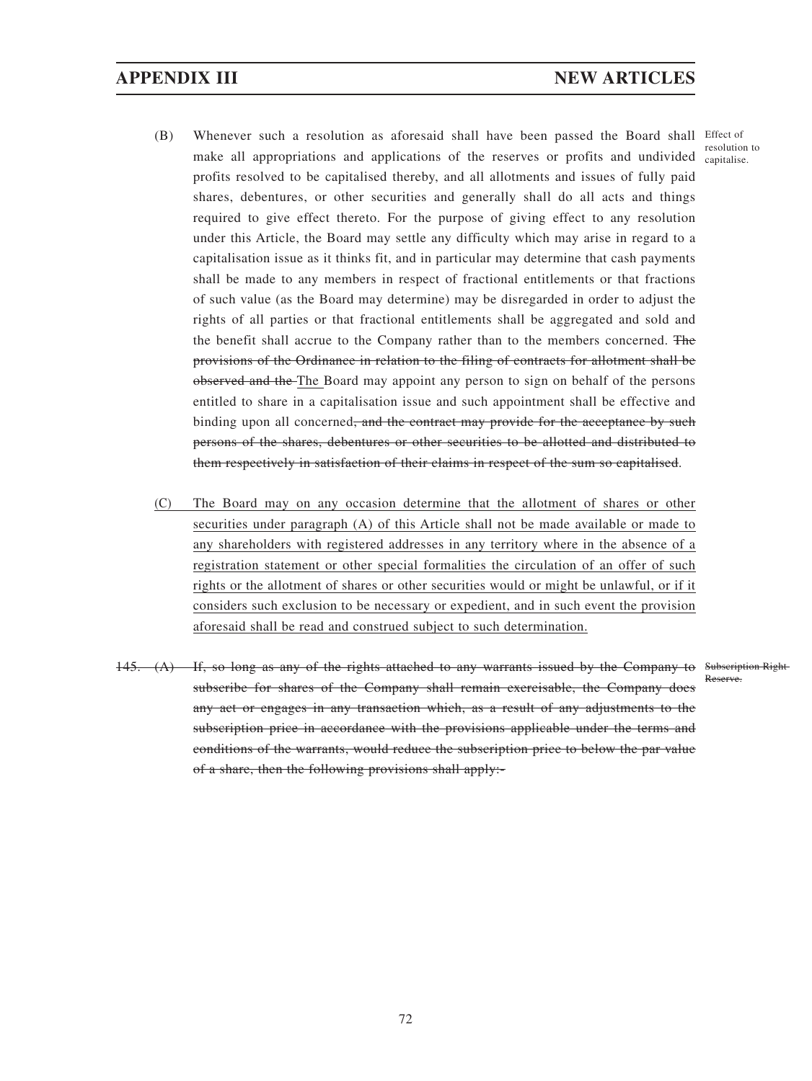- (B) Whenever such a resolution as aforesaid shall have been passed the Board shall Effect of make all appropriations and applications of the reserves or profits and undivided capitalise. profits resolved to be capitalised thereby, and all allotments and issues of fully paid shares, debentures, or other securities and generally shall do all acts and things required to give effect thereto. For the purpose of giving effect to any resolution under this Article, the Board may settle any difficulty which may arise in regard to a capitalisation issue as it thinks fit, and in particular may determine that cash payments shall be made to any members in respect of fractional entitlements or that fractions of such value (as the Board may determine) may be disregarded in order to adjust the rights of all parties or that fractional entitlements shall be aggregated and sold and the benefit shall accrue to the Company rather than to the members concerned. The provisions of the Ordinance in relation to the filing of contracts for allotment shall be observed and the The Board may appoint any person to sign on behalf of the persons entitled to share in a capitalisation issue and such appointment shall be effective and binding upon all concerned<del>, and the contract may provide for the acceptance by such</del> persons of the shares, debentures or other securities to be allotted and distributed to them respectively in satisfaction of their claims in respect of the sum so capitalised.
- (C) The Board may on any occasion determine that the allotment of shares or other securities under paragraph (A) of this Article shall not be made available or made to any shareholders with registered addresses in any territory where in the absence of a registration statement or other special formalities the circulation of an offer of such rights or the allotment of shares or other securities would or might be unlawful, or if it considers such exclusion to be necessary or expedient, and in such event the provision aforesaid shall be read and construed subject to such determination.
- 145. (A) If, so long as any of the rights attached to any warrants issued by the Company to Subscription Right subscribe for shares of the Company shall remain exercisable, the Company does any act or engages in any transaction which, as a result of any adjustments to the subscription price in accordance with the provisions applicable under the terms and conditions of the warrants, would reduce the subscription price to below the par value of a share, then the following provisions shall apply:- Reserve.

resolution to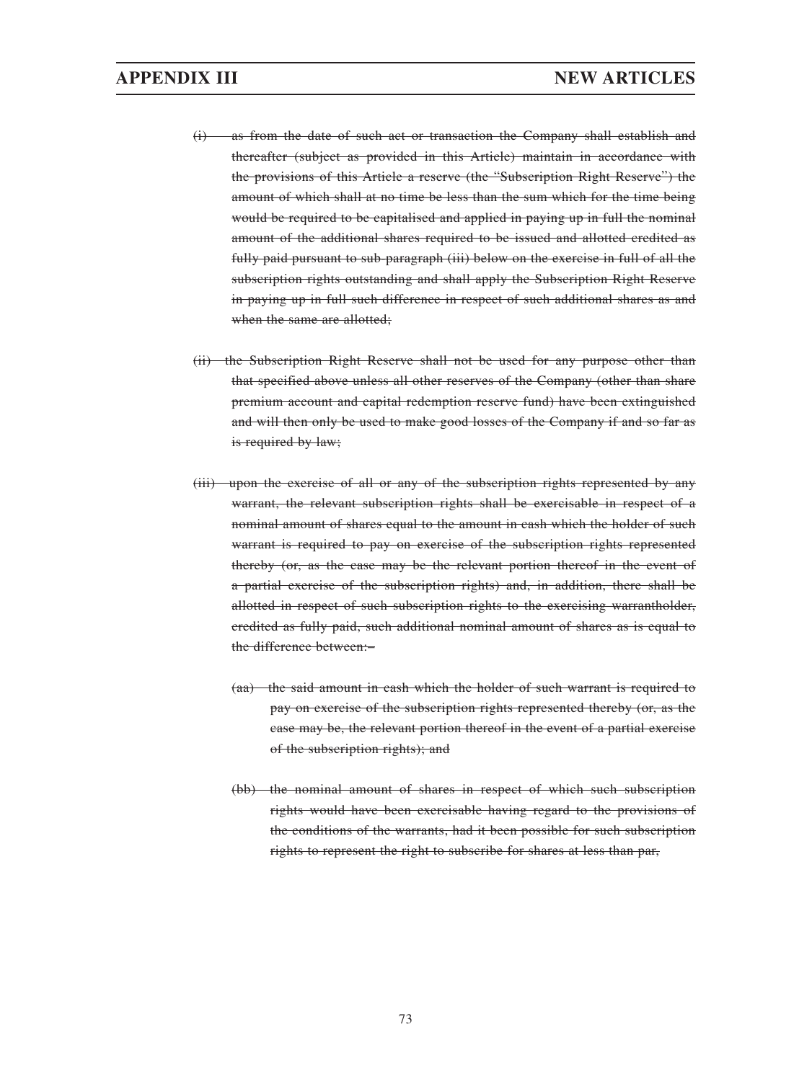- (i) as from the date of such act or transaction the Company shall establish and thereafter (subject as provided in this Article) maintain in accordance with the provisions of this Article a reserve (the "Subscription Right Reserve") the amount of which shall at no time be less than the sum which for the time being would be required to be capitalised and applied in paying up in full the nominal amount of the additional shares required to be issued and allotted credited as fully paid pursuant to sub-paragraph (iii) below on the exercise in full of all the subscription rights outstanding and shall apply the Subscription Right Reserve in paying up in full such difference in respect of such additional shares as and when the same are allotted;
- (ii) the Subscription Right Reserve shall not be used for any purpose other than that specified above unless all other reserves of the Company (other than share premium account and capital redemption reserve fund) have been extinguished and will then only be used to make good losses of the Company if and so far as is required by law;
- (iii) upon the exercise of all or any of the subscription rights represented by any warrant, the relevant subscription rights shall be exercisable in respect of a nominal amount of shares equal to the amount in cash which the holder of such warrant is required to pay on exercise of the subscription rights represented thereby (or, as the case may be the relevant portion thereof in the event of a partial exercise of the subscription rights) and, in addition, there shall be allotted in respect of such subscription rights to the exercising warrantholder, credited as fully paid, such additional nominal amount of shares as is equal to the difference between:–
	- (aa) the said amount in cash which the holder of such warrant is required to pay on exercise of the subscription rights represented thereby (or, as the case may be, the relevant portion thereof in the event of a partial exercise of the subscription rights); and
	- (bb) the nominal amount of shares in respect of which such subscription rights would have been exercisable having regard to the provisions of the conditions of the warrants, had it been possible for such subscription rights to represent the right to subscribe for shares at less than par,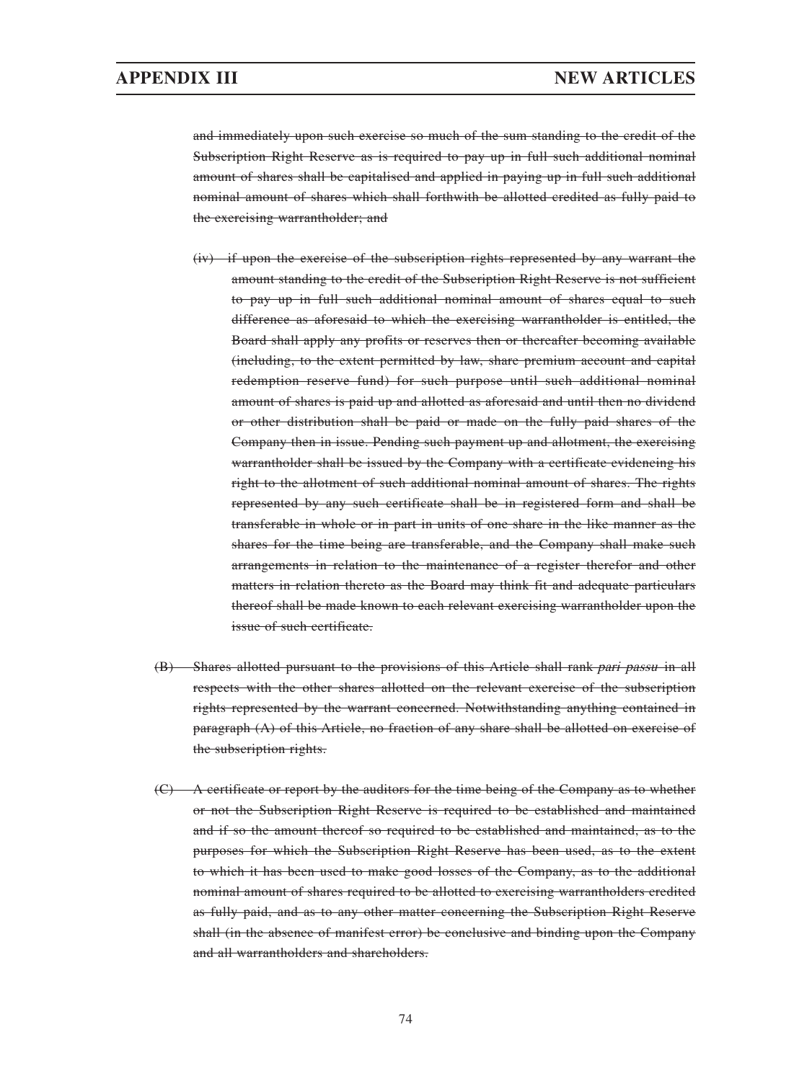and immediately upon such exercise so much of the sum standing to the credit of the Subscription Right Reserve as is required to pay up in full such additional nominal amount of shares shall be capitalised and applied in paying up in full such additional nominal amount of shares which shall forthwith be allotted credited as fully paid to the exercising warrantholder; and

- (iv) if upon the exercise of the subscription rights represented by any warrant the amount standing to the credit of the Subscription Right Reserve is not sufficient to pay up in full such additional nominal amount of shares equal to such difference as aforesaid to which the exercising warrantholder is entitled, the Board shall apply any profits or reserves then or thereafter becoming available (including, to the extent permitted by law, share premium account and capital redemption reserve fund) for such purpose until such additional nominal amount of shares is paid up and allotted as aforesaid and until then no dividend or other distribution shall be paid or made on the fully paid shares of the Company then in issue. Pending such payment up and allotment, the exercising warrantholder shall be issued by the Company with a certificate evidencing his right to the allotment of such additional nominal amount of shares. The rights represented by any such certificate shall be in registered form and shall be transferable in whole or in part in units of one share in the like manner as the shares for the time being are transferable, and the Company shall make such arrangements in relation to the maintenance of a register therefor and other matters in relation thereto as the Board may think fit and adequate particulars thereof shall be made known to each relevant exercising warrantholder upon the issue of such certificate.
- (B) Shares allotted pursuant to the provisions of this Article shall rank pari passu in all respects with the other shares allotted on the relevant exercise of the subscription rights represented by the warrant concerned. Notwithstanding anything contained in paragraph (A) of this Article, no fraction of any share shall be allotted on exercise of the subscription rights.
- (C) A certificate or report by the auditors for the time being of the Company as to whether or not the Subscription Right Reserve is required to be established and maintained and if so the amount thereof so required to be established and maintained, as to the purposes for which the Subscription Right Reserve has been used, as to the extent to which it has been used to make good losses of the Company, as to the additional nominal amount of shares required to be allotted to exercising warrantholders credited as fully paid, and as to any other matter concerning the Subscription Right Reserve shall (in the absence of manifest error) be conclusive and binding upon the Company and all warrantholders and shareholders.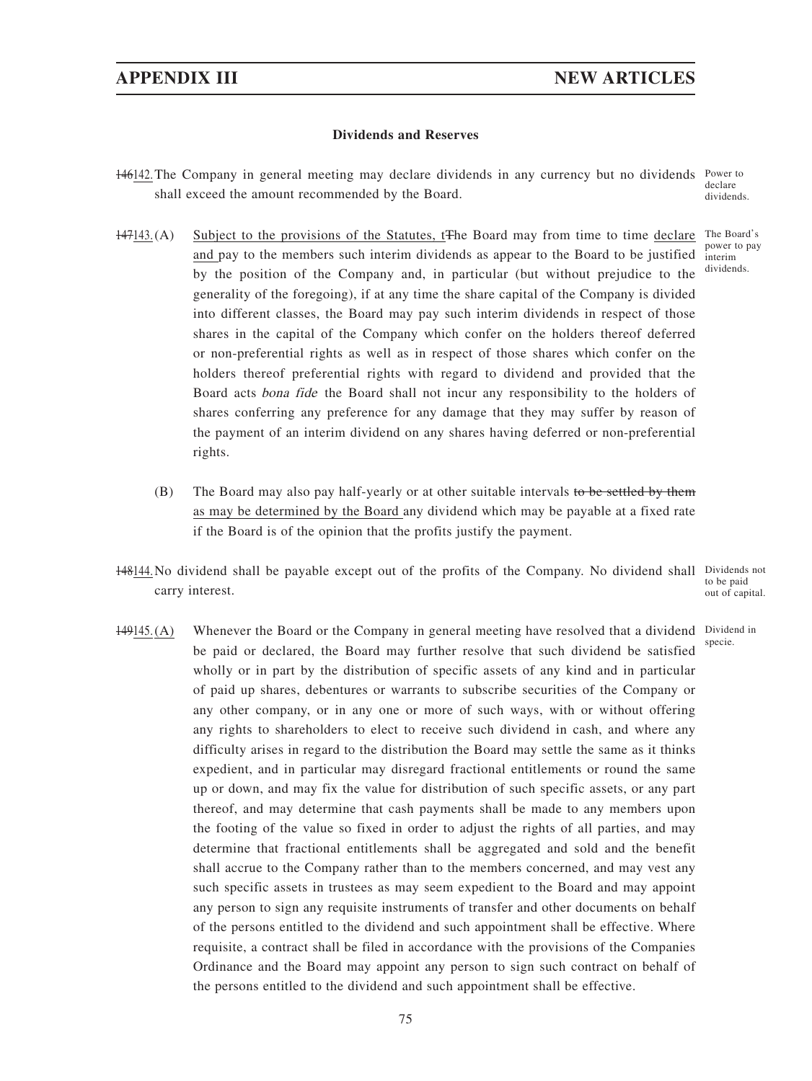#### **Dividends and Reserves**

- 146142. The Company in general meeting may declare dividends in any currency but no dividends Power to shall exceed the amount recommended by the Board. declare
- 147143. (A) Subject to the provisions of the Statutes, t<sup>The Board</sup> may from time to time declare The Board's and pay to the members such interim dividends as appear to the Board to be justified interim by the position of the Company and, in particular (but without prejudice to the generality of the foregoing), if at any time the share capital of the Company is divided into different classes, the Board may pay such interim dividends in respect of those shares in the capital of the Company which confer on the holders thereof deferred or non-preferential rights as well as in respect of those shares which confer on the holders thereof preferential rights with regard to dividend and provided that the Board acts bona fide the Board shall not incur any responsibility to the holders of shares conferring any preference for any damage that they may suffer by reason of the payment of an interim dividend on any shares having deferred or non-preferential rights.
	- (B) The Board may also pay half-yearly or at other suitable intervals to be settled by them as may be determined by the Board any dividend which may be payable at a fixed rate if the Board is of the opinion that the profits justify the payment.
- 148144. No dividend shall be payable except out of the profits of the Company. No dividend shall Dividends not carry interest. to be paid out of capital.
- 149145.(A) Whenever the Board or the Company in general meeting have resolved that a dividend Dividend in be paid or declared, the Board may further resolve that such dividend be satisfied wholly or in part by the distribution of specific assets of any kind and in particular of paid up shares, debentures or warrants to subscribe securities of the Company or any other company, or in any one or more of such ways, with or without offering any rights to shareholders to elect to receive such dividend in cash, and where any difficulty arises in regard to the distribution the Board may settle the same as it thinks expedient, and in particular may disregard fractional entitlements or round the same up or down, and may fix the value for distribution of such specific assets, or any part thereof, and may determine that cash payments shall be made to any members upon the footing of the value so fixed in order to adjust the rights of all parties, and may determine that fractional entitlements shall be aggregated and sold and the benefit shall accrue to the Company rather than to the members concerned, and may vest any such specific assets in trustees as may seem expedient to the Board and may appoint any person to sign any requisite instruments of transfer and other documents on behalf of the persons entitled to the dividend and such appointment shall be effective. Where requisite, a contract shall be filed in accordance with the provisions of the Companies Ordinance and the Board may appoint any person to sign such contract on behalf of the persons entitled to the dividend and such appointment shall be effective.

dividends.

power to pay dividends.

specie.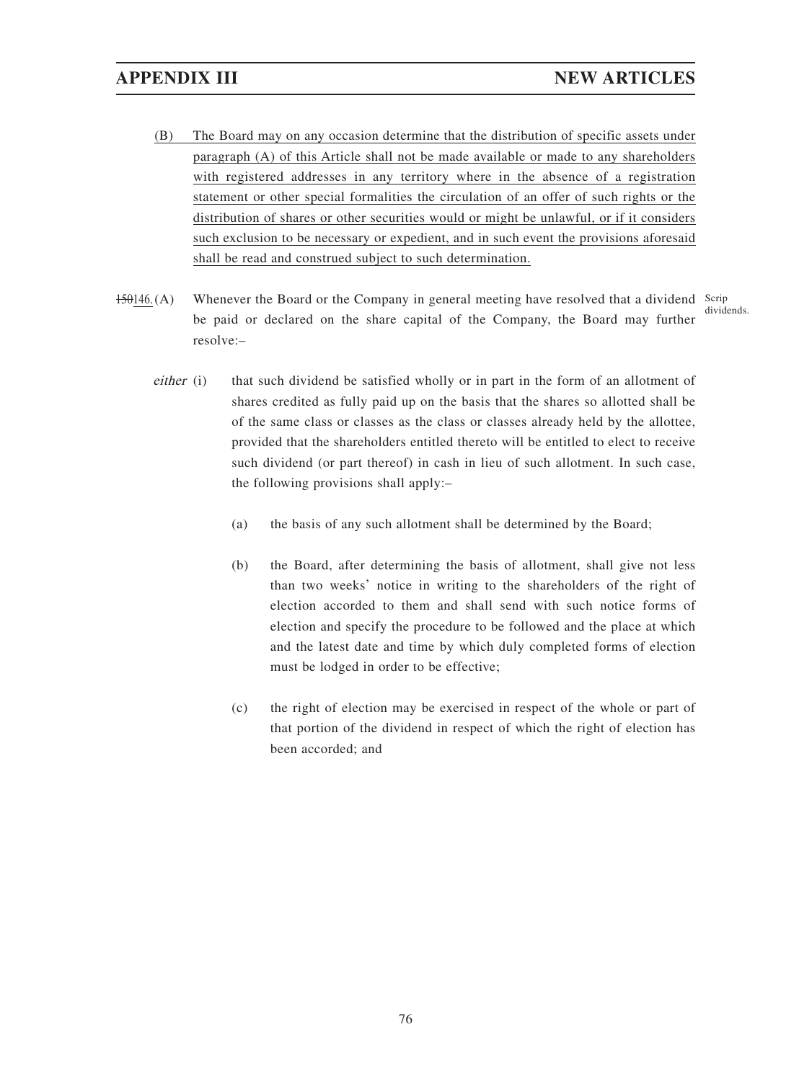- (B) The Board may on any occasion determine that the distribution of specific assets under paragraph (A) of this Article shall not be made available or made to any shareholders with registered addresses in any territory where in the absence of a registration statement or other special formalities the circulation of an offer of such rights or the distribution of shares or other securities would or might be unlawful, or if it considers such exclusion to be necessary or expedient, and in such event the provisions aforesaid shall be read and construed subject to such determination.
- 150146.(A) Whenever the Board or the Company in general meeting have resolved that a dividend Scrip be paid or declared on the share capital of the Company, the Board may further resolve:– dividends.
	- either (i) that such dividend be satisfied wholly or in part in the form of an allotment of shares credited as fully paid up on the basis that the shares so allotted shall be of the same class or classes as the class or classes already held by the allottee, provided that the shareholders entitled thereto will be entitled to elect to receive such dividend (or part thereof) in cash in lieu of such allotment. In such case, the following provisions shall apply:–
		- (a) the basis of any such allotment shall be determined by the Board;
		- (b) the Board, after determining the basis of allotment, shall give not less than two weeks' notice in writing to the shareholders of the right of election accorded to them and shall send with such notice forms of election and specify the procedure to be followed and the place at which and the latest date and time by which duly completed forms of election must be lodged in order to be effective;
		- (c) the right of election may be exercised in respect of the whole or part of that portion of the dividend in respect of which the right of election has been accorded; and

76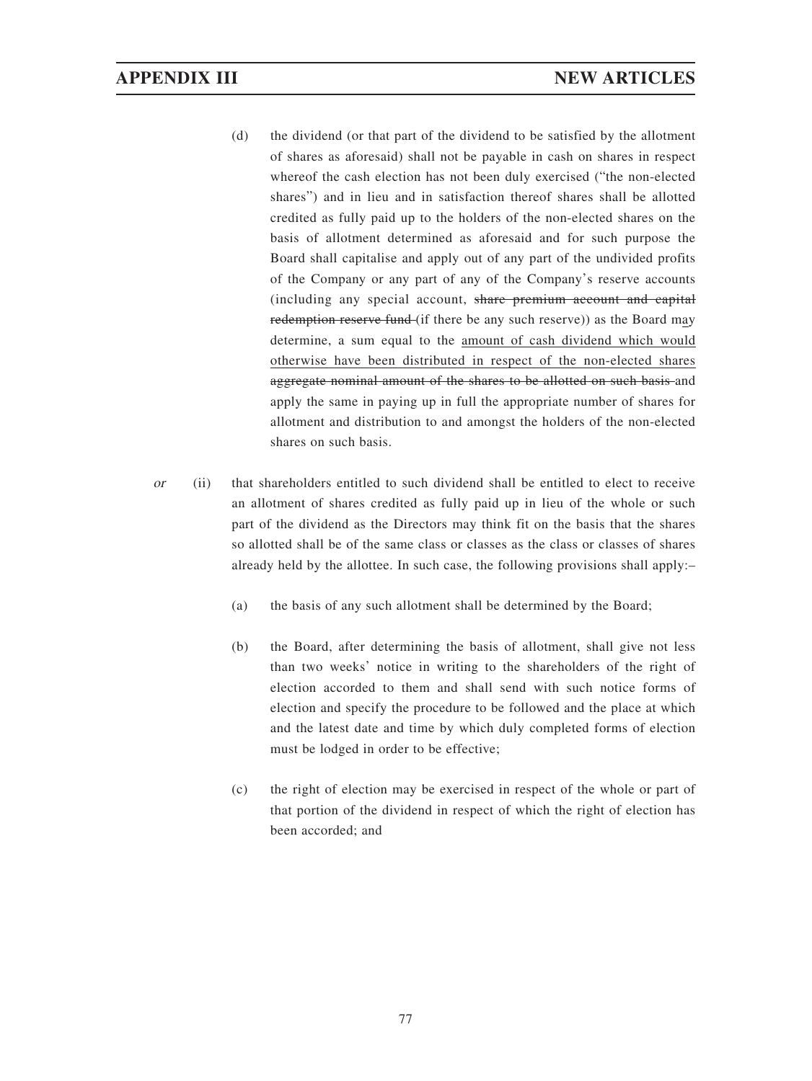- (d) the dividend (or that part of the dividend to be satisfied by the allotment of shares as aforesaid) shall not be payable in cash on shares in respect whereof the cash election has not been duly exercised ("the non-elected shares") and in lieu and in satisfaction thereof shares shall be allotted credited as fully paid up to the holders of the non-elected shares on the basis of allotment determined as aforesaid and for such purpose the Board shall capitalise and apply out of any part of the undivided profits of the Company or any part of any of the Company's reserve accounts (including any special account, share premium account and capital redemption reserve fund (if there be any such reserve)) as the Board may determine, a sum equal to the amount of cash dividend which would otherwise have been distributed in respect of the non-elected shares aggregate nominal amount of the shares to be allotted on such basis and apply the same in paying up in full the appropriate number of shares for allotment and distribution to and amongst the holders of the non-elected shares on such basis.
- $or$  (ii) that shareholders entitled to such dividend shall be entitled to elect to receive an allotment of shares credited as fully paid up in lieu of the whole or such part of the dividend as the Directors may think fit on the basis that the shares so allotted shall be of the same class or classes as the class or classes of shares already held by the allottee. In such case, the following provisions shall apply:–
	- (a) the basis of any such allotment shall be determined by the Board;
	- (b) the Board, after determining the basis of allotment, shall give not less than two weeks' notice in writing to the shareholders of the right of election accorded to them and shall send with such notice forms of election and specify the procedure to be followed and the place at which and the latest date and time by which duly completed forms of election must be lodged in order to be effective;
	- (c) the right of election may be exercised in respect of the whole or part of that portion of the dividend in respect of which the right of election has been accorded; and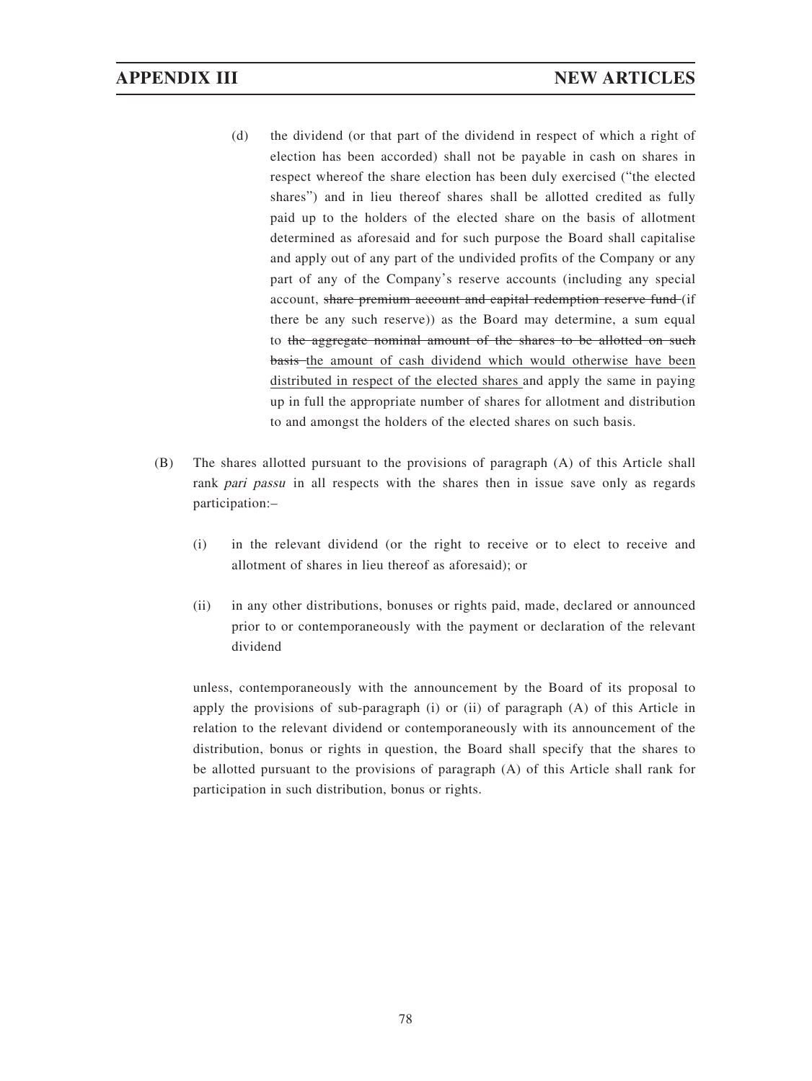- (d) the dividend (or that part of the dividend in respect of which a right of election has been accorded) shall not be payable in cash on shares in respect whereof the share election has been duly exercised ("the elected shares") and in lieu thereof shares shall be allotted credited as fully paid up to the holders of the elected share on the basis of allotment determined as aforesaid and for such purpose the Board shall capitalise and apply out of any part of the undivided profits of the Company or any part of any of the Company's reserve accounts (including any special account, share premium account and capital redemption reserve fund (if there be any such reserve)) as the Board may determine, a sum equal to the aggregate nominal amount of the shares to be allotted on such basis the amount of cash dividend which would otherwise have been distributed in respect of the elected shares and apply the same in paying up in full the appropriate number of shares for allotment and distribution to and amongst the holders of the elected shares on such basis.
- (B) The shares allotted pursuant to the provisions of paragraph (A) of this Article shall rank pari passu in all respects with the shares then in issue save only as regards participation:–
	- (i) in the relevant dividend (or the right to receive or to elect to receive and allotment of shares in lieu thereof as aforesaid); or
	- (ii) in any other distributions, bonuses or rights paid, made, declared or announced prior to or contemporaneously with the payment or declaration of the relevant dividend

unless, contemporaneously with the announcement by the Board of its proposal to apply the provisions of sub-paragraph (i) or (ii) of paragraph (A) of this Article in relation to the relevant dividend or contemporaneously with its announcement of the distribution, bonus or rights in question, the Board shall specify that the shares to be allotted pursuant to the provisions of paragraph (A) of this Article shall rank for participation in such distribution, bonus or rights.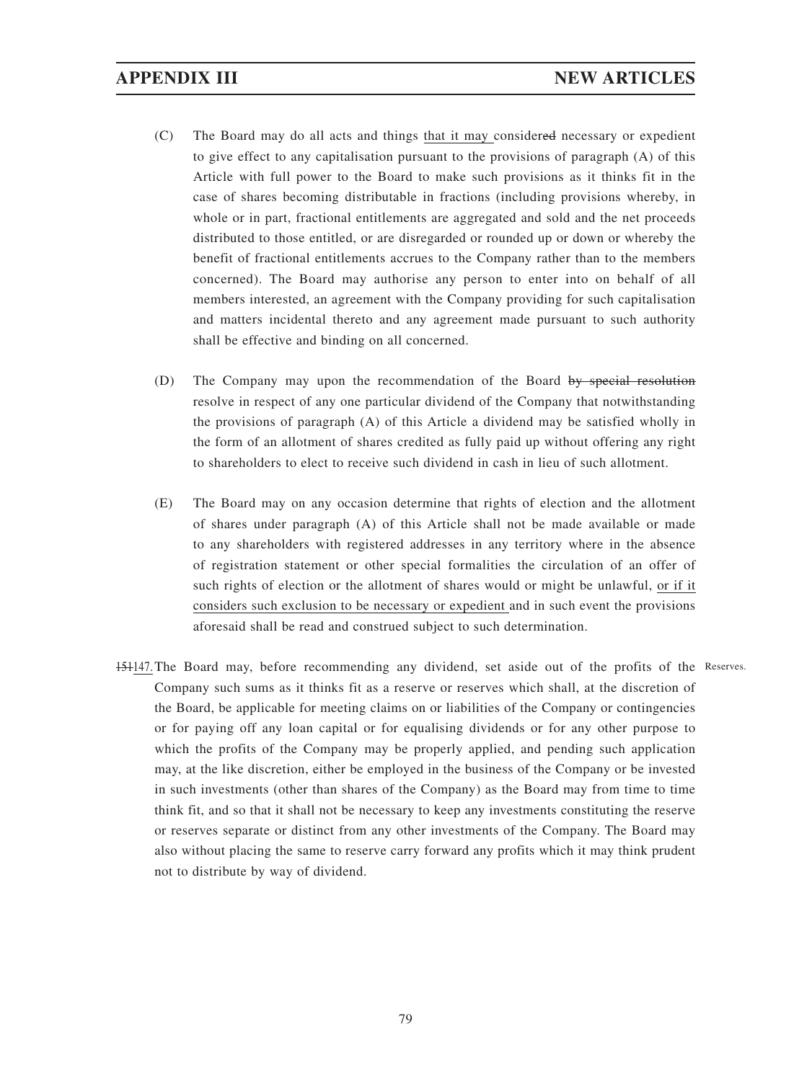- (C) The Board may do all acts and things that it may considered necessary or expedient to give effect to any capitalisation pursuant to the provisions of paragraph (A) of this Article with full power to the Board to make such provisions as it thinks fit in the case of shares becoming distributable in fractions (including provisions whereby, in whole or in part, fractional entitlements are aggregated and sold and the net proceeds distributed to those entitled, or are disregarded or rounded up or down or whereby the benefit of fractional entitlements accrues to the Company rather than to the members concerned). The Board may authorise any person to enter into on behalf of all members interested, an agreement with the Company providing for such capitalisation and matters incidental thereto and any agreement made pursuant to such authority shall be effective and binding on all concerned.
- (D) The Company may upon the recommendation of the Board by special resolution resolve in respect of any one particular dividend of the Company that notwithstanding the provisions of paragraph (A) of this Article a dividend may be satisfied wholly in the form of an allotment of shares credited as fully paid up without offering any right to shareholders to elect to receive such dividend in cash in lieu of such allotment.
- (E) The Board may on any occasion determine that rights of election and the allotment of shares under paragraph (A) of this Article shall not be made available or made to any shareholders with registered addresses in any territory where in the absence of registration statement or other special formalities the circulation of an offer of such rights of election or the allotment of shares would or might be unlawful, or if it considers such exclusion to be necessary or expedient and in such event the provisions aforesaid shall be read and construed subject to such determination.
- 151147. The Board may, before recommending any dividend, set aside out of the profits of the Reserves.Company such sums as it thinks fit as a reserve or reserves which shall, at the discretion of the Board, be applicable for meeting claims on or liabilities of the Company or contingencies or for paying off any loan capital or for equalising dividends or for any other purpose to which the profits of the Company may be properly applied, and pending such application may, at the like discretion, either be employed in the business of the Company or be invested in such investments (other than shares of the Company) as the Board may from time to time think fit, and so that it shall not be necessary to keep any investments constituting the reserve or reserves separate or distinct from any other investments of the Company. The Board may also without placing the same to reserve carry forward any profits which it may think prudent not to distribute by way of dividend.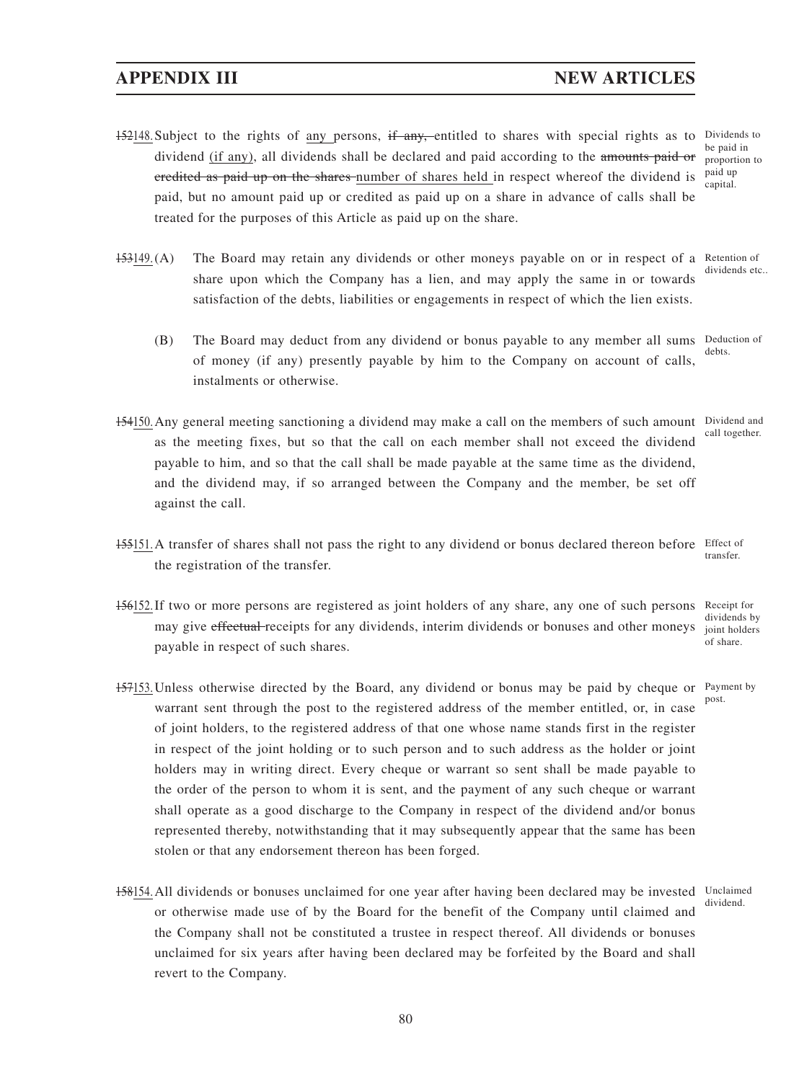# **APPENDIX III NEW ARTICLES**

- 152148. Subject to the rights of any persons, if any, entitled to shares with special rights as to Dividends to dividend (if any), all dividends shall be declared and paid according to the amounts paid or credited as paid up on the shares number of shares held in respect whereof the dividend is paid, but no amount paid up or credited as paid up on a share in advance of calls shall be treated for the purposes of this Article as paid up on the share.
- 153149. (A) The Board may retain any dividends or other moneys payable on or in respect of a Retention of share upon which the Company has a lien, and may apply the same in or towards satisfaction of the debts, liabilities or engagements in respect of which the lien exists. dividends etc.
	- (B) The Board may deduct from any dividend or bonus payable to any member all sums Deduction of of money (if any) presently payable by him to the Company on account of calls, instalments or otherwise. debts.
- 154150. Any general meeting sanctioning a dividend may make a call on the members of such amount Dividend and as the meeting fixes, but so that the call on each member shall not exceed the dividend payable to him, and so that the call shall be made payable at the same time as the dividend, and the dividend may, if so arranged between the Company and the member, be set off against the call.
- 155151. A transfer of shares shall not pass the right to any dividend or bonus declared thereon before Effect of the registration of the transfer. transfer.
- 156152. If two or more persons are registered as joint holders of any share, any one of such persons may give effectual receipts for any dividends, interim dividends or bonuses and other moneys payable in respect of such shares. Receipt for of share.
- 157153. Unless otherwise directed by the Board, any dividend or bonus may be paid by cheque or Payment by warrant sent through the post to the registered address of the member entitled, or, in case of joint holders, to the registered address of that one whose name stands first in the register in respect of the joint holding or to such person and to such address as the holder or joint holders may in writing direct. Every cheque or warrant so sent shall be made payable to the order of the person to whom it is sent, and the payment of any such cheque or warrant shall operate as a good discharge to the Company in respect of the dividend and/or bonus represented thereby, notwithstanding that it may subsequently appear that the same has been stolen or that any endorsement thereon has been forged. post.
- 158154. All dividends or bonuses unclaimed for one year after having been declared may be invested Unclaimed or otherwise made use of by the Board for the benefit of the Company until claimed and the Company shall not be constituted a trustee in respect thereof. All dividends or bonuses unclaimed for six years after having been declared may be forfeited by the Board and shall revert to the Company.

call together.

dividends by joint holders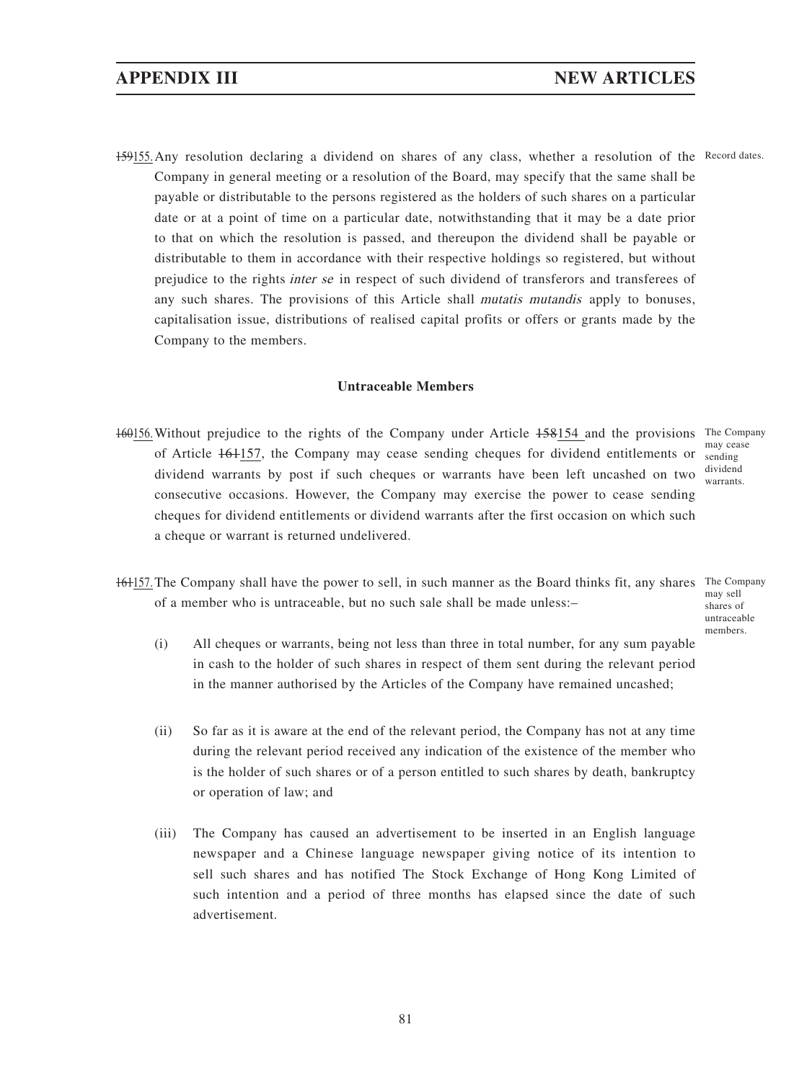159155. Any resolution declaring a dividend on shares of any class, whether a resolution of the Record dates. Company in general meeting or a resolution of the Board, may specify that the same shall be payable or distributable to the persons registered as the holders of such shares on a particular date or at a point of time on a particular date, notwithstanding that it may be a date prior to that on which the resolution is passed, and thereupon the dividend shall be payable or distributable to them in accordance with their respective holdings so registered, but without prejudice to the rights inter se in respect of such dividend of transferors and transferees of any such shares. The provisions of this Article shall mutatis mutandis apply to bonuses, capitalisation issue, distributions of realised capital profits or offers or grants made by the Company to the members.

### **Untraceable Members**

- 160156. Without prejudice to the rights of the Company under Article 158154 and the provisions The Company of Article  $161157$ , the Company may cease sending cheques for dividend entitlements or sending dividend warrants by post if such cheques or warrants have been left uncashed on two consecutive occasions. However, the Company may exercise the power to cease sending cheques for dividend entitlements or dividend warrants after the first occasion on which such a cheque or warrant is returned undelivered.
- may cease dividend warrants.
- 161157. The Company shall have the power to sell, in such manner as the Board thinks fit, any shares The Company of a member who is untraceable, but no such sale shall be made unless:–
	- may sell shares of untraceable members.
	- (i) All cheques or warrants, being not less than three in total number, for any sum payable in cash to the holder of such shares in respect of them sent during the relevant period in the manner authorised by the Articles of the Company have remained uncashed;
	- (ii) So far as it is aware at the end of the relevant period, the Company has not at any time during the relevant period received any indication of the existence of the member who is the holder of such shares or of a person entitled to such shares by death, bankruptcy or operation of law; and
	- (iii) The Company has caused an advertisement to be inserted in an English language newspaper and a Chinese language newspaper giving notice of its intention to sell such shares and has notified The Stock Exchange of Hong Kong Limited of such intention and a period of three months has elapsed since the date of such advertisement.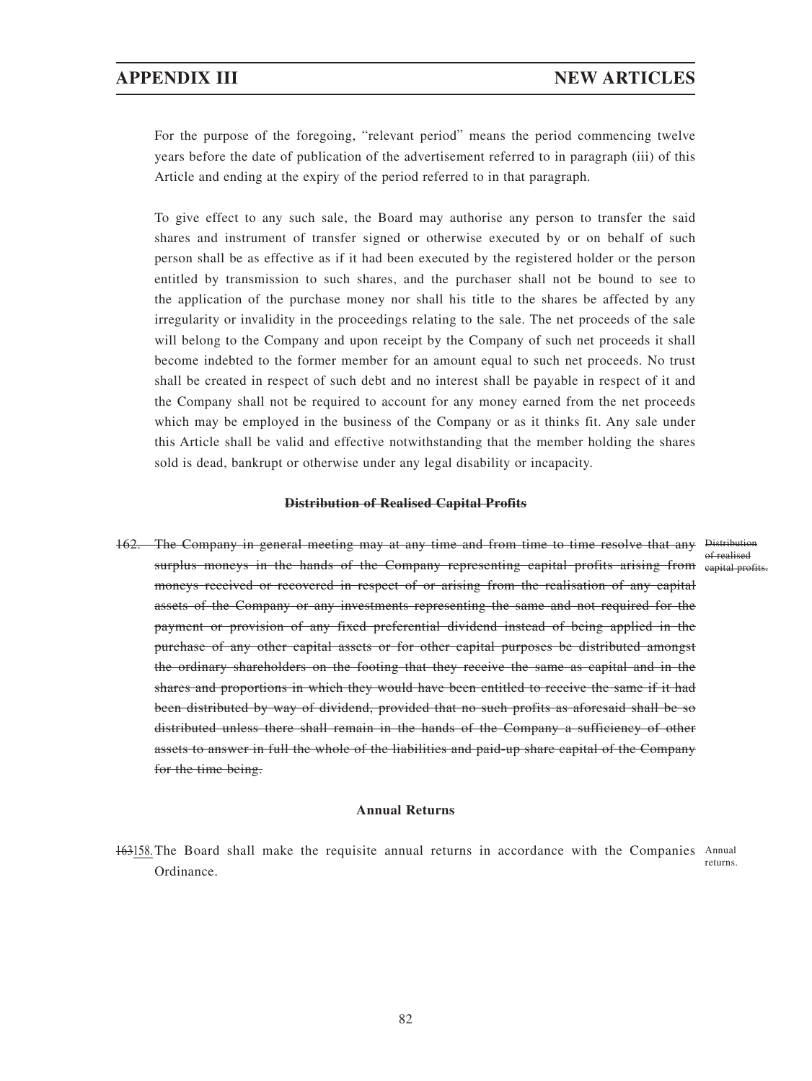For the purpose of the foregoing, "relevant period" means the period commencing twelve years before the date of publication of the advertisement referred to in paragraph (iii) of this Article and ending at the expiry of the period referred to in that paragraph.

To give effect to any such sale, the Board may authorise any person to transfer the said shares and instrument of transfer signed or otherwise executed by or on behalf of such person shall be as effective as if it had been executed by the registered holder or the person entitled by transmission to such shares, and the purchaser shall not be bound to see to the application of the purchase money nor shall his title to the shares be affected by any irregularity or invalidity in the proceedings relating to the sale. The net proceeds of the sale will belong to the Company and upon receipt by the Company of such net proceeds it shall become indebted to the former member for an amount equal to such net proceeds. No trust shall be created in respect of such debt and no interest shall be payable in respect of it and the Company shall not be required to account for any money earned from the net proceeds which may be employed in the business of the Company or as it thinks fit. Any sale under this Article shall be valid and effective notwithstanding that the member holding the shares sold is dead, bankrupt or otherwise under any legal disability or incapacity.

#### **Distribution of Realised Capital Profits**

162. The Company in general meeting may at any time and from time to time resolve that any Distribution surplus moneys in the hands of the Company representing capital profits arising from eapital profits. moneys received or recovered in respect of or arising from the realisation of any capital assets of the Company or any investments representing the same and not required for the payment or provision of any fixed preferential dividend instead of being applied in the purchase of any other capital assets or for other capital purposes be distributed amongst the ordinary shareholders on the footing that they receive the same as capital and in the shares and proportions in which they would have been entitled to receive the same if it had been distributed by way of dividend, provided that no such profits as aforesaid shall be so distributed unless there shall remain in the hands of the Company a sufficiency of other assets to answer in full the whole of the liabilities and paid-up share capital of the Company for the time being.

#### **Annual Returns**

163158. The Board shall make the requisite annual returns in accordance with the Companies Annual Ordinance. returns.

of realised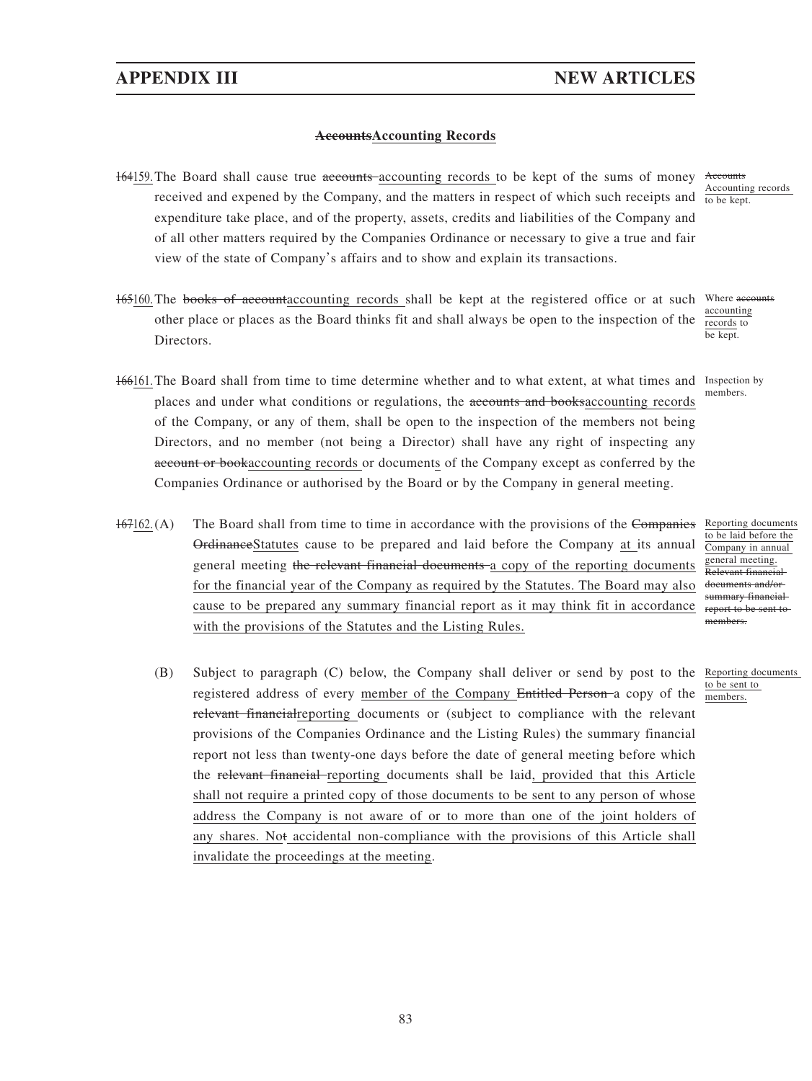### **AccountsAccounting Records**

- 164159. The Board shall cause true accounts accounting records to be kept of the sums of money Accounts received and expened by the Company, and the matters in respect of which such receipts and  $\frac{1}{10 \text{ be kept}}$ . expenditure take place, and of the property, assets, credits and liabilities of the Company and of all other matters required by the Companies Ordinance or necessary to give a true and fair view of the state of Company's affairs and to show and explain its transactions.
- 165160. The books of accountaccounting records shall be kept at the registered office or at such Where accounts other place or places as the Board thinks fit and shall always be open to the inspection of the Directors.
- 166161. The Board shall from time to time determine whether and to what extent, at what times and Inspection by places and under what conditions or regulations, the accounts and booksaccounting records of the Company, or any of them, shall be open to the inspection of the members not being Directors, and no member (not being a Director) shall have any right of inspecting any account or bookaccounting records or documents of the Company except as conferred by the Companies Ordinance or authorised by the Board or by the Company in general meeting.
- 167162. (A) The Board shall from time to time in accordance with the provisions of the Companies Reporting documents OrdinanceStatutes cause to be prepared and laid before the Company at its annual general meeting the relevant financial documents a copy of the reporting documents for the financial year of the Company as required by the Statutes. The Board may also cause to be prepared any summary financial report as it may think fit in accordance with the provisions of the Statutes and the Listing Rules.
	- (B) Subject to paragraph (C) below, the Company shall deliver or send by post to the Reporting documents registered address of every member of the Company Entitled Person a copy of the relevant financialreporting documents or (subject to compliance with the relevant provisions of the Companies Ordinance and the Listing Rules) the summary financial report not less than twenty-one days before the date of general meeting before which the relevant financial reporting documents shall be laid, provided that this Article shall not require a printed copy of those documents to be sent to any person of whose address the Company is not aware of or to more than one of the joint holders of any shares. Not accidental non-compliance with the provisions of this Article shall invalidate the proceedings at the meeting.

Accounting records

accounting records to be kept.

members.

to be laid before the Company in annual general meeting. Relevant financial documents and/or summary financial report to be sent to members.

to be sent to members.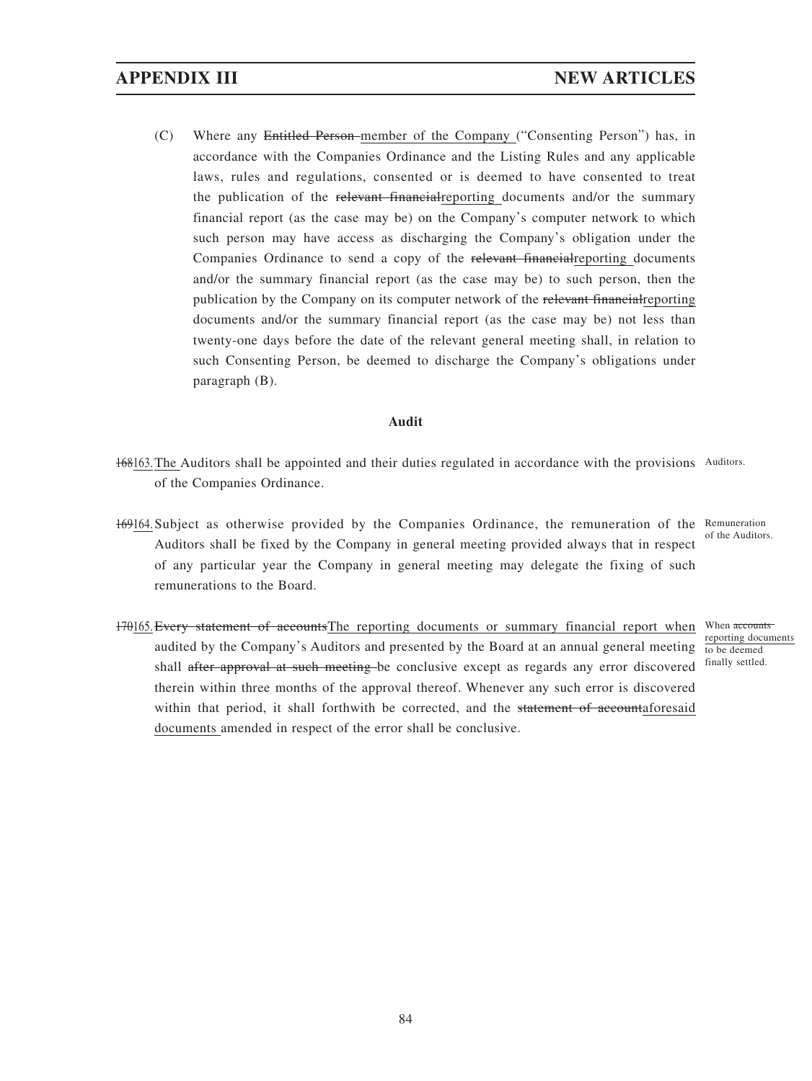(C) Where any Entitled Person member of the Company ("Consenting Person") has, in accordance with the Companies Ordinance and the Listing Rules and any applicable laws, rules and regulations, consented or is deemed to have consented to treat the publication of the relevant financial reporting documents and/or the summary financial report (as the case may be) on the Company's computer network to which such person may have access as discharging the Company's obligation under the Companies Ordinance to send a copy of the relevant financialreporting documents and/or the summary financial report (as the case may be) to such person, then the publication by the Company on its computer network of the relevant financialreporting documents and/or the summary financial report (as the case may be) not less than twenty-one days before the date of the relevant general meeting shall, in relation to such Consenting Person, be deemed to discharge the Company's obligations under paragraph (B).

### **Audit**

- 168163. The Auditors shall be appointed and their duties regulated in accordance with the provisions Auditors. of the Companies Ordinance.
- 169164. Subject as otherwise provided by the Companies Ordinance, the remuneration of the Remuneration Auditors shall be fixed by the Company in general meeting provided always that in respect of any particular year the Company in general meeting may delegate the fixing of such remunerations to the Board.

of the Auditors.

170165. Every statement of accountsThe reporting documents or summary financial report when audited by the Company's Auditors and presented by the Board at an annual general meeting shall after approval at such meeting be conclusive except as regards any error discovered therein within three months of the approval thereof. Whenever any such error is discovered within that period, it shall forthwith be corrected, and the statement of accountaforesaid documents amended in respect of the error shall be conclusive.

When accounts reporting documents to be deemed finally settled.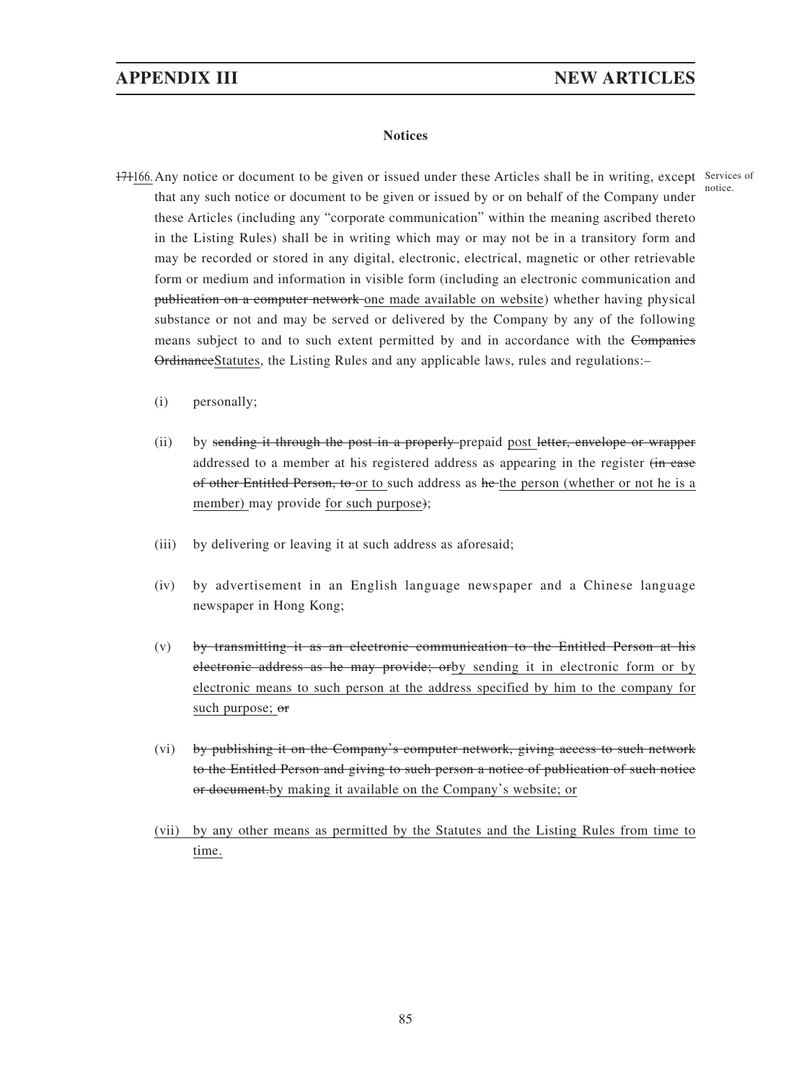#### **Notices**

- 171166. Any notice or document to be given or issued under these Articles shall be in writing, except Services of that any such notice or document to be given or issued by or on behalf of the Company under these Articles (including any "corporate communication" within the meaning ascribed thereto in the Listing Rules) shall be in writing which may or may not be in a transitory form and may be recorded or stored in any digital, electronic, electrical, magnetic or other retrievable form or medium and information in visible form (including an electronic communication and publication on a computer network one made available on website) whether having physical substance or not and may be served or delivered by the Company by any of the following means subject to and to such extent permitted by and in accordance with the Companies OrdinanceStatutes, the Listing Rules and any applicable laws, rules and regulations:– notice.
	- (i) personally;
	- (ii) by sending it through the post in a properly prepaid post letter, envelope or wrapper addressed to a member at his registered address as appearing in the register (in case of other Entitled Person, to or to such address as he the person (whether or not he is a member) may provide for such purpose);
	- (iii) by delivering or leaving it at such address as aforesaid;
	- (iv) by advertisement in an English language newspaper and a Chinese language newspaper in Hong Kong;
	- (v) by transmitting it as an electronic communication to the Entitled Person at his electronic address as he may provide; orby sending it in electronic form or by electronic means to such person at the address specified by him to the company for such purpose; or
	- (vi) by publishing it on the Company's computer network, giving access to such network to the Entitled Person and giving to such person a notice of publication of such notice or document.by making it available on the Company's website; or
	- (vii) by any other means as permitted by the Statutes and the Listing Rules from time to time.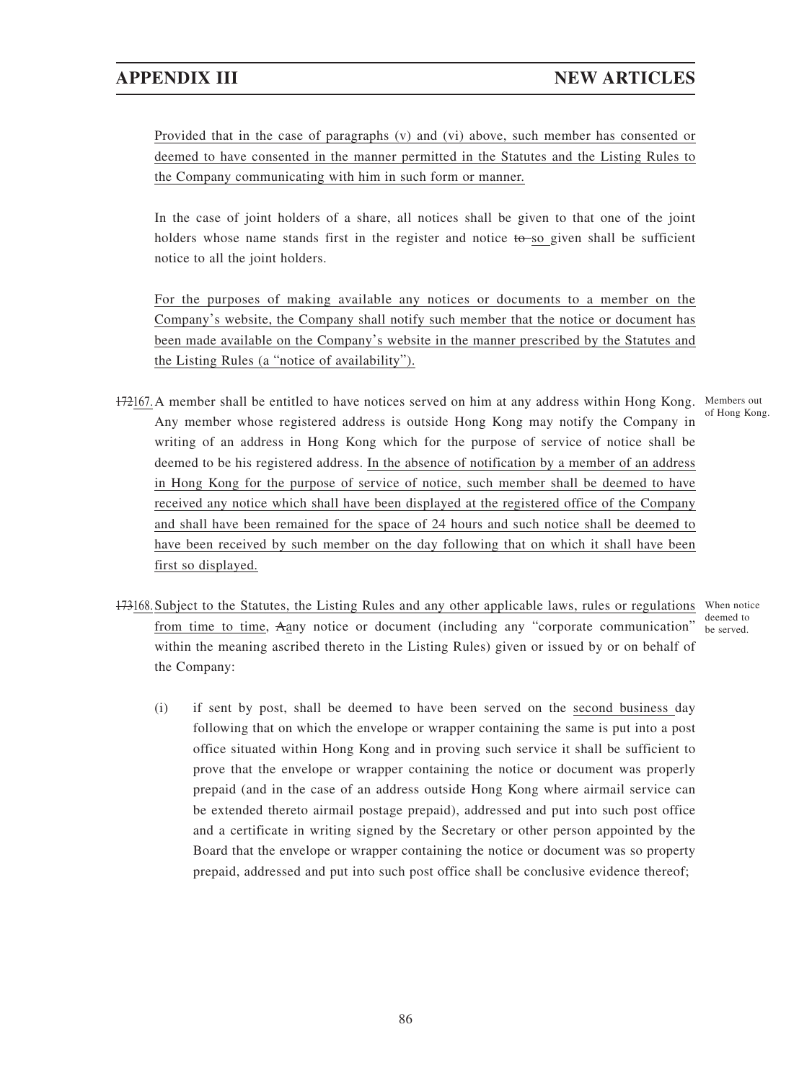Provided that in the case of paragraphs (v) and (vi) above, such member has consented or deemed to have consented in the manner permitted in the Statutes and the Listing Rules to the Company communicating with him in such form or manner.

In the case of joint holders of a share, all notices shall be given to that one of the joint holders whose name stands first in the register and notice  $t\theta$ -so given shall be sufficient notice to all the joint holders.

For the purposes of making available any notices or documents to a member on the Company's website, the Company shall notify such member that the notice or document has been made available on the Company's website in the manner prescribed by the Statutes and the Listing Rules (a "notice of availability").

- 172167. A member shall be entitled to have notices served on him at any address within Hong Kong. Members out Any member whose registered address is outside Hong Kong may notify the Company in writing of an address in Hong Kong which for the purpose of service of notice shall be deemed to be his registered address. In the absence of notification by a member of an address in Hong Kong for the purpose of service of notice, such member shall be deemed to have received any notice which shall have been displayed at the registered office of the Company and shall have been remained for the space of 24 hours and such notice shall be deemed to have been received by such member on the day following that on which it shall have been first so displayed. of Hong Kong.
- 173168. Subject to the Statutes, the Listing Rules and any other applicable laws, rules or regulations When notice from time to time, Aany notice or document (including any "corporate communication" be served. within the meaning ascribed thereto in the Listing Rules) given or issued by or on behalf of the Company: deemed to
	- (i) if sent by post, shall be deemed to have been served on the second business day following that on which the envelope or wrapper containing the same is put into a post office situated within Hong Kong and in proving such service it shall be sufficient to prove that the envelope or wrapper containing the notice or document was properly prepaid (and in the case of an address outside Hong Kong where airmail service can be extended thereto airmail postage prepaid), addressed and put into such post office and a certificate in writing signed by the Secretary or other person appointed by the Board that the envelope or wrapper containing the notice or document was so property prepaid, addressed and put into such post office shall be conclusive evidence thereof;

86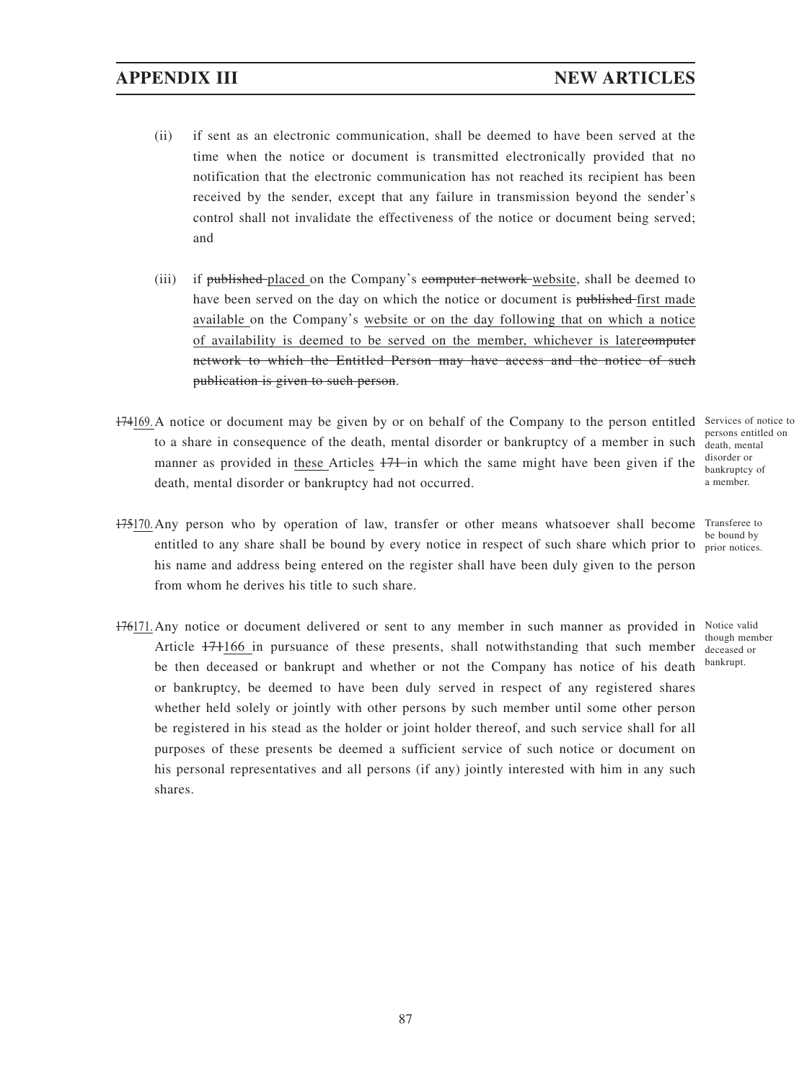- (ii) if sent as an electronic communication, shall be deemed to have been served at the time when the notice or document is transmitted electronically provided that no notification that the electronic communication has not reached its recipient has been received by the sender, except that any failure in transmission beyond the sender's control shall not invalidate the effectiveness of the notice or document being served; and
- (iii) if published-placed on the Company's computer network website, shall be deemed to have been served on the day on which the notice or document is published-first made available on the Company's website or on the day following that on which a notice of availability is deemed to be served on the member, whichever is latercomputer network to which the Entitled Person may have access and the notice of such publication is given to such person.
- 174169. A notice or document may be given by or on behalf of the Company to the person entitled Services of notice to to a share in consequence of the death, mental disorder or bankruptcy of a member in such manner as provided in these Articles  $171$ -in which the same might have been given if the death, mental disorder or bankruptcy had not occurred.
- 175170. Any person who by operation of law, transfer or other means whatsoever shall become Transferee to entitled to any share shall be bound by every notice in respect of such share which prior to his name and address being entered on the register shall have been duly given to the person from whom he derives his title to such share.
- 176171. Any notice or document delivered or sent to any member in such manner as provided in Notice valid Article 171166 in pursuance of these presents, shall notwithstanding that such member be then deceased or bankrupt and whether or not the Company has notice of his death or bankruptcy, be deemed to have been duly served in respect of any registered shares whether held solely or jointly with other persons by such member until some other person be registered in his stead as the holder or joint holder thereof, and such service shall for all purposes of these presents be deemed a sufficient service of such notice or document on his personal representatives and all persons (if any) jointly interested with him in any such shares.

persons entitled on death, mental disorder or bankruptcy of a member.

be bound by prior notices.

though member deceased or bankrupt.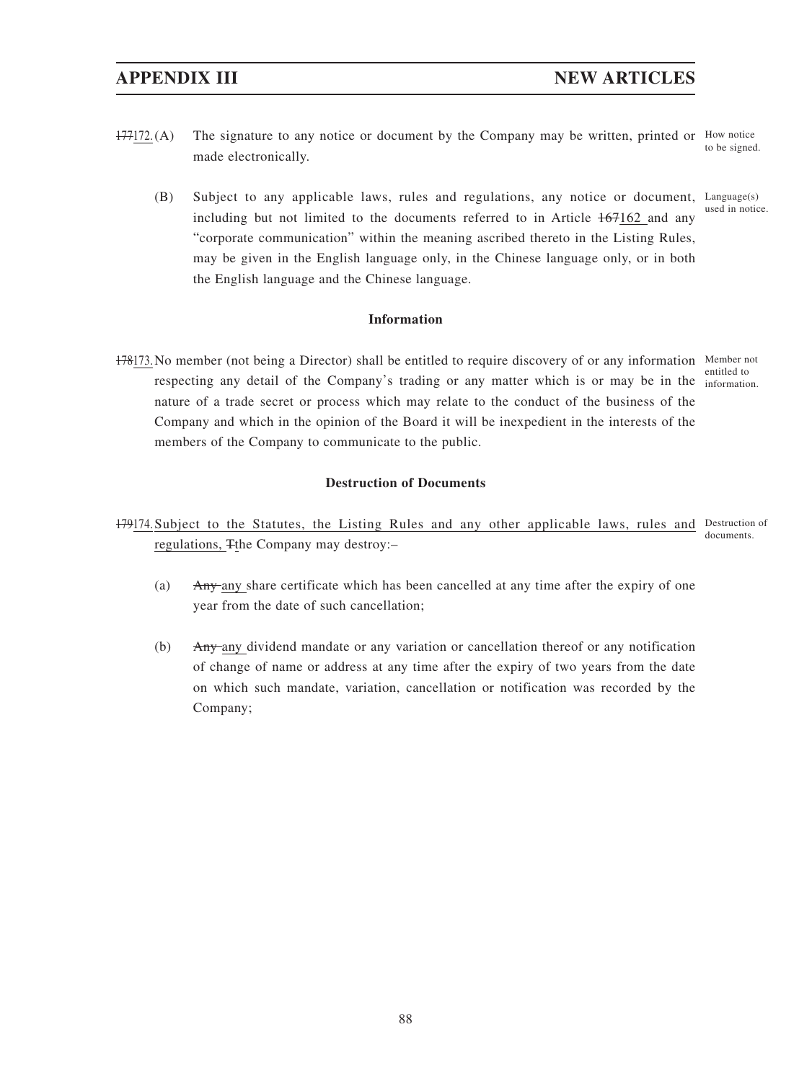- $177172$ . (A) The signature to any notice or document by the Company may be written, printed or How notice made electronically. to be signed.
	- (B) Subject to any applicable laws, rules and regulations, any notice or document, Language(s) including but not limited to the documents referred to in Article 167162 and any "corporate communication" within the meaning ascribed thereto in the Listing Rules, may be given in the English language only, in the Chinese language only, or in both the English language and the Chinese language. used in notice.

### **Information**

178173. No member (not being a Director) shall be entitled to require discovery of or any information Member not respecting any detail of the Company's trading or any matter which is or may be in the information. nature of a trade secret or process which may relate to the conduct of the business of the Company and which in the opinion of the Board it will be inexpedient in the interests of the members of the Company to communicate to the public.

entitled to

### **Destruction of Documents**

- 179174. Subject to the Statutes, the Listing Rules and any other applicable laws, rules and Destruction of regulations, Tthe Company may destroy:– documents.
	- (a) Any any share certificate which has been cancelled at any time after the expiry of one year from the date of such cancellation;
	- (b) Any any dividend mandate or any variation or cancellation thereof or any notification of change of name or address at any time after the expiry of two years from the date on which such mandate, variation, cancellation or notification was recorded by the Company;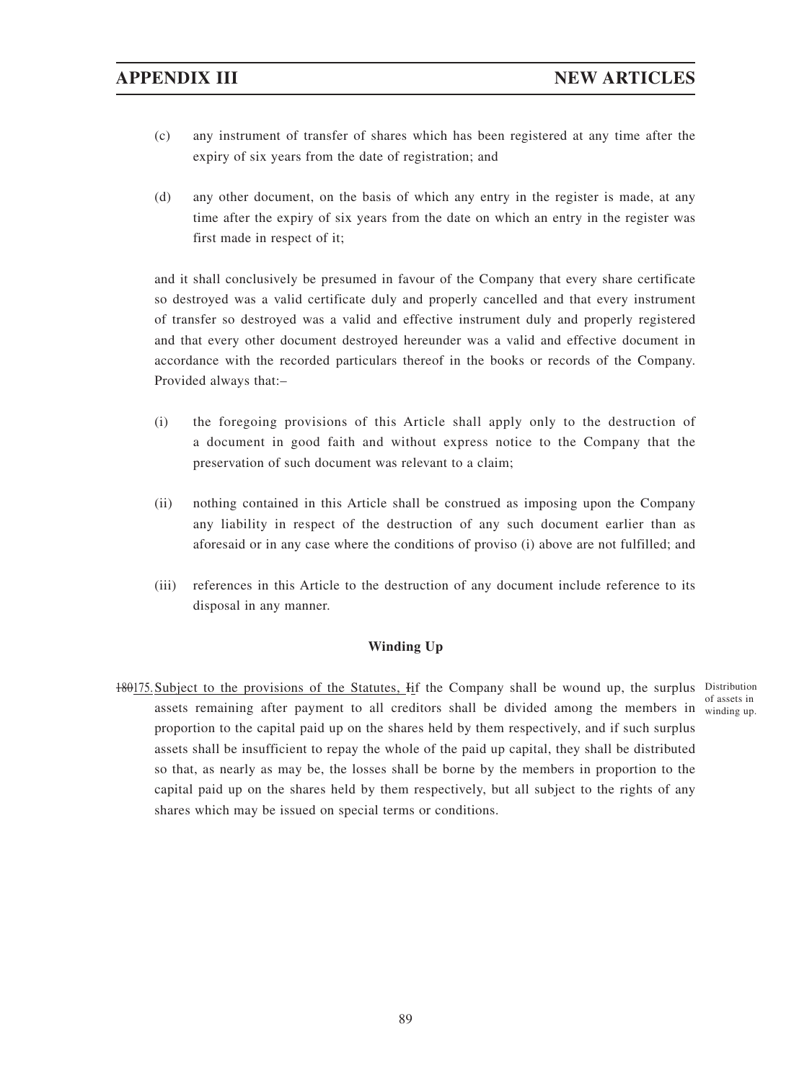- (c) any instrument of transfer of shares which has been registered at any time after the expiry of six years from the date of registration; and
- (d) any other document, on the basis of which any entry in the register is made, at any time after the expiry of six years from the date on which an entry in the register was first made in respect of it;

and it shall conclusively be presumed in favour of the Company that every share certificate so destroyed was a valid certificate duly and properly cancelled and that every instrument of transfer so destroyed was a valid and effective instrument duly and properly registered and that every other document destroyed hereunder was a valid and effective document in accordance with the recorded particulars thereof in the books or records of the Company. Provided always that:–

- (i) the foregoing provisions of this Article shall apply only to the destruction of a document in good faith and without express notice to the Company that the preservation of such document was relevant to a claim;
- (ii) nothing contained in this Article shall be construed as imposing upon the Company any liability in respect of the destruction of any such document earlier than as aforesaid or in any case where the conditions of proviso (i) above are not fulfilled; and
- (iii) references in this Article to the destruction of any document include reference to its disposal in any manner.

### **Winding Up**

180175. Subject to the provisions of the Statutes, Iif the Company shall be wound up, the surplus Distribution assets remaining after payment to all creditors shall be divided among the members in winding up. proportion to the capital paid up on the shares held by them respectively, and if such surplus assets shall be insufficient to repay the whole of the paid up capital, they shall be distributed so that, as nearly as may be, the losses shall be borne by the members in proportion to the capital paid up on the shares held by them respectively, but all subject to the rights of any shares which may be issued on special terms or conditions. of assets in

89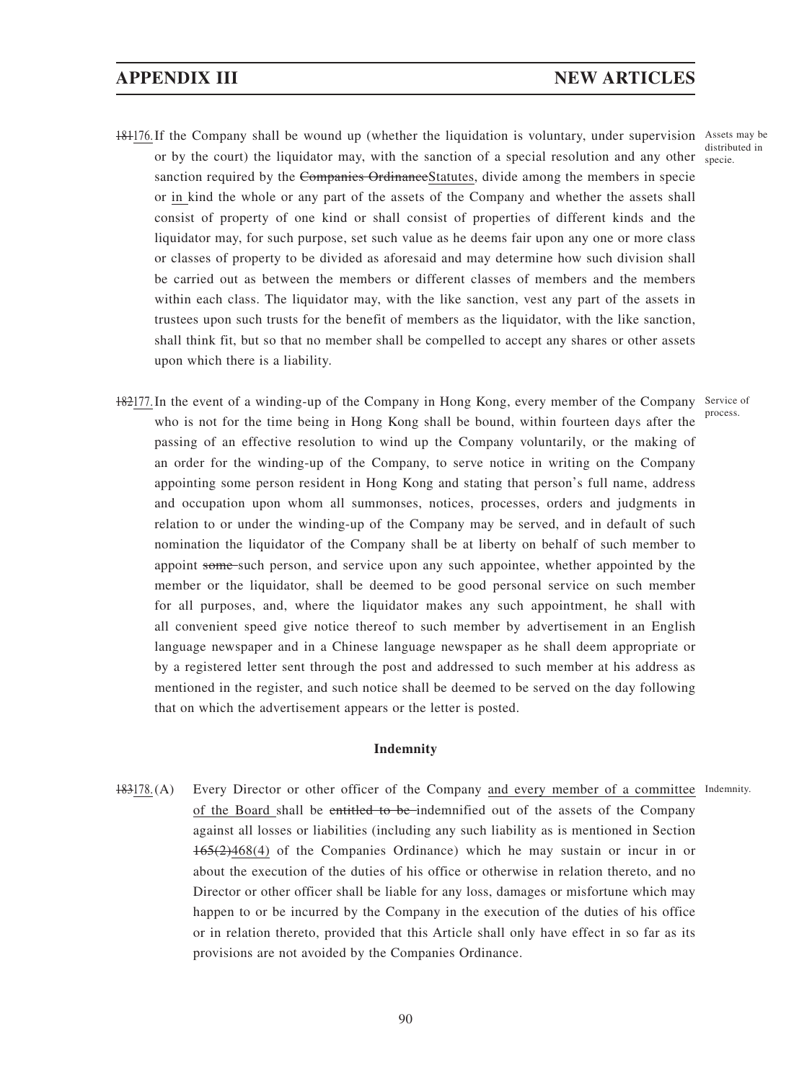## **APPENDIX III NEW ARTICLES**

- 181176. If the Company shall be wound up (whether the liquidation is voluntary, under supervision Assets may be or by the court) the liquidator may, with the sanction of a special resolution and any other sanction required by the Companies OrdinanceStatutes, divide among the members in specie or in kind the whole or any part of the assets of the Company and whether the assets shall consist of property of one kind or shall consist of properties of different kinds and the liquidator may, for such purpose, set such value as he deems fair upon any one or more class or classes of property to be divided as aforesaid and may determine how such division shall be carried out as between the members or different classes of members and the members within each class. The liquidator may, with the like sanction, vest any part of the assets in trustees upon such trusts for the benefit of members as the liquidator, with the like sanction, shall think fit, but so that no member shall be compelled to accept any shares or other assets upon which there is a liability.
- 182177. In the event of a winding-up of the Company in Hong Kong, every member of the Company Service of who is not for the time being in Hong Kong shall be bound, within fourteen days after the passing of an effective resolution to wind up the Company voluntarily, or the making of an order for the winding-up of the Company, to serve notice in writing on the Company appointing some person resident in Hong Kong and stating that person's full name, address and occupation upon whom all summonses, notices, processes, orders and judgments in relation to or under the winding-up of the Company may be served, and in default of such nomination the liquidator of the Company shall be at liberty on behalf of such member to appoint some-such person, and service upon any such appointee, whether appointed by the member or the liquidator, shall be deemed to be good personal service on such member for all purposes, and, where the liquidator makes any such appointment, he shall with all convenient speed give notice thereof to such member by advertisement in an English language newspaper and in a Chinese language newspaper as he shall deem appropriate or by a registered letter sent through the post and addressed to such member at his address as mentioned in the register, and such notice shall be deemed to be served on the day following that on which the advertisement appears or the letter is posted. process.

#### **Indemnity**

183178.(A) Every Director or other officer of the Company and every member of a committee Indemnity. of the Board shall be entitled to be indemnified out of the assets of the Company against all losses or liabilities (including any such liability as is mentioned in Section 165(2)468(4) of the Companies Ordinance) which he may sustain or incur in or about the execution of the duties of his office or otherwise in relation thereto, and no Director or other officer shall be liable for any loss, damages or misfortune which may happen to or be incurred by the Company in the execution of the duties of his office or in relation thereto, provided that this Article shall only have effect in so far as its provisions are not avoided by the Companies Ordinance.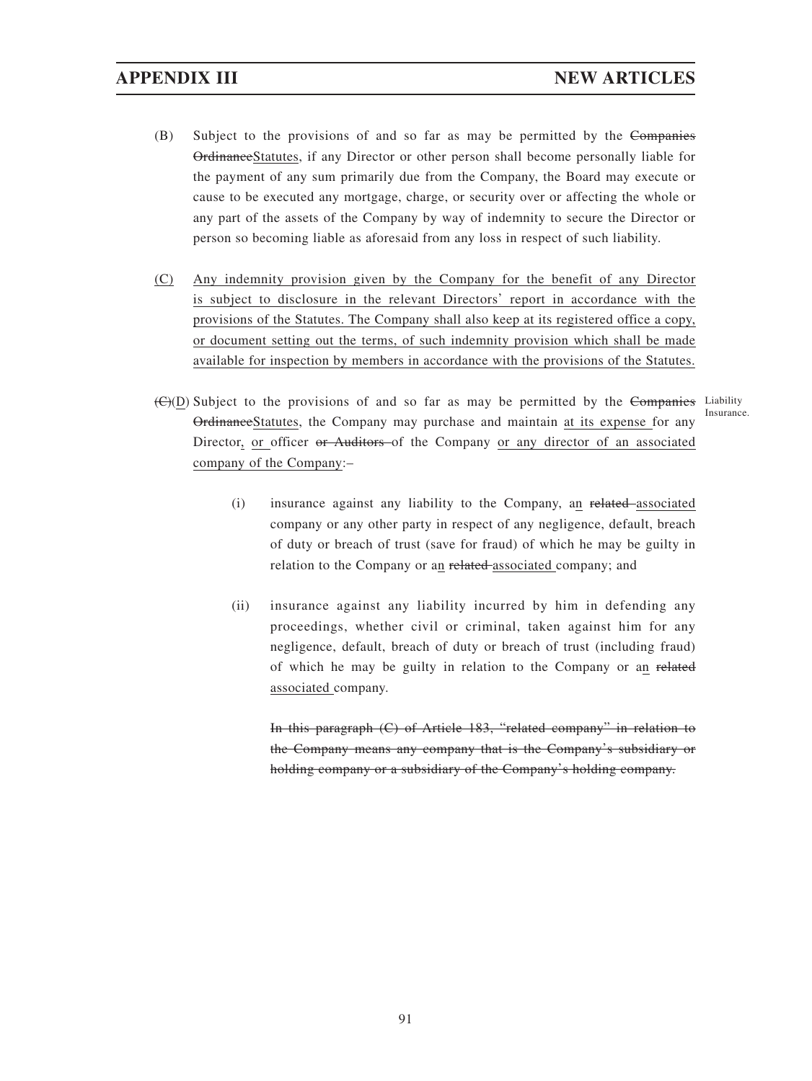- (B) Subject to the provisions of and so far as may be permitted by the Companies OrdinanceStatutes, if any Director or other person shall become personally liable for the payment of any sum primarily due from the Company, the Board may execute or cause to be executed any mortgage, charge, or security over or affecting the whole or any part of the assets of the Company by way of indemnity to secure the Director or person so becoming liable as aforesaid from any loss in respect of such liability.
- (C) Any indemnity provision given by the Company for the benefit of any Director is subject to disclosure in the relevant Directors' report in accordance with the provisions of the Statutes. The Company shall also keep at its registered office a copy, or document setting out the terms, of such indemnity provision which shall be made available for inspection by members in accordance with the provisions of the Statutes.
- (C)(D) Subject to the provisions of and so far as may be permitted by the Companies Liability OrdinanceStatutes, the Company may purchase and maintain at its expense for any Director, or officer or Auditors of the Company or any director of an associated company of the Company:– Insurance.
	- (i) insurance against any liability to the Company, an related associated company or any other party in respect of any negligence, default, breach of duty or breach of trust (save for fraud) of which he may be guilty in relation to the Company or an related associated company; and
	- (ii) insurance against any liability incurred by him in defending any proceedings, whether civil or criminal, taken against him for any negligence, default, breach of duty or breach of trust (including fraud) of which he may be guilty in relation to the Company or an related associated company.

In this paragraph (C) of Article 183, "related company" in relation to the Company means any company that is the Company's subsidiary or holding company or a subsidiary of the Company's holding company.

91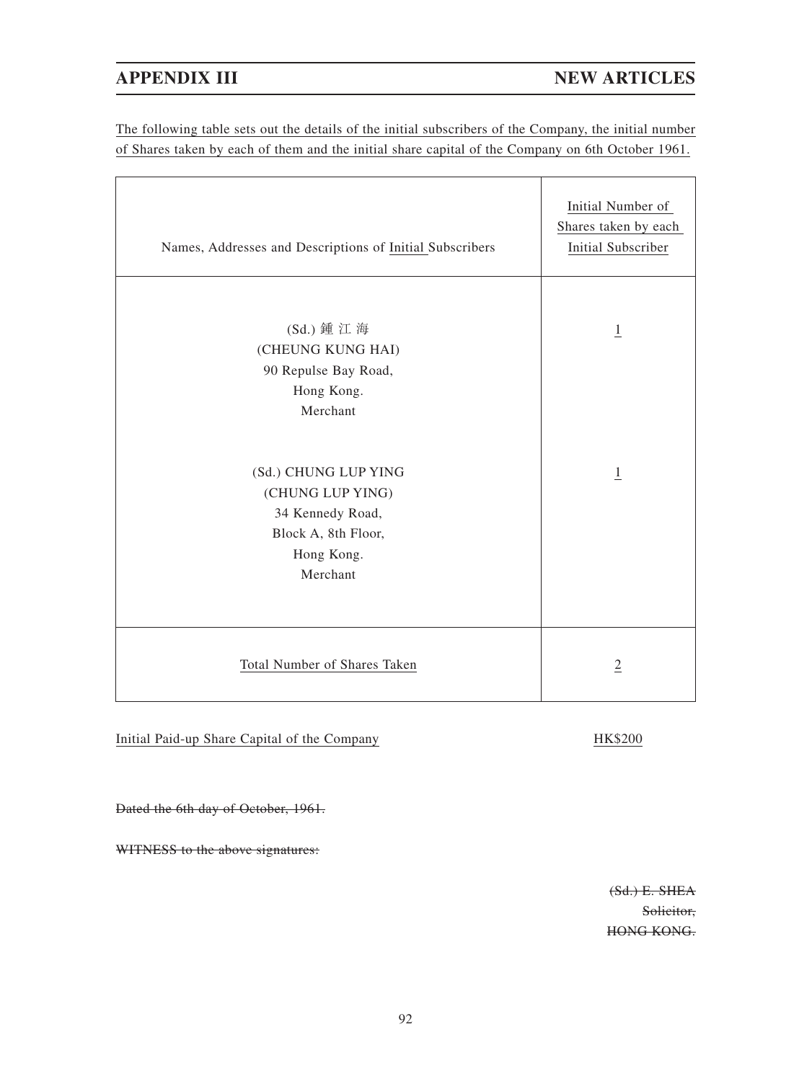The following table sets out the details of the initial subscribers of the Company, the initial number of Shares taken by each of them and the initial share capital of the Company on 6th October 1961.

| Names, Addresses and Descriptions of Initial Subscribers                                                      | Initial Number of<br>Shares taken by each<br><b>Initial Subscriber</b> |
|---------------------------------------------------------------------------------------------------------------|------------------------------------------------------------------------|
| (Sd.) 鍾 江 海<br>(CHEUNG KUNG HAI)<br>90 Repulse Bay Road,<br>Hong Kong.<br>Merchant                            | $\overline{1}$                                                         |
| (Sd.) CHUNG LUP YING<br>(CHUNG LUP YING)<br>34 Kennedy Road,<br>Block A, 8th Floor,<br>Hong Kong.<br>Merchant | $\overline{1}$                                                         |
| Total Number of Shares Taken                                                                                  | $\overline{2}$                                                         |

Initial Paid-up Share Capital of the Company HK\$200

Dated the 6th day of October, 1961.

WITNESS to the above signatures:

(Sd.) E. SHEA Solicitor, HONG KONG.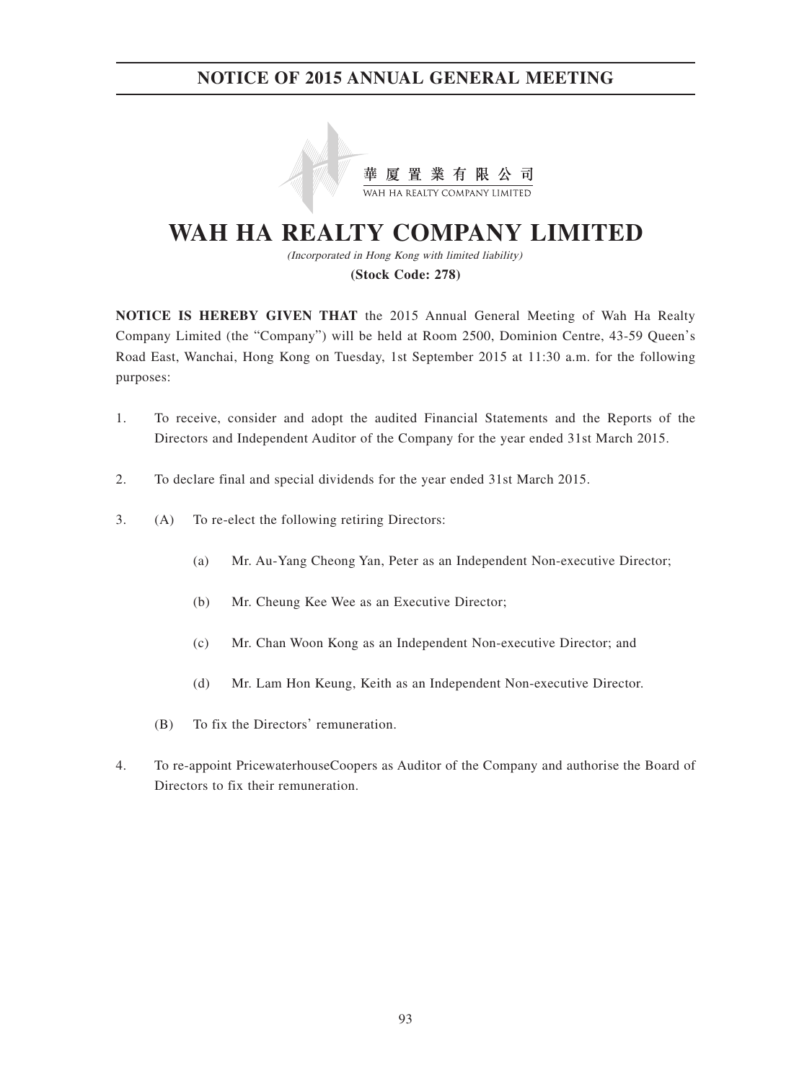

# **WAH HA REALTY COMPANY LIMITED**

(Incorporated in Hong Kong with limited liability) **(Stock Code: 278)**

**NOTICE IS HEREBY GIVEN THAT** the 2015 Annual General Meeting of Wah Ha Realty Company Limited (the "Company") will be held at Room 2500, Dominion Centre, 43-59 Queen's Road East, Wanchai, Hong Kong on Tuesday, 1st September 2015 at 11:30 a.m. for the following

- 1. To receive, consider and adopt the audited Financial Statements and the Reports of the Directors and Independent Auditor of the Company for the year ended 31st March 2015.
- 2. To declare final and special dividends for the year ended 31st March 2015.
- 3. (A) To re-elect the following retiring Directors:

purposes:

- (a) Mr. Au-Yang Cheong Yan, Peter as an Independent Non-executive Director;
- (b) Mr. Cheung Kee Wee as an Executive Director;
- (c) Mr. Chan Woon Kong as an Independent Non-executive Director; and
- (d) Mr. Lam Hon Keung, Keith as an Independent Non-executive Director.
- (B) To fix the Directors' remuneration.
- 4. To re-appoint PricewaterhouseCoopers as Auditor of the Company and authorise the Board of Directors to fix their remuneration.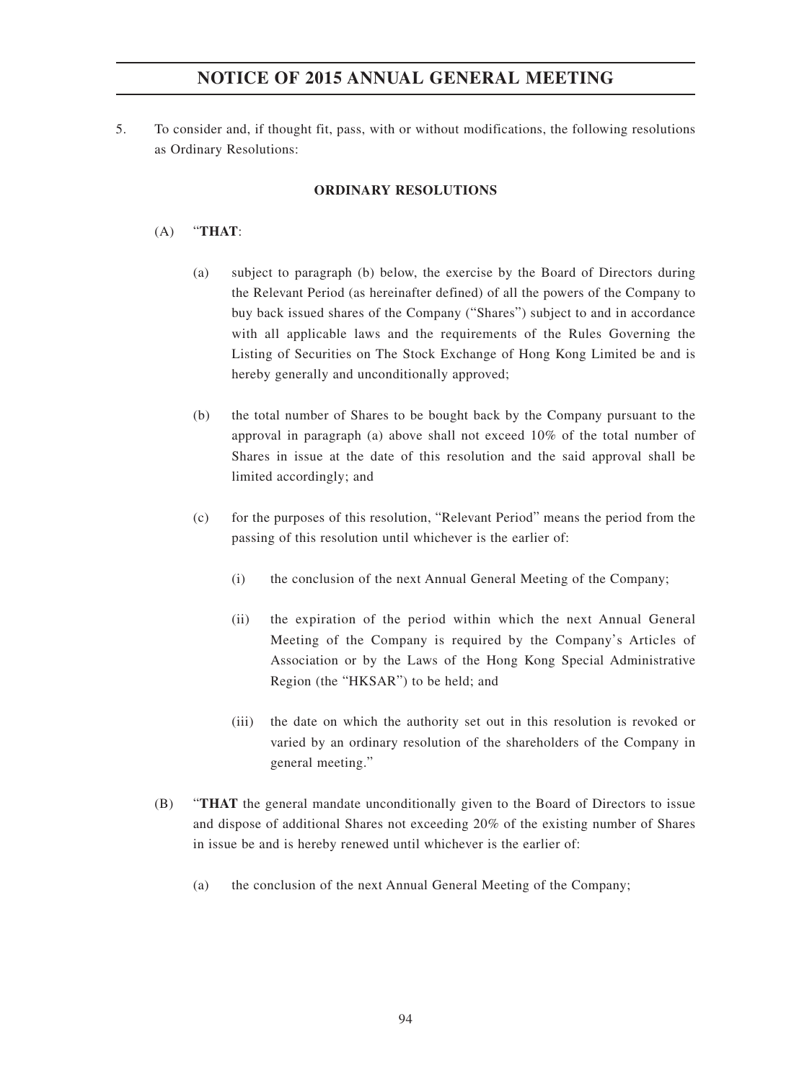5. To consider and, if thought fit, pass, with or without modifications, the following resolutions as Ordinary Resolutions:

### **ORDINARY RESOLUTIONS**

### (A) "**THAT**:

- (a) subject to paragraph (b) below, the exercise by the Board of Directors during the Relevant Period (as hereinafter defined) of all the powers of the Company to buy back issued shares of the Company ("Shares") subject to and in accordance with all applicable laws and the requirements of the Rules Governing the Listing of Securities on The Stock Exchange of Hong Kong Limited be and is hereby generally and unconditionally approved;
- (b) the total number of Shares to be bought back by the Company pursuant to the approval in paragraph (a) above shall not exceed 10% of the total number of Shares in issue at the date of this resolution and the said approval shall be limited accordingly; and
- (c) for the purposes of this resolution, "Relevant Period" means the period from the passing of this resolution until whichever is the earlier of:
	- (i) the conclusion of the next Annual General Meeting of the Company;
	- (ii) the expiration of the period within which the next Annual General Meeting of the Company is required by the Company's Articles of Association or by the Laws of the Hong Kong Special Administrative Region (the "HKSAR") to be held; and
	- (iii) the date on which the authority set out in this resolution is revoked or varied by an ordinary resolution of the shareholders of the Company in general meeting."
- (B) "**THAT** the general mandate unconditionally given to the Board of Directors to issue and dispose of additional Shares not exceeding 20% of the existing number of Shares in issue be and is hereby renewed until whichever is the earlier of:
	- (a) the conclusion of the next Annual General Meeting of the Company;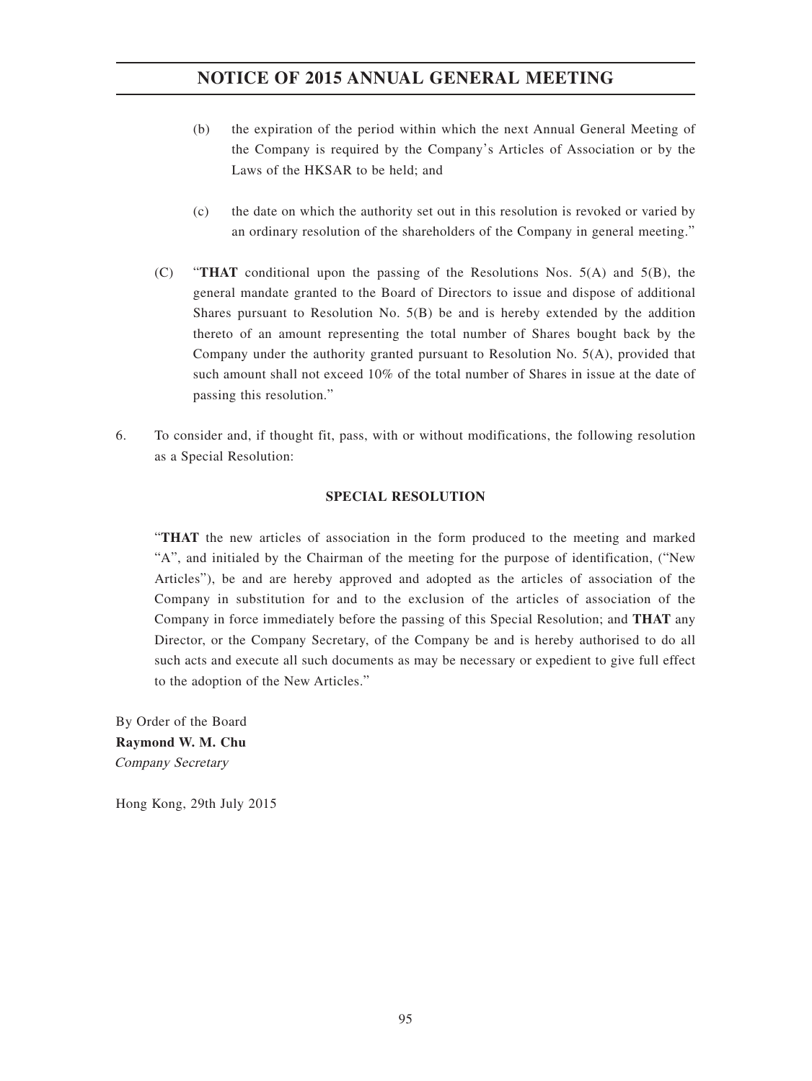- (b) the expiration of the period within which the next Annual General Meeting of the Company is required by the Company's Articles of Association or by the Laws of the HKSAR to be held; and
- (c) the date on which the authority set out in this resolution is revoked or varied by an ordinary resolution of the shareholders of the Company in general meeting."
- (C) "**THAT** conditional upon the passing of the Resolutions Nos. 5(A) and 5(B), the general mandate granted to the Board of Directors to issue and dispose of additional Shares pursuant to Resolution No. 5(B) be and is hereby extended by the addition thereto of an amount representing the total number of Shares bought back by the Company under the authority granted pursuant to Resolution No. 5(A), provided that such amount shall not exceed 10% of the total number of Shares in issue at the date of passing this resolution."
- 6. To consider and, if thought fit, pass, with or without modifications, the following resolution as a Special Resolution:

### **SPECIAL RESOLUTION**

"**THAT** the new articles of association in the form produced to the meeting and marked "A", and initialed by the Chairman of the meeting for the purpose of identification, ("New Articles"), be and are hereby approved and adopted as the articles of association of the Company in substitution for and to the exclusion of the articles of association of the Company in force immediately before the passing of this Special Resolution; and **THAT** any Director, or the Company Secretary, of the Company be and is hereby authorised to do all such acts and execute all such documents as may be necessary or expedient to give full effect to the adoption of the New Articles."

By Order of the Board **Raymond W. M. Chu** Company Secretary

Hong Kong, 29th July 2015